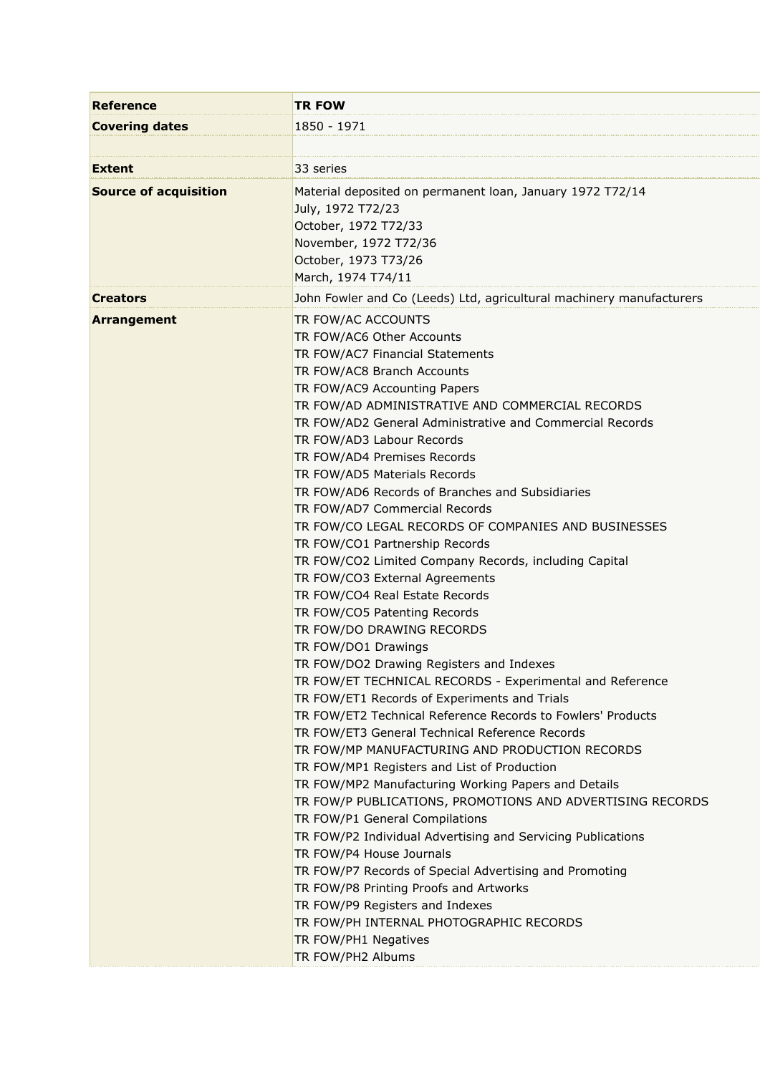| <b>Reference</b>             | <b>TR FOW</b>                                                                                                                                                                                                                                                                                                                                                                                                                                                                                                                                                                                                                                                                                                                                                                                                                                                                                                                                                                                                                                                                                                                                                                                                                                                                                                                                                                                                                                                                                                                                                                                                       |
|------------------------------|---------------------------------------------------------------------------------------------------------------------------------------------------------------------------------------------------------------------------------------------------------------------------------------------------------------------------------------------------------------------------------------------------------------------------------------------------------------------------------------------------------------------------------------------------------------------------------------------------------------------------------------------------------------------------------------------------------------------------------------------------------------------------------------------------------------------------------------------------------------------------------------------------------------------------------------------------------------------------------------------------------------------------------------------------------------------------------------------------------------------------------------------------------------------------------------------------------------------------------------------------------------------------------------------------------------------------------------------------------------------------------------------------------------------------------------------------------------------------------------------------------------------------------------------------------------------------------------------------------------------|
| <b>Covering dates</b>        | 1850 - 1971                                                                                                                                                                                                                                                                                                                                                                                                                                                                                                                                                                                                                                                                                                                                                                                                                                                                                                                                                                                                                                                                                                                                                                                                                                                                                                                                                                                                                                                                                                                                                                                                         |
|                              |                                                                                                                                                                                                                                                                                                                                                                                                                                                                                                                                                                                                                                                                                                                                                                                                                                                                                                                                                                                                                                                                                                                                                                                                                                                                                                                                                                                                                                                                                                                                                                                                                     |
| <b>Extent</b>                | 33 series                                                                                                                                                                                                                                                                                                                                                                                                                                                                                                                                                                                                                                                                                                                                                                                                                                                                                                                                                                                                                                                                                                                                                                                                                                                                                                                                                                                                                                                                                                                                                                                                           |
| <b>Source of acquisition</b> | Material deposited on permanent loan, January 1972 T72/14<br>July, 1972 T72/23<br>October, 1972 T72/33<br>November, 1972 T72/36<br>October, 1973 T73/26<br>March, 1974 T74/11                                                                                                                                                                                                                                                                                                                                                                                                                                                                                                                                                                                                                                                                                                                                                                                                                                                                                                                                                                                                                                                                                                                                                                                                                                                                                                                                                                                                                                       |
| <b>Creators</b>              | John Fowler and Co (Leeds) Ltd, agricultural machinery manufacturers                                                                                                                                                                                                                                                                                                                                                                                                                                                                                                                                                                                                                                                                                                                                                                                                                                                                                                                                                                                                                                                                                                                                                                                                                                                                                                                                                                                                                                                                                                                                                |
| <b>Arrangement</b>           | TR FOW/AC ACCOUNTS<br>TR FOW/AC6 Other Accounts<br>TR FOW/AC7 Financial Statements<br>TR FOW/AC8 Branch Accounts<br>TR FOW/AC9 Accounting Papers<br>TR FOW/AD ADMINISTRATIVE AND COMMERCIAL RECORDS<br>TR FOW/AD2 General Administrative and Commercial Records<br>TR FOW/AD3 Labour Records<br>TR FOW/AD4 Premises Records<br>TR FOW/AD5 Materials Records<br>TR FOW/AD6 Records of Branches and Subsidiaries<br>TR FOW/AD7 Commercial Records<br>TR FOW/CO LEGAL RECORDS OF COMPANIES AND BUSINESSES<br>TR FOW/CO1 Partnership Records<br>TR FOW/CO2 Limited Company Records, including Capital<br>TR FOW/CO3 External Agreements<br>TR FOW/CO4 Real Estate Records<br>TR FOW/CO5 Patenting Records<br>TR FOW/DO DRAWING RECORDS<br>TR FOW/DO1 Drawings<br>TR FOW/DO2 Drawing Registers and Indexes<br>TR FOW/ET TECHNICAL RECORDS - Experimental and Reference<br>TR FOW/ET1 Records of Experiments and Trials<br>TR FOW/ET2 Technical Reference Records to Fowlers' Products<br>TR FOW/ET3 General Technical Reference Records<br>TR FOW/MP MANUFACTURING AND PRODUCTION RECORDS<br>TR FOW/MP1 Registers and List of Production<br>TR FOW/MP2 Manufacturing Working Papers and Details<br>TR FOW/P PUBLICATIONS, PROMOTIONS AND ADVERTISING RECORDS<br>TR FOW/P1 General Compilations<br>TR FOW/P2 Individual Advertising and Servicing Publications<br>TR FOW/P4 House Journals<br>TR FOW/P7 Records of Special Advertising and Promoting<br>TR FOW/P8 Printing Proofs and Artworks<br>TR FOW/P9 Registers and Indexes<br>TR FOW/PH INTERNAL PHOTOGRAPHIC RECORDS<br>TR FOW/PH1 Negatives<br>TR FOW/PH2 Albums |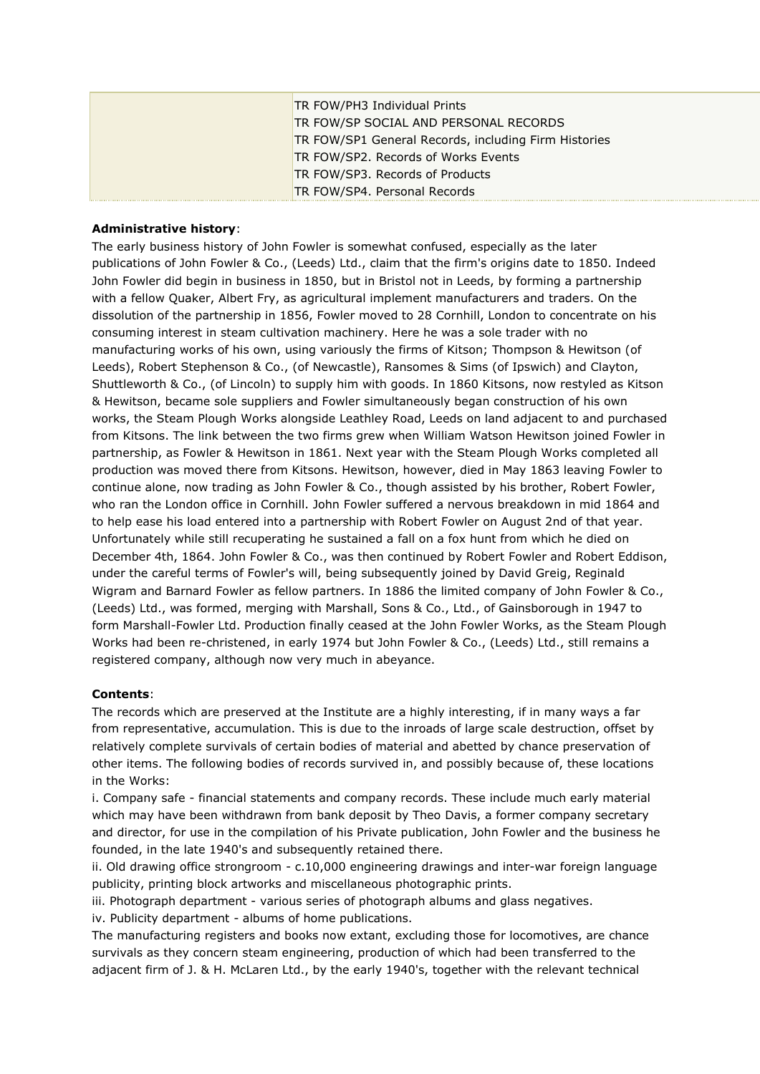| TR FOW/PH3 Individual Prints                         |
|------------------------------------------------------|
| TR FOW/SP SOCIAL AND PERSONAL RECORDS                |
| TR FOW/SP1 General Records, including Firm Histories |
| TR FOW/SP2. Records of Works Events                  |
| TR FOW/SP3. Records of Products                      |
| TR FOW/SP4. Personal Records                         |

# **Administrative history**:

The early business history of John Fowler is somewhat confused, especially as the later publications of John Fowler & Co., (Leeds) Ltd., claim that the firm's origins date to 1850. Indeed John Fowler did begin in business in 1850, but in Bristol not in Leeds, by forming a partnership with a fellow Quaker, Albert Fry, as agricultural implement manufacturers and traders. On the dissolution of the partnership in 1856, Fowler moved to 28 Cornhill, London to concentrate on his consuming interest in steam cultivation machinery. Here he was a sole trader with no manufacturing works of his own, using variously the firms of Kitson; Thompson & Hewitson (of Leeds), Robert Stephenson & Co., (of Newcastle), Ransomes & Sims (of Ipswich) and Clayton, Shuttleworth & Co., (of Lincoln) to supply him with goods. In 1860 Kitsons, now restyled as Kitson & Hewitson, became sole suppliers and Fowler simultaneously began construction of his own works, the Steam Plough Works alongside Leathley Road, Leeds on land adjacent to and purchased from Kitsons. The link between the two firms grew when William Watson Hewitson joined Fowler in partnership, as Fowler & Hewitson in 1861. Next year with the Steam Plough Works completed all production was moved there from Kitsons. Hewitson, however, died in May 1863 leaving Fowler to continue alone, now trading as John Fowler & Co., though assisted by his brother, Robert Fowler, who ran the London office in Cornhill. John Fowler suffered a nervous breakdown in mid 1864 and to help ease his load entered into a partnership with Robert Fowler on August 2nd of that year. Unfortunately while still recuperating he sustained a fall on a fox hunt from which he died on December 4th, 1864. John Fowler & Co., was then continued by Robert Fowler and Robert Eddison, under the careful terms of Fowler's will, being subsequently joined by David Greig, Reginald Wigram and Barnard Fowler as fellow partners. In 1886 the limited company of John Fowler & Co., (Leeds) Ltd., was formed, merging with Marshall, Sons & Co., Ltd., of Gainsborough in 1947 to form Marshall-Fowler Ltd. Production finally ceased at the John Fowler Works, as the Steam Plough Works had been re-christened, in early 1974 but John Fowler & Co., (Leeds) Ltd., still remains a registered company, although now very much in abeyance.

# **Contents**:

The records which are preserved at the Institute are a highly interesting, if in many ways a far from representative, accumulation. This is due to the inroads of large scale destruction, offset by relatively complete survivals of certain bodies of material and abetted by chance preservation of other items. The following bodies of records survived in, and possibly because of, these locations in the Works:

i. Company safe - financial statements and company records. These include much early material which may have been withdrawn from bank deposit by Theo Davis, a former company secretary and director, for use in the compilation of his Private publication, John Fowler and the business he founded, in the late 1940's and subsequently retained there.

ii. Old drawing office strongroom - c.10,000 engineering drawings and inter-war foreign language publicity, printing block artworks and miscellaneous photographic prints.

iii. Photograph department - various series of photograph albums and glass negatives. iv. Publicity department - albums of home publications.

The manufacturing registers and books now extant, excluding those for locomotives, are chance survivals as they concern steam engineering, production of which had been transferred to the adjacent firm of J. & H. McLaren Ltd., by the early 1940's, together with the relevant technical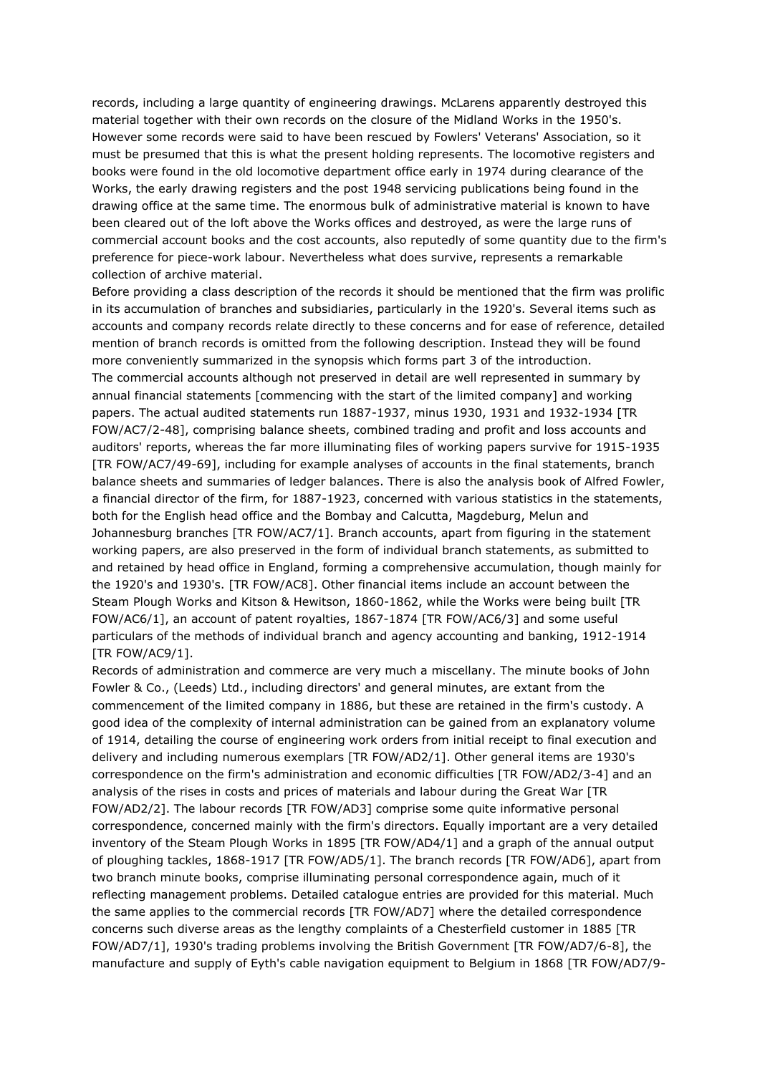records, including a large quantity of engineering drawings. McLarens apparently destroyed this material together with their own records on the closure of the Midland Works in the 1950's. However some records were said to have been rescued by Fowlers' Veterans' Association, so it must be presumed that this is what the present holding represents. The locomotive registers and books were found in the old locomotive department office early in 1974 during clearance of the Works, the early drawing registers and the post 1948 servicing publications being found in the drawing office at the same time. The enormous bulk of administrative material is known to have been cleared out of the loft above the Works offices and destroyed, as were the large runs of commercial account books and the cost accounts, also reputedly of some quantity due to the firm's preference for piece-work labour. Nevertheless what does survive, represents a remarkable collection of archive material.

Before providing a class description of the records it should be mentioned that the firm was prolific in its accumulation of branches and subsidiaries, particularly in the 1920's. Several items such as accounts and company records relate directly to these concerns and for ease of reference, detailed mention of branch records is omitted from the following description. Instead they will be found more conveniently summarized in the synopsis which forms part 3 of the introduction. The commercial accounts although not preserved in detail are well represented in summary by annual financial statements [commencing with the start of the limited company] and working papers. The actual audited statements run 1887-1937, minus 1930, 1931 and 1932-1934 [TR FOW/AC7/2-48], comprising balance sheets, combined trading and profit and loss accounts and auditors' reports, whereas the far more illuminating files of working papers survive for 1915-1935 [TR FOW/AC7/49-69], including for example analyses of accounts in the final statements, branch balance sheets and summaries of ledger balances. There is also the analysis book of Alfred Fowler, a financial director of the firm, for 1887-1923, concerned with various statistics in the statements, both for the English head office and the Bombay and Calcutta, Magdeburg, Melun and Johannesburg branches [TR FOW/AC7/1]. Branch accounts, apart from figuring in the statement working papers, are also preserved in the form of individual branch statements, as submitted to and retained by head office in England, forming a comprehensive accumulation, though mainly for the 1920's and 1930's. [TR FOW/AC8]. Other financial items include an account between the Steam Plough Works and Kitson & Hewitson, 1860-1862, while the Works were being built [TR FOW/AC6/1], an account of patent royalties, 1867-1874 [TR FOW/AC6/3] and some useful particulars of the methods of individual branch and agency accounting and banking, 1912-1914 [TR FOW/AC9/1].

Records of administration and commerce are very much a miscellany. The minute books of John Fowler & Co., (Leeds) Ltd., including directors' and general minutes, are extant from the commencement of the limited company in 1886, but these are retained in the firm's custody. A good idea of the complexity of internal administration can be gained from an explanatory volume of 1914, detailing the course of engineering work orders from initial receipt to final execution and delivery and including numerous exemplars [TR FOW/AD2/1]. Other general items are 1930's correspondence on the firm's administration and economic difficulties [TR FOW/AD2/3-4] and an analysis of the rises in costs and prices of materials and labour during the Great War [TR FOW/AD2/2]. The labour records [TR FOW/AD3] comprise some quite informative personal correspondence, concerned mainly with the firm's directors. Equally important are a very detailed inventory of the Steam Plough Works in 1895 [TR FOW/AD4/1] and a graph of the annual output of ploughing tackles, 1868-1917 [TR FOW/AD5/1]. The branch records [TR FOW/AD6], apart from two branch minute books, comprise illuminating personal correspondence again, much of it reflecting management problems. Detailed catalogue entries are provided for this material. Much the same applies to the commercial records [TR FOW/AD7] where the detailed correspondence concerns such diverse areas as the lengthy complaints of a Chesterfield customer in 1885 [TR FOW/AD7/1], 1930's trading problems involving the British Government [TR FOW/AD7/6-8], the manufacture and supply of Eyth's cable navigation equipment to Belgium in 1868 [TR FOW/AD7/9-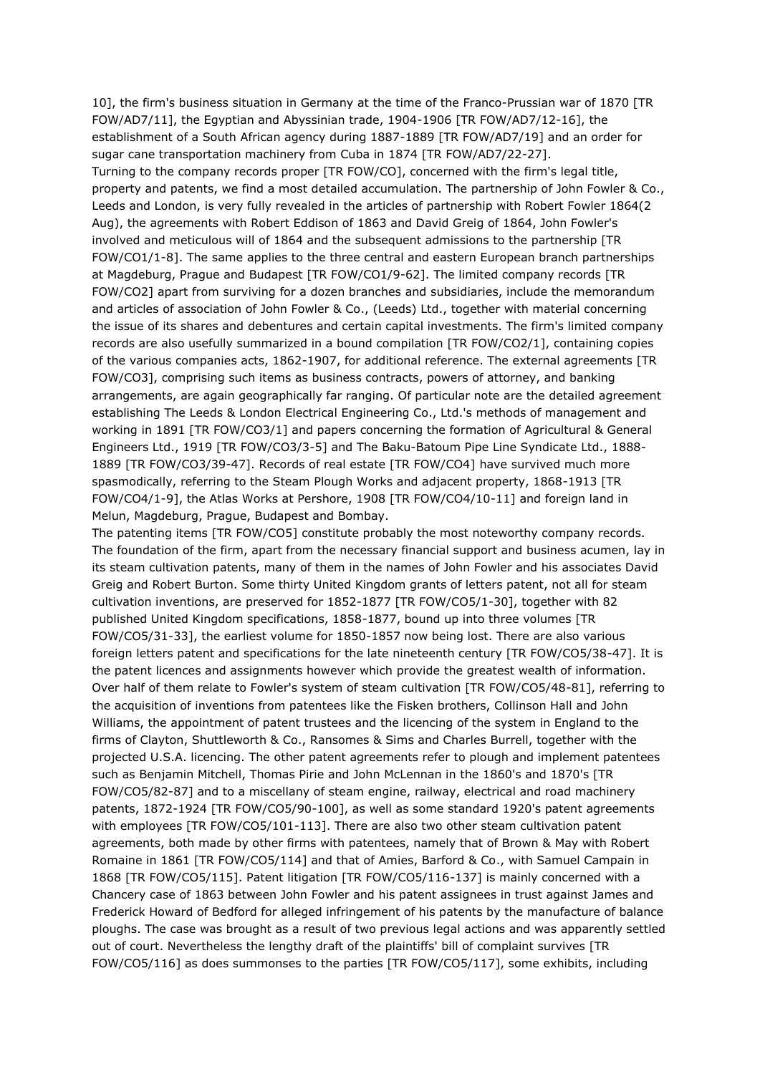10], the firm's business situation in Germany at the time of the Franco-Prussian war of 1870 [TR FOW/AD7/11], the Egyptian and Abyssinian trade, 1904-1906 [TR FOW/AD7/12-16], the establishment of a South African agency during 1887-1889 [TR FOW/AD7/19] and an order for sugar cane transportation machinery from Cuba in 1874 [TR FOW/AD7/22-27]. Turning to the company records proper [TR FOW/CO], concerned with the firm's legal title, property and patents, we find a most detailed accumulation. The partnership of John Fowler & Co., Leeds and London, is very fully revealed in the articles of partnership with Robert Fowler 1864(2 Aug), the agreements with Robert Eddison of 1863 and David Greig of 1864, John Fowler's involved and meticulous will of 1864 and the subsequent admissions to the partnership [TR FOW/CO1/1-8]. The same applies to the three central and eastern European branch partnerships at Magdeburg, Prague and Budapest [TR FOW/CO1/9-62]. The limited company records [TR FOW/CO2] apart from surviving for a dozen branches and subsidiaries, include the memorandum and articles of association of John Fowler & Co., (Leeds) Ltd., together with material concerning the issue of its shares and debentures and certain capital investments. The firm's limited company records are also usefully summarized in a bound compilation [TR FOW/CO2/1], containing copies of the various companies acts, 1862-1907, for additional reference. The external agreements [TR FOW/CO3], comprising such items as business contracts, powers of attorney, and banking arrangements, are again geographically far ranging. Of particular note are the detailed agreement establishing The Leeds & London Electrical Engineering Co., Ltd.'s methods of management and working in 1891 [TR FOW/CO3/1] and papers concerning the formation of Agricultural & General Engineers Ltd., 1919 [TR FOW/CO3/3-5] and The Baku-Batoum Pipe Line Syndicate Ltd., 1888- 1889 [TR FOW/CO3/39-47]. Records of real estate [TR FOW/CO4] have survived much more spasmodically, referring to the Steam Plough Works and adjacent property, 1868-1913 [TR FOW/CO4/1-9], the Atlas Works at Pershore, 1908 [TR FOW/CO4/10-11] and foreign land in Melun, Magdeburg, Prague, Budapest and Bombay.

The patenting items [TR FOW/CO5] constitute probably the most noteworthy company records. The foundation of the firm, apart from the necessary financial support and business acumen, lay in its steam cultivation patents, many of them in the names of John Fowler and his associates David Greig and Robert Burton. Some thirty United Kingdom grants of letters patent, not all for steam cultivation inventions, are preserved for 1852-1877 [TR FOW/CO5/1-30], together with 82 published United Kingdom specifications, 1858-1877, bound up into three volumes [TR FOW/CO5/31-33], the earliest volume for 1850-1857 now being lost. There are also various foreign letters patent and specifications for the late nineteenth century [TR FOW/CO5/38-47]. It is the patent licences and assignments however which provide the greatest wealth of information. Over half of them relate to Fowler's system of steam cultivation [TR FOW/CO5/48-81], referring to the acquisition of inventions from patentees like the Fisken brothers, Collinson Hall and John Williams, the appointment of patent trustees and the licencing of the system in England to the firms of Clayton, Shuttleworth & Co., Ransomes & Sims and Charles Burrell, together with the projected U.S.A. licencing. The other patent agreements refer to plough and implement patentees such as Benjamin Mitchell, Thomas Pirie and John McLennan in the 1860's and 1870's [TR FOW/CO5/82-87] and to a miscellany of steam engine, railway, electrical and road machinery patents, 1872-1924 [TR FOW/CO5/90-100], as well as some standard 1920's patent agreements with employees [TR FOW/CO5/101-113]. There are also two other steam cultivation patent agreements, both made by other firms with patentees, namely that of Brown & May with Robert Romaine in 1861 [TR FOW/CO5/114] and that of Amies, Barford & Co., with Samuel Campain in 1868 [TR FOW/CO5/115]. Patent litigation [TR FOW/CO5/116-137] is mainly concerned with a Chancery case of 1863 between John Fowler and his patent assignees in trust against James and Frederick Howard of Bedford for alleged infringement of his patents by the manufacture of balance ploughs. The case was brought as a result of two previous legal actions and was apparently settled out of court. Nevertheless the lengthy draft of the plaintiffs' bill of complaint survives [TR FOW/CO5/116] as does summonses to the parties [TR FOW/CO5/117], some exhibits, including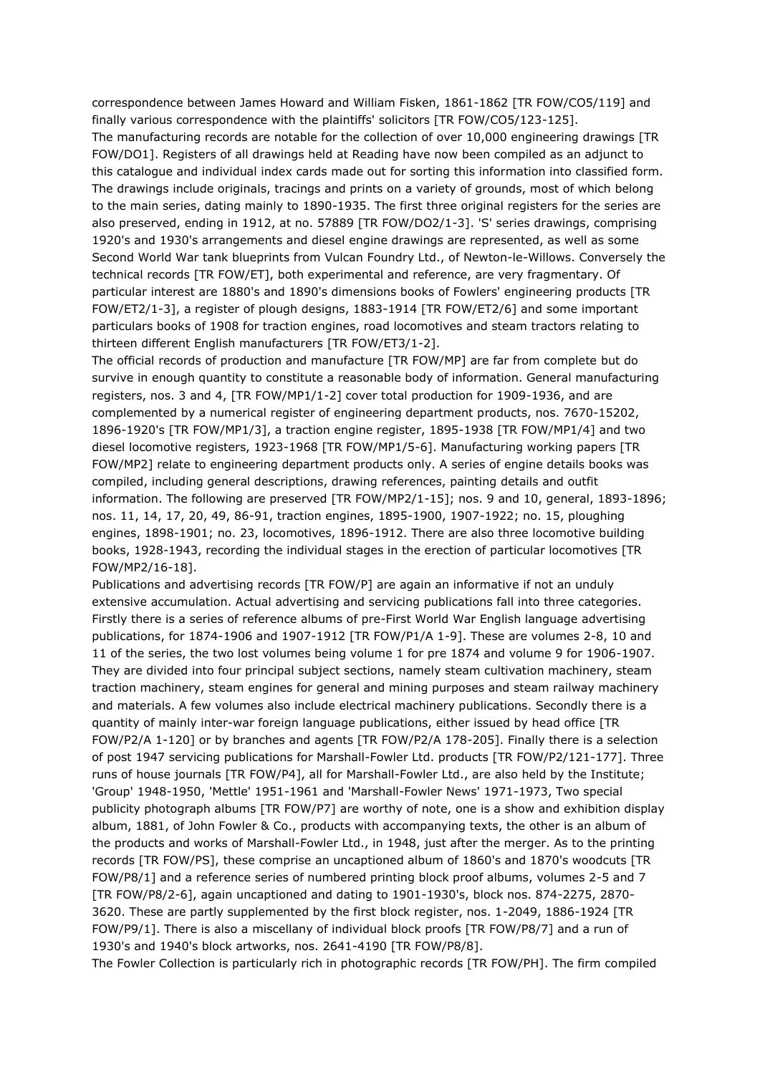correspondence between James Howard and William Fisken, 1861-1862 [TR FOW/CO5/119] and finally various correspondence with the plaintiffs' solicitors [TR FOW/CO5/123-125].

The manufacturing records are notable for the collection of over 10,000 engineering drawings [TR FOW/DO1]. Registers of all drawings held at Reading have now been compiled as an adjunct to this catalogue and individual index cards made out for sorting this information into classified form. The drawings include originals, tracings and prints on a variety of grounds, most of which belong to the main series, dating mainly to 1890-1935. The first three original registers for the series are also preserved, ending in 1912, at no. 57889 [TR FOW/DO2/1-3]. 'S' series drawings, comprising 1920's and 1930's arrangements and diesel engine drawings are represented, as well as some Second World War tank blueprints from Vulcan Foundry Ltd., of Newton-le-Willows. Conversely the technical records [TR FOW/ET], both experimental and reference, are very fragmentary. Of particular interest are 1880's and 1890's dimensions books of Fowlers' engineering products [TR FOW/ET2/1-3], a register of plough designs, 1883-1914 [TR FOW/ET2/6] and some important particulars books of 1908 for traction engines, road locomotives and steam tractors relating to thirteen different English manufacturers [TR FOW/ET3/1-2].

The official records of production and manufacture [TR FOW/MP] are far from complete but do survive in enough quantity to constitute a reasonable body of information. General manufacturing registers, nos. 3 and 4, [TR FOW/MP1/1-2] cover total production for 1909-1936, and are complemented by a numerical register of engineering department products, nos. 7670-15202, 1896-1920's [TR FOW/MP1/3], a traction engine register, 1895-1938 [TR FOW/MP1/4] and two diesel locomotive registers, 1923-1968 [TR FOW/MP1/5-6]. Manufacturing working papers [TR FOW/MP2] relate to engineering department products only. A series of engine details books was compiled, including general descriptions, drawing references, painting details and outfit information. The following are preserved [TR FOW/MP2/1-15]; nos. 9 and 10, general, 1893-1896; nos. 11, 14, 17, 20, 49, 86-91, traction engines, 1895-1900, 1907-1922; no. 15, ploughing engines, 1898-1901; no. 23, locomotives, 1896-1912. There are also three locomotive building books, 1928-1943, recording the individual stages in the erection of particular locomotives [TR FOW/MP2/16-18].

Publications and advertising records [TR FOW/P] are again an informative if not an unduly extensive accumulation. Actual advertising and servicing publications fall into three categories. Firstly there is a series of reference albums of pre-First World War English language advertising publications, for 1874-1906 and 1907-1912 [TR FOW/P1/A 1-9]. These are volumes 2-8, 10 and 11 of the series, the two lost volumes being volume 1 for pre 1874 and volume 9 for 1906-1907. They are divided into four principal subject sections, namely steam cultivation machinery, steam traction machinery, steam engines for general and mining purposes and steam railway machinery and materials. A few volumes also include electrical machinery publications. Secondly there is a quantity of mainly inter-war foreign language publications, either issued by head office [TR FOW/P2/A 1-120] or by branches and agents [TR FOW/P2/A 178-205]. Finally there is a selection of post 1947 servicing publications for Marshall-Fowler Ltd. products [TR FOW/P2/121-177]. Three runs of house journals [TR FOW/P4], all for Marshall-Fowler Ltd., are also held by the Institute; 'Group' 1948-1950, 'Mettle' 1951-1961 and 'Marshall-Fowler News' 1971-1973, Two special publicity photograph albums [TR FOW/P7] are worthy of note, one is a show and exhibition display album, 1881, of John Fowler & Co., products with accompanying texts, the other is an album of the products and works of Marshall-Fowler Ltd., in 1948, just after the merger. As to the printing records [TR FOW/PS], these comprise an uncaptioned album of 1860's and 1870's woodcuts [TR FOW/P8/1] and a reference series of numbered printing block proof albums, volumes 2-5 and 7 [TR FOW/P8/2-6], again uncaptioned and dating to 1901-1930's, block nos. 874-2275, 2870- 3620. These are partly supplemented by the first block register, nos. 1-2049, 1886-1924 [TR FOW/P9/1]. There is also a miscellany of individual block proofs [TR FOW/P8/7] and a run of 1930's and 1940's block artworks, nos. 2641-4190 [TR FOW/P8/8].

The Fowler Collection is particularly rich in photographic records [TR FOW/PH]. The firm compiled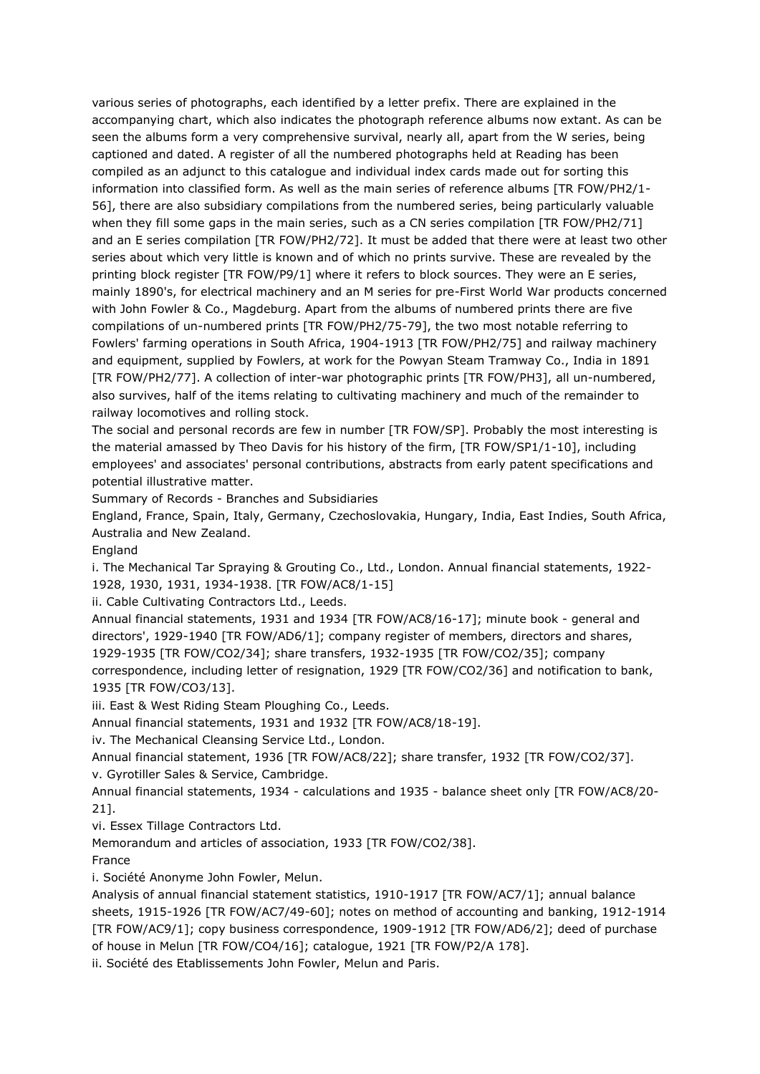various series of photographs, each identified by a letter prefix. There are explained in the accompanying chart, which also indicates the photograph reference albums now extant. As can be seen the albums form a very comprehensive survival, nearly all, apart from the W series, being captioned and dated. A register of all the numbered photographs held at Reading has been compiled as an adjunct to this catalogue and individual index cards made out for sorting this information into classified form. As well as the main series of reference albums [TR FOW/PH2/1- 56], there are also subsidiary compilations from the numbered series, being particularly valuable when they fill some gaps in the main series, such as a CN series compilation [TR FOW/PH2/71] and an E series compilation [TR FOW/PH2/72]. It must be added that there were at least two other series about which very little is known and of which no prints survive. These are revealed by the printing block register [TR FOW/P9/1] where it refers to block sources. They were an E series, mainly 1890's, for electrical machinery and an M series for pre-First World War products concerned with John Fowler & Co., Magdeburg. Apart from the albums of numbered prints there are five compilations of un-numbered prints [TR FOW/PH2/75-79], the two most notable referring to Fowlers' farming operations in South Africa, 1904-1913 [TR FOW/PH2/75] and railway machinery and equipment, supplied by Fowlers, at work for the Powyan Steam Tramway Co., India in 1891 [TR FOW/PH2/77]. A collection of inter-war photographic prints [TR FOW/PH3], all un-numbered, also survives, half of the items relating to cultivating machinery and much of the remainder to railway locomotives and rolling stock.

The social and personal records are few in number [TR FOW/SP]. Probably the most interesting is the material amassed by Theo Davis for his history of the firm, [TR FOW/SP1/1-10], including employees' and associates' personal contributions, abstracts from early patent specifications and potential illustrative matter.

Summary of Records - Branches and Subsidiaries

England, France, Spain, Italy, Germany, Czechoslovakia, Hungary, India, East Indies, South Africa, Australia and New Zealand.

England

i. The Mechanical Tar Spraying & Grouting Co., Ltd., London. Annual financial statements, 1922- 1928, 1930, 1931, 1934-1938. [TR FOW/AC8/1-15]

ii. Cable Cultivating Contractors Ltd., Leeds.

Annual financial statements, 1931 and 1934 [TR FOW/AC8/16-17]; minute book - general and directors', 1929-1940 [TR FOW/AD6/1]; company register of members, directors and shares, 1929-1935 [TR FOW/CO2/34]; share transfers, 1932-1935 [TR FOW/CO2/35]; company correspondence, including letter of resignation, 1929 [TR FOW/CO2/36] and notification to bank, 1935 [TR FOW/CO3/13].

iii. East & West Riding Steam Ploughing Co., Leeds.

Annual financial statements, 1931 and 1932 [TR FOW/AC8/18-19].

iv. The Mechanical Cleansing Service Ltd., London.

Annual financial statement, 1936 [TR FOW/AC8/22]; share transfer, 1932 [TR FOW/CO2/37]. v. Gyrotiller Sales & Service, Cambridge.

Annual financial statements, 1934 - calculations and 1935 - balance sheet only [TR FOW/AC8/20- 21].

vi. Essex Tillage Contractors Ltd.

Memorandum and articles of association, 1933 [TR FOW/CO2/38].

France

i. Société Anonyme John Fowler, Melun.

Analysis of annual financial statement statistics, 1910-1917 [TR FOW/AC7/1]; annual balance sheets, 1915-1926 [TR FOW/AC7/49-60]; notes on method of accounting and banking, 1912-1914 [TR FOW/AC9/1]; copy business correspondence, 1909-1912 [TR FOW/AD6/2]; deed of purchase of house in Melun [TR FOW/CO4/16]; catalogue, 1921 [TR FOW/P2/A 178].

ii. Société des Etablissements John Fowler, Melun and Paris.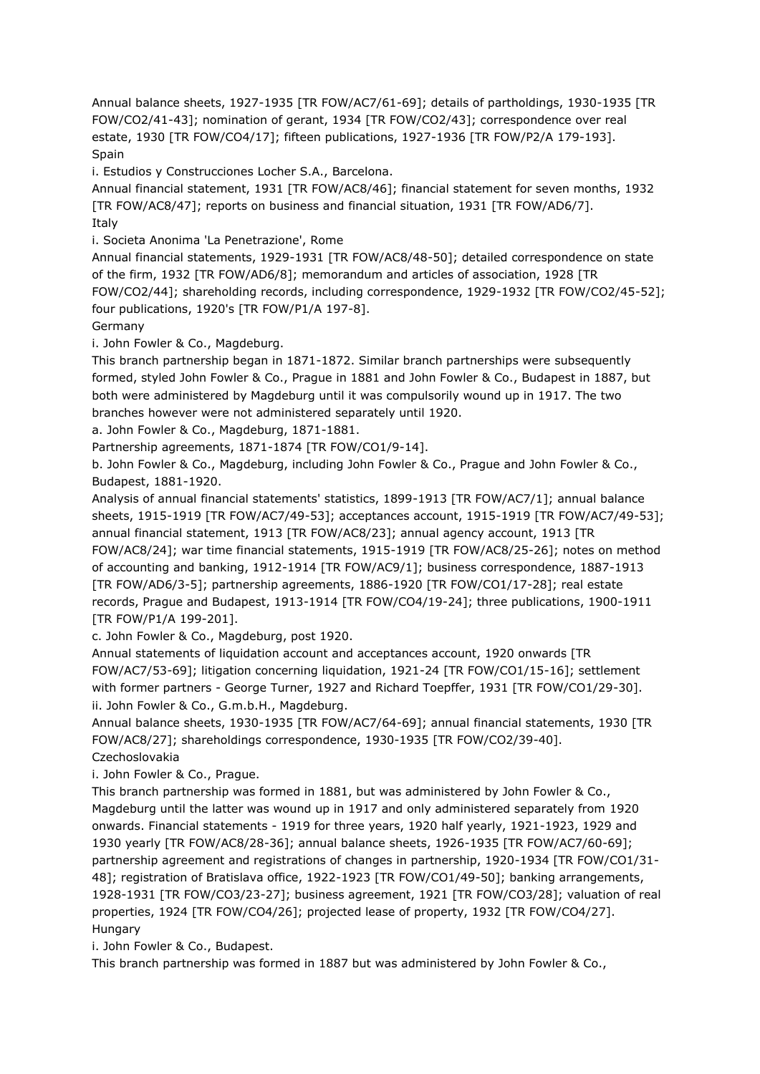Annual balance sheets, 1927-1935 [TR FOW/AC7/61-69]; details of partholdings, 1930-1935 [TR FOW/CO2/41-43]; nomination of gerant, 1934 [TR FOW/CO2/43]; correspondence over real estate, 1930 [TR FOW/CO4/17]; fifteen publications, 1927-1936 [TR FOW/P2/A 179-193]. Spain

i. Estudios y Construcciones Locher S.A., Barcelona.

Annual financial statement, 1931 [TR FOW/AC8/46]; financial statement for seven months, 1932 [TR FOW/AC8/47]; reports on business and financial situation, 1931 [TR FOW/AD6/7]. Italy

i. Societa Anonima 'La Penetrazione', Rome

Annual financial statements, 1929-1931 [TR FOW/AC8/48-50]; detailed correspondence on state of the firm, 1932 [TR FOW/AD6/8]; memorandum and articles of association, 1928 [TR FOW/CO2/44]; shareholding records, including correspondence, 1929-1932 [TR FOW/CO2/45-52]; four publications, 1920's [TR FOW/P1/A 197-8].

Germany

i. John Fowler & Co., Magdeburg.

This branch partnership began in 1871-1872. Similar branch partnerships were subsequently formed, styled John Fowler & Co., Prague in 1881 and John Fowler & Co., Budapest in 1887, but both were administered by Magdeburg until it was compulsorily wound up in 1917. The two branches however were not administered separately until 1920.

a. John Fowler & Co., Magdeburg, 1871-1881.

Partnership agreements, 1871-1874 [TR FOW/CO1/9-14].

b. John Fowler & Co., Magdeburg, including John Fowler & Co., Prague and John Fowler & Co., Budapest, 1881-1920.

Analysis of annual financial statements' statistics, 1899-1913 [TR FOW/AC7/1]; annual balance sheets, 1915-1919 [TR FOW/AC7/49-53]; acceptances account, 1915-1919 [TR FOW/AC7/49-53]; annual financial statement, 1913 [TR FOW/AC8/23]; annual agency account, 1913 [TR FOW/AC8/24]; war time financial statements, 1915-1919 [TR FOW/AC8/25-26]; notes on method of accounting and banking, 1912-1914 [TR FOW/AC9/1]; business correspondence, 1887-1913 [TR FOW/AD6/3-5]; partnership agreements, 1886-1920 [TR FOW/CO1/17-28]; real estate records, Prague and Budapest, 1913-1914 [TR FOW/CO4/19-24]; three publications, 1900-1911 [TR FOW/P1/A 199-201].

c. John Fowler & Co., Magdeburg, post 1920.

Annual statements of liquidation account and acceptances account, 1920 onwards [TR FOW/AC7/53-69]; litigation concerning liquidation, 1921-24 [TR FOW/CO1/15-16]; settlement with former partners - George Turner, 1927 and Richard Toepffer, 1931 [TR FOW/CO1/29-30]. ii. John Fowler & Co., G.m.b.H., Magdeburg.

Annual balance sheets, 1930-1935 [TR FOW/AC7/64-69]; annual financial statements, 1930 [TR FOW/AC8/27]; shareholdings correspondence, 1930-1935 [TR FOW/CO2/39-40]. Czechoslovakia

i. John Fowler & Co., Prague.

This branch partnership was formed in 1881, but was administered by John Fowler & Co., Magdeburg until the latter was wound up in 1917 and only administered separately from 1920 onwards. Financial statements - 1919 for three years, 1920 half yearly, 1921-1923, 1929 and 1930 yearly [TR FOW/AC8/28-36]; annual balance sheets, 1926-1935 [TR FOW/AC7/60-69]; partnership agreement and registrations of changes in partnership, 1920-1934 [TR FOW/CO1/31- 48]; registration of Bratislava office, 1922-1923 [TR FOW/CO1/49-50]; banking arrangements, 1928-1931 [TR FOW/CO3/23-27]; business agreement, 1921 [TR FOW/CO3/28]; valuation of real properties, 1924 [TR FOW/CO4/26]; projected lease of property, 1932 [TR FOW/CO4/27]. Hungary

i. John Fowler & Co., Budapest.

This branch partnership was formed in 1887 but was administered by John Fowler & Co.,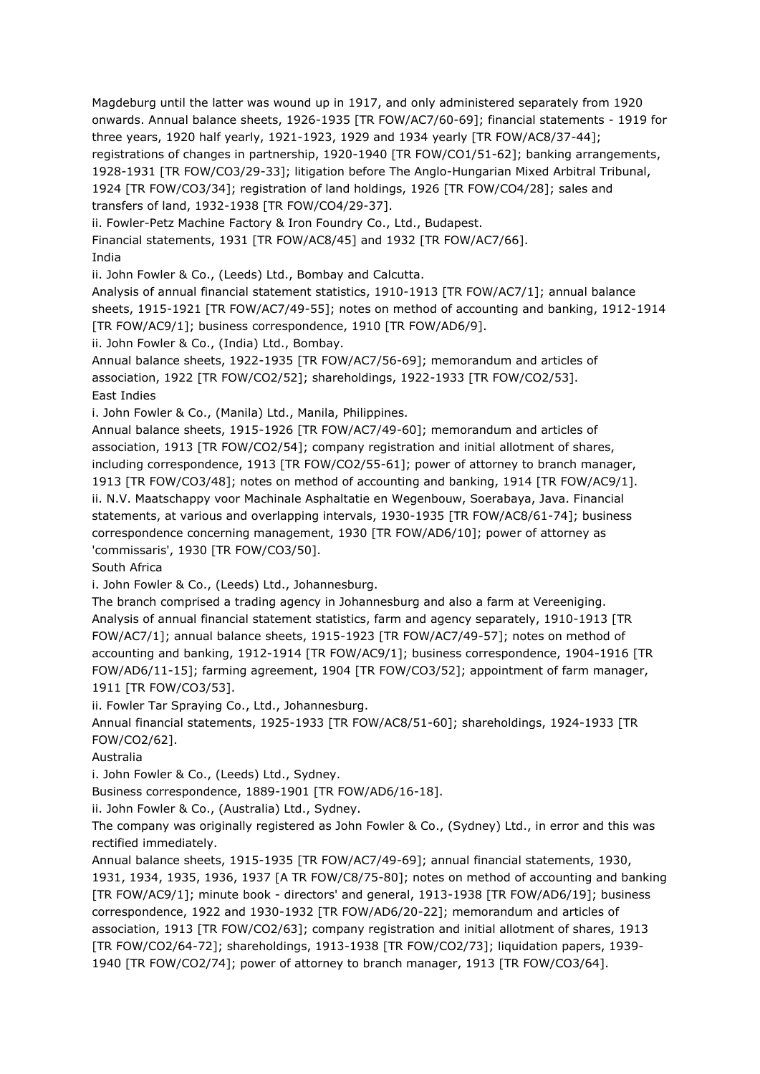Magdeburg until the latter was wound up in 1917, and only administered separately from 1920 onwards. Annual balance sheets, 1926-1935 [TR FOW/AC7/60-69]; financial statements - 1919 for three years, 1920 half yearly, 1921-1923, 1929 and 1934 yearly [TR FOW/AC8/37-44]; registrations of changes in partnership, 1920-1940 [TR FOW/CO1/51-62]; banking arrangements, 1928-1931 [TR FOW/CO3/29-33]; litigation before The Anglo-Hungarian Mixed Arbitral Tribunal, 1924 [TR FOW/CO3/34]; registration of land holdings, 1926 [TR FOW/CO4/28]; sales and

transfers of land, 1932-1938 [TR FOW/CO4/29-37].

ii. Fowler-Petz Machine Factory & Iron Foundry Co., Ltd., Budapest.

Financial statements, 1931 [TR FOW/AC8/45] and 1932 [TR FOW/AC7/66].

India

ii. John Fowler & Co., (Leeds) Ltd., Bombay and Calcutta.

Analysis of annual financial statement statistics, 1910-1913 [TR FOW/AC7/1]; annual balance sheets, 1915-1921 [TR FOW/AC7/49-55]; notes on method of accounting and banking, 1912-1914 [TR FOW/AC9/1]; business correspondence, 1910 [TR FOW/AD6/9].

ii. John Fowler & Co., (India) Ltd., Bombay.

Annual balance sheets, 1922-1935 [TR FOW/AC7/56-69]; memorandum and articles of association, 1922 [TR FOW/CO2/52]; shareholdings, 1922-1933 [TR FOW/CO2/53]. East Indies

i. John Fowler & Co., (Manila) Ltd., Manila, Philippines.

Annual balance sheets, 1915-1926 [TR FOW/AC7/49-60]; memorandum and articles of association, 1913 [TR FOW/CO2/54]; company registration and initial allotment of shares, including correspondence, 1913 [TR FOW/CO2/55-61]; power of attorney to branch manager, 1913 [TR FOW/CO3/48]; notes on method of accounting and banking, 1914 [TR FOW/AC9/1]. ii. N.V. Maatschappy voor Machinale Asphaltatie en Wegenbouw, Soerabaya, Java. Financial statements, at various and overlapping intervals, 1930-1935 [TR FOW/AC8/61-74]; business correspondence concerning management, 1930 [TR FOW/AD6/10]; power of attorney as 'commissaris', 1930 [TR FOW/CO3/50].

South Africa

i. John Fowler & Co., (Leeds) Ltd., Johannesburg.

The branch comprised a trading agency in Johannesburg and also a farm at Vereeniging. Analysis of annual financial statement statistics, farm and agency separately, 1910-1913 [TR FOW/AC7/1]; annual balance sheets, 1915-1923 [TR FOW/AC7/49-57]; notes on method of accounting and banking, 1912-1914 [TR FOW/AC9/1]; business correspondence, 1904-1916 [TR FOW/AD6/11-15]; farming agreement, 1904 [TR FOW/CO3/52]; appointment of farm manager, 1911 [TR FOW/CO3/53].

ii. Fowler Tar Spraying Co., Ltd., Johannesburg.

Annual financial statements, 1925-1933 [TR FOW/AC8/51-60]; shareholdings, 1924-1933 [TR FOW/CO2/62].

Australia

i. John Fowler & Co., (Leeds) Ltd., Sydney.

Business correspondence, 1889-1901 [TR FOW/AD6/16-18].

ii. John Fowler & Co., (Australia) Ltd., Sydney.

The company was originally registered as John Fowler & Co., (Sydney) Ltd., in error and this was rectified immediately.

Annual balance sheets, 1915-1935 [TR FOW/AC7/49-69]; annual financial statements, 1930, 1931, 1934, 1935, 1936, 1937 [A TR FOW/C8/75-80]; notes on method of accounting and banking [TR FOW/AC9/1]; minute book - directors' and general, 1913-1938 [TR FOW/AD6/19]; business correspondence, 1922 and 1930-1932 [TR FOW/AD6/20-22]; memorandum and articles of association, 1913 [TR FOW/CO2/63]; company registration and initial allotment of shares, 1913 [TR FOW/CO2/64-72]; shareholdings, 1913-1938 [TR FOW/CO2/73]; liquidation papers, 1939- 1940 [TR FOW/CO2/74]; power of attorney to branch manager, 1913 [TR FOW/CO3/64].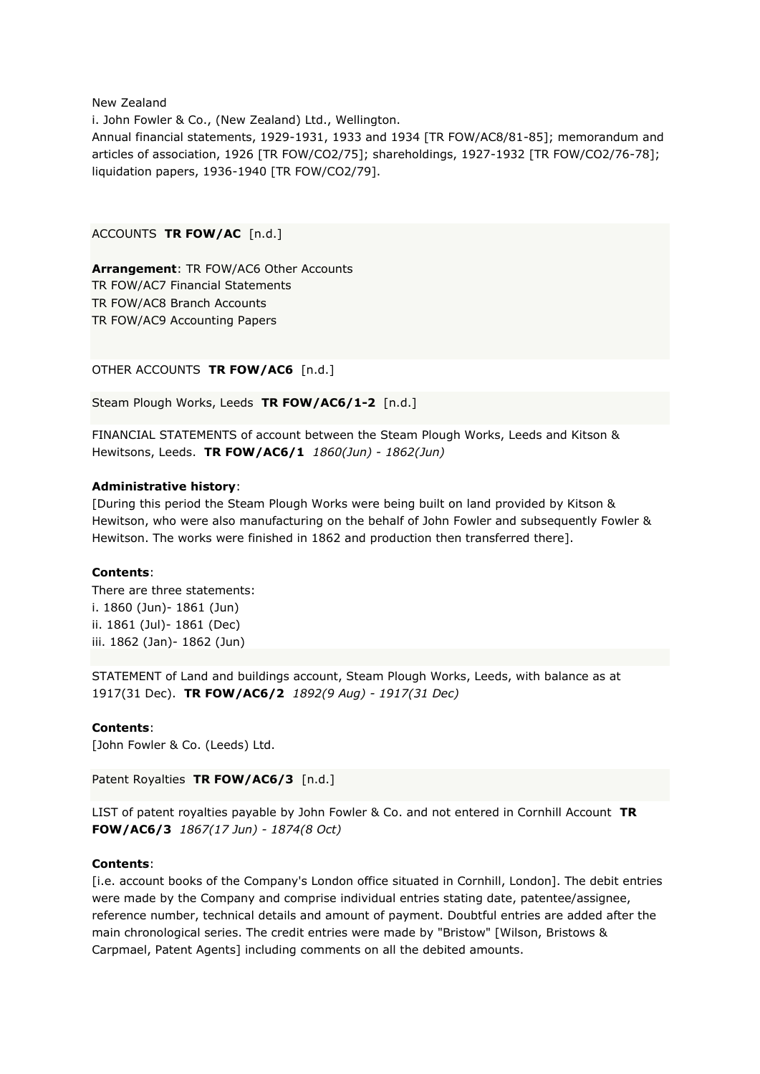New Zealand

i. John Fowler & Co., (New Zealand) Ltd., Wellington. Annual financial statements, 1929-1931, 1933 and 1934 [TR FOW/AC8/81-85]; memorandum and articles of association, 1926 [TR FOW/CO2/75]; shareholdings, 1927-1932 [TR FOW/CO2/76-78]; liquidation papers, 1936-1940 [TR FOW/CO2/79].

ACCOUNTS **TR FOW/AC** [n.d.]

**Arrangement**: TR FOW/AC6 Other Accounts TR FOW/AC7 Financial Statements TR FOW/AC8 Branch Accounts TR FOW/AC9 Accounting Papers

OTHER ACCOUNTS **TR FOW/AC6** [n.d.]

Steam Plough Works, Leeds **TR FOW/AC6/1-2** [n.d.]

FINANCIAL STATEMENTS of account between the Steam Plough Works, Leeds and Kitson & Hewitsons, Leeds. **TR FOW/AC6/1** *1860(Jun) - 1862(Jun)*

#### **Administrative history**:

[During this period the Steam Plough Works were being built on land provided by Kitson & Hewitson, who were also manufacturing on the behalf of John Fowler and subsequently Fowler & Hewitson. The works were finished in 1862 and production then transferred there].

#### **Contents**:

There are three statements: i. 1860 (Jun)- 1861 (Jun) ii. 1861 (Jul)- 1861 (Dec) iii. 1862 (Jan)- 1862 (Jun)

STATEMENT of Land and buildings account, Steam Plough Works, Leeds, with balance as at 1917(31 Dec). **TR FOW/AC6/2** *1892(9 Aug) - 1917(31 Dec)*

# **Contents**:

[John Fowler & Co. (Leeds) Ltd.

Patent Royalties **TR FOW/AC6/3** [n.d.]

LIST of patent royalties payable by John Fowler & Co. and not entered in Cornhill Account **TR FOW/AC6/3** *1867(17 Jun) - 1874(8 Oct)*

# **Contents**:

[i.e. account books of the Company's London office situated in Cornhill, London]. The debit entries were made by the Company and comprise individual entries stating date, patentee/assignee, reference number, technical details and amount of payment. Doubtful entries are added after the main chronological series. The credit entries were made by "Bristow" [Wilson, Bristows & Carpmael, Patent Agents] including comments on all the debited amounts.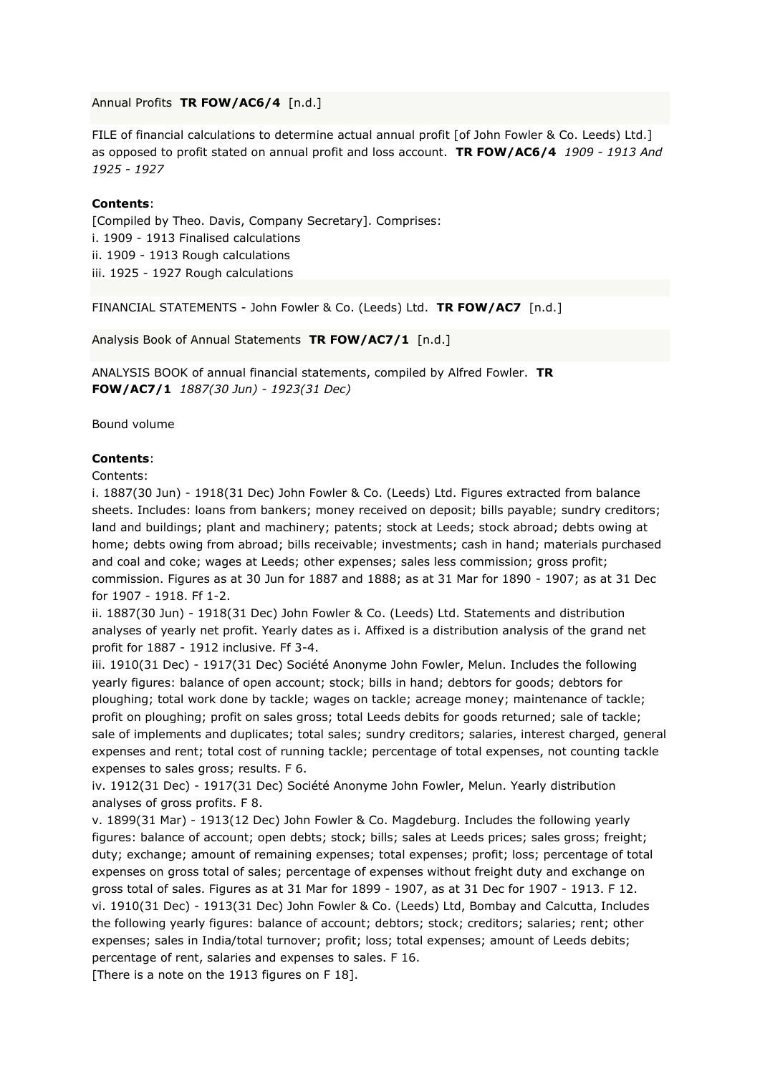Annual Profits **TR FOW/AC6/4** [n.d.]

FILE of financial calculations to determine actual annual profit [of John Fowler & Co. Leeds) Ltd.] as opposed to profit stated on annual profit and loss account. **TR FOW/AC6/4** *1909 - 1913 And 1925 - 1927*

### **Contents**:

[Compiled by Theo. Davis, Company Secretary]. Comprises: i. 1909 - 1913 Finalised calculations ii. 1909 - 1913 Rough calculations iii. 1925 - 1927 Rough calculations

FINANCIAL STATEMENTS - John Fowler & Co. (Leeds) Ltd. **TR FOW/AC7** [n.d.]

Analysis Book of Annual Statements **TR FOW/AC7/1** [n.d.]

ANALYSIS BOOK of annual financial statements, compiled by Alfred Fowler. **TR FOW/AC7/1** *1887(30 Jun) - 1923(31 Dec)*

Bound volume

### **Contents**:

Contents:

i. 1887(30 Jun) - 1918(31 Dec) John Fowler & Co. (Leeds) Ltd. Figures extracted from balance sheets. Includes: loans from bankers; money received on deposit; bills payable; sundry creditors; land and buildings; plant and machinery; patents; stock at Leeds; stock abroad; debts owing at home; debts owing from abroad; bills receivable; investments; cash in hand; materials purchased and coal and coke; wages at Leeds; other expenses; sales less commission; gross profit; commission. Figures as at 30 Jun for 1887 and 1888; as at 31 Mar for 1890 - 1907; as at 31 Dec for 1907 - 1918. Ff 1-2.

ii. 1887(30 Jun) - 1918(31 Dec) John Fowler & Co. (Leeds) Ltd. Statements and distribution analyses of yearly net profit. Yearly dates as i. Affixed is a distribution analysis of the grand net profit for 1887 - 1912 inclusive. Ff 3-4.

iii. 1910(31 Dec) - 1917(31 Dec) Société Anonyme John Fowler, Melun. Includes the following yearly figures: balance of open account; stock; bills in hand; debtors for goods; debtors for ploughing; total work done by tackle; wages on tackle; acreage money; maintenance of tackle; profit on ploughing; profit on sales gross; total Leeds debits for goods returned; sale of tackle; sale of implements and duplicates; total sales; sundry creditors; salaries, interest charged, general expenses and rent; total cost of running tackle; percentage of total expenses, not counting tackle expenses to sales gross; results. F 6.

iv. 1912(31 Dec) - 1917(31 Dec) Société Anonyme John Fowler, Melun. Yearly distribution analyses of gross profits. F 8.

v. 1899(31 Mar) - 1913(12 Dec) John Fowler & Co. Magdeburg. Includes the following yearly figures: balance of account; open debts; stock; bills; sales at Leeds prices; sales gross; freight; duty; exchange; amount of remaining expenses; total expenses; profit; loss; percentage of total expenses on gross total of sales; percentage of expenses without freight duty and exchange on gross total of sales. Figures as at 31 Mar for 1899 - 1907, as at 31 Dec for 1907 - 1913. F 12. vi. 1910(31 Dec) - 1913(31 Dec) John Fowler & Co. (Leeds) Ltd, Bombay and Calcutta, Includes the following yearly figures: balance of account; debtors; stock; creditors; salaries; rent; other expenses; sales in India/total turnover; profit; loss; total expenses; amount of Leeds debits; percentage of rent, salaries and expenses to sales. F 16.

[There is a note on the 1913 figures on F 18].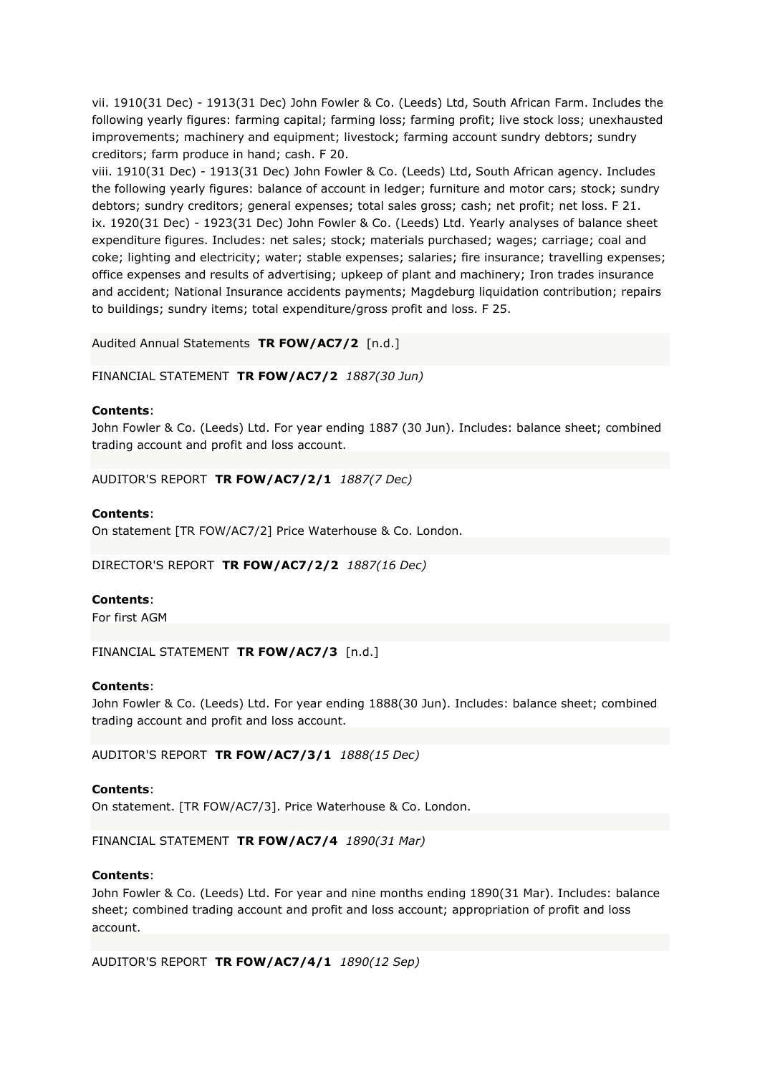vii. 1910(31 Dec) - 1913(31 Dec) John Fowler & Co. (Leeds) Ltd, South African Farm. Includes the following yearly figures: farming capital; farming loss; farming profit; live stock loss; unexhausted improvements; machinery and equipment; livestock; farming account sundry debtors; sundry creditors; farm produce in hand; cash. F 20.

viii. 1910(31 Dec) - 1913(31 Dec) John Fowler & Co. (Leeds) Ltd, South African agency. Includes the following yearly figures: balance of account in ledger; furniture and motor cars; stock; sundry debtors; sundry creditors; general expenses; total sales gross; cash; net profit; net loss. F 21. ix. 1920(31 Dec) - 1923(31 Dec) John Fowler & Co. (Leeds) Ltd. Yearly analyses of balance sheet expenditure figures. Includes: net sales; stock; materials purchased; wages; carriage; coal and coke; lighting and electricity; water; stable expenses; salaries; fire insurance; travelling expenses; office expenses and results of advertising; upkeep of plant and machinery; Iron trades insurance and accident; National Insurance accidents payments; Magdeburg liquidation contribution; repairs to buildings; sundry items; total expenditure/gross profit and loss. F 25.

# Audited Annual Statements **TR FOW/AC7/2** [n.d.]

FINANCIAL STATEMENT **TR FOW/AC7/2** *1887(30 Jun)*

#### **Contents**:

John Fowler & Co. (Leeds) Ltd. For year ending 1887 (30 Jun). Includes: balance sheet; combined trading account and profit and loss account.

AUDITOR'S REPORT **TR FOW/AC7/2/1** *1887(7 Dec)*

#### **Contents**:

On statement [TR FOW/AC7/2] Price Waterhouse & Co. London.

DIRECTOR'S REPORT **TR FOW/AC7/2/2** *1887(16 Dec)*

#### **Contents**:

For first AGM

FINANCIAL STATEMENT **TR FOW/AC7/3** [n.d.]

#### **Contents**:

John Fowler & Co. (Leeds) Ltd. For year ending 1888(30 Jun). Includes: balance sheet; combined trading account and profit and loss account.

AUDITOR'S REPORT **TR FOW/AC7/3/1** *1888(15 Dec)*

### **Contents**:

On statement. [TR FOW/AC7/3]. Price Waterhouse & Co. London.

FINANCIAL STATEMENT **TR FOW/AC7/4** *1890(31 Mar)*

#### **Contents**:

John Fowler & Co. (Leeds) Ltd. For year and nine months ending 1890(31 Mar). Includes: balance sheet; combined trading account and profit and loss account; appropriation of profit and loss account.

AUDITOR'S REPORT **TR FOW/AC7/4/1** *1890(12 Sep)*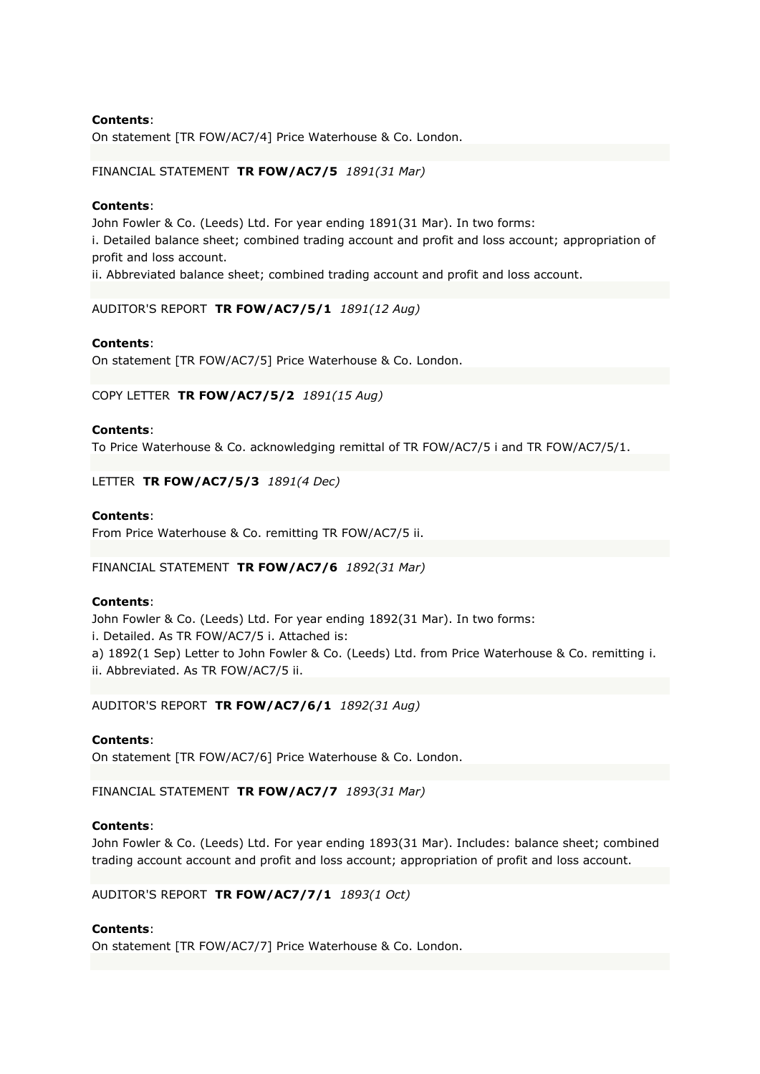On statement [TR FOW/AC7/4] Price Waterhouse & Co. London.

# FINANCIAL STATEMENT **TR FOW/AC7/5** *1891(31 Mar)*

### **Contents**:

John Fowler & Co. (Leeds) Ltd. For year ending 1891(31 Mar). In two forms:

i. Detailed balance sheet; combined trading account and profit and loss account; appropriation of profit and loss account.

ii. Abbreviated balance sheet; combined trading account and profit and loss account.

AUDITOR'S REPORT **TR FOW/AC7/5/1** *1891(12 Aug)*

# **Contents**:

On statement [TR FOW/AC7/5] Price Waterhouse & Co. London.

COPY LETTER **TR FOW/AC7/5/2** *1891(15 Aug)*

# **Contents**:

To Price Waterhouse & Co. acknowledging remittal of TR FOW/AC7/5 i and TR FOW/AC7/5/1.

LETTER **TR FOW/AC7/5/3** *1891(4 Dec)*

# **Contents**:

From Price Waterhouse & Co. remitting TR FOW/AC7/5 ii.

FINANCIAL STATEMENT **TR FOW/AC7/6** *1892(31 Mar)*

# **Contents**:

John Fowler & Co. (Leeds) Ltd. For year ending 1892(31 Mar). In two forms: i. Detailed. As TR FOW/AC7/5 i. Attached is: a) 1892(1 Sep) Letter to John Fowler & Co. (Leeds) Ltd. from Price Waterhouse & Co. remitting i. ii. Abbreviated. As TR FOW/AC7/5 ii.

AUDITOR'S REPORT **TR FOW/AC7/6/1** *1892(31 Aug)*

#### **Contents**:

On statement [TR FOW/AC7/6] Price Waterhouse & Co. London.

FINANCIAL STATEMENT **TR FOW/AC7/7** *1893(31 Mar)*

# **Contents**:

John Fowler & Co. (Leeds) Ltd. For year ending 1893(31 Mar). Includes: balance sheet; combined trading account account and profit and loss account; appropriation of profit and loss account.

AUDITOR'S REPORT **TR FOW/AC7/7/1** *1893(1 Oct)*

# **Contents**:

On statement [TR FOW/AC7/7] Price Waterhouse & Co. London.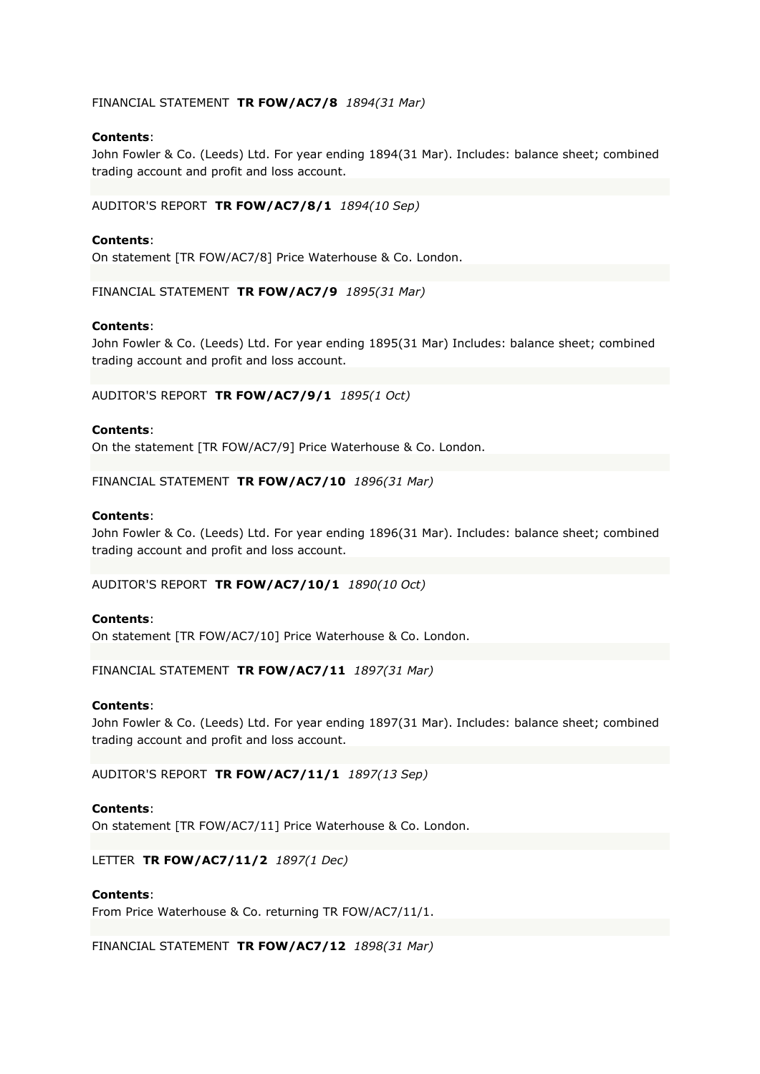# FINANCIAL STATEMENT **TR FOW/AC7/8** *1894(31 Mar)*

# **Contents**:

John Fowler & Co. (Leeds) Ltd. For year ending 1894(31 Mar). Includes: balance sheet; combined trading account and profit and loss account.

AUDITOR'S REPORT **TR FOW/AC7/8/1** *1894(10 Sep)*

### **Contents**:

On statement [TR FOW/AC7/8] Price Waterhouse & Co. London.

FINANCIAL STATEMENT **TR FOW/AC7/9** *1895(31 Mar)*

# **Contents**:

John Fowler & Co. (Leeds) Ltd. For year ending 1895(31 Mar) Includes: balance sheet; combined trading account and profit and loss account.

AUDITOR'S REPORT **TR FOW/AC7/9/1** *1895(1 Oct)*

### **Contents**:

On the statement [TR FOW/AC7/9] Price Waterhouse & Co. London.

FINANCIAL STATEMENT **TR FOW/AC7/10** *1896(31 Mar)*

# **Contents**:

John Fowler & Co. (Leeds) Ltd. For year ending 1896(31 Mar). Includes: balance sheet; combined trading account and profit and loss account.

AUDITOR'S REPORT **TR FOW/AC7/10/1** *1890(10 Oct)*

#### **Contents**:

On statement [TR FOW/AC7/10] Price Waterhouse & Co. London.

FINANCIAL STATEMENT **TR FOW/AC7/11** *1897(31 Mar)*

#### **Contents**:

John Fowler & Co. (Leeds) Ltd. For year ending 1897(31 Mar). Includes: balance sheet; combined trading account and profit and loss account.

AUDITOR'S REPORT **TR FOW/AC7/11/1** *1897(13 Sep)*

#### **Contents**:

On statement [TR FOW/AC7/11] Price Waterhouse & Co. London.

LETTER **TR FOW/AC7/11/2** *1897(1 Dec)*

#### **Contents**:

From Price Waterhouse & Co. returning TR FOW/AC7/11/1.

FINANCIAL STATEMENT **TR FOW/AC7/12** *1898(31 Mar)*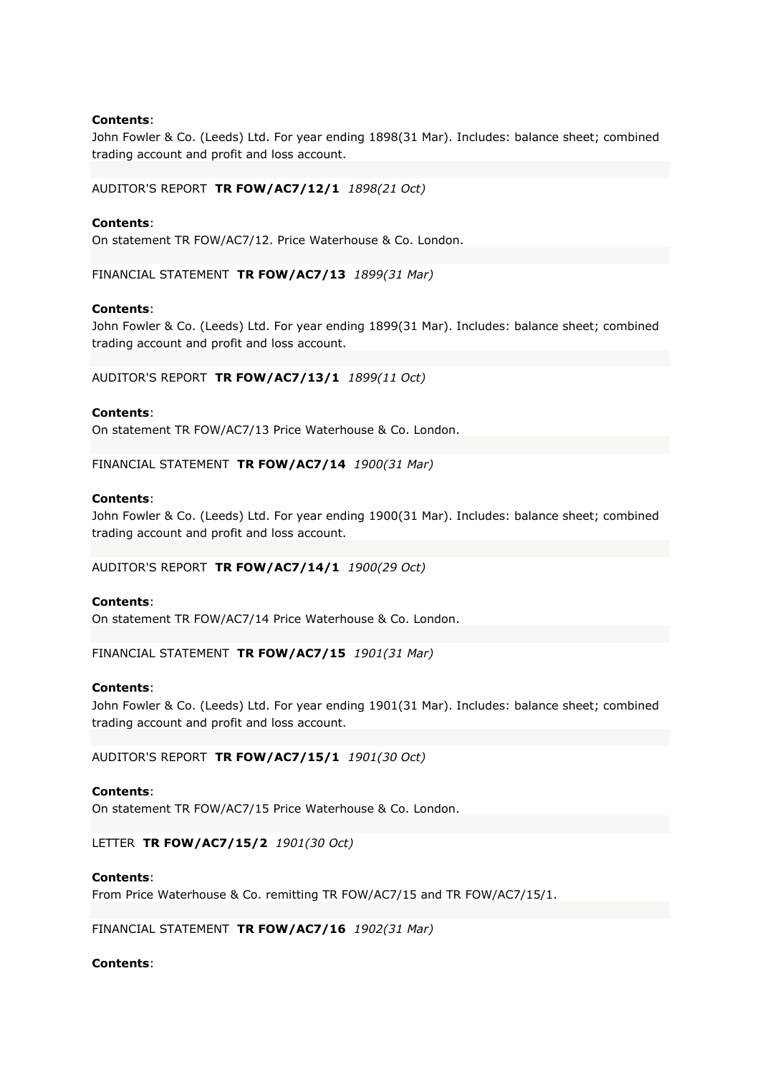John Fowler & Co. (Leeds) Ltd. For year ending 1898(31 Mar). Includes: balance sheet; combined trading account and profit and loss account.

AUDITOR'S REPORT **TR FOW/AC7/12/1** *1898(21 Oct)*

### **Contents**:

On statement TR FOW/AC7/12. Price Waterhouse & Co. London.

FINANCIAL STATEMENT **TR FOW/AC7/13** *1899(31 Mar)*

#### **Contents**:

John Fowler & Co. (Leeds) Ltd. For year ending 1899(31 Mar). Includes: balance sheet; combined trading account and profit and loss account.

AUDITOR'S REPORT **TR FOW/AC7/13/1** *1899(11 Oct)*

#### **Contents**:

On statement TR FOW/AC7/13 Price Waterhouse & Co. London.

FINANCIAL STATEMENT **TR FOW/AC7/14** *1900(31 Mar)*

### **Contents**:

John Fowler & Co. (Leeds) Ltd. For year ending 1900(31 Mar). Includes: balance sheet; combined trading account and profit and loss account.

AUDITOR'S REPORT **TR FOW/AC7/14/1** *1900(29 Oct)*

#### **Contents**:

On statement TR FOW/AC7/14 Price Waterhouse & Co. London.

FINANCIAL STATEMENT **TR FOW/AC7/15** *1901(31 Mar)*

#### **Contents**:

John Fowler & Co. (Leeds) Ltd. For year ending 1901(31 Mar). Includes: balance sheet; combined trading account and profit and loss account.

AUDITOR'S REPORT **TR FOW/AC7/15/1** *1901(30 Oct)*

### **Contents**:

On statement TR FOW/AC7/15 Price Waterhouse & Co. London.

LETTER **TR FOW/AC7/15/2** *1901(30 Oct)*

#### **Contents**:

From Price Waterhouse & Co. remitting TR FOW/AC7/15 and TR FOW/AC7/15/1.

FINANCIAL STATEMENT **TR FOW/AC7/16** *1902(31 Mar)*

# **Contents**: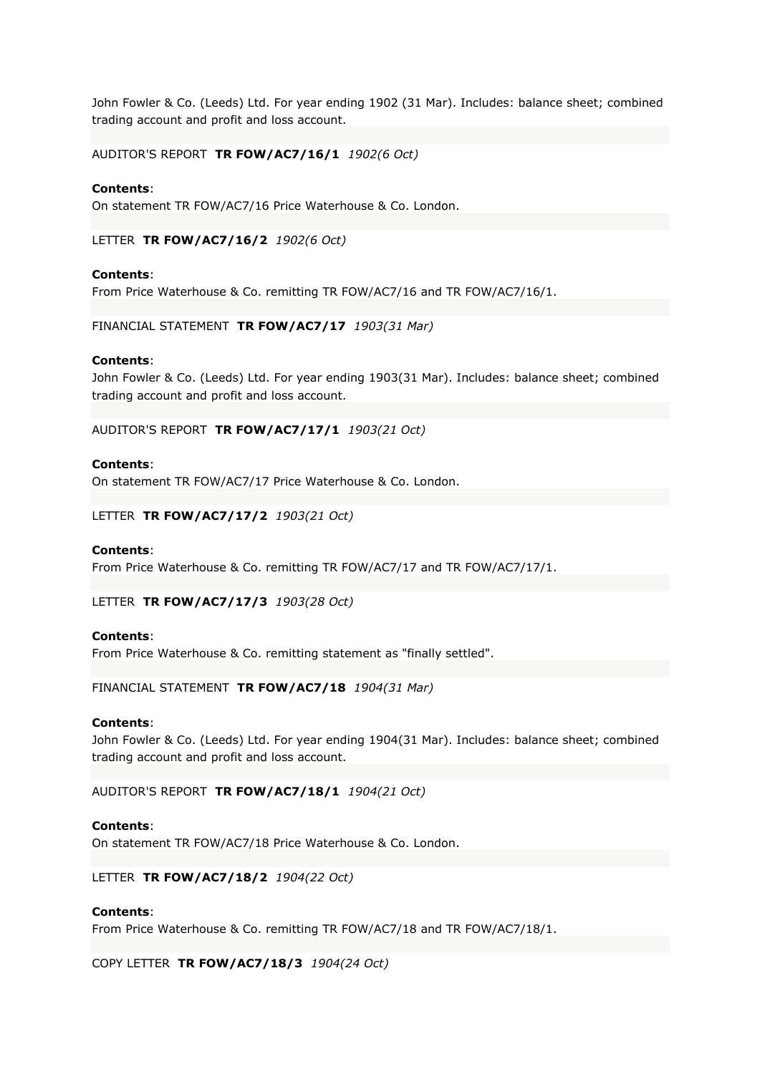John Fowler & Co. (Leeds) Ltd. For year ending 1902 (31 Mar). Includes: balance sheet; combined trading account and profit and loss account.

AUDITOR'S REPORT **TR FOW/AC7/16/1** *1902(6 Oct)*

### **Contents**:

On statement TR FOW/AC7/16 Price Waterhouse & Co. London.

LETTER **TR FOW/AC7/16/2** *1902(6 Oct)*

### **Contents**:

From Price Waterhouse & Co. remitting TR FOW/AC7/16 and TR FOW/AC7/16/1.

FINANCIAL STATEMENT **TR FOW/AC7/17** *1903(31 Mar)*

#### **Contents**:

John Fowler & Co. (Leeds) Ltd. For year ending 1903(31 Mar). Includes: balance sheet; combined trading account and profit and loss account.

AUDITOR'S REPORT **TR FOW/AC7/17/1** *1903(21 Oct)*

# **Contents**:

On statement TR FOW/AC7/17 Price Waterhouse & Co. London.

LETTER **TR FOW/AC7/17/2** *1903(21 Oct)*

#### **Contents**:

From Price Waterhouse & Co. remitting TR FOW/AC7/17 and TR FOW/AC7/17/1.

LETTER **TR FOW/AC7/17/3** *1903(28 Oct)*

#### **Contents**:

From Price Waterhouse & Co. remitting statement as "finally settled".

FINANCIAL STATEMENT **TR FOW/AC7/18** *1904(31 Mar)*

#### **Contents**:

John Fowler & Co. (Leeds) Ltd. For year ending 1904(31 Mar). Includes: balance sheet; combined trading account and profit and loss account.

AUDITOR'S REPORT **TR FOW/AC7/18/1** *1904(21 Oct)*

#### **Contents**:

On statement TR FOW/AC7/18 Price Waterhouse & Co. London.

LETTER **TR FOW/AC7/18/2** *1904(22 Oct)*

#### **Contents**:

From Price Waterhouse & Co. remitting TR FOW/AC7/18 and TR FOW/AC7/18/1.

COPY LETTER **TR FOW/AC7/18/3** *1904(24 Oct)*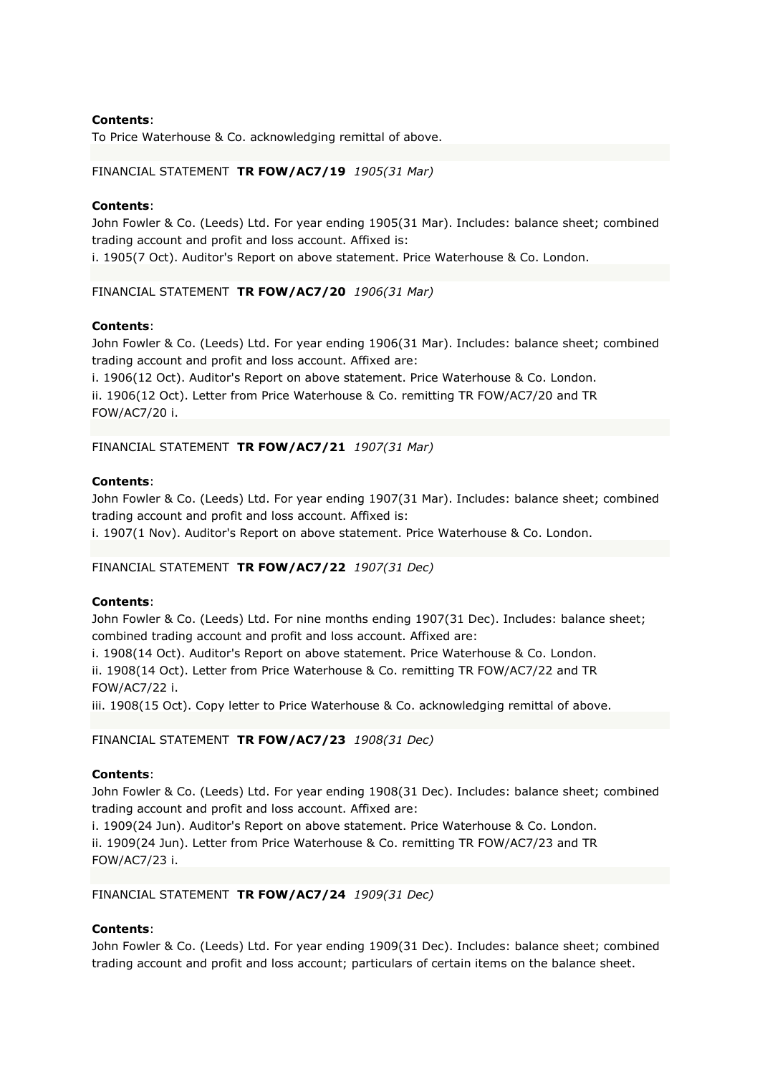To Price Waterhouse & Co. acknowledging remittal of above.

# FINANCIAL STATEMENT **TR FOW/AC7/19** *1905(31 Mar)*

### **Contents**:

John Fowler & Co. (Leeds) Ltd. For year ending 1905(31 Mar). Includes: balance sheet; combined trading account and profit and loss account. Affixed is:

i. 1905(7 Oct). Auditor's Report on above statement. Price Waterhouse & Co. London.

FINANCIAL STATEMENT **TR FOW/AC7/20** *1906(31 Mar)*

# **Contents**:

John Fowler & Co. (Leeds) Ltd. For year ending 1906(31 Mar). Includes: balance sheet; combined trading account and profit and loss account. Affixed are:

i. 1906(12 Oct). Auditor's Report on above statement. Price Waterhouse & Co. London. ii. 1906(12 Oct). Letter from Price Waterhouse & Co. remitting TR FOW/AC7/20 and TR FOW/AC7/20 i.

FINANCIAL STATEMENT **TR FOW/AC7/21** *1907(31 Mar)*

# **Contents**:

John Fowler & Co. (Leeds) Ltd. For year ending 1907(31 Mar). Includes: balance sheet; combined trading account and profit and loss account. Affixed is:

i. 1907(1 Nov). Auditor's Report on above statement. Price Waterhouse & Co. London.

FINANCIAL STATEMENT **TR FOW/AC7/22** *1907(31 Dec)*

# **Contents**:

John Fowler & Co. (Leeds) Ltd. For nine months ending 1907(31 Dec). Includes: balance sheet; combined trading account and profit and loss account. Affixed are:

i. 1908(14 Oct). Auditor's Report on above statement. Price Waterhouse & Co. London. ii. 1908(14 Oct). Letter from Price Waterhouse & Co. remitting TR FOW/AC7/22 and TR FOW/AC7/22 i.

iii. 1908(15 Oct). Copy letter to Price Waterhouse & Co. acknowledging remittal of above.

#### FINANCIAL STATEMENT **TR FOW/AC7/23** *1908(31 Dec)*

# **Contents**:

John Fowler & Co. (Leeds) Ltd. For year ending 1908(31 Dec). Includes: balance sheet; combined trading account and profit and loss account. Affixed are:

i. 1909(24 Jun). Auditor's Report on above statement. Price Waterhouse & Co. London. ii. 1909(24 Jun). Letter from Price Waterhouse & Co. remitting TR FOW/AC7/23 and TR FOW/AC7/23 i.

#### FINANCIAL STATEMENT **TR FOW/AC7/24** *1909(31 Dec)*

# **Contents**:

John Fowler & Co. (Leeds) Ltd. For year ending 1909(31 Dec). Includes: balance sheet; combined trading account and profit and loss account; particulars of certain items on the balance sheet.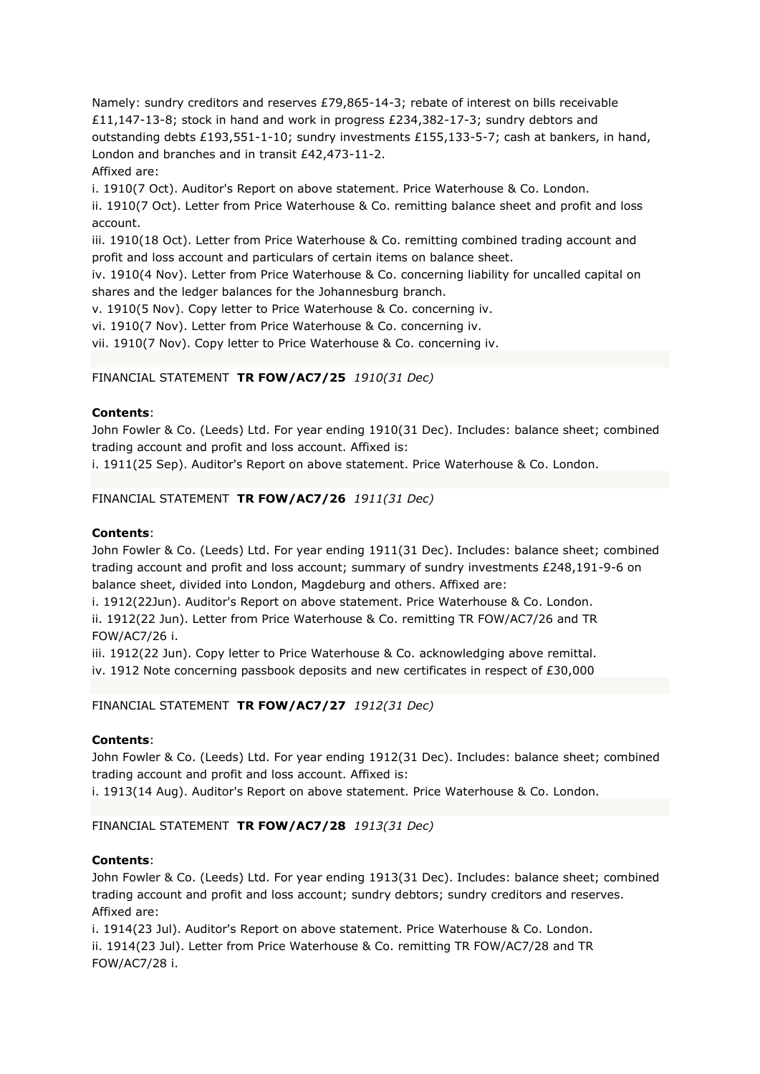Namely: sundry creditors and reserves £79,865-14-3; rebate of interest on bills receivable £11,147-13-8; stock in hand and work in progress £234,382-17-3; sundry debtors and outstanding debts £193,551-1-10; sundry investments £155,133-5-7; cash at bankers, in hand, London and branches and in transit £42,473-11-2.

# Affixed are:

i. 1910(7 Oct). Auditor's Report on above statement. Price Waterhouse & Co. London.

ii. 1910(7 Oct). Letter from Price Waterhouse & Co. remitting balance sheet and profit and loss account.

iii. 1910(18 Oct). Letter from Price Waterhouse & Co. remitting combined trading account and profit and loss account and particulars of certain items on balance sheet.

iv. 1910(4 Nov). Letter from Price Waterhouse & Co. concerning liability for uncalled capital on shares and the ledger balances for the Johannesburg branch.

v. 1910(5 Nov). Copy letter to Price Waterhouse & Co. concerning iv.

vi. 1910(7 Nov). Letter from Price Waterhouse & Co. concerning iv.

vii. 1910(7 Nov). Copy letter to Price Waterhouse & Co. concerning iv.

# FINANCIAL STATEMENT **TR FOW/AC7/25** *1910(31 Dec)*

# **Contents**:

John Fowler & Co. (Leeds) Ltd. For year ending 1910(31 Dec). Includes: balance sheet; combined trading account and profit and loss account. Affixed is:

i. 1911(25 Sep). Auditor's Report on above statement. Price Waterhouse & Co. London.

# FINANCIAL STATEMENT **TR FOW/AC7/26** *1911(31 Dec)*

# **Contents**:

John Fowler & Co. (Leeds) Ltd. For year ending 1911(31 Dec). Includes: balance sheet; combined trading account and profit and loss account; summary of sundry investments £248,191-9-6 on balance sheet, divided into London, Magdeburg and others. Affixed are:

i. 1912(22Jun). Auditor's Report on above statement. Price Waterhouse & Co. London. ii. 1912(22 Jun). Letter from Price Waterhouse & Co. remitting TR FOW/AC7/26 and TR FOW/AC7/26 i.

iii. 1912(22 Jun). Copy letter to Price Waterhouse & Co. acknowledging above remittal.

iv. 1912 Note concerning passbook deposits and new certificates in respect of £30,000

FINANCIAL STATEMENT **TR FOW/AC7/27** *1912(31 Dec)*

# **Contents**:

John Fowler & Co. (Leeds) Ltd. For year ending 1912(31 Dec). Includes: balance sheet; combined trading account and profit and loss account. Affixed is:

i. 1913(14 Aug). Auditor's Report on above statement. Price Waterhouse & Co. London.

# FINANCIAL STATEMENT **TR FOW/AC7/28** *1913(31 Dec)*

# **Contents**:

John Fowler & Co. (Leeds) Ltd. For year ending 1913(31 Dec). Includes: balance sheet; combined trading account and profit and loss account; sundry debtors; sundry creditors and reserves. Affixed are:

i. 1914(23 Jul). Auditor's Report on above statement. Price Waterhouse & Co. London. ii. 1914(23 Jul). Letter from Price Waterhouse & Co. remitting TR FOW/AC7/28 and TR FOW/AC7/28 i.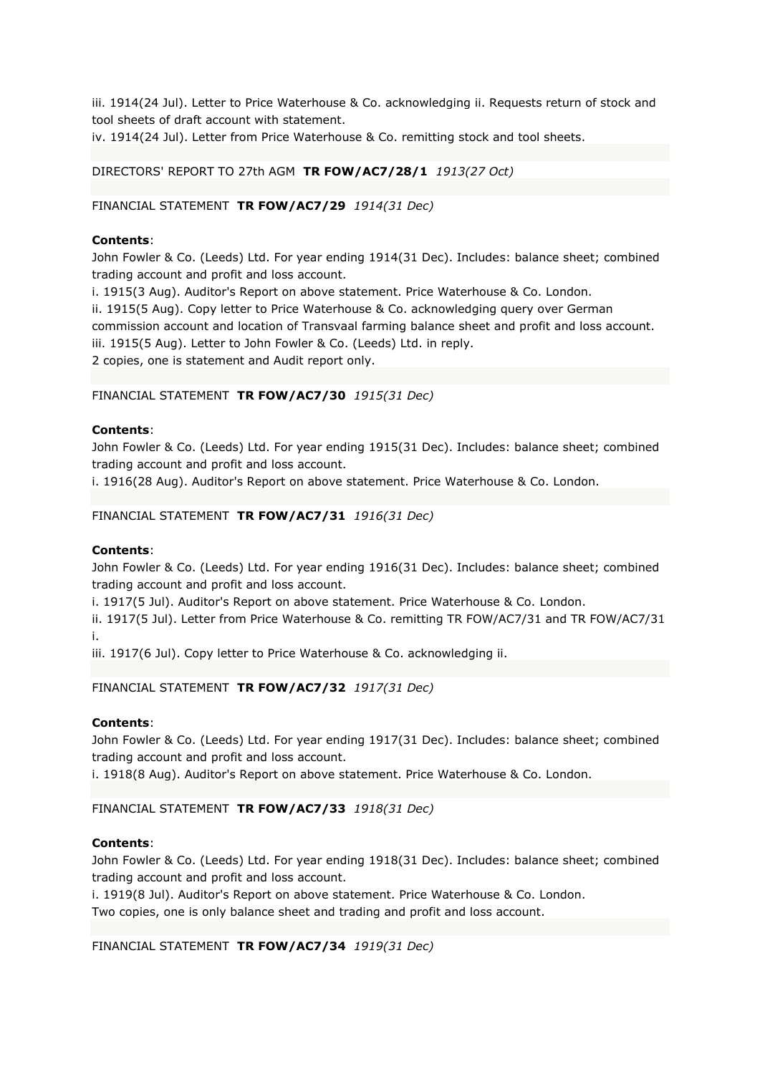iii. 1914(24 Jul). Letter to Price Waterhouse & Co. acknowledging ii. Requests return of stock and tool sheets of draft account with statement.

iv. 1914(24 Jul). Letter from Price Waterhouse & Co. remitting stock and tool sheets.

# DIRECTORS' REPORT TO 27th AGM **TR FOW/AC7/28/1** *1913(27 Oct)*

# FINANCIAL STATEMENT **TR FOW/AC7/29** *1914(31 Dec)*

### **Contents**:

John Fowler & Co. (Leeds) Ltd. For year ending 1914(31 Dec). Includes: balance sheet; combined trading account and profit and loss account.

i. 1915(3 Aug). Auditor's Report on above statement. Price Waterhouse & Co. London. ii. 1915(5 Aug). Copy letter to Price Waterhouse & Co. acknowledging query over German commission account and location of Transvaal farming balance sheet and profit and loss account. iii. 1915(5 Aug). Letter to John Fowler & Co. (Leeds) Ltd. in reply. 2 copies, one is statement and Audit report only.

### FINANCIAL STATEMENT **TR FOW/AC7/30** *1915(31 Dec)*

#### **Contents**:

John Fowler & Co. (Leeds) Ltd. For year ending 1915(31 Dec). Includes: balance sheet; combined trading account and profit and loss account.

i. 1916(28 Aug). Auditor's Report on above statement. Price Waterhouse & Co. London.

#### FINANCIAL STATEMENT **TR FOW/AC7/31** *1916(31 Dec)*

#### **Contents**:

John Fowler & Co. (Leeds) Ltd. For year ending 1916(31 Dec). Includes: balance sheet; combined trading account and profit and loss account.

i. 1917(5 Jul). Auditor's Report on above statement. Price Waterhouse & Co. London.

ii. 1917(5 Jul). Letter from Price Waterhouse & Co. remitting TR FOW/AC7/31 and TR FOW/AC7/31 i.

iii. 1917(6 Jul). Copy letter to Price Waterhouse & Co. acknowledging ii.

#### FINANCIAL STATEMENT **TR FOW/AC7/32** *1917(31 Dec)*

#### **Contents**:

John Fowler & Co. (Leeds) Ltd. For year ending 1917(31 Dec). Includes: balance sheet; combined trading account and profit and loss account.

i. 1918(8 Aug). Auditor's Report on above statement. Price Waterhouse & Co. London.

FINANCIAL STATEMENT **TR FOW/AC7/33** *1918(31 Dec)*

### **Contents**:

John Fowler & Co. (Leeds) Ltd. For year ending 1918(31 Dec). Includes: balance sheet; combined trading account and profit and loss account.

i. 1919(8 Jul). Auditor's Report on above statement. Price Waterhouse & Co. London. Two copies, one is only balance sheet and trading and profit and loss account.

FINANCIAL STATEMENT **TR FOW/AC7/34** *1919(31 Dec)*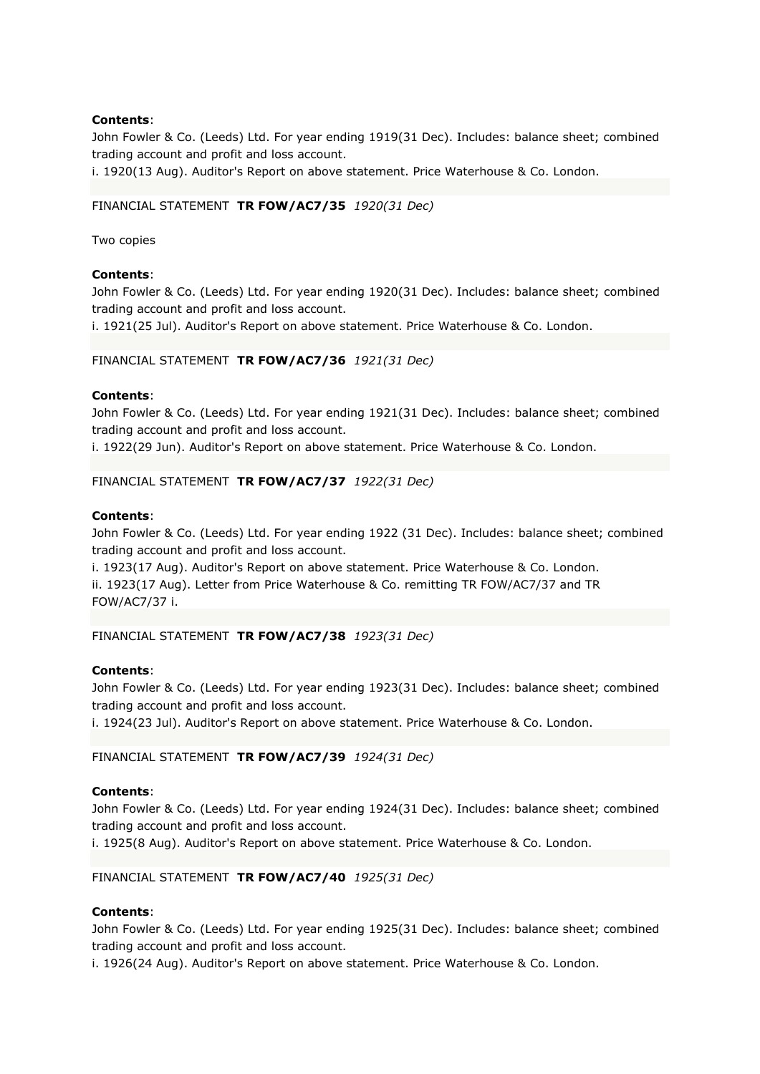John Fowler & Co. (Leeds) Ltd. For year ending 1919(31 Dec). Includes: balance sheet; combined trading account and profit and loss account.

i. 1920(13 Aug). Auditor's Report on above statement. Price Waterhouse & Co. London.

# FINANCIAL STATEMENT **TR FOW/AC7/35** *1920(31 Dec)*

Two copies

# **Contents**:

John Fowler & Co. (Leeds) Ltd. For year ending 1920(31 Dec). Includes: balance sheet; combined trading account and profit and loss account.

i. 1921(25 Jul). Auditor's Report on above statement. Price Waterhouse & Co. London.

# FINANCIAL STATEMENT **TR FOW/AC7/36** *1921(31 Dec)*

# **Contents**:

John Fowler & Co. (Leeds) Ltd. For year ending 1921(31 Dec). Includes: balance sheet; combined trading account and profit and loss account.

i. 1922(29 Jun). Auditor's Report on above statement. Price Waterhouse & Co. London.

# FINANCIAL STATEMENT **TR FOW/AC7/37** *1922(31 Dec)*

# **Contents**:

John Fowler & Co. (Leeds) Ltd. For year ending 1922 (31 Dec). Includes: balance sheet; combined trading account and profit and loss account.

i. 1923(17 Aug). Auditor's Report on above statement. Price Waterhouse & Co. London. ii. 1923(17 Aug). Letter from Price Waterhouse & Co. remitting TR FOW/AC7/37 and TR FOW/AC7/37 i.

FINANCIAL STATEMENT **TR FOW/AC7/38** *1923(31 Dec)*

# **Contents**:

John Fowler & Co. (Leeds) Ltd. For year ending 1923(31 Dec). Includes: balance sheet; combined trading account and profit and loss account.

i. 1924(23 Jul). Auditor's Report on above statement. Price Waterhouse & Co. London.

# FINANCIAL STATEMENT **TR FOW/AC7/39** *1924(31 Dec)*

# **Contents**:

John Fowler & Co. (Leeds) Ltd. For year ending 1924(31 Dec). Includes: balance sheet; combined trading account and profit and loss account.

i. 1925(8 Aug). Auditor's Report on above statement. Price Waterhouse & Co. London.

# FINANCIAL STATEMENT **TR FOW/AC7/40** *1925(31 Dec)*

# **Contents**:

John Fowler & Co. (Leeds) Ltd. For year ending 1925(31 Dec). Includes: balance sheet; combined trading account and profit and loss account.

i. 1926(24 Aug). Auditor's Report on above statement. Price Waterhouse & Co. London.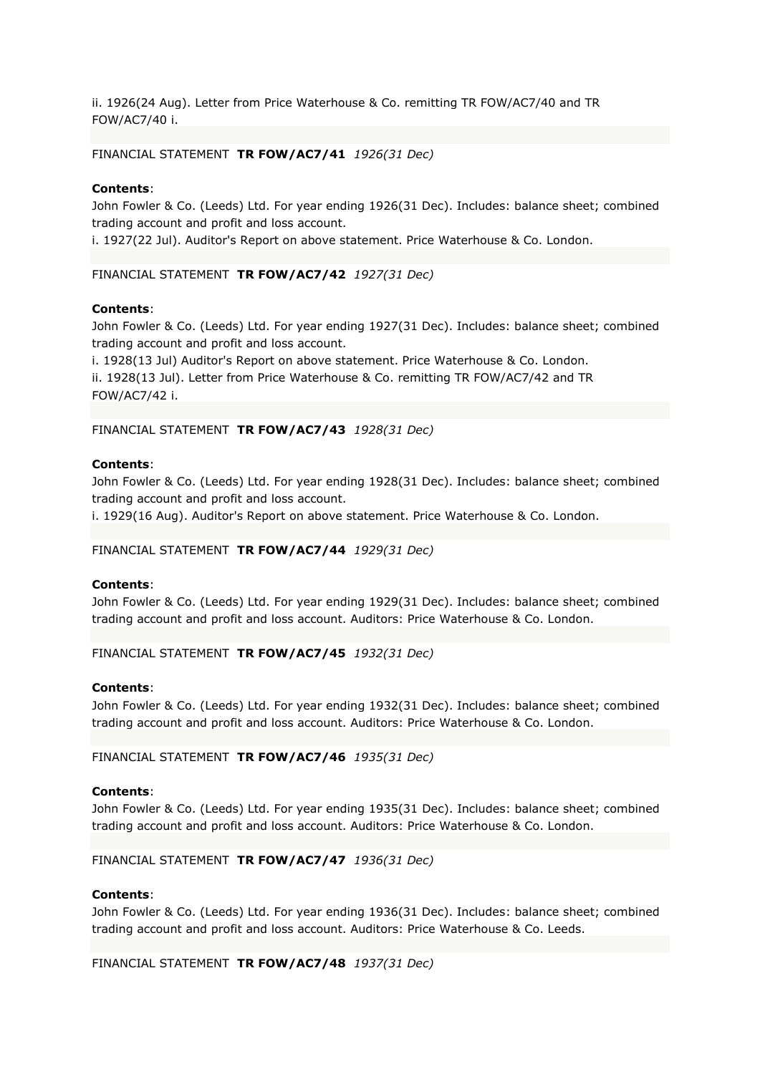ii. 1926(24 Aug). Letter from Price Waterhouse & Co. remitting TR FOW/AC7/40 and TR FOW/AC7/40 i.

FINANCIAL STATEMENT **TR FOW/AC7/41** *1926(31 Dec)*

# **Contents**:

John Fowler & Co. (Leeds) Ltd. For year ending 1926(31 Dec). Includes: balance sheet; combined trading account and profit and loss account.

i. 1927(22 Jul). Auditor's Report on above statement. Price Waterhouse & Co. London.

FINANCIAL STATEMENT **TR FOW/AC7/42** *1927(31 Dec)*

# **Contents**:

John Fowler & Co. (Leeds) Ltd. For year ending 1927(31 Dec). Includes: balance sheet; combined trading account and profit and loss account.

i. 1928(13 Jul) Auditor's Report on above statement. Price Waterhouse & Co. London. ii. 1928(13 Jul). Letter from Price Waterhouse & Co. remitting TR FOW/AC7/42 and TR FOW/AC7/42 i.

FINANCIAL STATEMENT **TR FOW/AC7/43** *1928(31 Dec)*

### **Contents**:

John Fowler & Co. (Leeds) Ltd. For year ending 1928(31 Dec). Includes: balance sheet; combined trading account and profit and loss account.

i. 1929(16 Aug). Auditor's Report on above statement. Price Waterhouse & Co. London.

FINANCIAL STATEMENT **TR FOW/AC7/44** *1929(31 Dec)*

### **Contents**:

John Fowler & Co. (Leeds) Ltd. For year ending 1929(31 Dec). Includes: balance sheet; combined trading account and profit and loss account. Auditors: Price Waterhouse & Co. London.

FINANCIAL STATEMENT **TR FOW/AC7/45** *1932(31 Dec)*

#### **Contents**:

John Fowler & Co. (Leeds) Ltd. For year ending 1932(31 Dec). Includes: balance sheet; combined trading account and profit and loss account. Auditors: Price Waterhouse & Co. London.

FINANCIAL STATEMENT **TR FOW/AC7/46** *1935(31 Dec)*

#### **Contents**:

John Fowler & Co. (Leeds) Ltd. For year ending 1935(31 Dec). Includes: balance sheet; combined trading account and profit and loss account. Auditors: Price Waterhouse & Co. London.

# FINANCIAL STATEMENT **TR FOW/AC7/47** *1936(31 Dec)*

#### **Contents**:

John Fowler & Co. (Leeds) Ltd. For year ending 1936(31 Dec). Includes: balance sheet; combined trading account and profit and loss account. Auditors: Price Waterhouse & Co. Leeds.

FINANCIAL STATEMENT **TR FOW/AC7/48** *1937(31 Dec)*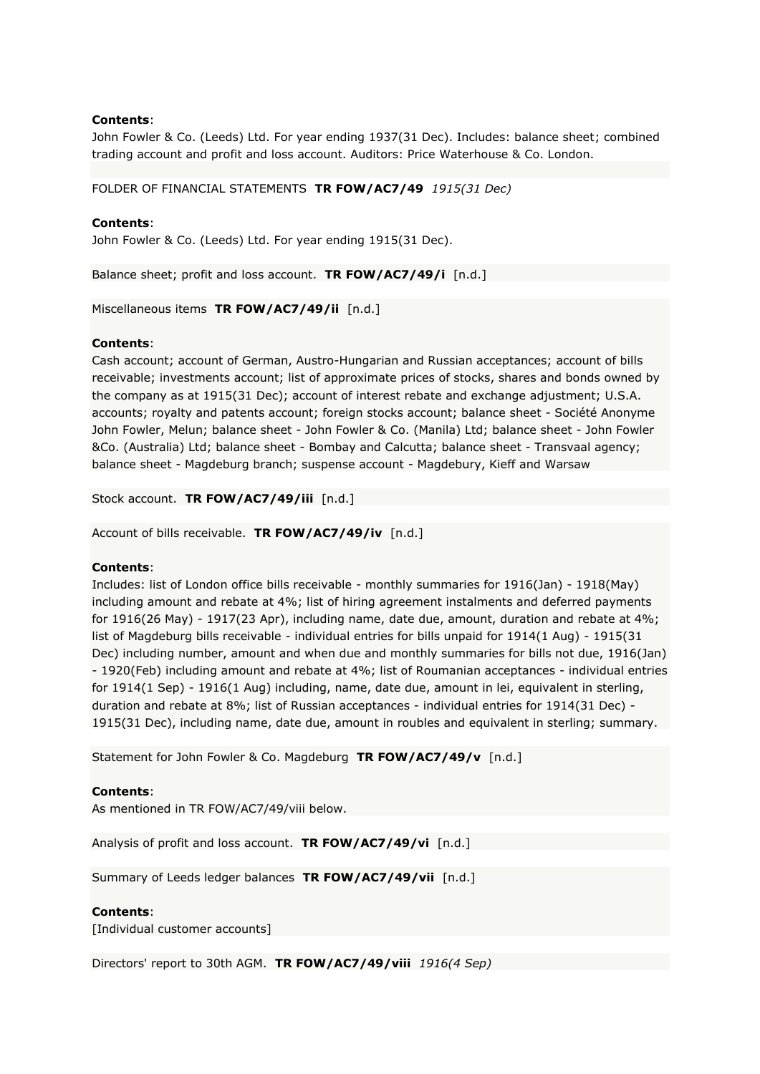John Fowler & Co. (Leeds) Ltd. For year ending 1937(31 Dec). Includes: balance sheet; combined trading account and profit and loss account. Auditors: Price Waterhouse & Co. London.

FOLDER OF FINANCIAL STATEMENTS **TR FOW/AC7/49** *1915(31 Dec)*

# **Contents**:

John Fowler & Co. (Leeds) Ltd. For year ending 1915(31 Dec).

Balance sheet; profit and loss account. **TR FOW/AC7/49/i** [n.d.]

Miscellaneous items **TR FOW/AC7/49/ii** [n.d.]

# **Contents**:

Cash account; account of German, Austro-Hungarian and Russian acceptances; account of bills receivable; investments account; list of approximate prices of stocks, shares and bonds owned by the company as at 1915(31 Dec); account of interest rebate and exchange adjustment; U.S.A. accounts; royalty and patents account; foreign stocks account; balance sheet - Société Anonyme John Fowler, Melun; balance sheet - John Fowler & Co. (Manila) Ltd; balance sheet - John Fowler &Co. (Australia) Ltd; balance sheet - Bombay and Calcutta; balance sheet - Transvaal agency; balance sheet - Magdeburg branch; suspense account - Magdebury, Kieff and Warsaw

Stock account. **TR FOW/AC7/49/iii** [n.d.]

Account of bills receivable. **TR FOW/AC7/49/iv** [n.d.]

# **Contents**:

Includes: list of London office bills receivable - monthly summaries for 1916(Jan) - 1918(May) including amount and rebate at 4%; list of hiring agreement instalments and deferred payments for 1916(26 May) - 1917(23 Apr), including name, date due, amount, duration and rebate at 4%; list of Magdeburg bills receivable - individual entries for bills unpaid for 1914(1 Aug) - 1915(31 Dec) including number, amount and when due and monthly summaries for bills not due, 1916(Jan) - 1920(Feb) including amount and rebate at 4%; list of Roumanian acceptances - individual entries for 1914(1 Sep) - 1916(1 Aug) including, name, date due, amount in lei, equivalent in sterling, duration and rebate at 8%; list of Russian acceptances - individual entries for 1914(31 Dec) - 1915(31 Dec), including name, date due, amount in roubles and equivalent in sterling; summary.

Statement for John Fowler & Co. Magdeburg **TR FOW/AC7/49/v** [n.d.]

# **Contents**:

As mentioned in TR FOW/AC7/49/viii below.

Analysis of profit and loss account. **TR FOW/AC7/49/vi** [n.d.]

Summary of Leeds ledger balances **TR FOW/AC7/49/vii** [n.d.]

# **Contents**:

[Individual customer accounts]

Directors' report to 30th AGM. **TR FOW/AC7/49/viii** *1916(4 Sep)*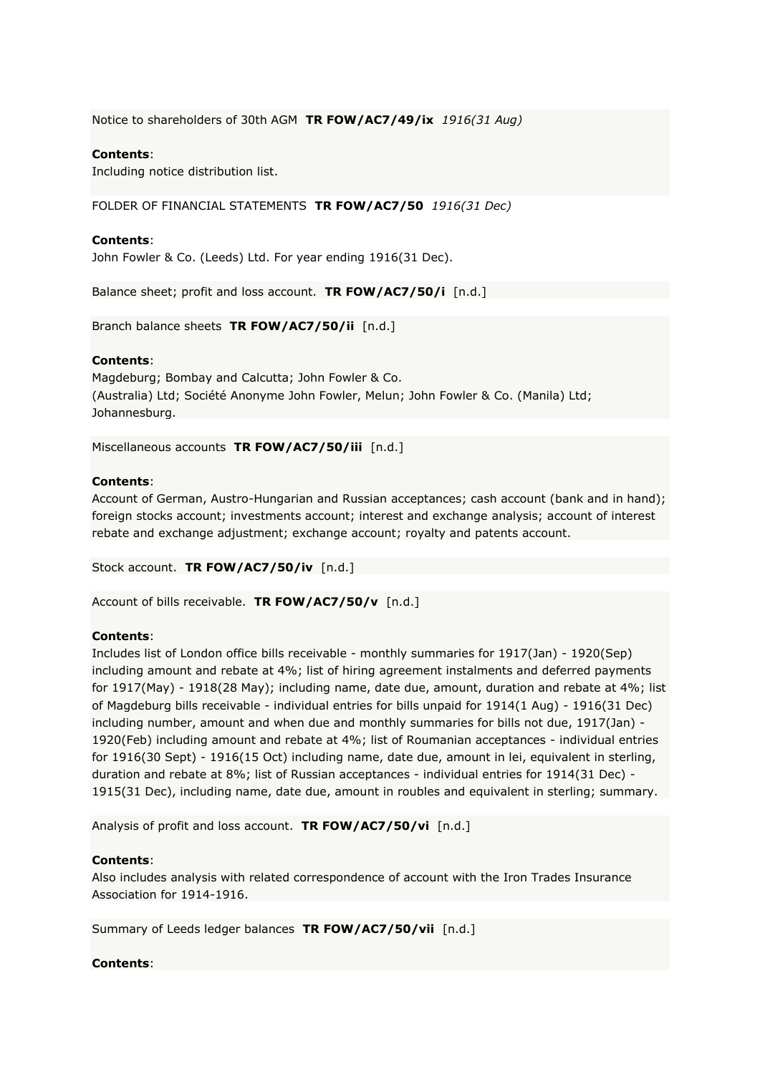Notice to shareholders of 30th AGM **TR FOW/AC7/49/ix** *1916(31 Aug)*

# **Contents**:

Including notice distribution list.

FOLDER OF FINANCIAL STATEMENTS **TR FOW/AC7/50** *1916(31 Dec)*

### **Contents**:

John Fowler & Co. (Leeds) Ltd. For year ending 1916(31 Dec).

Balance sheet; profit and loss account. **TR FOW/AC7/50/i** [n.d.]

Branch balance sheets **TR FOW/AC7/50/ii** [n.d.]

### **Contents**:

Magdeburg; Bombay and Calcutta; John Fowler & Co. (Australia) Ltd; Société Anonyme John Fowler, Melun; John Fowler & Co. (Manila) Ltd; Johannesburg.

Miscellaneous accounts **TR FOW/AC7/50/iii** [n.d.]

# **Contents**:

Account of German, Austro-Hungarian and Russian acceptances; cash account (bank and in hand); foreign stocks account; investments account; interest and exchange analysis; account of interest rebate and exchange adjustment; exchange account; royalty and patents account.

Stock account. **TR FOW/AC7/50/iv** [n.d.]

Account of bills receivable. **TR FOW/AC7/50/v** [n.d.]

# **Contents**:

Includes list of London office bills receivable - monthly summaries for 1917(Jan) - 1920(Sep) including amount and rebate at 4%; list of hiring agreement instalments and deferred payments for 1917(May) - 1918(28 May); including name, date due, amount, duration and rebate at 4%; list of Magdeburg bills receivable - individual entries for bills unpaid for 1914(1 Aug) - 1916(31 Dec) including number, amount and when due and monthly summaries for bills not due, 1917(Jan) - 1920(Feb) including amount and rebate at 4%; list of Roumanian acceptances - individual entries for 1916(30 Sept) - 1916(15 Oct) including name, date due, amount in lei, equivalent in sterling, duration and rebate at 8%; list of Russian acceptances - individual entries for 1914(31 Dec) - 1915(31 Dec), including name, date due, amount in roubles and equivalent in sterling; summary.

Analysis of profit and loss account. **TR FOW/AC7/50/vi** [n.d.]

# **Contents**:

Also includes analysis with related correspondence of account with the Iron Trades Insurance Association for 1914-1916.

Summary of Leeds ledger balances **TR FOW/AC7/50/vii** [n.d.]

# **Contents**: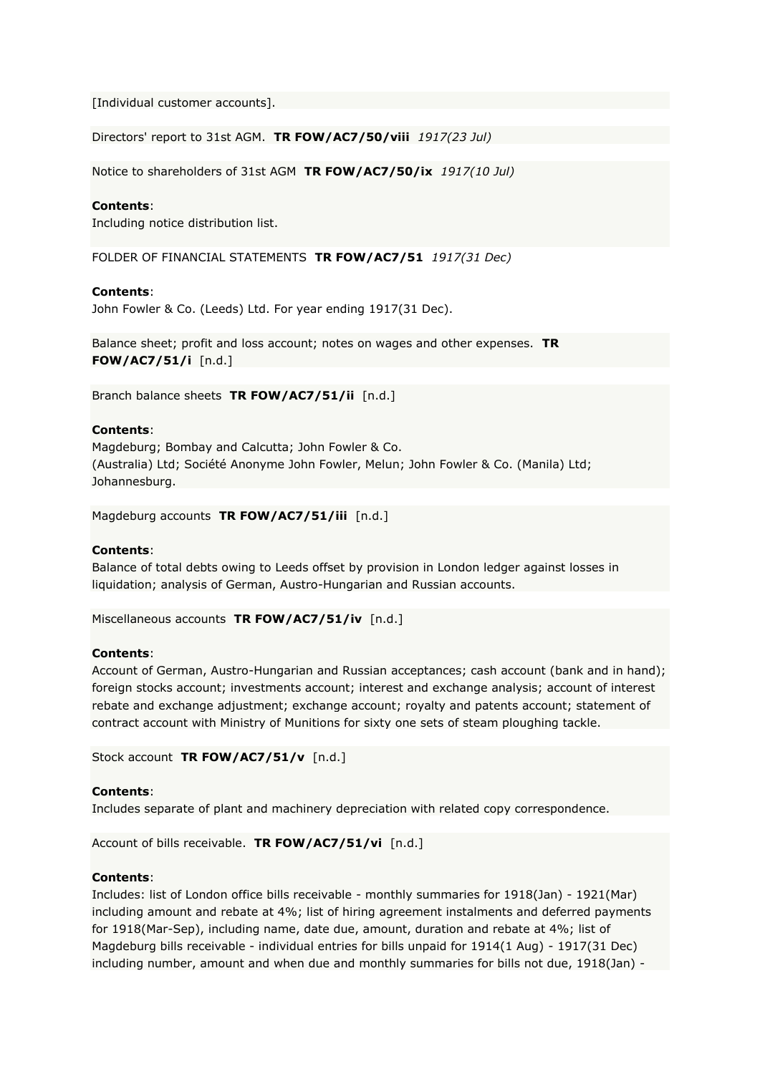[Individual customer accounts].

Directors' report to 31st AGM. **TR FOW/AC7/50/viii** *1917(23 Jul)*

Notice to shareholders of 31st AGM **TR FOW/AC7/50/ix** *1917(10 Jul)*

# **Contents**:

Including notice distribution list.

FOLDER OF FINANCIAL STATEMENTS **TR FOW/AC7/51** *1917(31 Dec)*

### **Contents**:

John Fowler & Co. (Leeds) Ltd. For year ending 1917(31 Dec).

Balance sheet; profit and loss account; notes on wages and other expenses. **TR FOW/AC7/51/i** [n.d.]

Branch balance sheets **TR FOW/AC7/51/ii** [n.d.]

# **Contents**:

Magdeburg; Bombay and Calcutta; John Fowler & Co. (Australia) Ltd; Société Anonyme John Fowler, Melun; John Fowler & Co. (Manila) Ltd; Johannesburg.

Magdeburg accounts **TR FOW/AC7/51/iii** [n.d.]

# **Contents**:

Balance of total debts owing to Leeds offset by provision in London ledger against losses in liquidation; analysis of German, Austro-Hungarian and Russian accounts.

Miscellaneous accounts **TR FOW/AC7/51/iv** [n.d.]

# **Contents**:

Account of German, Austro-Hungarian and Russian acceptances; cash account (bank and in hand); foreign stocks account; investments account; interest and exchange analysis; account of interest rebate and exchange adjustment; exchange account; royalty and patents account; statement of contract account with Ministry of Munitions for sixty one sets of steam ploughing tackle.

Stock account **TR FOW/AC7/51/v** [n.d.]

# **Contents**:

Includes separate of plant and machinery depreciation with related copy correspondence.

Account of bills receivable. **TR FOW/AC7/51/vi** [n.d.]

#### **Contents**:

Includes: list of London office bills receivable - monthly summaries for 1918(Jan) - 1921(Mar) including amount and rebate at 4%; list of hiring agreement instalments and deferred payments for 1918(Mar-Sep), including name, date due, amount, duration and rebate at 4%; list of Magdeburg bills receivable - individual entries for bills unpaid for 1914(1 Aug) - 1917(31 Dec) including number, amount and when due and monthly summaries for bills not due, 1918(Jan) -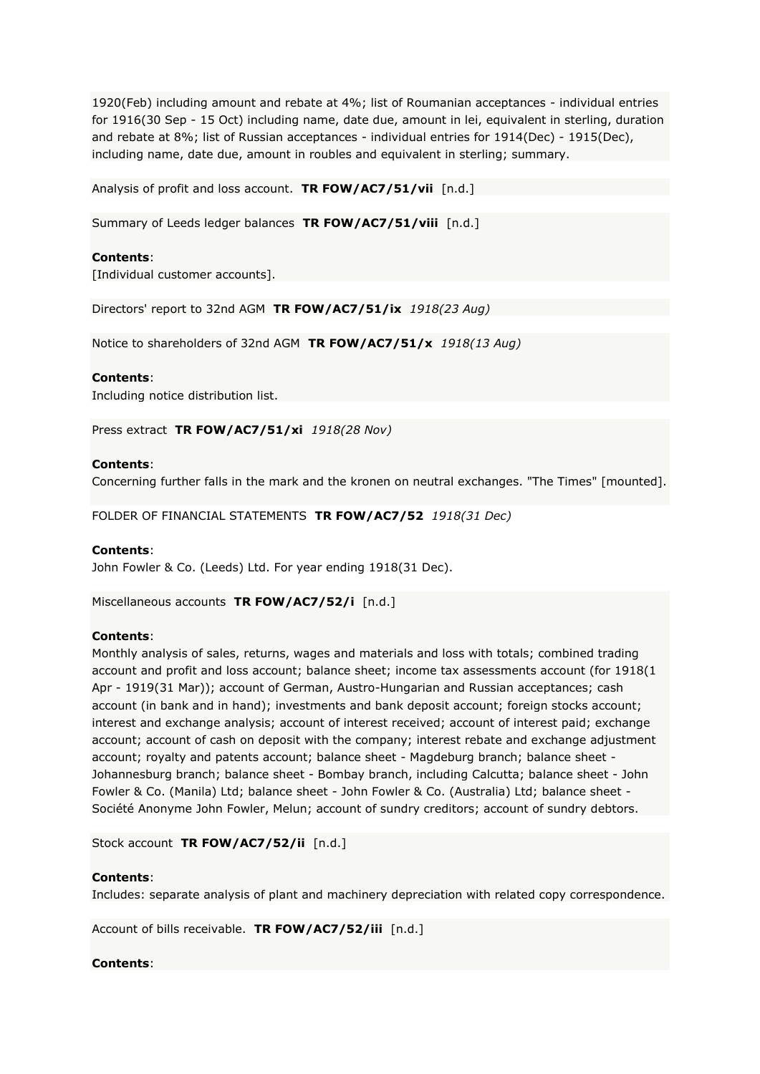1920(Feb) including amount and rebate at 4%; list of Roumanian acceptances - individual entries for 1916(30 Sep - 15 Oct) including name, date due, amount in lei, equivalent in sterling, duration and rebate at 8%; list of Russian acceptances - individual entries for 1914(Dec) - 1915(Dec), including name, date due, amount in roubles and equivalent in sterling; summary.

Analysis of profit and loss account. **TR FOW/AC7/51/vii** [n.d.]

Summary of Leeds ledger balances **TR FOW/AC7/51/viii** [n.d.]

### **Contents**:

[Individual customer accounts].

Directors' report to 32nd AGM **TR FOW/AC7/51/ix** *1918(23 Aug)*

Notice to shareholders of 32nd AGM **TR FOW/AC7/51/x** *1918(13 Aug)*

#### **Contents**:

Including notice distribution list.

Press extract **TR FOW/AC7/51/xi** *1918(28 Nov)*

#### **Contents**:

Concerning further falls in the mark and the kronen on neutral exchanges. "The Times" [mounted].

FOLDER OF FINANCIAL STATEMENTS **TR FOW/AC7/52** *1918(31 Dec)*

#### **Contents**:

John Fowler & Co. (Leeds) Ltd. For year ending 1918(31 Dec).

Miscellaneous accounts **TR FOW/AC7/52/i** [n.d.]

#### **Contents**:

Monthly analysis of sales, returns, wages and materials and loss with totals; combined trading account and profit and loss account; balance sheet; income tax assessments account (for 1918(1 Apr - 1919(31 Mar)); account of German, Austro-Hungarian and Russian acceptances; cash account (in bank and in hand); investments and bank deposit account; foreign stocks account; interest and exchange analysis; account of interest received; account of interest paid; exchange account; account of cash on deposit with the company; interest rebate and exchange adjustment account; royalty and patents account; balance sheet - Magdeburg branch; balance sheet - Johannesburg branch; balance sheet - Bombay branch, including Calcutta; balance sheet - John Fowler & Co. (Manila) Ltd; balance sheet - John Fowler & Co. (Australia) Ltd; balance sheet - Société Anonyme John Fowler, Melun; account of sundry creditors; account of sundry debtors.

Stock account **TR FOW/AC7/52/ii** [n.d.]

#### **Contents**:

Includes: separate analysis of plant and machinery depreciation with related copy correspondence.

Account of bills receivable. **TR FOW/AC7/52/iii** [n.d.]

#### **Contents**: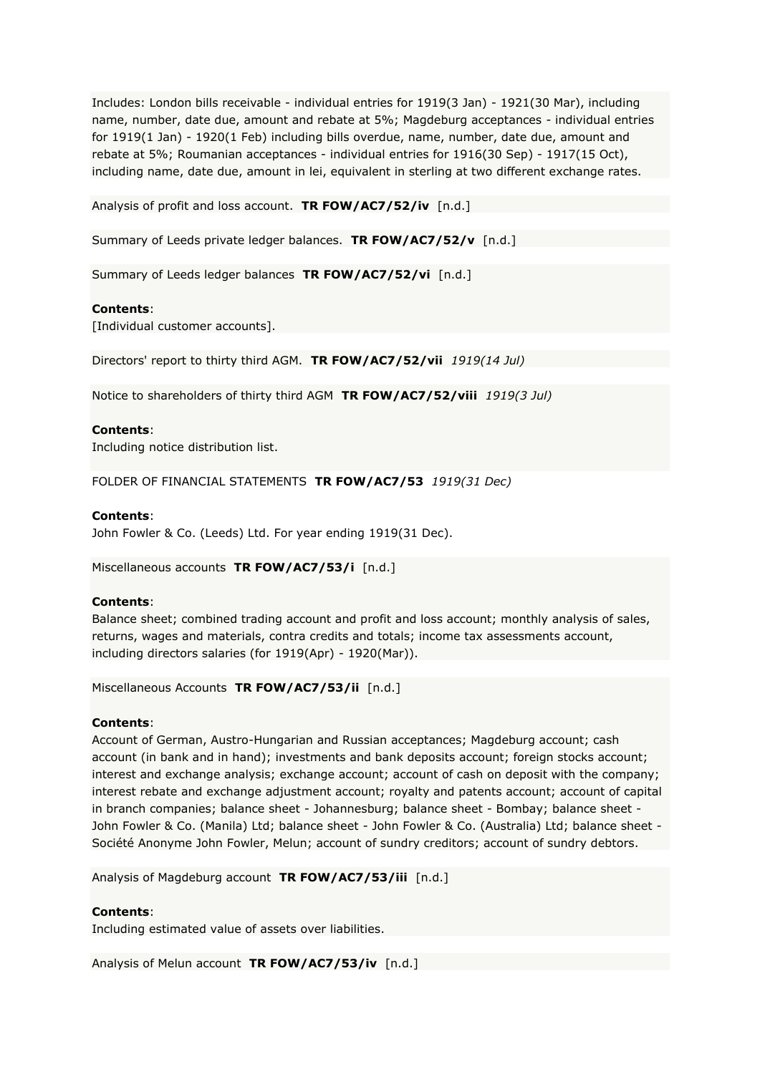Includes: London bills receivable - individual entries for 1919(3 Jan) - 1921(30 Mar), including name, number, date due, amount and rebate at 5%; Magdeburg acceptances - individual entries for 1919(1 Jan) - 1920(1 Feb) including bills overdue, name, number, date due, amount and rebate at 5%; Roumanian acceptances - individual entries for 1916(30 Sep) - 1917(15 Oct), including name, date due, amount in lei, equivalent in sterling at two different exchange rates.

Analysis of profit and loss account. **TR FOW/AC7/52/iv** [n.d.]

Summary of Leeds private ledger balances. **TR FOW/AC7/52/v** [n.d.]

Summary of Leeds ledger balances **TR FOW/AC7/52/vi** [n.d.]

# **Contents**:

[Individual customer accounts].

Directors' report to thirty third AGM. **TR FOW/AC7/52/vii** *1919(14 Jul)*

Notice to shareholders of thirty third AGM **TR FOW/AC7/52/viii** *1919(3 Jul)*

# **Contents**:

Including notice distribution list.

FOLDER OF FINANCIAL STATEMENTS **TR FOW/AC7/53** *1919(31 Dec)*

### **Contents**:

John Fowler & Co. (Leeds) Ltd. For year ending 1919(31 Dec).

Miscellaneous accounts **TR FOW/AC7/53/i** [n.d.]

# **Contents**:

Balance sheet; combined trading account and profit and loss account; monthly analysis of sales, returns, wages and materials, contra credits and totals; income tax assessments account, including directors salaries (for 1919(Apr) - 1920(Mar)).

Miscellaneous Accounts **TR FOW/AC7/53/ii** [n.d.]

# **Contents**:

Account of German, Austro-Hungarian and Russian acceptances; Magdeburg account; cash account (in bank and in hand); investments and bank deposits account; foreign stocks account; interest and exchange analysis; exchange account; account of cash on deposit with the company; interest rebate and exchange adjustment account; royalty and patents account; account of capital in branch companies; balance sheet - Johannesburg; balance sheet - Bombay; balance sheet - John Fowler & Co. (Manila) Ltd; balance sheet - John Fowler & Co. (Australia) Ltd; balance sheet - Société Anonyme John Fowler, Melun; account of sundry creditors; account of sundry debtors.

Analysis of Magdeburg account **TR FOW/AC7/53/iii** [n.d.]

# **Contents**:

Including estimated value of assets over liabilities.

Analysis of Melun account **TR FOW/AC7/53/iv** [n.d.]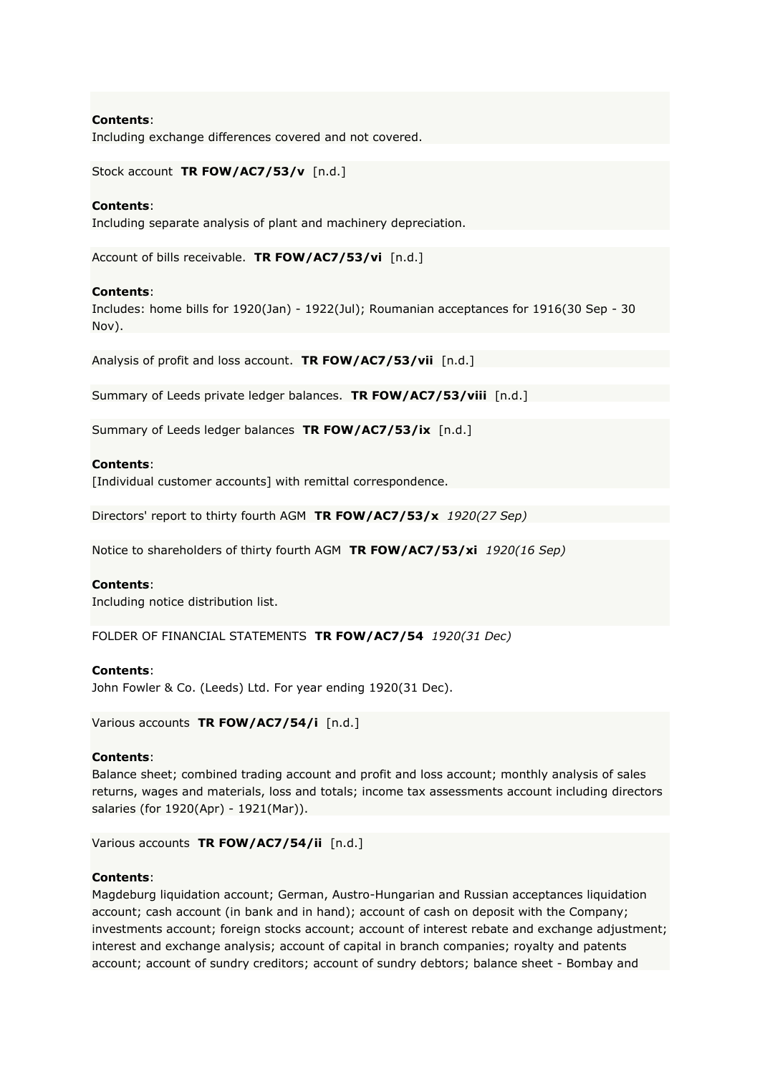Including exchange differences covered and not covered.

Stock account **TR FOW/AC7/53/v** [n.d.]

### **Contents**:

Including separate analysis of plant and machinery depreciation.

Account of bills receivable. **TR FOW/AC7/53/vi** [n.d.]

### **Contents**:

Includes: home bills for 1920(Jan) - 1922(Jul); Roumanian acceptances for 1916(30 Sep - 30 Nov).

Analysis of profit and loss account. **TR FOW/AC7/53/vii** [n.d.]

Summary of Leeds private ledger balances. **TR FOW/AC7/53/viii** [n.d.]

Summary of Leeds ledger balances **TR FOW/AC7/53/ix** [n.d.]

# **Contents**:

[Individual customer accounts] with remittal correspondence.

Directors' report to thirty fourth AGM **TR FOW/AC7/53/x** *1920(27 Sep)*

Notice to shareholders of thirty fourth AGM **TR FOW/AC7/53/xi** *1920(16 Sep)*

#### **Contents**:

Including notice distribution list.

FOLDER OF FINANCIAL STATEMENTS **TR FOW/AC7/54** *1920(31 Dec)*

# **Contents**:

John Fowler & Co. (Leeds) Ltd. For year ending 1920(31 Dec).

Various accounts **TR FOW/AC7/54/i** [n.d.]

# **Contents**:

Balance sheet; combined trading account and profit and loss account; monthly analysis of sales returns, wages and materials, loss and totals; income tax assessments account including directors salaries (for 1920(Apr) - 1921(Mar)).

Various accounts **TR FOW/AC7/54/ii** [n.d.]

#### **Contents**:

Magdeburg liquidation account; German, Austro-Hungarian and Russian acceptances liquidation account; cash account (in bank and in hand); account of cash on deposit with the Company; investments account; foreign stocks account; account of interest rebate and exchange adjustment; interest and exchange analysis; account of capital in branch companies; royalty and patents account; account of sundry creditors; account of sundry debtors; balance sheet - Bombay and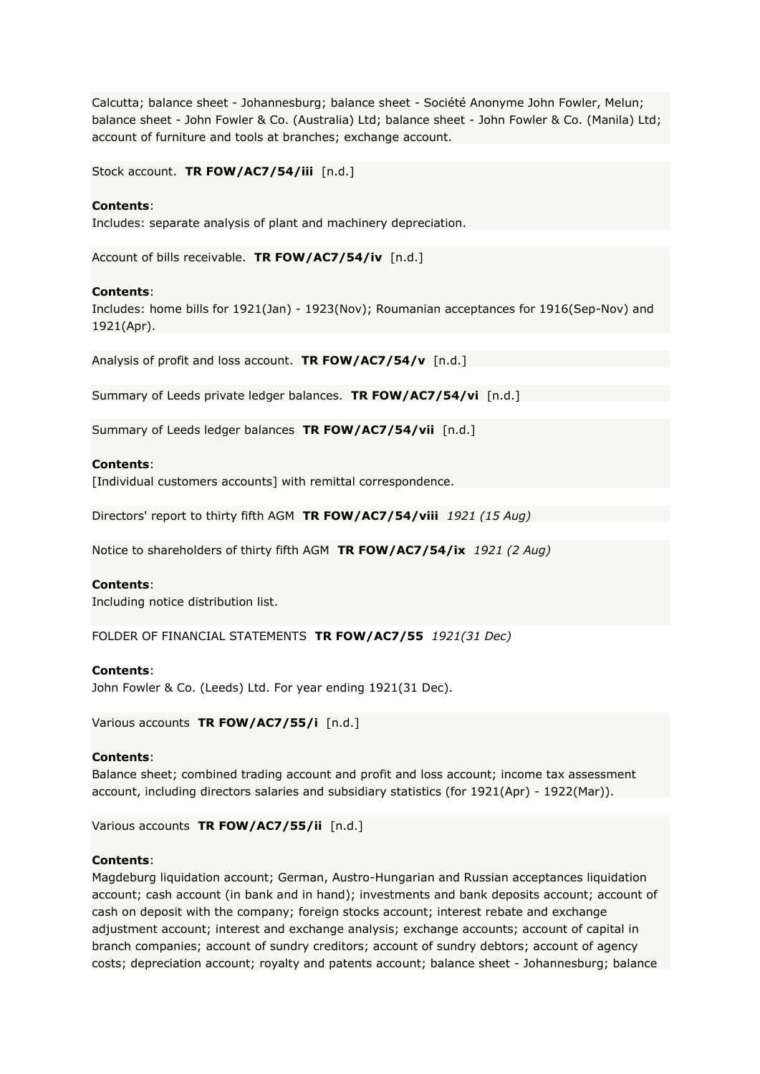Calcutta; balance sheet - Johannesburg; balance sheet - Société Anonyme John Fowler, Melun; balance sheet - John Fowler & Co. (Australia) Ltd; balance sheet - John Fowler & Co. (Manila) Ltd; account of furniture and tools at branches; exchange account.

Stock account. **TR FOW/AC7/54/iii** [n.d.]

### **Contents**:

Includes: separate analysis of plant and machinery depreciation.

Account of bills receivable. **TR FOW/AC7/54/iv** [n.d.]

### **Contents**:

Includes: home bills for 1921(Jan) - 1923(Nov); Roumanian acceptances for 1916(Sep-Nov) and 1921(Apr).

Analysis of profit and loss account. **TR FOW/AC7/54/v** [n.d.]

Summary of Leeds private ledger balances. **TR FOW/AC7/54/vi** [n.d.]

Summary of Leeds ledger balances **TR FOW/AC7/54/vii** [n.d.]

### **Contents**:

[Individual customers accounts] with remittal correspondence.

Directors' report to thirty fifth AGM **TR FOW/AC7/54/viii** *1921 (15 Aug)*

Notice to shareholders of thirty fifth AGM **TR FOW/AC7/54/ix** *1921 (2 Aug)*

### **Contents**:

Including notice distribution list.

FOLDER OF FINANCIAL STATEMENTS **TR FOW/AC7/55** *1921(31 Dec)*

# **Contents**:

John Fowler & Co. (Leeds) Ltd. For year ending 1921(31 Dec).

Various accounts **TR FOW/AC7/55/i** [n.d.]

#### **Contents**:

Balance sheet; combined trading account and profit and loss account; income tax assessment account, including directors salaries and subsidiary statistics (for 1921(Apr) - 1922(Mar)).

Various accounts **TR FOW/AC7/55/ii** [n.d.]

# **Contents**:

Magdeburg liquidation account; German, Austro-Hungarian and Russian acceptances liquidation account; cash account (in bank and in hand); investments and bank deposits account; account of cash on deposit with the company; foreign stocks account; interest rebate and exchange adjustment account; interest and exchange analysis; exchange accounts; account of capital in branch companies; account of sundry creditors; account of sundry debtors; account of agency costs; depreciation account; royalty and patents account; balance sheet - Johannesburg; balance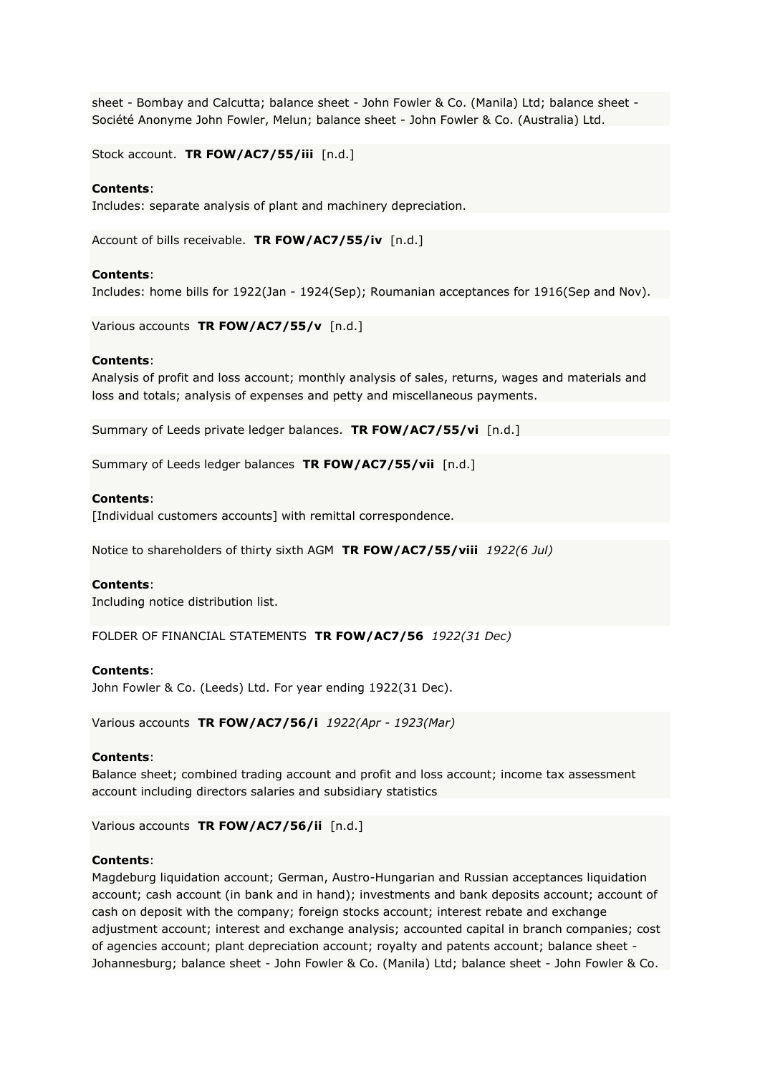sheet - Bombay and Calcutta; balance sheet - John Fowler & Co. (Manila) Ltd; balance sheet -Société Anonyme John Fowler, Melun; balance sheet - John Fowler & Co. (Australia) Ltd.

Stock account. **TR FOW/AC7/55/iii** [n.d.]

### **Contents**:

Includes: separate analysis of plant and machinery depreciation.

Account of bills receivable. **TR FOW/AC7/55/iv** [n.d.]

#### **Contents**:

Includes: home bills for 1922(Jan - 1924(Sep); Roumanian acceptances for 1916(Sep and Nov).

Various accounts **TR FOW/AC7/55/v** [n.d.]

#### **Contents**:

Analysis of profit and loss account; monthly analysis of sales, returns, wages and materials and loss and totals; analysis of expenses and petty and miscellaneous payments.

Summary of Leeds private ledger balances. **TR FOW/AC7/55/vi** [n.d.]

Summary of Leeds ledger balances **TR FOW/AC7/55/vii** [n.d.]

# **Contents**:

[Individual customers accounts] with remittal correspondence.

Notice to shareholders of thirty sixth AGM **TR FOW/AC7/55/viii** *1922(6 Jul)*

#### **Contents**:

Including notice distribution list.

FOLDER OF FINANCIAL STATEMENTS **TR FOW/AC7/56** *1922(31 Dec)*

# **Contents**:

John Fowler & Co. (Leeds) Ltd. For year ending 1922(31 Dec).

Various accounts **TR FOW/AC7/56/i** *1922(Apr - 1923(Mar)*

#### **Contents**:

Balance sheet; combined trading account and profit and loss account; income tax assessment account including directors salaries and subsidiary statistics

Various accounts **TR FOW/AC7/56/ii** [n.d.]

### **Contents**:

Magdeburg liquidation account; German, Austro-Hungarian and Russian acceptances liquidation account; cash account (in bank and in hand); investments and bank deposits account; account of cash on deposit with the company; foreign stocks account; interest rebate and exchange adjustment account; interest and exchange analysis; accounted capital in branch companies; cost of agencies account; plant depreciation account; royalty and patents account; balance sheet - Johannesburg; balance sheet - John Fowler & Co. (Manila) Ltd; balance sheet - John Fowler & Co.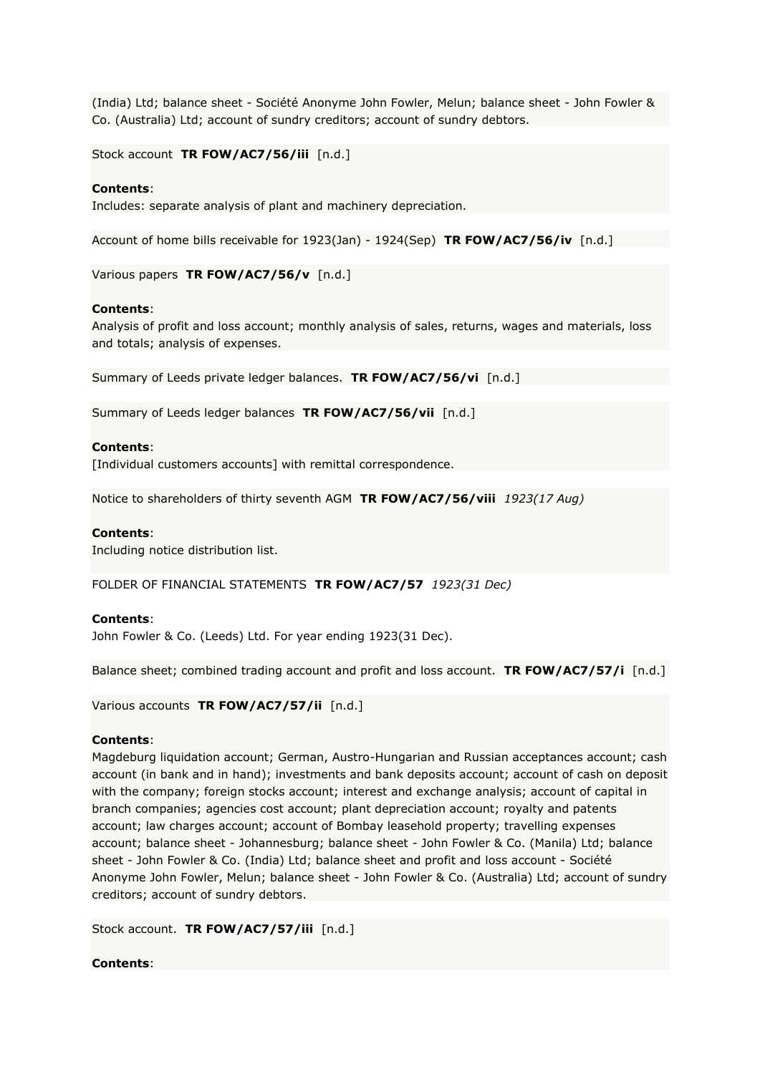(India) Ltd; balance sheet - Société Anonyme John Fowler, Melun; balance sheet - John Fowler & Co. (Australia) Ltd; account of sundry creditors; account of sundry debtors.

Stock account **TR FOW/AC7/56/iii** [n.d.]

# **Contents**:

Includes: separate analysis of plant and machinery depreciation.

Account of home bills receivable for 1923(Jan) - 1924(Sep) **TR FOW/AC7/56/iv** [n.d.]

Various papers **TR FOW/AC7/56/v** [n.d.]

# **Contents**:

Analysis of profit and loss account; monthly analysis of sales, returns, wages and materials, loss and totals; analysis of expenses.

Summary of Leeds private ledger balances. **TR FOW/AC7/56/vi** [n.d.]

Summary of Leeds ledger balances **TR FOW/AC7/56/vii** [n.d.]

# **Contents**:

[Individual customers accounts] with remittal correspondence.

Notice to shareholders of thirty seventh AGM **TR FOW/AC7/56/viii** *1923(17 Aug)*

# **Contents**:

Including notice distribution list.

FOLDER OF FINANCIAL STATEMENTS **TR FOW/AC7/57** *1923(31 Dec)*

# **Contents**:

John Fowler & Co. (Leeds) Ltd. For year ending 1923(31 Dec).

Balance sheet; combined trading account and profit and loss account. **TR FOW/AC7/57/i** [n.d.]

Various accounts **TR FOW/AC7/57/ii** [n.d.]

# **Contents**:

Magdeburg liquidation account; German, Austro-Hungarian and Russian acceptances account; cash account (in bank and in hand); investments and bank deposits account; account of cash on deposit with the company; foreign stocks account; interest and exchange analysis; account of capital in branch companies; agencies cost account; plant depreciation account; royalty and patents account; law charges account; account of Bombay leasehold property; travelling expenses account; balance sheet - Johannesburg; balance sheet - John Fowler & Co. (Manila) Ltd; balance sheet - John Fowler & Co. (India) Ltd; balance sheet and profit and loss account - Société Anonyme John Fowler, Melun; balance sheet - John Fowler & Co. (Australia) Ltd; account of sundry creditors; account of sundry debtors.

Stock account. **TR FOW/AC7/57/iii** [n.d.]

# **Contents**: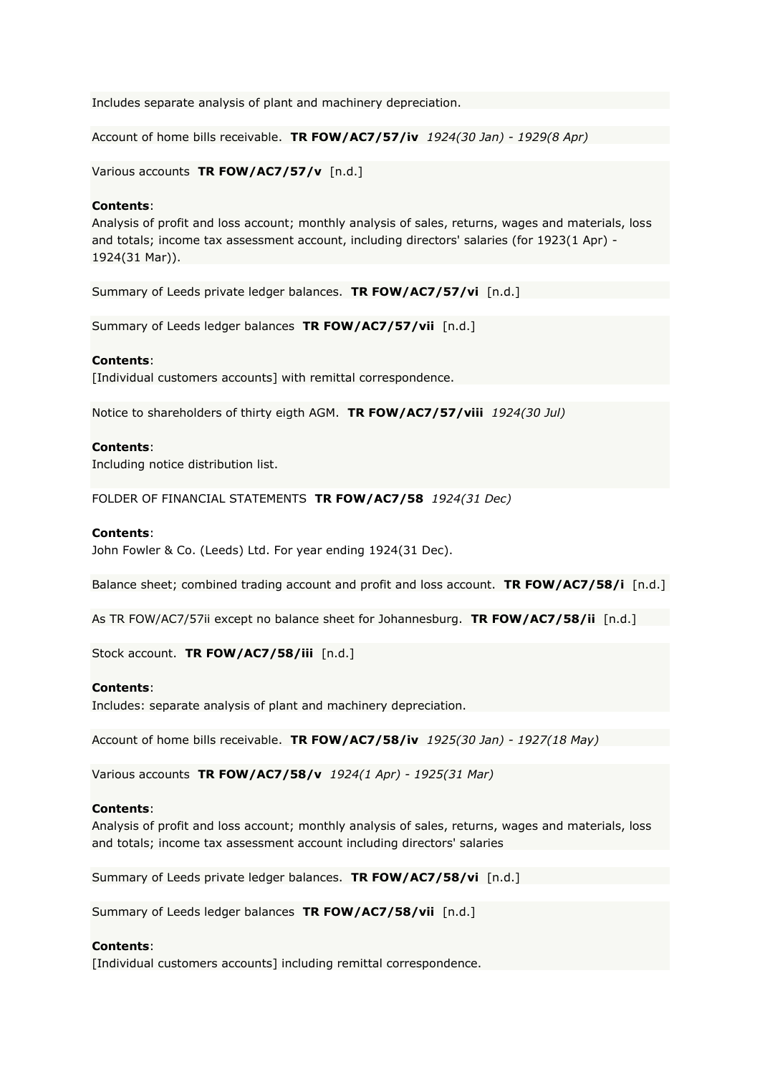Includes separate analysis of plant and machinery depreciation.

Account of home bills receivable. **TR FOW/AC7/57/iv** *1924(30 Jan) - 1929(8 Apr)*

Various accounts **TR FOW/AC7/57/v** [n.d.]

# **Contents**:

Analysis of profit and loss account; monthly analysis of sales, returns, wages and materials, loss and totals; income tax assessment account, including directors' salaries (for 1923(1 Apr) - 1924(31 Mar)).

Summary of Leeds private ledger balances. **TR FOW/AC7/57/vi** [n.d.]

Summary of Leeds ledger balances **TR FOW/AC7/57/vii** [n.d.]

# **Contents**:

[Individual customers accounts] with remittal correspondence.

Notice to shareholders of thirty eigth AGM. **TR FOW/AC7/57/viii** *1924(30 Jul)*

# **Contents**:

Including notice distribution list.

FOLDER OF FINANCIAL STATEMENTS **TR FOW/AC7/58** *1924(31 Dec)*

# **Contents**:

John Fowler & Co. (Leeds) Ltd. For year ending 1924(31 Dec).

Balance sheet; combined trading account and profit and loss account. **TR FOW/AC7/58/i** [n.d.]

As TR FOW/AC7/57ii except no balance sheet for Johannesburg. **TR FOW/AC7/58/ii** [n.d.]

Stock account. **TR FOW/AC7/58/iii** [n.d.]

# **Contents**:

Includes: separate analysis of plant and machinery depreciation.

Account of home bills receivable. **TR FOW/AC7/58/iv** *1925(30 Jan) - 1927(18 May)*

Various accounts **TR FOW/AC7/58/v** *1924(1 Apr) - 1925(31 Mar)*

# **Contents**:

Analysis of profit and loss account; monthly analysis of sales, returns, wages and materials, loss and totals; income tax assessment account including directors' salaries

Summary of Leeds private ledger balances. **TR FOW/AC7/58/vi** [n.d.]

Summary of Leeds ledger balances **TR FOW/AC7/58/vii** [n.d.]

# **Contents**:

[Individual customers accounts] including remittal correspondence.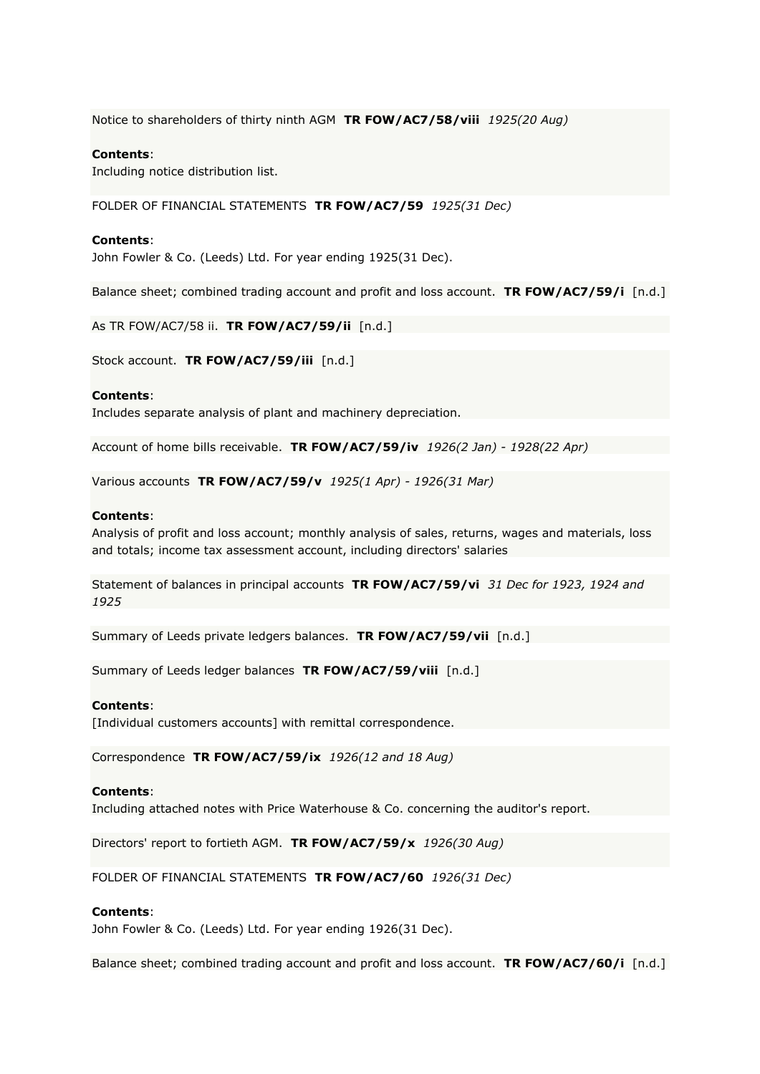Notice to shareholders of thirty ninth AGM **TR FOW/AC7/58/viii** *1925(20 Aug)*

# **Contents**:

Including notice distribution list.

FOLDER OF FINANCIAL STATEMENTS **TR FOW/AC7/59** *1925(31 Dec)*

#### **Contents**:

John Fowler & Co. (Leeds) Ltd. For year ending 1925(31 Dec).

Balance sheet; combined trading account and profit and loss account. **TR FOW/AC7/59/i** [n.d.]

As TR FOW/AC7/58 ii. **TR FOW/AC7/59/ii** [n.d.]

Stock account. **TR FOW/AC7/59/iii** [n.d.]

#### **Contents**:

Includes separate analysis of plant and machinery depreciation.

Account of home bills receivable. **TR FOW/AC7/59/iv** *1926(2 Jan) - 1928(22 Apr)*

Various accounts **TR FOW/AC7/59/v** *1925(1 Apr) - 1926(31 Mar)*

#### **Contents**:

Analysis of profit and loss account; monthly analysis of sales, returns, wages and materials, loss and totals; income tax assessment account, including directors' salaries

Statement of balances in principal accounts **TR FOW/AC7/59/vi** *31 Dec for 1923, 1924 and 1925*

Summary of Leeds private ledgers balances. **TR FOW/AC7/59/vii** [n.d.]

Summary of Leeds ledger balances **TR FOW/AC7/59/viii** [n.d.]

### **Contents**:

[Individual customers accounts] with remittal correspondence.

Correspondence **TR FOW/AC7/59/ix** *1926(12 and 18 Aug)*

#### **Contents**:

Including attached notes with Price Waterhouse & Co. concerning the auditor's report.

Directors' report to fortieth AGM. **TR FOW/AC7/59/x** *1926(30 Aug)*

FOLDER OF FINANCIAL STATEMENTS **TR FOW/AC7/60** *1926(31 Dec)*

#### **Contents**:

John Fowler & Co. (Leeds) Ltd. For year ending 1926(31 Dec).

Balance sheet; combined trading account and profit and loss account. **TR FOW/AC7/60/i** [n.d.]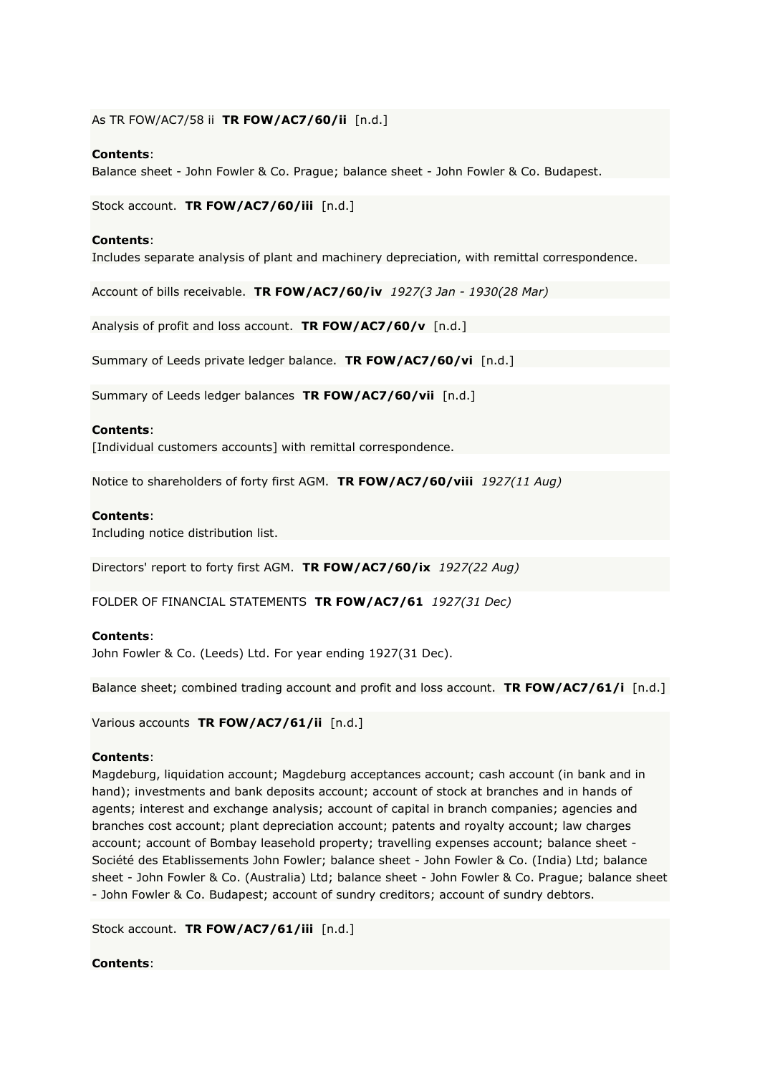# As TR FOW/AC7/58 ii **TR FOW/AC7/60/ii** [n.d.]

# **Contents**:

Balance sheet - John Fowler & Co. Prague; balance sheet - John Fowler & Co. Budapest.

Stock account. **TR FOW/AC7/60/iii** [n.d.]

# **Contents**:

Includes separate analysis of plant and machinery depreciation, with remittal correspondence.

Account of bills receivable. **TR FOW/AC7/60/iv** *1927(3 Jan - 1930(28 Mar)*

Analysis of profit and loss account. **TR FOW/AC7/60/v** [n.d.]

Summary of Leeds private ledger balance. **TR FOW/AC7/60/vi** [n.d.]

Summary of Leeds ledger balances **TR FOW/AC7/60/vii** [n.d.]

# **Contents**:

[Individual customers accounts] with remittal correspondence.

Notice to shareholders of forty first AGM. **TR FOW/AC7/60/viii** *1927(11 Aug)*

# **Contents**:

Including notice distribution list.

Directors' report to forty first AGM. **TR FOW/AC7/60/ix** *1927(22 Aug)*

FOLDER OF FINANCIAL STATEMENTS **TR FOW/AC7/61** *1927(31 Dec)*

# **Contents**:

John Fowler & Co. (Leeds) Ltd. For year ending 1927(31 Dec).

Balance sheet; combined trading account and profit and loss account. **TR FOW/AC7/61/i** [n.d.]

Various accounts **TR FOW/AC7/61/ii** [n.d.]

# **Contents**:

Magdeburg, liquidation account; Magdeburg acceptances account; cash account (in bank and in hand); investments and bank deposits account; account of stock at branches and in hands of agents; interest and exchange analysis; account of capital in branch companies; agencies and branches cost account; plant depreciation account; patents and royalty account; law charges account; account of Bombay leasehold property; travelling expenses account; balance sheet - Société des Etablissements John Fowler; balance sheet - John Fowler & Co. (India) Ltd; balance sheet - John Fowler & Co. (Australia) Ltd; balance sheet - John Fowler & Co. Prague; balance sheet - John Fowler & Co. Budapest; account of sundry creditors; account of sundry debtors.

Stock account. **TR FOW/AC7/61/iii** [n.d.]

# **Contents**: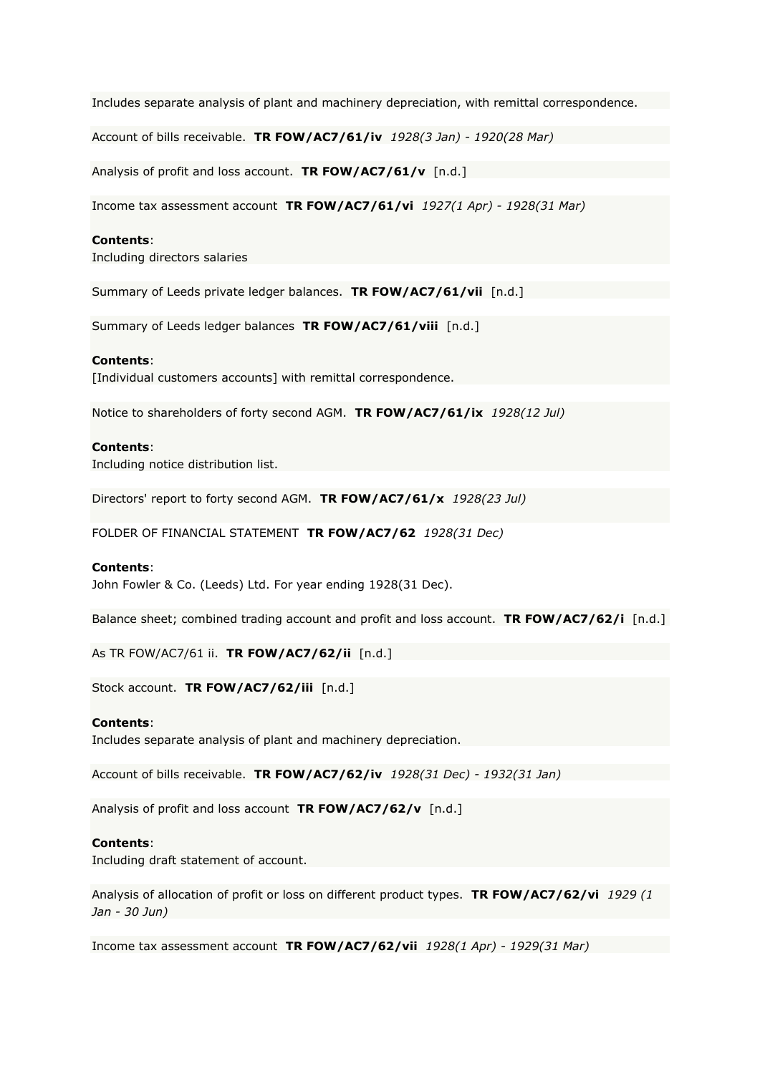Includes separate analysis of plant and machinery depreciation, with remittal correspondence.

Account of bills receivable. **TR FOW/AC7/61/iv** *1928(3 Jan) - 1920(28 Mar)*

Analysis of profit and loss account. **TR FOW/AC7/61/v** [n.d.]

Income tax assessment account **TR FOW/AC7/61/vi** *1927(1 Apr) - 1928(31 Mar)*

#### **Contents**:

Including directors salaries

Summary of Leeds private ledger balances. **TR FOW/AC7/61/vii** [n.d.]

Summary of Leeds ledger balances **TR FOW/AC7/61/viii** [n.d.]

#### **Contents**:

[Individual customers accounts] with remittal correspondence.

Notice to shareholders of forty second AGM. **TR FOW/AC7/61/ix** *1928(12 Jul)*

#### **Contents**:

Including notice distribution list.

Directors' report to forty second AGM. **TR FOW/AC7/61/x** *1928(23 Jul)*

FOLDER OF FINANCIAL STATEMENT **TR FOW/AC7/62** *1928(31 Dec)*

#### **Contents**:

John Fowler & Co. (Leeds) Ltd. For year ending 1928(31 Dec).

Balance sheet; combined trading account and profit and loss account. **TR FOW/AC7/62/i** [n.d.]

As TR FOW/AC7/61 ii. **TR FOW/AC7/62/ii** [n.d.]

Stock account. **TR FOW/AC7/62/iii** [n.d.]

#### **Contents**:

Includes separate analysis of plant and machinery depreciation.

Account of bills receivable. **TR FOW/AC7/62/iv** *1928(31 Dec) - 1932(31 Jan)*

Analysis of profit and loss account **TR FOW/AC7/62/v** [n.d.]

# **Contents**:

Including draft statement of account.

Analysis of allocation of profit or loss on different product types. **TR FOW/AC7/62/vi** *1929 (1 Jan - 30 Jun)*

Income tax assessment account **TR FOW/AC7/62/vii** *1928(1 Apr) - 1929(31 Mar)*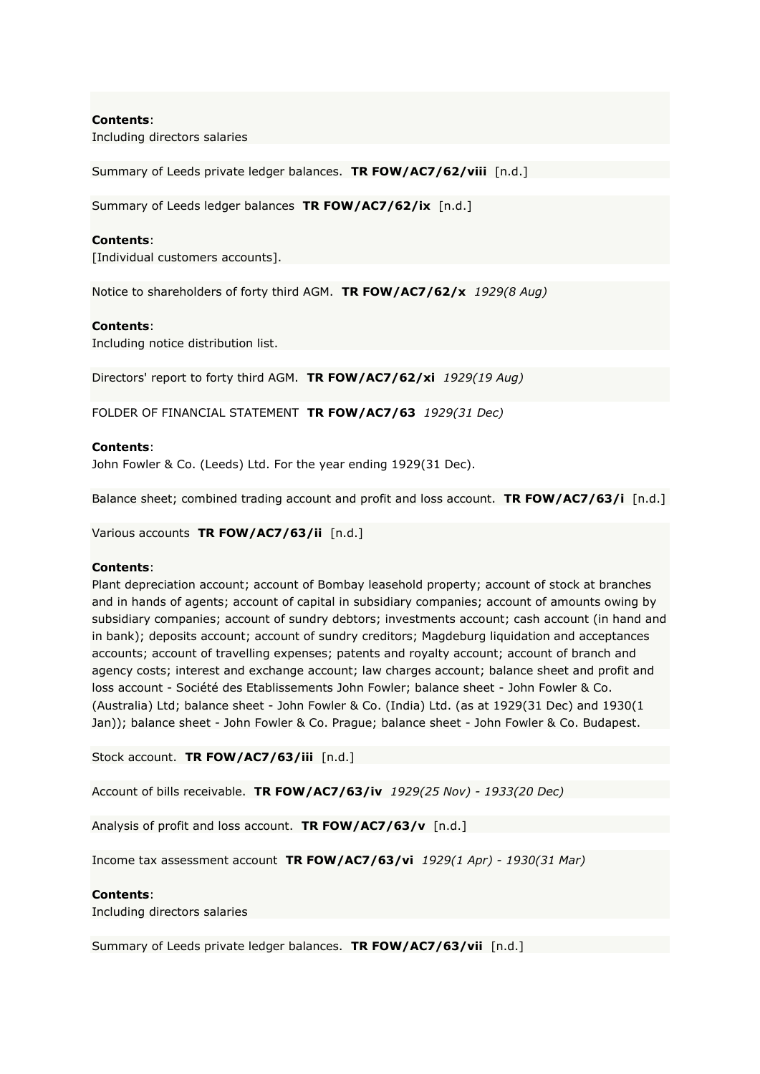Including directors salaries

Summary of Leeds private ledger balances. **TR FOW/AC7/62/viii** [n.d.]

Summary of Leeds ledger balances **TR FOW/AC7/62/ix** [n.d.]

### **Contents**:

[Individual customers accounts].

Notice to shareholders of forty third AGM. **TR FOW/AC7/62/x** *1929(8 Aug)*

#### **Contents**:

Including notice distribution list.

Directors' report to forty third AGM. **TR FOW/AC7/62/xi** *1929(19 Aug)*

FOLDER OF FINANCIAL STATEMENT **TR FOW/AC7/63** *1929(31 Dec)*

#### **Contents**:

John Fowler & Co. (Leeds) Ltd. For the year ending 1929(31 Dec).

Balance sheet; combined trading account and profit and loss account. **TR FOW/AC7/63/i** [n.d.]

Various accounts **TR FOW/AC7/63/ii** [n.d.]

#### **Contents**:

Plant depreciation account; account of Bombay leasehold property; account of stock at branches and in hands of agents; account of capital in subsidiary companies; account of amounts owing by subsidiary companies; account of sundry debtors; investments account; cash account (in hand and in bank); deposits account; account of sundry creditors; Magdeburg liquidation and acceptances accounts; account of travelling expenses; patents and royalty account; account of branch and agency costs; interest and exchange account; law charges account; balance sheet and profit and loss account - Société des Etablissements John Fowler; balance sheet - John Fowler & Co. (Australia) Ltd; balance sheet - John Fowler & Co. (India) Ltd. (as at 1929(31 Dec) and 1930(1 Jan)); balance sheet - John Fowler & Co. Prague; balance sheet - John Fowler & Co. Budapest.

Stock account. **TR FOW/AC7/63/iii** [n.d.]

Account of bills receivable. **TR FOW/AC7/63/iv** *1929(25 Nov) - 1933(20 Dec)*

Analysis of profit and loss account. **TR FOW/AC7/63/v** [n.d.]

Income tax assessment account **TR FOW/AC7/63/vi** *1929(1 Apr) - 1930(31 Mar)*

#### **Contents**:

Including directors salaries

Summary of Leeds private ledger balances. **TR FOW/AC7/63/vii** [n.d.]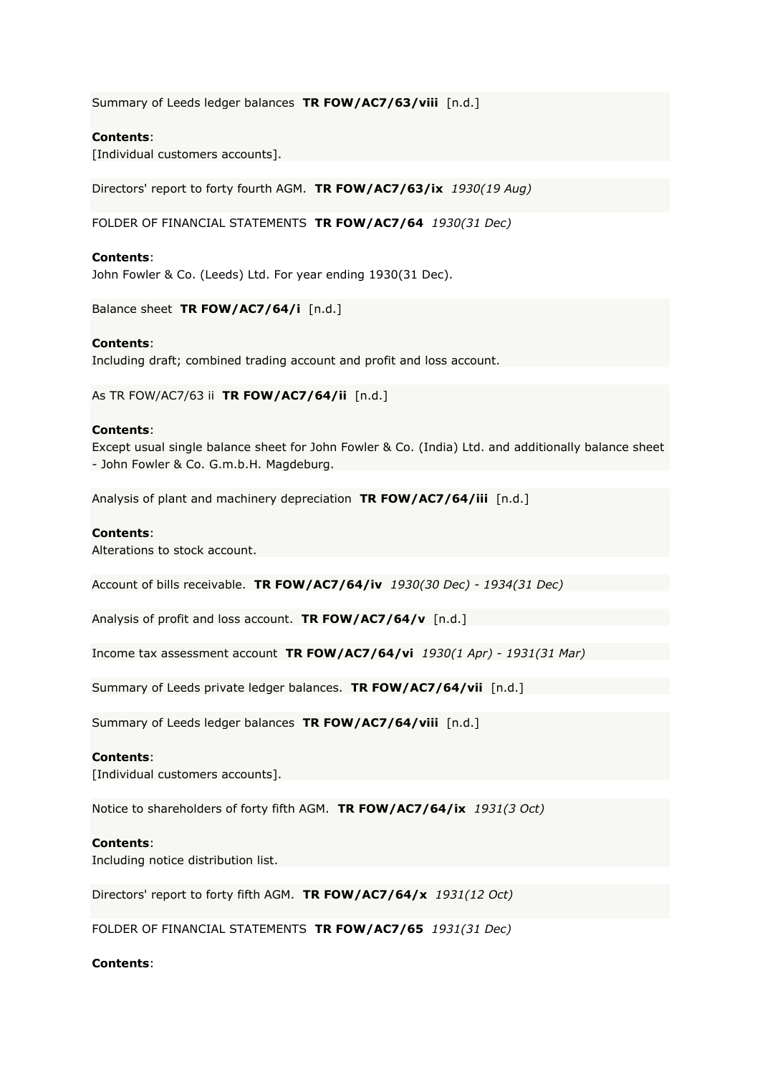Summary of Leeds ledger balances **TR FOW/AC7/63/viii** [n.d.]

# **Contents**:

[Individual customers accounts].

Directors' report to forty fourth AGM. **TR FOW/AC7/63/ix** *1930(19 Aug)*

FOLDER OF FINANCIAL STATEMENTS **TR FOW/AC7/64** *1930(31 Dec)*

### **Contents**:

John Fowler & Co. (Leeds) Ltd. For year ending 1930(31 Dec).

Balance sheet **TR FOW/AC7/64/i** [n.d.]

### **Contents**:

Including draft; combined trading account and profit and loss account.

As TR FOW/AC7/63 ii **TR FOW/AC7/64/ii** [n.d.]

### **Contents**:

Except usual single balance sheet for John Fowler & Co. (India) Ltd. and additionally balance sheet - John Fowler & Co. G.m.b.H. Magdeburg.

Analysis of plant and machinery depreciation **TR FOW/AC7/64/iii** [n.d.]

### **Contents**:

Alterations to stock account.

Account of bills receivable. **TR FOW/AC7/64/iv** *1930(30 Dec) - 1934(31 Dec)*

Analysis of profit and loss account. **TR FOW/AC7/64/v** [n.d.]

Income tax assessment account **TR FOW/AC7/64/vi** *1930(1 Apr) - 1931(31 Mar)*

Summary of Leeds private ledger balances. **TR FOW/AC7/64/vii** [n.d.]

Summary of Leeds ledger balances **TR FOW/AC7/64/viii** [n.d.]

### **Contents**:

[Individual customers accounts].

Notice to shareholders of forty fifth AGM. **TR FOW/AC7/64/ix** *1931(3 Oct)*

### **Contents**:

Including notice distribution list.

Directors' report to forty fifth AGM. **TR FOW/AC7/64/x** *1931(12 Oct)*

FOLDER OF FINANCIAL STATEMENTS **TR FOW/AC7/65** *1931(31 Dec)*

# **Contents**: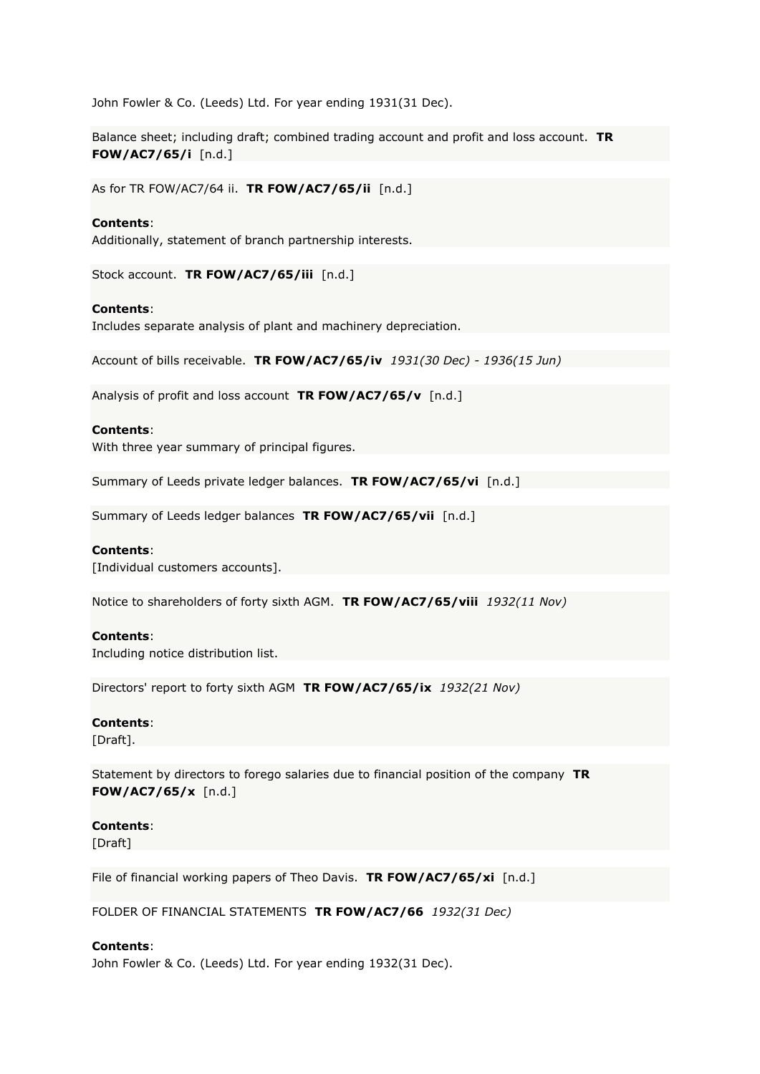John Fowler & Co. (Leeds) Ltd. For year ending 1931(31 Dec).

Balance sheet; including draft; combined trading account and profit and loss account. **TR FOW/AC7/65/i** [n.d.]

As for TR FOW/AC7/64 ii. **TR FOW/AC7/65/ii** [n.d.]

### **Contents**:

Additionally, statement of branch partnership interests.

Stock account. **TR FOW/AC7/65/iii** [n.d.]

### **Contents**:

Includes separate analysis of plant and machinery depreciation.

Account of bills receivable. **TR FOW/AC7/65/iv** *1931(30 Dec) - 1936(15 Jun)*

Analysis of profit and loss account **TR FOW/AC7/65/v** [n.d.]

### **Contents**:

With three year summary of principal figures.

Summary of Leeds private ledger balances. **TR FOW/AC7/65/vi** [n.d.]

Summary of Leeds ledger balances **TR FOW/AC7/65/vii** [n.d.]

### **Contents**:

[Individual customers accounts].

Notice to shareholders of forty sixth AGM. **TR FOW/AC7/65/viii** *1932(11 Nov)*

#### **Contents**:

Including notice distribution list.

Directors' report to forty sixth AGM **TR FOW/AC7/65/ix** *1932(21 Nov)*

#### **Contents**:

[Draft].

Statement by directors to forego salaries due to financial position of the company **TR FOW/AC7/65/x** [n.d.]

### **Contents**:

[Draft]

File of financial working papers of Theo Davis. **TR FOW/AC7/65/xi** [n.d.]

FOLDER OF FINANCIAL STATEMENTS **TR FOW/AC7/66** *1932(31 Dec)*

### **Contents**:

John Fowler & Co. (Leeds) Ltd. For year ending 1932(31 Dec).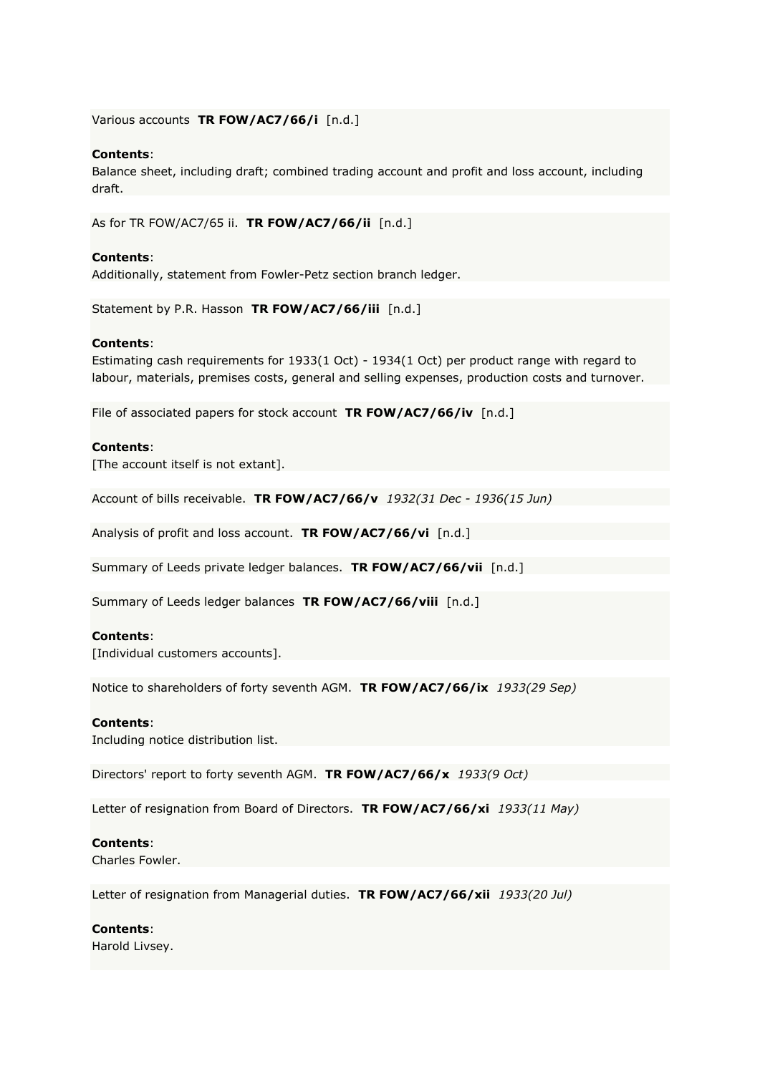Various accounts **TR FOW/AC7/66/i** [n.d.]

### **Contents**:

Balance sheet, including draft; combined trading account and profit and loss account, including draft.

As for TR FOW/AC7/65 ii. **TR FOW/AC7/66/ii** [n.d.]

### **Contents**:

Additionally, statement from Fowler-Petz section branch ledger.

Statement by P.R. Hasson **TR FOW/AC7/66/iii** [n.d.]

#### **Contents**:

Estimating cash requirements for 1933(1 Oct) - 1934(1 Oct) per product range with regard to labour, materials, premises costs, general and selling expenses, production costs and turnover.

File of associated papers for stock account **TR FOW/AC7/66/iv** [n.d.]

#### **Contents**:

[The account itself is not extant].

Account of bills receivable. **TR FOW/AC7/66/v** *1932(31 Dec - 1936(15 Jun)*

Analysis of profit and loss account. **TR FOW/AC7/66/vi** [n.d.]

Summary of Leeds private ledger balances. **TR FOW/AC7/66/vii** [n.d.]

Summary of Leeds ledger balances **TR FOW/AC7/66/viii** [n.d.]

### **Contents**:

[Individual customers accounts].

Notice to shareholders of forty seventh AGM. **TR FOW/AC7/66/ix** *1933(29 Sep)*

#### **Contents**:

Including notice distribution list.

Directors' report to forty seventh AGM. **TR FOW/AC7/66/x** *1933(9 Oct)*

Letter of resignation from Board of Directors. **TR FOW/AC7/66/xi** *1933(11 May)*

#### **Contents**:

Charles Fowler.

Letter of resignation from Managerial duties. **TR FOW/AC7/66/xii** *1933(20 Jul)*

#### **Contents**:

Harold Livsey.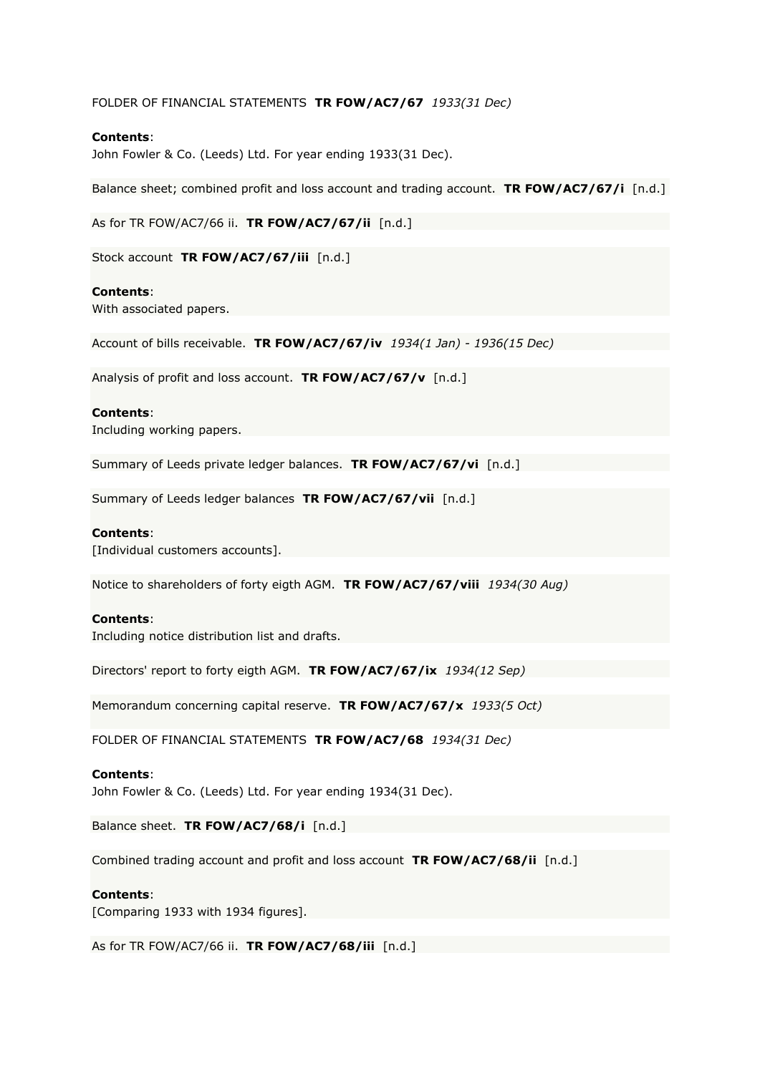### FOLDER OF FINANCIAL STATEMENTS **TR FOW/AC7/67** *1933(31 Dec)*

# **Contents**:

John Fowler & Co. (Leeds) Ltd. For year ending 1933(31 Dec).

Balance sheet; combined profit and loss account and trading account. **TR FOW/AC7/67/i** [n.d.]

As for TR FOW/AC7/66 ii. **TR FOW/AC7/67/ii** [n.d.]

Stock account **TR FOW/AC7/67/iii** [n.d.]

#### **Contents**:

With associated papers.

Account of bills receivable. **TR FOW/AC7/67/iv** *1934(1 Jan) - 1936(15 Dec)*

Analysis of profit and loss account. **TR FOW/AC7/67/v** [n.d.]

#### **Contents**:

Including working papers.

Summary of Leeds private ledger balances. **TR FOW/AC7/67/vi** [n.d.]

Summary of Leeds ledger balances **TR FOW/AC7/67/vii** [n.d.]

#### **Contents**:

[Individual customers accounts].

Notice to shareholders of forty eigth AGM. **TR FOW/AC7/67/viii** *1934(30 Aug)*

#### **Contents**:

Including notice distribution list and drafts.

Directors' report to forty eigth AGM. **TR FOW/AC7/67/ix** *1934(12 Sep)*

Memorandum concerning capital reserve. **TR FOW/AC7/67/x** *1933(5 Oct)*

FOLDER OF FINANCIAL STATEMENTS **TR FOW/AC7/68** *1934(31 Dec)*

#### **Contents**:

John Fowler & Co. (Leeds) Ltd. For year ending 1934(31 Dec).

Balance sheet. **TR FOW/AC7/68/i** [n.d.]

Combined trading account and profit and loss account **TR FOW/AC7/68/ii** [n.d.]

#### **Contents**:

[Comparing 1933 with 1934 figures].

As for TR FOW/AC7/66 ii. **TR FOW/AC7/68/iii** [n.d.]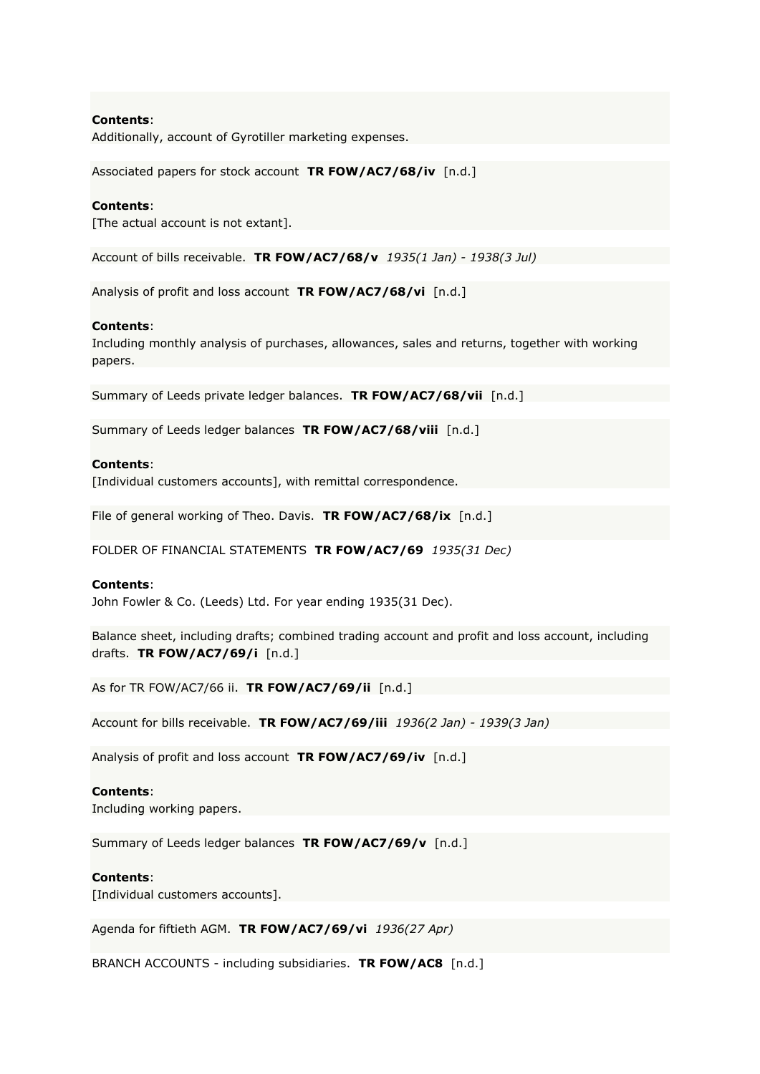Additionally, account of Gyrotiller marketing expenses.

Associated papers for stock account **TR FOW/AC7/68/iv** [n.d.]

#### **Contents**:

[The actual account is not extant].

Account of bills receivable. **TR FOW/AC7/68/v** *1935(1 Jan) - 1938(3 Jul)*

Analysis of profit and loss account **TR FOW/AC7/68/vi** [n.d.]

#### **Contents**:

Including monthly analysis of purchases, allowances, sales and returns, together with working papers.

Summary of Leeds private ledger balances. **TR FOW/AC7/68/vii** [n.d.]

Summary of Leeds ledger balances **TR FOW/AC7/68/viii** [n.d.]

#### **Contents**:

[Individual customers accounts], with remittal correspondence.

File of general working of Theo. Davis. **TR FOW/AC7/68/ix** [n.d.]

FOLDER OF FINANCIAL STATEMENTS **TR FOW/AC7/69** *1935(31 Dec)*

#### **Contents**:

John Fowler & Co. (Leeds) Ltd. For year ending 1935(31 Dec).

Balance sheet, including drafts; combined trading account and profit and loss account, including drafts. **TR FOW/AC7/69/i** [n.d.]

As for TR FOW/AC7/66 ii. **TR FOW/AC7/69/ii** [n.d.]

Account for bills receivable. **TR FOW/AC7/69/iii** *1936(2 Jan) - 1939(3 Jan)*

Analysis of profit and loss account **TR FOW/AC7/69/iv** [n.d.]

#### **Contents**:

Including working papers.

Summary of Leeds ledger balances **TR FOW/AC7/69/v** [n.d.]

#### **Contents**:

[Individual customers accounts].

Agenda for fiftieth AGM. **TR FOW/AC7/69/vi** *1936(27 Apr)*

BRANCH ACCOUNTS - including subsidiaries. **TR FOW/AC8** [n.d.]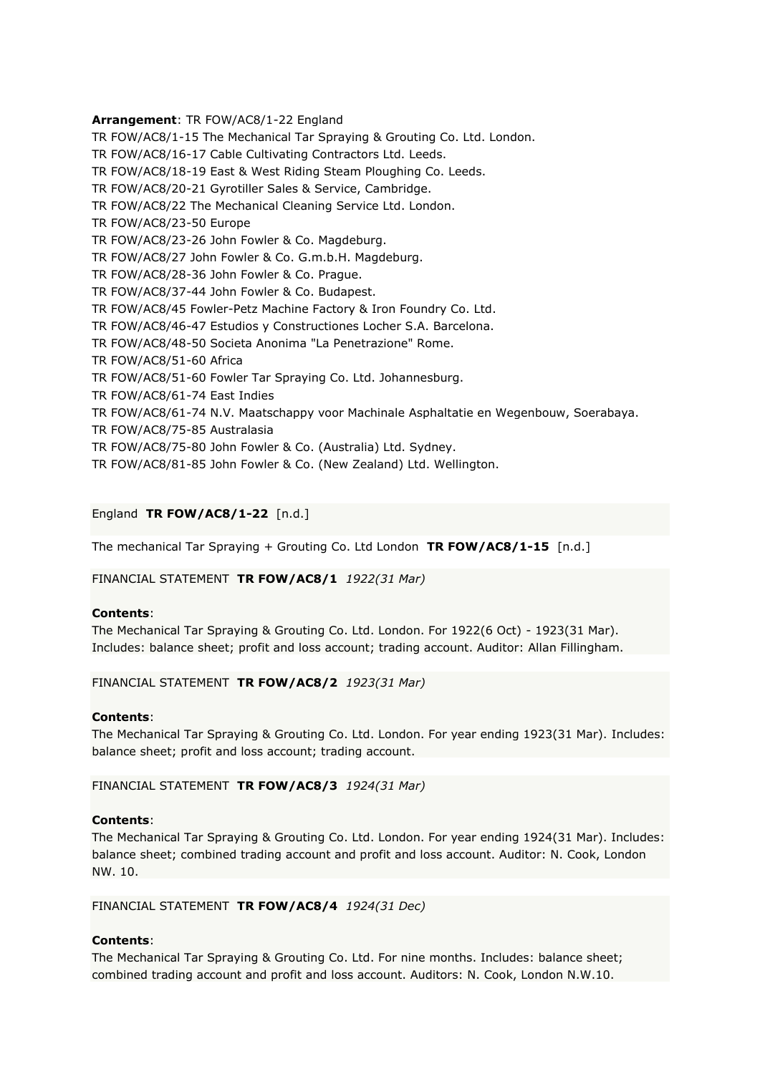**Arrangement**: TR FOW/AC8/1-22 England TR FOW/AC8/1-15 The Mechanical Tar Spraying & Grouting Co. Ltd. London. TR FOW/AC8/16-17 Cable Cultivating Contractors Ltd. Leeds. TR FOW/AC8/18-19 East & West Riding Steam Ploughing Co. Leeds. TR FOW/AC8/20-21 Gyrotiller Sales & Service, Cambridge. TR FOW/AC8/22 The Mechanical Cleaning Service Ltd. London. TR FOW/AC8/23-50 Europe TR FOW/AC8/23-26 John Fowler & Co. Magdeburg. TR FOW/AC8/27 John Fowler & Co. G.m.b.H. Magdeburg. TR FOW/AC8/28-36 John Fowler & Co. Prague. TR FOW/AC8/37-44 John Fowler & Co. Budapest. TR FOW/AC8/45 Fowler-Petz Machine Factory & Iron Foundry Co. Ltd. TR FOW/AC8/46-47 Estudios y Constructiones Locher S.A. Barcelona. TR FOW/AC8/48-50 Societa Anonima "La Penetrazione" Rome. TR FOW/AC8/51-60 Africa TR FOW/AC8/51-60 Fowler Tar Spraying Co. Ltd. Johannesburg. TR FOW/AC8/61-74 East Indies TR FOW/AC8/61-74 N.V. Maatschappy voor Machinale Asphaltatie en Wegenbouw, Soerabaya. TR FOW/AC8/75-85 Australasia TR FOW/AC8/75-80 John Fowler & Co. (Australia) Ltd. Sydney. TR FOW/AC8/81-85 John Fowler & Co. (New Zealand) Ltd. Wellington.

# England **TR FOW/AC8/1-22** [n.d.]

The mechanical Tar Spraying + Grouting Co. Ltd London **TR FOW/AC8/1-15** [n.d.]

FINANCIAL STATEMENT **TR FOW/AC8/1** *1922(31 Mar)*

### **Contents**:

The Mechanical Tar Spraying & Grouting Co. Ltd. London. For 1922(6 Oct) - 1923(31 Mar). Includes: balance sheet; profit and loss account; trading account. Auditor: Allan Fillingham.

#### FINANCIAL STATEMENT **TR FOW/AC8/2** *1923(31 Mar)*

#### **Contents**:

The Mechanical Tar Spraying & Grouting Co. Ltd. London. For year ending 1923(31 Mar). Includes: balance sheet; profit and loss account; trading account.

FINANCIAL STATEMENT **TR FOW/AC8/3** *1924(31 Mar)*

#### **Contents**:

The Mechanical Tar Spraying & Grouting Co. Ltd. London. For year ending 1924(31 Mar). Includes: balance sheet; combined trading account and profit and loss account. Auditor: N. Cook, London NW. 10.

#### FINANCIAL STATEMENT **TR FOW/AC8/4** *1924(31 Dec)*

#### **Contents**:

The Mechanical Tar Spraying & Grouting Co. Ltd. For nine months. Includes: balance sheet; combined trading account and profit and loss account. Auditors: N. Cook, London N.W.10.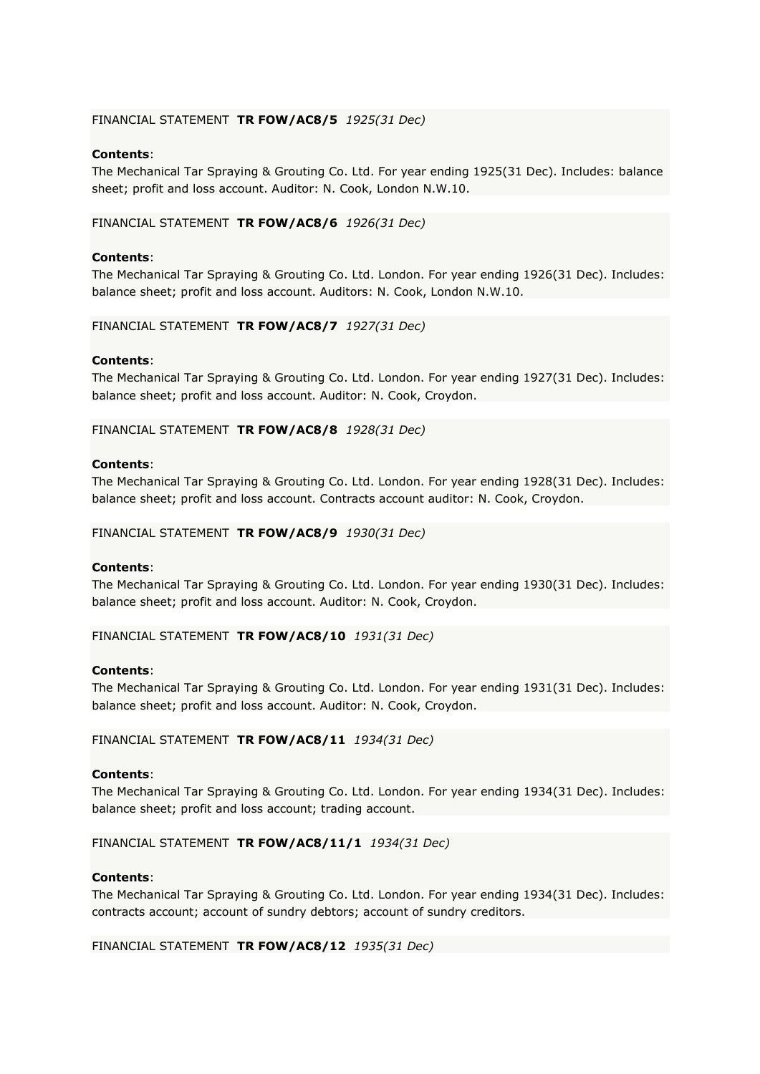### FINANCIAL STATEMENT **TR FOW/AC8/5** *1925(31 Dec)*

# **Contents**:

The Mechanical Tar Spraying & Grouting Co. Ltd. For year ending 1925(31 Dec). Includes: balance sheet; profit and loss account. Auditor: N. Cook, London N.W.10.

### FINANCIAL STATEMENT **TR FOW/AC8/6** *1926(31 Dec)*

### **Contents**:

The Mechanical Tar Spraying & Grouting Co. Ltd. London. For year ending 1926(31 Dec). Includes: balance sheet; profit and loss account. Auditors: N. Cook, London N.W.10.

#### FINANCIAL STATEMENT **TR FOW/AC8/7** *1927(31 Dec)*

#### **Contents**:

The Mechanical Tar Spraying & Grouting Co. Ltd. London. For year ending 1927(31 Dec). Includes: balance sheet; profit and loss account. Auditor: N. Cook, Croydon.

# FINANCIAL STATEMENT **TR FOW/AC8/8** *1928(31 Dec)*

#### **Contents**:

The Mechanical Tar Spraying & Grouting Co. Ltd. London. For year ending 1928(31 Dec). Includes: balance sheet; profit and loss account. Contracts account auditor: N. Cook, Croydon.

#### FINANCIAL STATEMENT **TR FOW/AC8/9** *1930(31 Dec)*

#### **Contents**:

The Mechanical Tar Spraying & Grouting Co. Ltd. London. For year ending 1930(31 Dec). Includes: balance sheet; profit and loss account. Auditor: N. Cook, Croydon.

#### FINANCIAL STATEMENT **TR FOW/AC8/10** *1931(31 Dec)*

#### **Contents**:

The Mechanical Tar Spraying & Grouting Co. Ltd. London. For year ending 1931(31 Dec). Includes: balance sheet; profit and loss account. Auditor: N. Cook, Croydon.

#### FINANCIAL STATEMENT **TR FOW/AC8/11** *1934(31 Dec)*

#### **Contents**:

The Mechanical Tar Spraying & Grouting Co. Ltd. London. For year ending 1934(31 Dec). Includes: balance sheet; profit and loss account; trading account.

#### FINANCIAL STATEMENT **TR FOW/AC8/11/1** *1934(31 Dec)*

#### **Contents**:

The Mechanical Tar Spraying & Grouting Co. Ltd. London. For year ending 1934(31 Dec). Includes: contracts account; account of sundry debtors; account of sundry creditors.

### FINANCIAL STATEMENT **TR FOW/AC8/12** *1935(31 Dec)*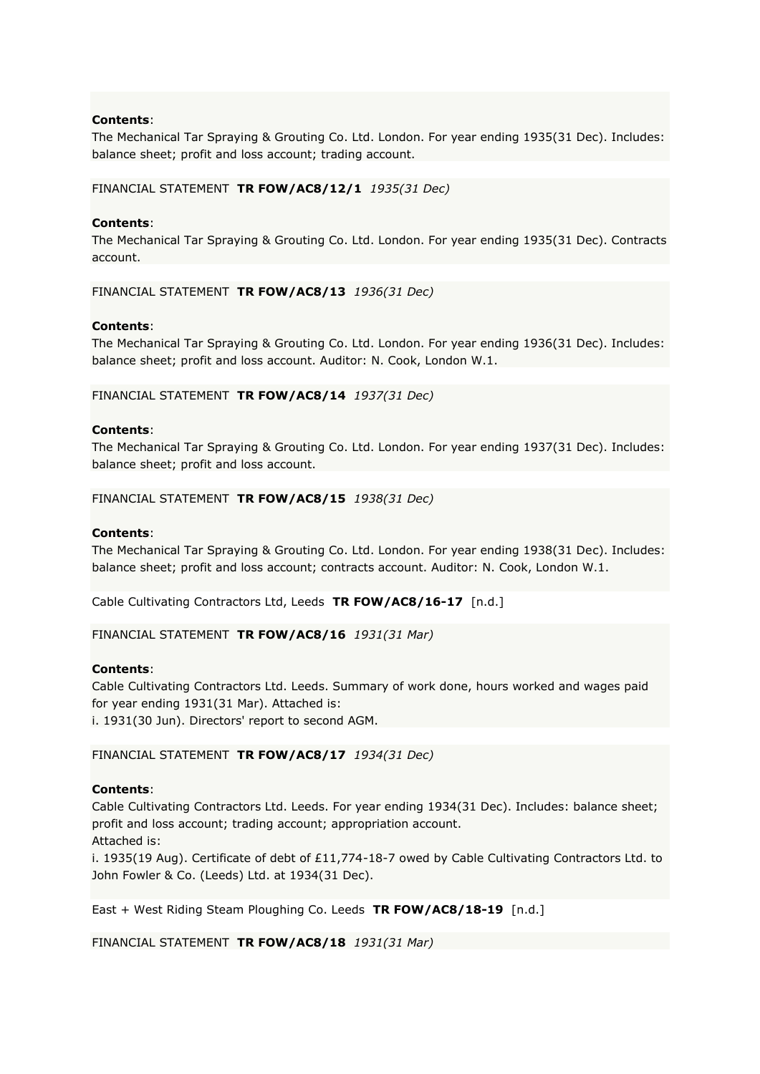The Mechanical Tar Spraying & Grouting Co. Ltd. London. For year ending 1935(31 Dec). Includes: balance sheet; profit and loss account; trading account.

### FINANCIAL STATEMENT **TR FOW/AC8/12/1** *1935(31 Dec)*

### **Contents**:

The Mechanical Tar Spraying & Grouting Co. Ltd. London. For year ending 1935(31 Dec). Contracts account.

FINANCIAL STATEMENT **TR FOW/AC8/13** *1936(31 Dec)*

### **Contents**:

The Mechanical Tar Spraying & Grouting Co. Ltd. London. For year ending 1936(31 Dec). Includes: balance sheet; profit and loss account. Auditor: N. Cook, London W.1.

FINANCIAL STATEMENT **TR FOW/AC8/14** *1937(31 Dec)*

#### **Contents**:

The Mechanical Tar Spraying & Grouting Co. Ltd. London. For year ending 1937(31 Dec). Includes: balance sheet; profit and loss account.

#### FINANCIAL STATEMENT **TR FOW/AC8/15** *1938(31 Dec)*

#### **Contents**:

The Mechanical Tar Spraying & Grouting Co. Ltd. London. For year ending 1938(31 Dec). Includes: balance sheet; profit and loss account; contracts account. Auditor: N. Cook, London W.1.

Cable Cultivating Contractors Ltd, Leeds **TR FOW/AC8/16-17** [n.d.]

FINANCIAL STATEMENT **TR FOW/AC8/16** *1931(31 Mar)*

### **Contents**:

Cable Cultivating Contractors Ltd. Leeds. Summary of work done, hours worked and wages paid for year ending 1931(31 Mar). Attached is: i. 1931(30 Jun). Directors' report to second AGM.

FINANCIAL STATEMENT **TR FOW/AC8/17** *1934(31 Dec)*

### **Contents**:

Cable Cultivating Contractors Ltd. Leeds. For year ending 1934(31 Dec). Includes: balance sheet; profit and loss account; trading account; appropriation account.

Attached is:

i. 1935(19 Aug). Certificate of debt of £11,774-18-7 owed by Cable Cultivating Contractors Ltd. to John Fowler & Co. (Leeds) Ltd. at 1934(31 Dec).

East + West Riding Steam Ploughing Co. Leeds **TR FOW/AC8/18-19** [n.d.]

FINANCIAL STATEMENT **TR FOW/AC8/18** *1931(31 Mar)*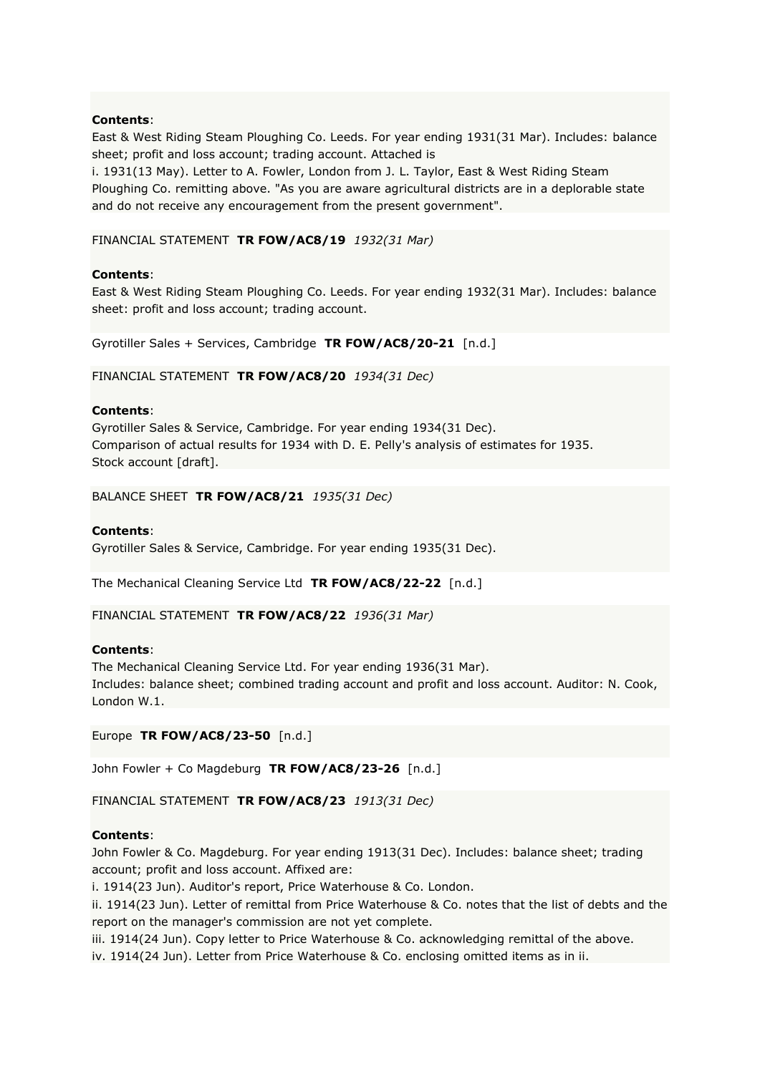East & West Riding Steam Ploughing Co. Leeds. For year ending 1931(31 Mar). Includes: balance sheet; profit and loss account; trading account. Attached is

i. 1931(13 May). Letter to A. Fowler, London from J. L. Taylor, East & West Riding Steam Ploughing Co. remitting above. "As you are aware agricultural districts are in a deplorable state and do not receive any encouragement from the present government".

### FINANCIAL STATEMENT **TR FOW/AC8/19** *1932(31 Mar)*

#### **Contents**:

East & West Riding Steam Ploughing Co. Leeds. For year ending 1932(31 Mar). Includes: balance sheet: profit and loss account; trading account.

Gyrotiller Sales + Services, Cambridge **TR FOW/AC8/20-21** [n.d.]

FINANCIAL STATEMENT **TR FOW/AC8/20** *1934(31 Dec)*

#### **Contents**:

Gyrotiller Sales & Service, Cambridge. For year ending 1934(31 Dec). Comparison of actual results for 1934 with D. E. Pelly's analysis of estimates for 1935. Stock account [draft].

BALANCE SHEET **TR FOW/AC8/21** *1935(31 Dec)*

#### **Contents**:

Gyrotiller Sales & Service, Cambridge. For year ending 1935(31 Dec).

The Mechanical Cleaning Service Ltd **TR FOW/AC8/22-22** [n.d.]

FINANCIAL STATEMENT **TR FOW/AC8/22** *1936(31 Mar)*

### **Contents**:

The Mechanical Cleaning Service Ltd. For year ending 1936(31 Mar). Includes: balance sheet; combined trading account and profit and loss account. Auditor: N. Cook, London W.1.

Europe **TR FOW/AC8/23-50** [n.d.]

John Fowler + Co Magdeburg **TR FOW/AC8/23-26** [n.d.]

FINANCIAL STATEMENT **TR FOW/AC8/23** *1913(31 Dec)*

### **Contents**:

John Fowler & Co. Magdeburg. For year ending 1913(31 Dec). Includes: balance sheet; trading account; profit and loss account. Affixed are:

i. 1914(23 Jun). Auditor's report, Price Waterhouse & Co. London.

ii. 1914(23 Jun). Letter of remittal from Price Waterhouse & Co. notes that the list of debts and the report on the manager's commission are not yet complete.

iii. 1914(24 Jun). Copy letter to Price Waterhouse & Co. acknowledging remittal of the above. iv. 1914(24 Jun). Letter from Price Waterhouse & Co. enclosing omitted items as in ii.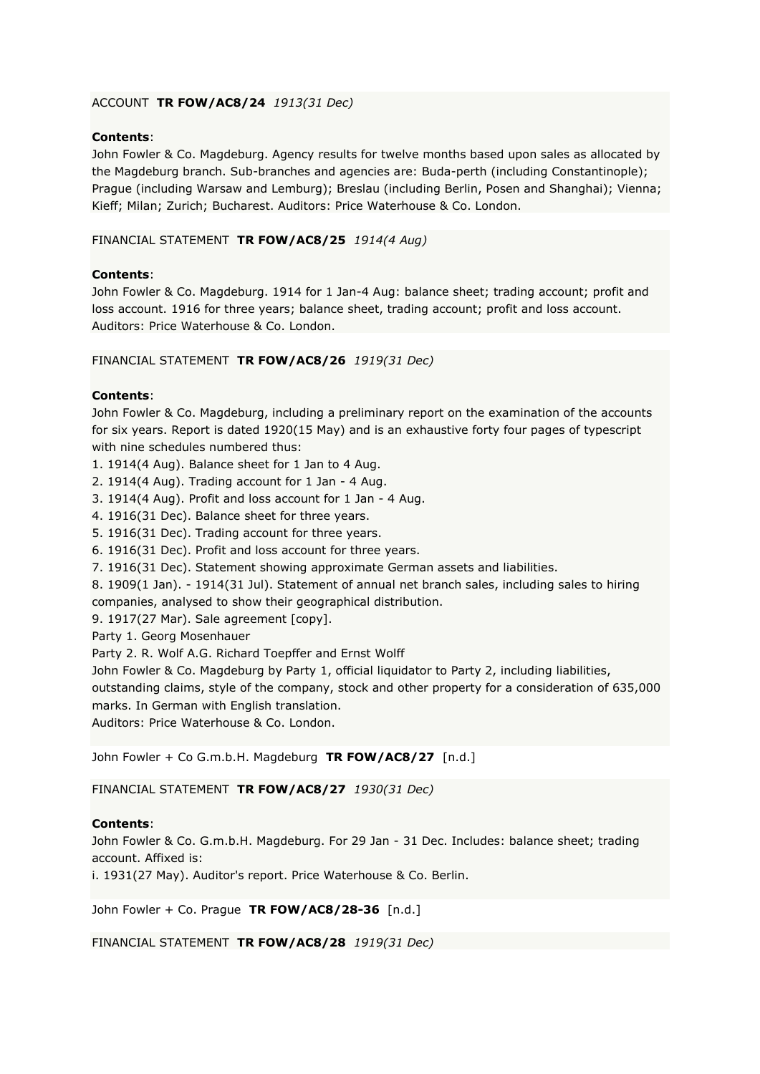# ACCOUNT **TR FOW/AC8/24** *1913(31 Dec)*

### **Contents**:

John Fowler & Co. Magdeburg. Agency results for twelve months based upon sales as allocated by the Magdeburg branch. Sub-branches and agencies are: Buda-perth (including Constantinople); Prague (including Warsaw and Lemburg); Breslau (including Berlin, Posen and Shanghai); Vienna; Kieff; Milan; Zurich; Bucharest. Auditors: Price Waterhouse & Co. London.

### FINANCIAL STATEMENT **TR FOW/AC8/25** *1914(4 Aug)*

# **Contents**:

John Fowler & Co. Magdeburg. 1914 for 1 Jan-4 Aug: balance sheet; trading account; profit and loss account. 1916 for three years; balance sheet, trading account; profit and loss account. Auditors: Price Waterhouse & Co. London.

### FINANCIAL STATEMENT **TR FOW/AC8/26** *1919(31 Dec)*

# **Contents**:

John Fowler & Co. Magdeburg, including a preliminary report on the examination of the accounts for six years. Report is dated 1920(15 May) and is an exhaustive forty four pages of typescript with nine schedules numbered thus:

1. 1914(4 Aug). Balance sheet for 1 Jan to 4 Aug.

- 2. 1914(4 Aug). Trading account for 1 Jan 4 Aug.
- 3. 1914(4 Aug). Profit and loss account for 1 Jan 4 Aug.
- 4. 1916(31 Dec). Balance sheet for three years.
- 5. 1916(31 Dec). Trading account for three years.
- 6. 1916(31 Dec). Profit and loss account for three years.
- 7. 1916(31 Dec). Statement showing approximate German assets and liabilities.
- 8. 1909(1 Jan). 1914(31 Jul). Statement of annual net branch sales, including sales to hiring companies, analysed to show their geographical distribution.
- 9. 1917(27 Mar). Sale agreement [copy].

Party 1. Georg Mosenhauer

Party 2. R. Wolf A.G. Richard Toepffer and Ernst Wolff

John Fowler & Co. Magdeburg by Party 1, official liquidator to Party 2, including liabilities, outstanding claims, style of the company, stock and other property for a consideration of 635,000

marks. In German with English translation.

Auditors: Price Waterhouse & Co. London.

John Fowler + Co G.m.b.H. Magdeburg **TR FOW/AC8/27** [n.d.]

FINANCIAL STATEMENT **TR FOW/AC8/27** *1930(31 Dec)*

### **Contents**:

John Fowler & Co. G.m.b.H. Magdeburg. For 29 Jan - 31 Dec. Includes: balance sheet; trading account. Affixed is:

i. 1931(27 May). Auditor's report. Price Waterhouse & Co. Berlin.

John Fowler + Co. Prague **TR FOW/AC8/28-36** [n.d.]

FINANCIAL STATEMENT **TR FOW/AC8/28** *1919(31 Dec)*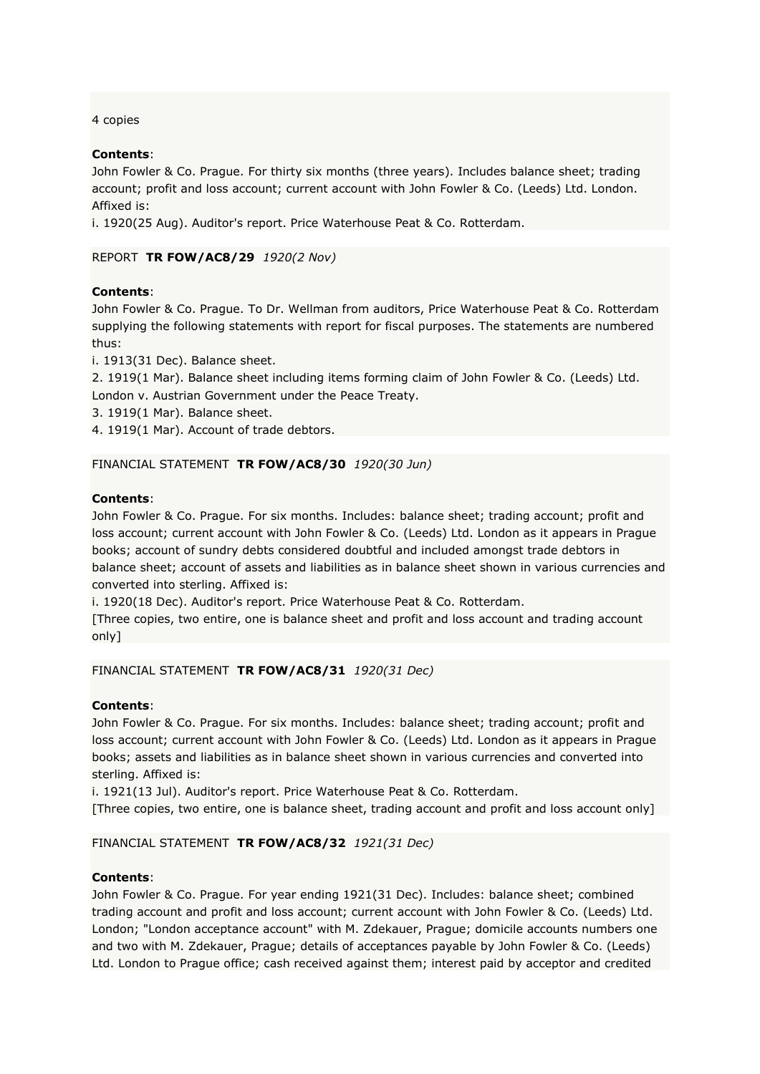4 copies

# **Contents**:

John Fowler & Co. Prague. For thirty six months (three years). Includes balance sheet; trading account; profit and loss account; current account with John Fowler & Co. (Leeds) Ltd. London. Affixed is:

i. 1920(25 Aug). Auditor's report. Price Waterhouse Peat & Co. Rotterdam.

# REPORT **TR FOW/AC8/29** *1920(2 Nov)*

# **Contents**:

John Fowler & Co. Prague. To Dr. Wellman from auditors, Price Waterhouse Peat & Co. Rotterdam supplying the following statements with report for fiscal purposes. The statements are numbered thus:

i. 1913(31 Dec). Balance sheet.

2. 1919(1 Mar). Balance sheet including items forming claim of John Fowler & Co. (Leeds) Ltd. London v. Austrian Government under the Peace Treaty.

3. 1919(1 Mar). Balance sheet.

4. 1919(1 Mar). Account of trade debtors.

# FINANCIAL STATEMENT **TR FOW/AC8/30** *1920(30 Jun)*

### **Contents**:

John Fowler & Co. Prague. For six months. Includes: balance sheet; trading account; profit and loss account; current account with John Fowler & Co. (Leeds) Ltd. London as it appears in Prague books; account of sundry debts considered doubtful and included amongst trade debtors in balance sheet; account of assets and liabilities as in balance sheet shown in various currencies and converted into sterling. Affixed is:

i. 1920(18 Dec). Auditor's report. Price Waterhouse Peat & Co. Rotterdam.

[Three copies, two entire, one is balance sheet and profit and loss account and trading account only]

FINANCIAL STATEMENT **TR FOW/AC8/31** *1920(31 Dec)*

### **Contents**:

John Fowler & Co. Prague. For six months. Includes: balance sheet; trading account; profit and loss account; current account with John Fowler & Co. (Leeds) Ltd. London as it appears in Prague books; assets and liabilities as in balance sheet shown in various currencies and converted into sterling. Affixed is:

i. 1921(13 Jul). Auditor's report. Price Waterhouse Peat & Co. Rotterdam.

[Three copies, two entire, one is balance sheet, trading account and profit and loss account only]

### FINANCIAL STATEMENT **TR FOW/AC8/32** *1921(31 Dec)*

### **Contents**:

John Fowler & Co. Prague. For year ending 1921(31 Dec). Includes: balance sheet; combined trading account and profit and loss account; current account with John Fowler & Co. (Leeds) Ltd. London; "London acceptance account" with M. Zdekauer, Prague; domicile accounts numbers one and two with M. Zdekauer, Prague; details of acceptances payable by John Fowler & Co. (Leeds) Ltd. London to Prague office; cash received against them; interest paid by acceptor and credited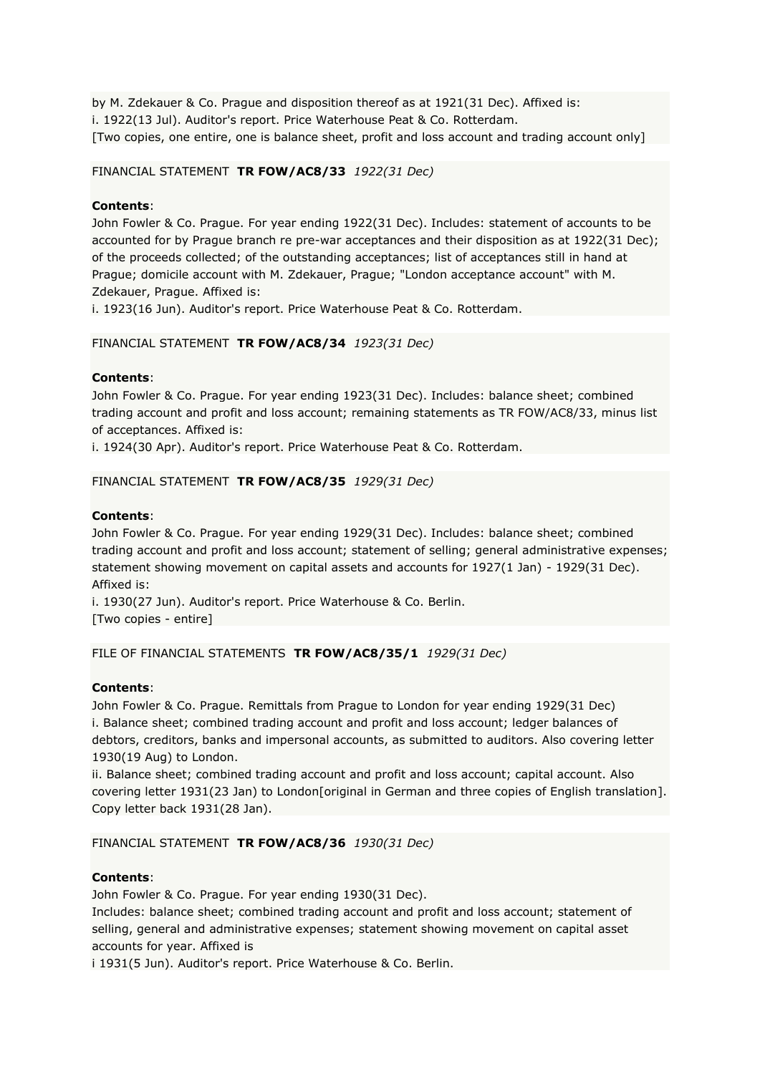by M. Zdekauer & Co. Prague and disposition thereof as at 1921(31 Dec). Affixed is: i. 1922(13 Jul). Auditor's report. Price Waterhouse Peat & Co. Rotterdam. [Two copies, one entire, one is balance sheet, profit and loss account and trading account only]

# FINANCIAL STATEMENT **TR FOW/AC8/33** *1922(31 Dec)*

# **Contents**:

John Fowler & Co. Prague. For year ending 1922(31 Dec). Includes: statement of accounts to be accounted for by Prague branch re pre-war acceptances and their disposition as at 1922(31 Dec); of the proceeds collected; of the outstanding acceptances; list of acceptances still in hand at Prague; domicile account with M. Zdekauer, Prague; "London acceptance account" with M. Zdekauer, Prague. Affixed is:

i. 1923(16 Jun). Auditor's report. Price Waterhouse Peat & Co. Rotterdam.

# FINANCIAL STATEMENT **TR FOW/AC8/34** *1923(31 Dec)*

# **Contents**:

John Fowler & Co. Prague. For year ending 1923(31 Dec). Includes: balance sheet; combined trading account and profit and loss account; remaining statements as TR FOW/AC8/33, minus list of acceptances. Affixed is:

i. 1924(30 Apr). Auditor's report. Price Waterhouse Peat & Co. Rotterdam.

# FINANCIAL STATEMENT **TR FOW/AC8/35** *1929(31 Dec)*

# **Contents**:

John Fowler & Co. Prague. For year ending 1929(31 Dec). Includes: balance sheet; combined trading account and profit and loss account; statement of selling; general administrative expenses; statement showing movement on capital assets and accounts for 1927(1 Jan) - 1929(31 Dec). Affixed is:

i. 1930(27 Jun). Auditor's report. Price Waterhouse & Co. Berlin. [Two copies - entire]

### FILE OF FINANCIAL STATEMENTS **TR FOW/AC8/35/1** *1929(31 Dec)*

### **Contents**:

John Fowler & Co. Prague. Remittals from Prague to London for year ending 1929(31 Dec) i. Balance sheet; combined trading account and profit and loss account; ledger balances of debtors, creditors, banks and impersonal accounts, as submitted to auditors. Also covering letter 1930(19 Aug) to London.

ii. Balance sheet; combined trading account and profit and loss account; capital account. Also covering letter 1931(23 Jan) to London[original in German and three copies of English translation]. Copy letter back 1931(28 Jan).

### FINANCIAL STATEMENT **TR FOW/AC8/36** *1930(31 Dec)*

### **Contents**:

John Fowler & Co. Prague. For year ending 1930(31 Dec).

Includes: balance sheet; combined trading account and profit and loss account; statement of selling, general and administrative expenses; statement showing movement on capital asset accounts for year. Affixed is

i 1931(5 Jun). Auditor's report. Price Waterhouse & Co. Berlin.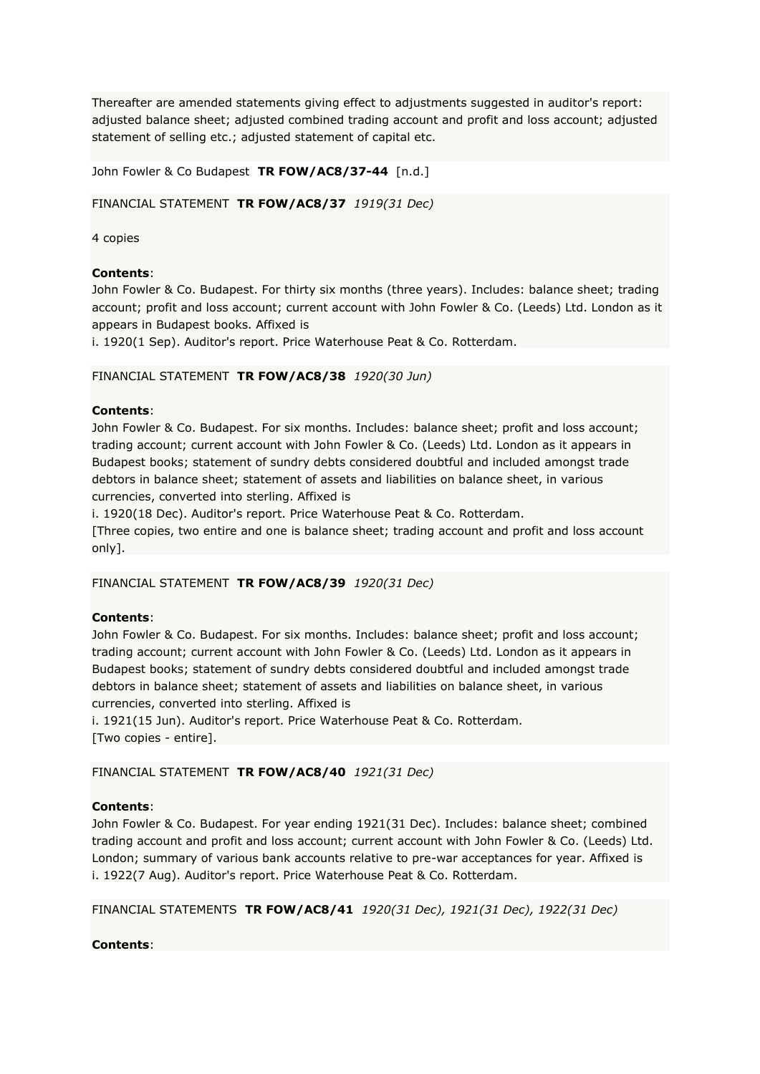Thereafter are amended statements giving effect to adjustments suggested in auditor's report: adjusted balance sheet; adjusted combined trading account and profit and loss account; adjusted statement of selling etc.; adjusted statement of capital etc.

John Fowler & Co Budapest **TR FOW/AC8/37-44** [n.d.]

FINANCIAL STATEMENT **TR FOW/AC8/37** *1919(31 Dec)*

4 copies

# **Contents**:

John Fowler & Co. Budapest. For thirty six months (three years). Includes: balance sheet; trading account; profit and loss account; current account with John Fowler & Co. (Leeds) Ltd. London as it appears in Budapest books. Affixed is

i. 1920(1 Sep). Auditor's report. Price Waterhouse Peat & Co. Rotterdam.

# FINANCIAL STATEMENT **TR FOW/AC8/38** *1920(30 Jun)*

# **Contents**:

John Fowler & Co. Budapest. For six months. Includes: balance sheet; profit and loss account; trading account; current account with John Fowler & Co. (Leeds) Ltd. London as it appears in Budapest books; statement of sundry debts considered doubtful and included amongst trade debtors in balance sheet; statement of assets and liabilities on balance sheet, in various currencies, converted into sterling. Affixed is

i. 1920(18 Dec). Auditor's report. Price Waterhouse Peat & Co. Rotterdam. [Three copies, two entire and one is balance sheet; trading account and profit and loss account only].

### FINANCIAL STATEMENT **TR FOW/AC8/39** *1920(31 Dec)*

# **Contents**:

John Fowler & Co. Budapest. For six months. Includes: balance sheet; profit and loss account; trading account; current account with John Fowler & Co. (Leeds) Ltd. London as it appears in Budapest books; statement of sundry debts considered doubtful and included amongst trade debtors in balance sheet; statement of assets and liabilities on balance sheet, in various currencies, converted into sterling. Affixed is

i. 1921(15 Jun). Auditor's report. Price Waterhouse Peat & Co. Rotterdam. [Two copies - entire].

# FINANCIAL STATEMENT **TR FOW/AC8/40** *1921(31 Dec)*

# **Contents**:

John Fowler & Co. Budapest. For year ending 1921(31 Dec). Includes: balance sheet; combined trading account and profit and loss account; current account with John Fowler & Co. (Leeds) Ltd. London; summary of various bank accounts relative to pre-war acceptances for year. Affixed is i. 1922(7 Aug). Auditor's report. Price Waterhouse Peat & Co. Rotterdam.

FINANCIAL STATEMENTS **TR FOW/AC8/41** *1920(31 Dec), 1921(31 Dec), 1922(31 Dec)*

# **Contents**: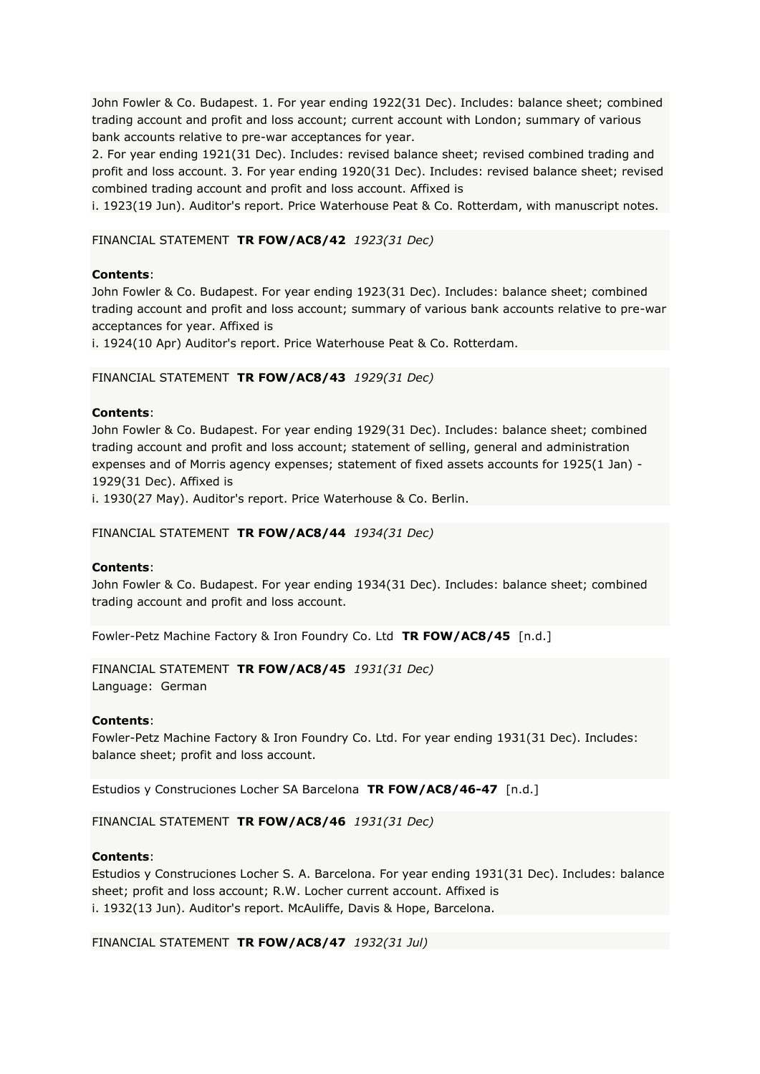John Fowler & Co. Budapest. 1. For year ending 1922(31 Dec). Includes: balance sheet; combined trading account and profit and loss account; current account with London; summary of various bank accounts relative to pre-war acceptances for year.

2. For year ending 1921(31 Dec). Includes: revised balance sheet; revised combined trading and profit and loss account. 3. For year ending 1920(31 Dec). Includes: revised balance sheet; revised combined trading account and profit and loss account. Affixed is

i. 1923(19 Jun). Auditor's report. Price Waterhouse Peat & Co. Rotterdam, with manuscript notes.

FINANCIAL STATEMENT **TR FOW/AC8/42** *1923(31 Dec)*

### **Contents**:

John Fowler & Co. Budapest. For year ending 1923(31 Dec). Includes: balance sheet; combined trading account and profit and loss account; summary of various bank accounts relative to pre-war acceptances for year. Affixed is

i. 1924(10 Apr) Auditor's report. Price Waterhouse Peat & Co. Rotterdam.

### FINANCIAL STATEMENT **TR FOW/AC8/43** *1929(31 Dec)*

### **Contents**:

John Fowler & Co. Budapest. For year ending 1929(31 Dec). Includes: balance sheet; combined trading account and profit and loss account; statement of selling, general and administration expenses and of Morris agency expenses; statement of fixed assets accounts for 1925(1 Jan) - 1929(31 Dec). Affixed is

i. 1930(27 May). Auditor's report. Price Waterhouse & Co. Berlin.

#### FINANCIAL STATEMENT **TR FOW/AC8/44** *1934(31 Dec)*

#### **Contents**:

John Fowler & Co. Budapest. For year ending 1934(31 Dec). Includes: balance sheet; combined trading account and profit and loss account.

Fowler-Petz Machine Factory & Iron Foundry Co. Ltd **TR FOW/AC8/45** [n.d.]

# FINANCIAL STATEMENT **TR FOW/AC8/45** *1931(31 Dec)*

Language: German

#### **Contents**:

Fowler-Petz Machine Factory & Iron Foundry Co. Ltd. For year ending 1931(31 Dec). Includes: balance sheet; profit and loss account.

Estudios y Construciones Locher SA Barcelona **TR FOW/AC8/46-47** [n.d.]

FINANCIAL STATEMENT **TR FOW/AC8/46** *1931(31 Dec)*

### **Contents**:

Estudios y Construciones Locher S. A. Barcelona. For year ending 1931(31 Dec). Includes: balance sheet; profit and loss account; R.W. Locher current account. Affixed is i. 1932(13 Jun). Auditor's report. McAuliffe, Davis & Hope, Barcelona.

#### FINANCIAL STATEMENT **TR FOW/AC8/47** *1932(31 Jul)*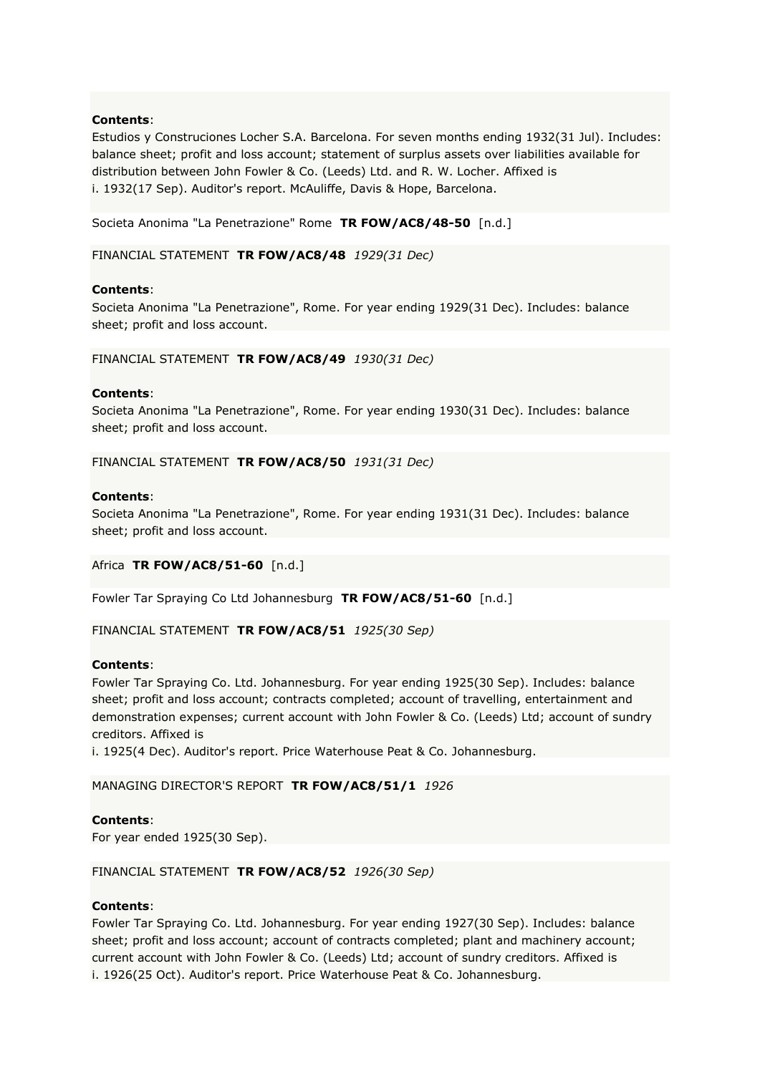Estudios y Construciones Locher S.A. Barcelona. For seven months ending 1932(31 Jul). Includes: balance sheet; profit and loss account; statement of surplus assets over liabilities available for distribution between John Fowler & Co. (Leeds) Ltd. and R. W. Locher. Affixed is i. 1932(17 Sep). Auditor's report. McAuliffe, Davis & Hope, Barcelona.

Societa Anonima "La Penetrazione" Rome **TR FOW/AC8/48-50** [n.d.]

FINANCIAL STATEMENT **TR FOW/AC8/48** *1929(31 Dec)*

### **Contents**:

Societa Anonima "La Penetrazione", Rome. For year ending 1929(31 Dec). Includes: balance sheet; profit and loss account.

#### FINANCIAL STATEMENT **TR FOW/AC8/49** *1930(31 Dec)*

### **Contents**:

Societa Anonima "La Penetrazione", Rome. For year ending 1930(31 Dec). Includes: balance sheet; profit and loss account.

FINANCIAL STATEMENT **TR FOW/AC8/50** *1931(31 Dec)*

#### **Contents**:

Societa Anonima "La Penetrazione", Rome. For year ending 1931(31 Dec). Includes: balance sheet; profit and loss account.

Africa **TR FOW/AC8/51-60** [n.d.]

Fowler Tar Spraying Co Ltd Johannesburg **TR FOW/AC8/51-60** [n.d.]

#### FINANCIAL STATEMENT **TR FOW/AC8/51** *1925(30 Sep)*

#### **Contents**:

Fowler Tar Spraying Co. Ltd. Johannesburg. For year ending 1925(30 Sep). Includes: balance sheet; profit and loss account; contracts completed; account of travelling, entertainment and demonstration expenses; current account with John Fowler & Co. (Leeds) Ltd; account of sundry creditors. Affixed is

i. 1925(4 Dec). Auditor's report. Price Waterhouse Peat & Co. Johannesburg.

MANAGING DIRECTOR'S REPORT **TR FOW/AC8/51/1** *1926*

### **Contents**:

For year ended 1925(30 Sep).

### FINANCIAL STATEMENT **TR FOW/AC8/52** *1926(30 Sep)*

### **Contents**:

Fowler Tar Spraying Co. Ltd. Johannesburg. For year ending 1927(30 Sep). Includes: balance sheet; profit and loss account; account of contracts completed; plant and machinery account; current account with John Fowler & Co. (Leeds) Ltd; account of sundry creditors. Affixed is i. 1926(25 Oct). Auditor's report. Price Waterhouse Peat & Co. Johannesburg.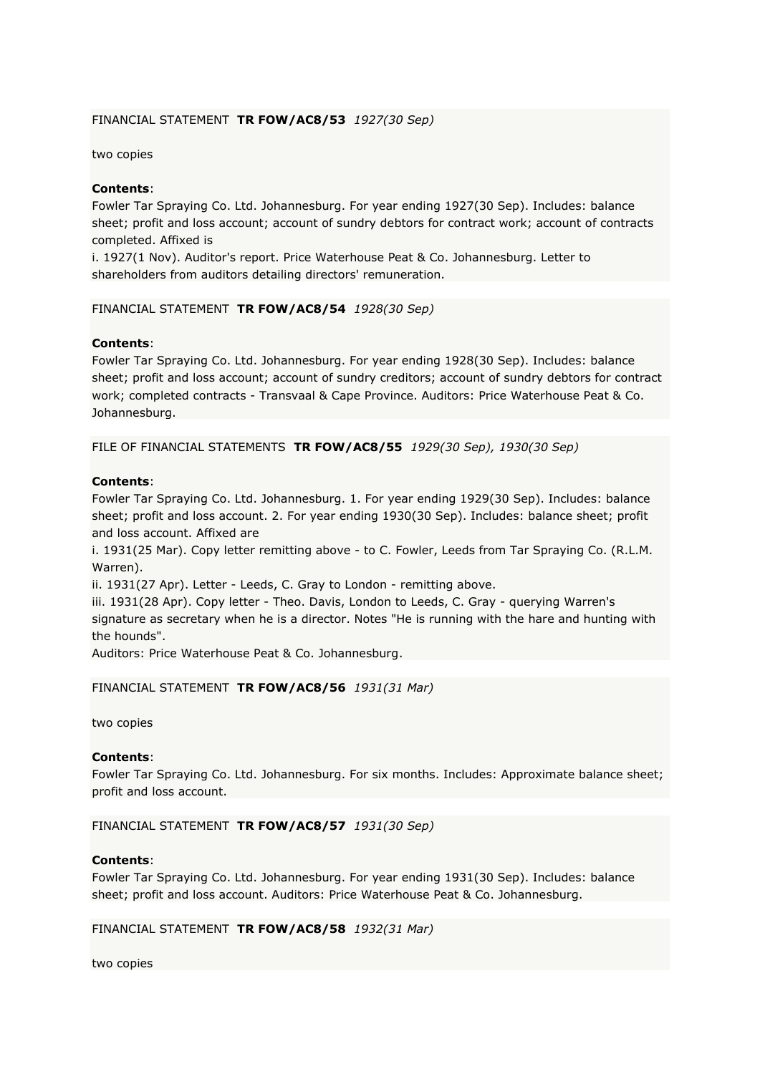### FINANCIAL STATEMENT **TR FOW/AC8/53** *1927(30 Sep)*

two copies

#### **Contents**:

Fowler Tar Spraying Co. Ltd. Johannesburg. For year ending 1927(30 Sep). Includes: balance sheet; profit and loss account; account of sundry debtors for contract work; account of contracts completed. Affixed is

i. 1927(1 Nov). Auditor's report. Price Waterhouse Peat & Co. Johannesburg. Letter to shareholders from auditors detailing directors' remuneration.

#### FINANCIAL STATEMENT **TR FOW/AC8/54** *1928(30 Sep)*

#### **Contents**:

Fowler Tar Spraying Co. Ltd. Johannesburg. For year ending 1928(30 Sep). Includes: balance sheet; profit and loss account; account of sundry creditors; account of sundry debtors for contract work; completed contracts - Transvaal & Cape Province. Auditors: Price Waterhouse Peat & Co. Johannesburg.

FILE OF FINANCIAL STATEMENTS **TR FOW/AC8/55** *1929(30 Sep), 1930(30 Sep)*

#### **Contents**:

Fowler Tar Spraying Co. Ltd. Johannesburg. 1. For year ending 1929(30 Sep). Includes: balance sheet; profit and loss account. 2. For year ending 1930(30 Sep). Includes: balance sheet; profit and loss account. Affixed are

i. 1931(25 Mar). Copy letter remitting above - to C. Fowler, Leeds from Tar Spraying Co. (R.L.M. Warren).

ii. 1931(27 Apr). Letter - Leeds, C. Gray to London - remitting above.

iii. 1931(28 Apr). Copy letter - Theo. Davis, London to Leeds, C. Gray - querying Warren's signature as secretary when he is a director. Notes "He is running with the hare and hunting with the hounds".

Auditors: Price Waterhouse Peat & Co. Johannesburg.

#### FINANCIAL STATEMENT **TR FOW/AC8/56** *1931(31 Mar)*

two copies

#### **Contents**:

Fowler Tar Spraying Co. Ltd. Johannesburg. For six months. Includes: Approximate balance sheet; profit and loss account.

FINANCIAL STATEMENT **TR FOW/AC8/57** *1931(30 Sep)*

#### **Contents**:

Fowler Tar Spraying Co. Ltd. Johannesburg. For year ending 1931(30 Sep). Includes: balance sheet; profit and loss account. Auditors: Price Waterhouse Peat & Co. Johannesburg.

#### FINANCIAL STATEMENT **TR FOW/AC8/58** *1932(31 Mar)*

two copies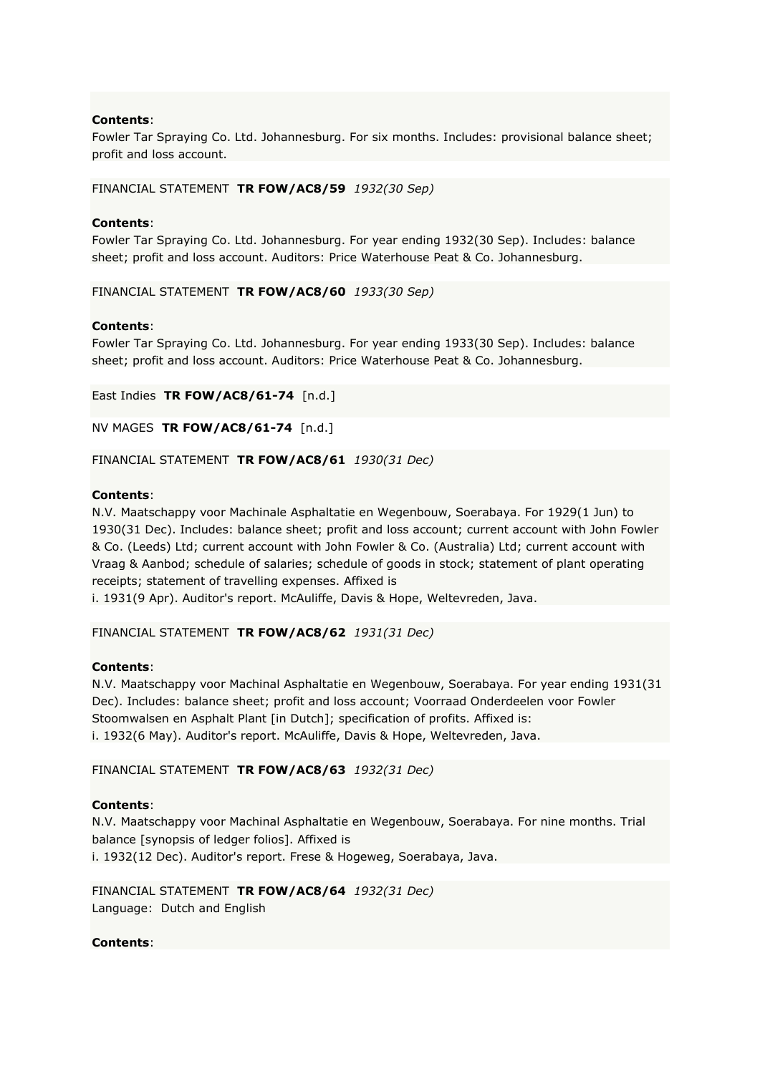Fowler Tar Spraying Co. Ltd. Johannesburg. For six months. Includes: provisional balance sheet; profit and loss account.

FINANCIAL STATEMENT **TR FOW/AC8/59** *1932(30 Sep)*

### **Contents**:

Fowler Tar Spraying Co. Ltd. Johannesburg. For year ending 1932(30 Sep). Includes: balance sheet; profit and loss account. Auditors: Price Waterhouse Peat & Co. Johannesburg.

FINANCIAL STATEMENT **TR FOW/AC8/60** *1933(30 Sep)*

### **Contents**:

Fowler Tar Spraying Co. Ltd. Johannesburg. For year ending 1933(30 Sep). Includes: balance sheet; profit and loss account. Auditors: Price Waterhouse Peat & Co. Johannesburg.

East Indies **TR FOW/AC8/61-74** [n.d.]

NV MAGES **TR FOW/AC8/61-74** [n.d.]

FINANCIAL STATEMENT **TR FOW/AC8/61** *1930(31 Dec)*

### **Contents**:

N.V. Maatschappy voor Machinale Asphaltatie en Wegenbouw, Soerabaya. For 1929(1 Jun) to 1930(31 Dec). Includes: balance sheet; profit and loss account; current account with John Fowler & Co. (Leeds) Ltd; current account with John Fowler & Co. (Australia) Ltd; current account with Vraag & Aanbod; schedule of salaries; schedule of goods in stock; statement of plant operating receipts; statement of travelling expenses. Affixed is

i. 1931(9 Apr). Auditor's report. McAuliffe, Davis & Hope, Weltevreden, Java.

FINANCIAL STATEMENT **TR FOW/AC8/62** *1931(31 Dec)*

### **Contents**:

N.V. Maatschappy voor Machinal Asphaltatie en Wegenbouw, Soerabaya. For year ending 1931(31 Dec). Includes: balance sheet; profit and loss account; Voorraad Onderdeelen voor Fowler Stoomwalsen en Asphalt Plant [in Dutch]; specification of profits. Affixed is: i. 1932(6 May). Auditor's report. McAuliffe, Davis & Hope, Weltevreden, Java.

FINANCIAL STATEMENT **TR FOW/AC8/63** *1932(31 Dec)*

### **Contents**:

N.V. Maatschappy voor Machinal Asphaltatie en Wegenbouw, Soerabaya. For nine months. Trial balance [synopsis of ledger folios]. Affixed is i. 1932(12 Dec). Auditor's report. Frese & Hogeweg, Soerabaya, Java.

FINANCIAL STATEMENT **TR FOW/AC8/64** *1932(31 Dec)* Language: Dutch and English

**Contents**: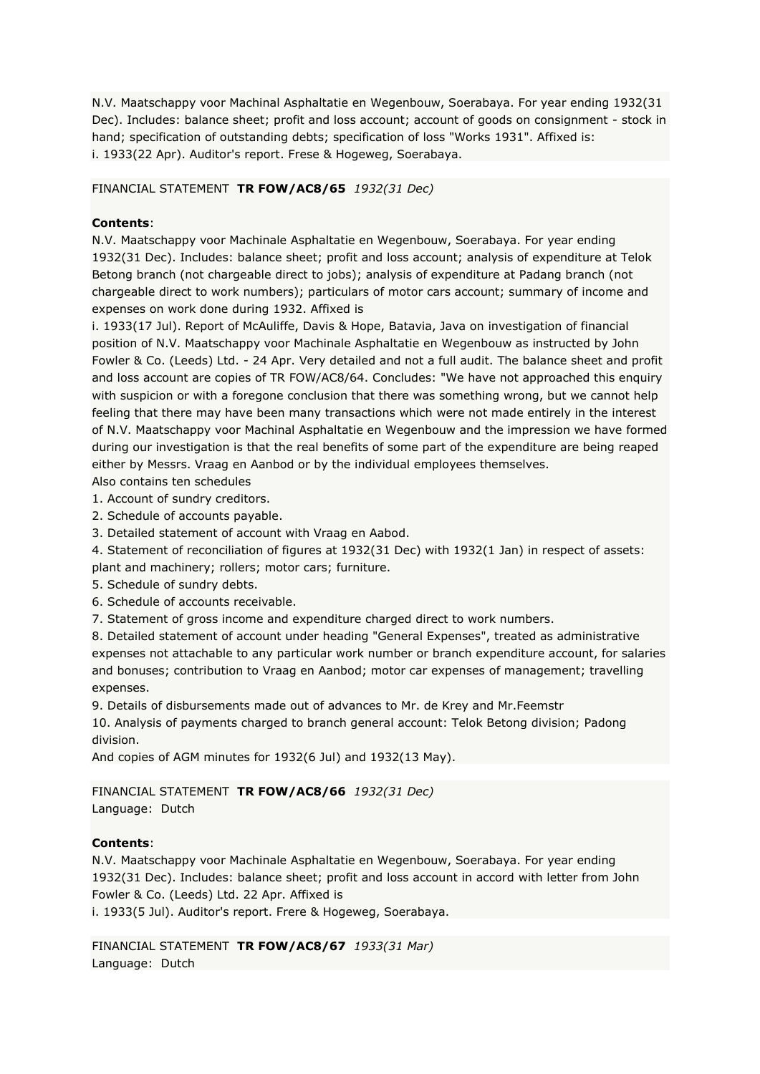N.V. Maatschappy voor Machinal Asphaltatie en Wegenbouw, Soerabaya. For year ending 1932(31 Dec). Includes: balance sheet; profit and loss account; account of goods on consignment - stock in hand; specification of outstanding debts; specification of loss "Works 1931". Affixed is: i. 1933(22 Apr). Auditor's report. Frese & Hogeweg, Soerabaya.

### FINANCIAL STATEMENT **TR FOW/AC8/65** *1932(31 Dec)*

# **Contents**:

N.V. Maatschappy voor Machinale Asphaltatie en Wegenbouw, Soerabaya. For year ending 1932(31 Dec). Includes: balance sheet; profit and loss account; analysis of expenditure at Telok Betong branch (not chargeable direct to jobs); analysis of expenditure at Padang branch (not chargeable direct to work numbers); particulars of motor cars account; summary of income and expenses on work done during 1932. Affixed is

i. 1933(17 Jul). Report of McAuliffe, Davis & Hope, Batavia, Java on investigation of financial position of N.V. Maatschappy voor Machinale Asphaltatie en Wegenbouw as instructed by John Fowler & Co. (Leeds) Ltd. - 24 Apr. Very detailed and not a full audit. The balance sheet and profit and loss account are copies of TR FOW/AC8/64. Concludes: "We have not approached this enquiry with suspicion or with a foregone conclusion that there was something wrong, but we cannot help feeling that there may have been many transactions which were not made entirely in the interest of N.V. Maatschappy voor Machinal Asphaltatie en Wegenbouw and the impression we have formed during our investigation is that the real benefits of some part of the expenditure are being reaped either by Messrs. Vraag en Aanbod or by the individual employees themselves.

Also contains ten schedules

1. Account of sundry creditors.

2. Schedule of accounts payable.

3. Detailed statement of account with Vraag en Aabod.

4. Statement of reconciliation of figures at 1932(31 Dec) with 1932(1 Jan) in respect of assets: plant and machinery; rollers; motor cars; furniture.

5. Schedule of sundry debts.

6. Schedule of accounts receivable.

7. Statement of gross income and expenditure charged direct to work numbers.

8. Detailed statement of account under heading "General Expenses", treated as administrative expenses not attachable to any particular work number or branch expenditure account, for salaries and bonuses; contribution to Vraag en Aanbod; motor car expenses of management; travelling expenses.

9. Details of disbursements made out of advances to Mr. de Krey and Mr.Feemstr

10. Analysis of payments charged to branch general account: Telok Betong division; Padong division.

And copies of AGM minutes for 1932(6 Jul) and 1932(13 May).

# FINANCIAL STATEMENT **TR FOW/AC8/66** *1932(31 Dec)*

Language: Dutch

### **Contents**:

N.V. Maatschappy voor Machinale Asphaltatie en Wegenbouw, Soerabaya. For year ending 1932(31 Dec). Includes: balance sheet; profit and loss account in accord with letter from John Fowler & Co. (Leeds) Ltd. 22 Apr. Affixed is i. 1933(5 Jul). Auditor's report. Frere & Hogeweg, Soerabaya.

FINANCIAL STATEMENT **TR FOW/AC8/67** *1933(31 Mar)* Language: Dutch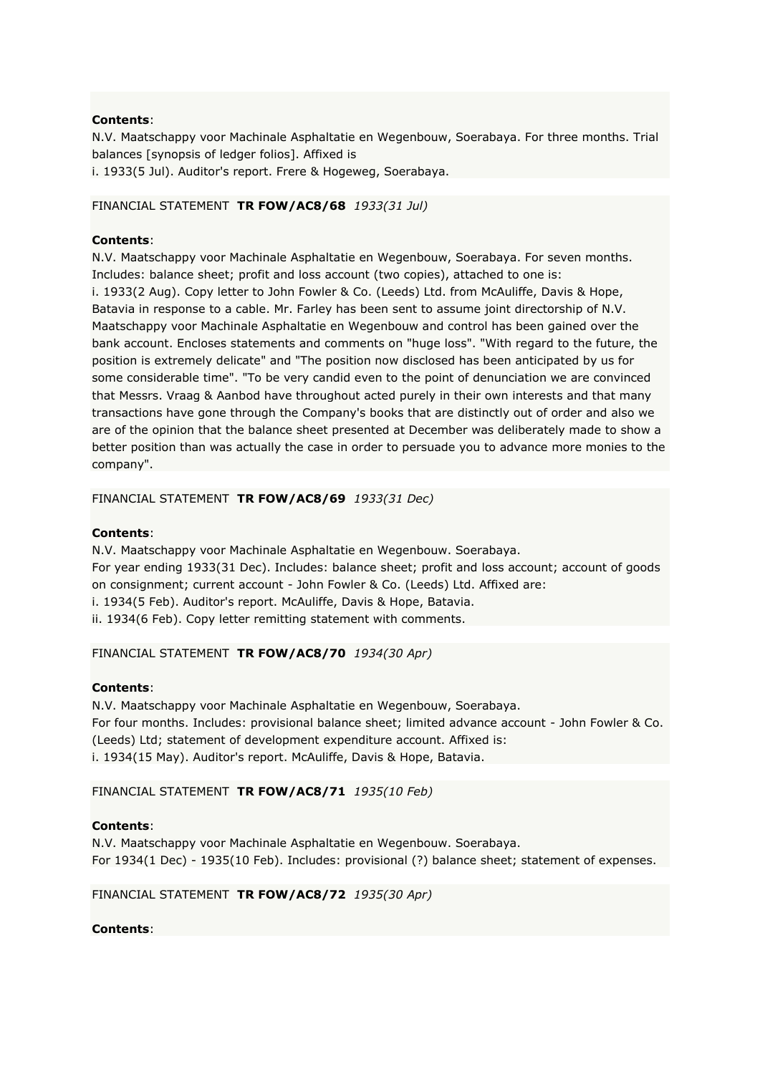N.V. Maatschappy voor Machinale Asphaltatie en Wegenbouw, Soerabaya. For three months. Trial balances [synopsis of ledger folios]. Affixed is

i. 1933(5 Jul). Auditor's report. Frere & Hogeweg, Soerabaya.

# FINANCIAL STATEMENT **TR FOW/AC8/68** *1933(31 Jul)*

# **Contents**:

N.V. Maatschappy voor Machinale Asphaltatie en Wegenbouw, Soerabaya. For seven months. Includes: balance sheet; profit and loss account (two copies), attached to one is: i. 1933(2 Aug). Copy letter to John Fowler & Co. (Leeds) Ltd. from McAuliffe, Davis & Hope, Batavia in response to a cable. Mr. Farley has been sent to assume joint directorship of N.V. Maatschappy voor Machinale Asphaltatie en Wegenbouw and control has been gained over the bank account. Encloses statements and comments on "huge loss". "With regard to the future, the position is extremely delicate" and "The position now disclosed has been anticipated by us for some considerable time". "To be very candid even to the point of denunciation we are convinced that Messrs. Vraag & Aanbod have throughout acted purely in their own interests and that many transactions have gone through the Company's books that are distinctly out of order and also we are of the opinion that the balance sheet presented at December was deliberately made to show a better position than was actually the case in order to persuade you to advance more monies to the company".

# FINANCIAL STATEMENT **TR FOW/AC8/69** *1933(31 Dec)*

# **Contents**:

N.V. Maatschappy voor Machinale Asphaltatie en Wegenbouw. Soerabaya. For year ending 1933(31 Dec). Includes: balance sheet; profit and loss account; account of goods on consignment; current account - John Fowler & Co. (Leeds) Ltd. Affixed are: i. 1934(5 Feb). Auditor's report. McAuliffe, Davis & Hope, Batavia. ii. 1934(6 Feb). Copy letter remitting statement with comments.

### FINANCIAL STATEMENT **TR FOW/AC8/70** *1934(30 Apr)*

### **Contents**:

N.V. Maatschappy voor Machinale Asphaltatie en Wegenbouw, Soerabaya. For four months. Includes: provisional balance sheet; limited advance account - John Fowler & Co. (Leeds) Ltd; statement of development expenditure account. Affixed is: i. 1934(15 May). Auditor's report. McAuliffe, Davis & Hope, Batavia.

FINANCIAL STATEMENT **TR FOW/AC8/71** *1935(10 Feb)*

# **Contents**:

N.V. Maatschappy voor Machinale Asphaltatie en Wegenbouw. Soerabaya. For 1934(1 Dec) - 1935(10 Feb). Includes: provisional (?) balance sheet; statement of expenses.

### FINANCIAL STATEMENT **TR FOW/AC8/72** *1935(30 Apr)*

# **Contents**: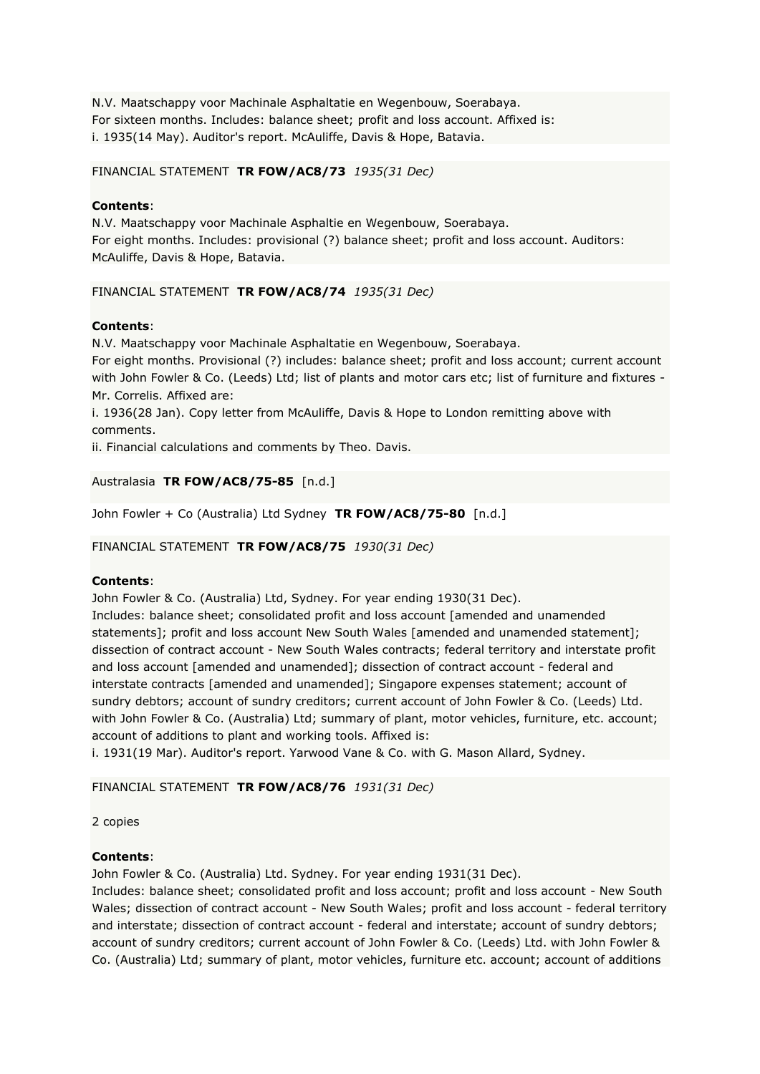N.V. Maatschappy voor Machinale Asphaltatie en Wegenbouw, Soerabaya. For sixteen months. Includes: balance sheet; profit and loss account. Affixed is: i. 1935(14 May). Auditor's report. McAuliffe, Davis & Hope, Batavia.

### FINANCIAL STATEMENT **TR FOW/AC8/73** *1935(31 Dec)*

### **Contents**:

N.V. Maatschappy voor Machinale Asphaltie en Wegenbouw, Soerabaya. For eight months. Includes: provisional (?) balance sheet; profit and loss account. Auditors: McAuliffe, Davis & Hope, Batavia.

### FINANCIAL STATEMENT **TR FOW/AC8/74** *1935(31 Dec)*

# **Contents**:

N.V. Maatschappy voor Machinale Asphaltatie en Wegenbouw, Soerabaya.

For eight months. Provisional (?) includes: balance sheet; profit and loss account; current account with John Fowler & Co. (Leeds) Ltd; list of plants and motor cars etc; list of furniture and fixtures -Mr. Correlis. Affixed are:

i. 1936(28 Jan). Copy letter from McAuliffe, Davis & Hope to London remitting above with comments.

ii. Financial calculations and comments by Theo. Davis.

Australasia **TR FOW/AC8/75-85** [n.d.]

John Fowler + Co (Australia) Ltd Sydney **TR FOW/AC8/75-80** [n.d.]

FINANCIAL STATEMENT **TR FOW/AC8/75** *1930(31 Dec)*

# **Contents**:

John Fowler & Co. (Australia) Ltd, Sydney. For year ending 1930(31 Dec).

Includes: balance sheet; consolidated profit and loss account [amended and unamended statements]; profit and loss account New South Wales [amended and unamended statement]; dissection of contract account - New South Wales contracts; federal territory and interstate profit and loss account [amended and unamended]; dissection of contract account - federal and interstate contracts [amended and unamended]; Singapore expenses statement; account of sundry debtors; account of sundry creditors; current account of John Fowler & Co. (Leeds) Ltd. with John Fowler & Co. (Australia) Ltd; summary of plant, motor vehicles, furniture, etc. account; account of additions to plant and working tools. Affixed is:

i. 1931(19 Mar). Auditor's report. Yarwood Vane & Co. with G. Mason Allard, Sydney.

# FINANCIAL STATEMENT **TR FOW/AC8/76** *1931(31 Dec)*

2 copies

### **Contents**:

John Fowler & Co. (Australia) Ltd. Sydney. For year ending 1931(31 Dec).

Includes: balance sheet; consolidated profit and loss account; profit and loss account - New South Wales; dissection of contract account - New South Wales; profit and loss account - federal territory and interstate; dissection of contract account - federal and interstate; account of sundry debtors; account of sundry creditors; current account of John Fowler & Co. (Leeds) Ltd. with John Fowler & Co. (Australia) Ltd; summary of plant, motor vehicles, furniture etc. account; account of additions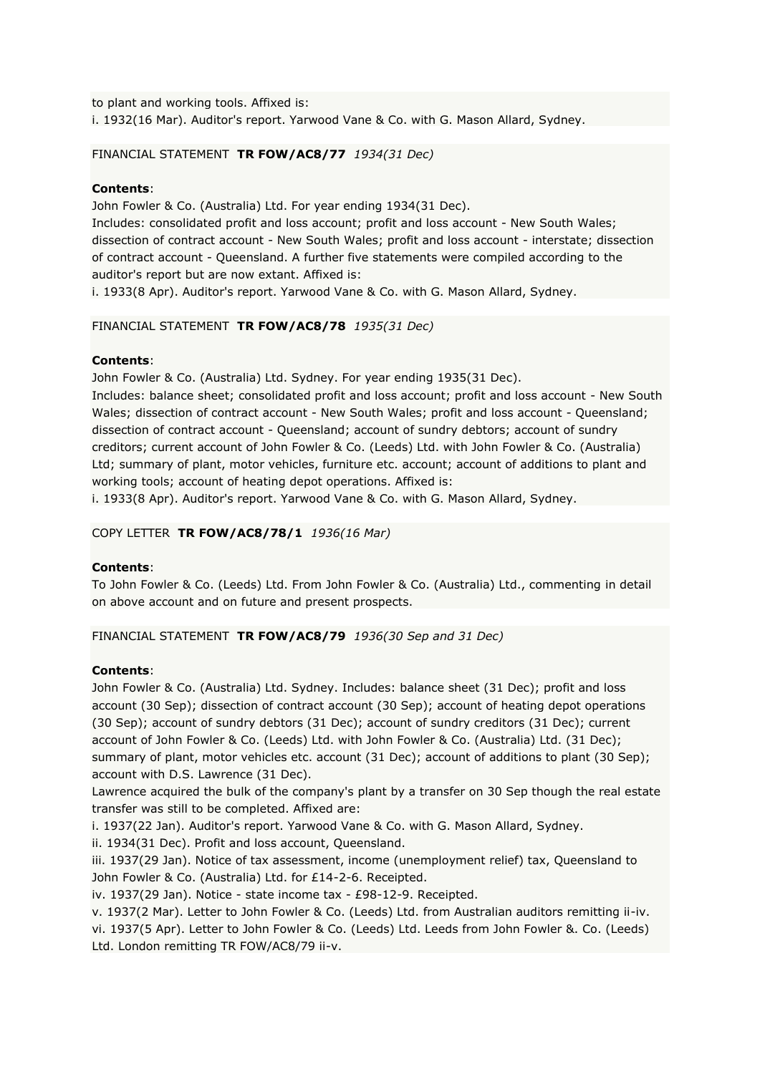to plant and working tools. Affixed is: i. 1932(16 Mar). Auditor's report. Yarwood Vane & Co. with G. Mason Allard, Sydney.

FINANCIAL STATEMENT **TR FOW/AC8/77** *1934(31 Dec)*

# **Contents**:

John Fowler & Co. (Australia) Ltd. For year ending 1934(31 Dec).

Includes: consolidated profit and loss account; profit and loss account - New South Wales; dissection of contract account - New South Wales; profit and loss account - interstate; dissection of contract account - Queensland. A further five statements were compiled according to the auditor's report but are now extant. Affixed is:

i. 1933(8 Apr). Auditor's report. Yarwood Vane & Co. with G. Mason Allard, Sydney.

# FINANCIAL STATEMENT **TR FOW/AC8/78** *1935(31 Dec)*

# **Contents**:

John Fowler & Co. (Australia) Ltd. Sydney. For year ending 1935(31 Dec).

Includes: balance sheet; consolidated profit and loss account; profit and loss account - New South Wales; dissection of contract account - New South Wales; profit and loss account - Queensland; dissection of contract account - Queensland; account of sundry debtors; account of sundry creditors; current account of John Fowler & Co. (Leeds) Ltd. with John Fowler & Co. (Australia) Ltd; summary of plant, motor vehicles, furniture etc. account; account of additions to plant and working tools; account of heating depot operations. Affixed is:

i. 1933(8 Apr). Auditor's report. Yarwood Vane & Co. with G. Mason Allard, Sydney.

COPY LETTER **TR FOW/AC8/78/1** *1936(16 Mar)*

# **Contents**:

To John Fowler & Co. (Leeds) Ltd. From John Fowler & Co. (Australia) Ltd., commenting in detail on above account and on future and present prospects.

FINANCIAL STATEMENT **TR FOW/AC8/79** *1936(30 Sep and 31 Dec)*

# **Contents**:

John Fowler & Co. (Australia) Ltd. Sydney. Includes: balance sheet (31 Dec); profit and loss account (30 Sep); dissection of contract account (30 Sep); account of heating depot operations (30 Sep); account of sundry debtors (31 Dec); account of sundry creditors (31 Dec); current account of John Fowler & Co. (Leeds) Ltd. with John Fowler & Co. (Australia) Ltd. (31 Dec); summary of plant, motor vehicles etc. account (31 Dec); account of additions to plant (30 Sep); account with D.S. Lawrence (31 Dec).

Lawrence acquired the bulk of the company's plant by a transfer on 30 Sep though the real estate transfer was still to be completed. Affixed are:

i. 1937(22 Jan). Auditor's report. Yarwood Vane & Co. with G. Mason Allard, Sydney.

ii. 1934(31 Dec). Profit and loss account, Queensland.

iii. 1937(29 Jan). Notice of tax assessment, income (unemployment relief) tax, Queensland to John Fowler & Co. (Australia) Ltd. for £14-2-6. Receipted.

iv. 1937(29 Jan). Notice - state income tax - £98-12-9. Receipted.

v. 1937(2 Mar). Letter to John Fowler & Co. (Leeds) Ltd. from Australian auditors remitting ii-iv. vi. 1937(5 Apr). Letter to John Fowler & Co. (Leeds) Ltd. Leeds from John Fowler &. Co. (Leeds) Ltd. London remitting TR FOW/AC8/79 ii-v.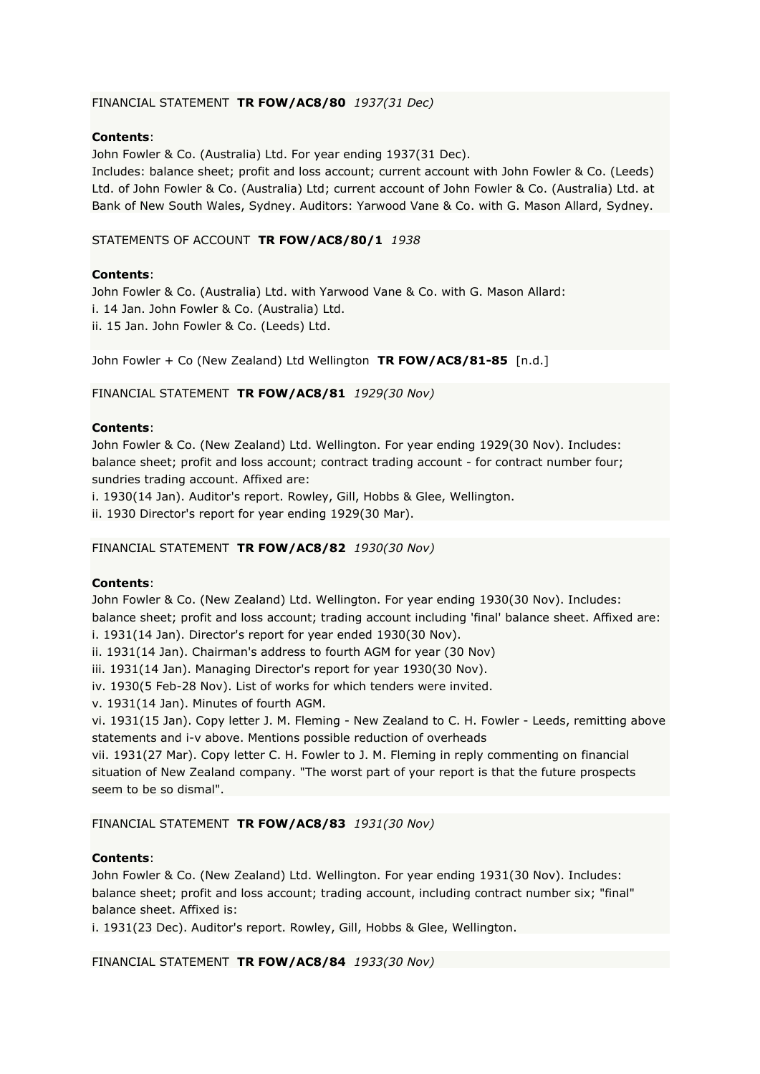# FINANCIAL STATEMENT **TR FOW/AC8/80** *1937(31 Dec)*

### **Contents**:

John Fowler & Co. (Australia) Ltd. For year ending 1937(31 Dec).

Includes: balance sheet; profit and loss account; current account with John Fowler & Co. (Leeds) Ltd. of John Fowler & Co. (Australia) Ltd; current account of John Fowler & Co. (Australia) Ltd. at Bank of New South Wales, Sydney. Auditors: Yarwood Vane & Co. with G. Mason Allard, Sydney.

### STATEMENTS OF ACCOUNT **TR FOW/AC8/80/1** *1938*

# **Contents**:

John Fowler & Co. (Australia) Ltd. with Yarwood Vane & Co. with G. Mason Allard: i. 14 Jan. John Fowler & Co. (Australia) Ltd. ii. 15 Jan. John Fowler & Co. (Leeds) Ltd.

John Fowler + Co (New Zealand) Ltd Wellington **TR FOW/AC8/81-85** [n.d.]

# FINANCIAL STATEMENT **TR FOW/AC8/81** *1929(30 Nov)*

# **Contents**:

John Fowler & Co. (New Zealand) Ltd. Wellington. For year ending 1929(30 Nov). Includes: balance sheet; profit and loss account; contract trading account - for contract number four; sundries trading account. Affixed are:

i. 1930(14 Jan). Auditor's report. Rowley, Gill, Hobbs & Glee, Wellington.

ii. 1930 Director's report for year ending 1929(30 Mar).

### FINANCIAL STATEMENT **TR FOW/AC8/82** *1930(30 Nov)*

### **Contents**:

John Fowler & Co. (New Zealand) Ltd. Wellington. For year ending 1930(30 Nov). Includes: balance sheet; profit and loss account; trading account including 'final' balance sheet. Affixed are:

i. 1931(14 Jan). Director's report for year ended 1930(30 Nov).

ii. 1931(14 Jan). Chairman's address to fourth AGM for year (30 Nov)

iii. 1931(14 Jan). Managing Director's report for year 1930(30 Nov).

iv. 1930(5 Feb-28 Nov). List of works for which tenders were invited.

v. 1931(14 Jan). Minutes of fourth AGM.

vi. 1931(15 Jan). Copy letter J. M. Fleming - New Zealand to C. H. Fowler - Leeds, remitting above statements and i-v above. Mentions possible reduction of overheads

vii. 1931(27 Mar). Copy letter C. H. Fowler to J. M. Fleming in reply commenting on financial situation of New Zealand company. "The worst part of your report is that the future prospects seem to be so dismal".

### FINANCIAL STATEMENT **TR FOW/AC8/83** *1931(30 Nov)*

# **Contents**:

John Fowler & Co. (New Zealand) Ltd. Wellington. For year ending 1931(30 Nov). Includes: balance sheet; profit and loss account; trading account, including contract number six; "final" balance sheet. Affixed is:

i. 1931(23 Dec). Auditor's report. Rowley, Gill, Hobbs & Glee, Wellington.

FINANCIAL STATEMENT **TR FOW/AC8/84** *1933(30 Nov)*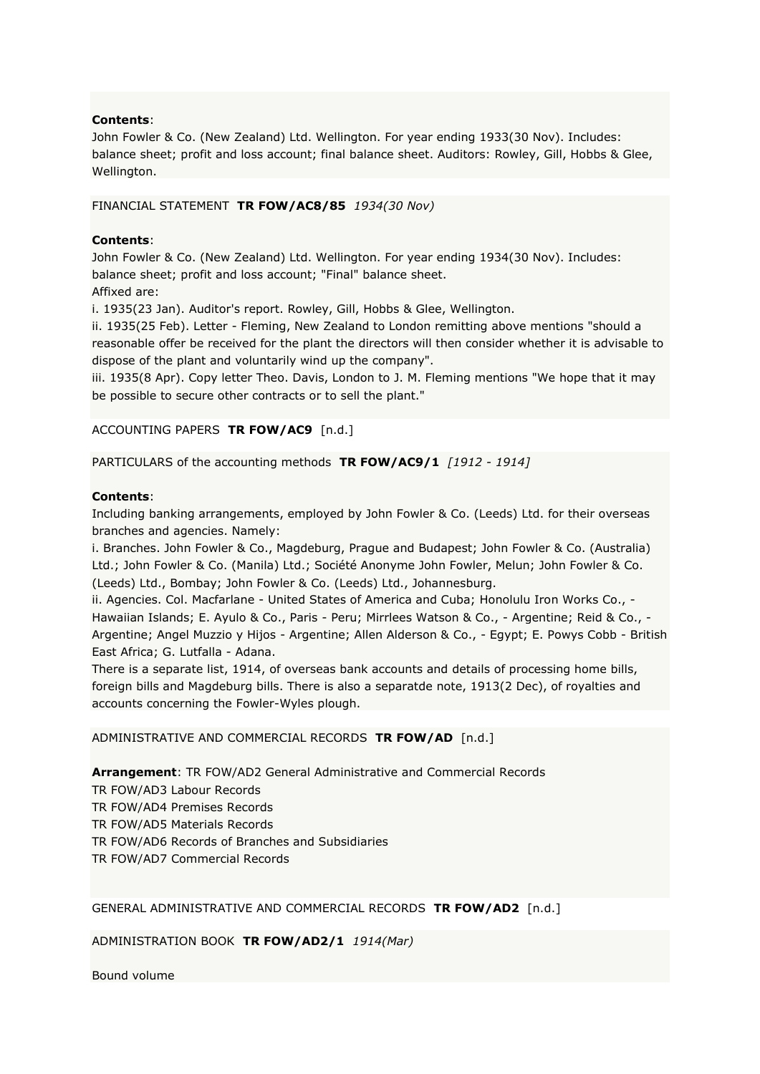John Fowler & Co. (New Zealand) Ltd. Wellington. For year ending 1933(30 Nov). Includes: balance sheet; profit and loss account; final balance sheet. Auditors: Rowley, Gill, Hobbs & Glee, Wellington.

# FINANCIAL STATEMENT **TR FOW/AC8/85** *1934(30 Nov)*

# **Contents**:

John Fowler & Co. (New Zealand) Ltd. Wellington. For year ending 1934(30 Nov). Includes: balance sheet; profit and loss account; "Final" balance sheet. Affixed are:

i. 1935(23 Jan). Auditor's report. Rowley, Gill, Hobbs & Glee, Wellington.

ii. 1935(25 Feb). Letter - Fleming, New Zealand to London remitting above mentions "should a reasonable offer be received for the plant the directors will then consider whether it is advisable to dispose of the plant and voluntarily wind up the company".

iii. 1935(8 Apr). Copy letter Theo. Davis, London to J. M. Fleming mentions "We hope that it may be possible to secure other contracts or to sell the plant."

### ACCOUNTING PAPERS **TR FOW/AC9** [n.d.]

# PARTICULARS of the accounting methods **TR FOW/AC9/1** *[1912 - 1914]*

### **Contents**:

Including banking arrangements, employed by John Fowler & Co. (Leeds) Ltd. for their overseas branches and agencies. Namely:

i. Branches. John Fowler & Co., Magdeburg, Prague and Budapest; John Fowler & Co. (Australia) Ltd.; John Fowler & Co. (Manila) Ltd.; Société Anonyme John Fowler, Melun; John Fowler & Co. (Leeds) Ltd., Bombay; John Fowler & Co. (Leeds) Ltd., Johannesburg.

ii. Agencies. Col. Macfarlane - United States of America and Cuba; Honolulu Iron Works Co., - Hawaiian Islands; E. Ayulo & Co., Paris - Peru; Mirrlees Watson & Co., - Argentine; Reid & Co., - Argentine; Angel Muzzio y Hijos - Argentine; Allen Alderson & Co., - Egypt; E. Powys Cobb - British East Africa; G. Lutfalla - Adana.

There is a separate list, 1914, of overseas bank accounts and details of processing home bills, foreign bills and Magdeburg bills. There is also a separatde note, 1913(2 Dec), of royalties and accounts concerning the Fowler-Wyles plough.

### ADMINISTRATIVE AND COMMERCIAL RECORDS **TR FOW/AD** [n.d.]

**Arrangement**: TR FOW/AD2 General Administrative and Commercial Records

TR FOW/AD3 Labour Records TR FOW/AD4 Premises Records TR FOW/AD5 Materials Records TR FOW/AD6 Records of Branches and Subsidiaries TR FOW/AD7 Commercial Records

GENERAL ADMINISTRATIVE AND COMMERCIAL RECORDS **TR FOW/AD2** [n.d.]

ADMINISTRATION BOOK **TR FOW/AD2/1** *1914(Mar)*

Bound volume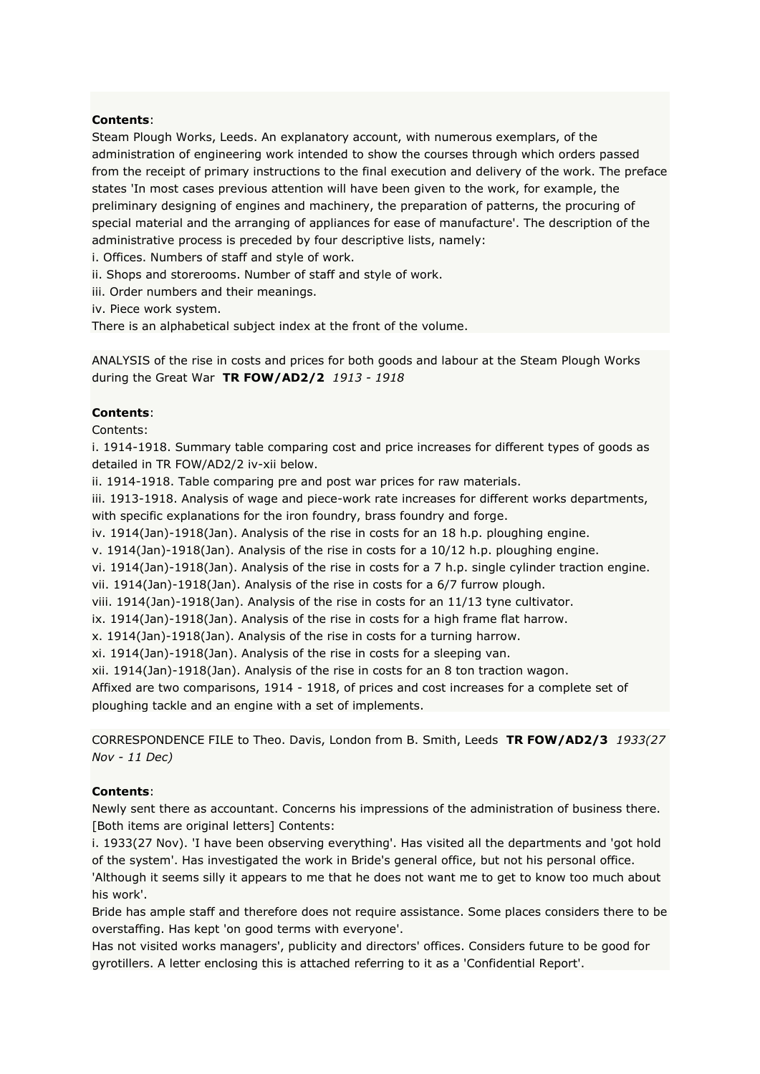Steam Plough Works, Leeds. An explanatory account, with numerous exemplars, of the administration of engineering work intended to show the courses through which orders passed from the receipt of primary instructions to the final execution and delivery of the work. The preface states 'In most cases previous attention will have been given to the work, for example, the preliminary designing of engines and machinery, the preparation of patterns, the procuring of special material and the arranging of appliances for ease of manufacture'. The description of the administrative process is preceded by four descriptive lists, namely:

i. Offices. Numbers of staff and style of work.

ii. Shops and storerooms. Number of staff and style of work.

iii. Order numbers and their meanings.

iv. Piece work system.

There is an alphabetical subject index at the front of the volume.

ANALYSIS of the rise in costs and prices for both goods and labour at the Steam Plough Works during the Great War **TR FOW/AD2/2** *1913 - 1918*

# **Contents**:

Contents:

i. 1914-1918. Summary table comparing cost and price increases for different types of goods as detailed in TR FOW/AD2/2 iv-xii below.

ii. 1914-1918. Table comparing pre and post war prices for raw materials.

iii. 1913-1918. Analysis of wage and piece-work rate increases for different works departments, with specific explanations for the iron foundry, brass foundry and forge.

iv. 1914(Jan)-1918(Jan). Analysis of the rise in costs for an 18 h.p. ploughing engine.

v. 1914(Jan)-1918(Jan). Analysis of the rise in costs for a 10/12 h.p. ploughing engine.

vi. 1914(Jan)-1918(Jan). Analysis of the rise in costs for a 7 h.p. single cylinder traction engine. vii. 1914(Jan)-1918(Jan). Analysis of the rise in costs for a 6/7 furrow plough.

viii. 1914(Jan)-1918(Jan). Analysis of the rise in costs for an 11/13 tyne cultivator.

ix. 1914(Jan)-1918(Jan). Analysis of the rise in costs for a high frame flat harrow.

x. 1914(Jan)-1918(Jan). Analysis of the rise in costs for a turning harrow.

xi. 1914(Jan)-1918(Jan). Analysis of the rise in costs for a sleeping van.

xii. 1914(Jan)-1918(Jan). Analysis of the rise in costs for an 8 ton traction wagon.

Affixed are two comparisons, 1914 - 1918, of prices and cost increases for a complete set of ploughing tackle and an engine with a set of implements.

CORRESPONDENCE FILE to Theo. Davis, London from B. Smith, Leeds **TR FOW/AD2/3** *1933(27 Nov - 11 Dec)*

# **Contents**:

Newly sent there as accountant. Concerns his impressions of the administration of business there. [Both items are original letters] Contents:

i. 1933(27 Nov). 'I have been observing everything'. Has visited all the departments and 'got hold of the system'. Has investigated the work in Bride's general office, but not his personal office.

'Although it seems silly it appears to me that he does not want me to get to know too much about his work'.

Bride has ample staff and therefore does not require assistance. Some places considers there to be overstaffing. Has kept 'on good terms with everyone'.

Has not visited works managers', publicity and directors' offices. Considers future to be good for gyrotillers. A letter enclosing this is attached referring to it as a 'Confidential Report'.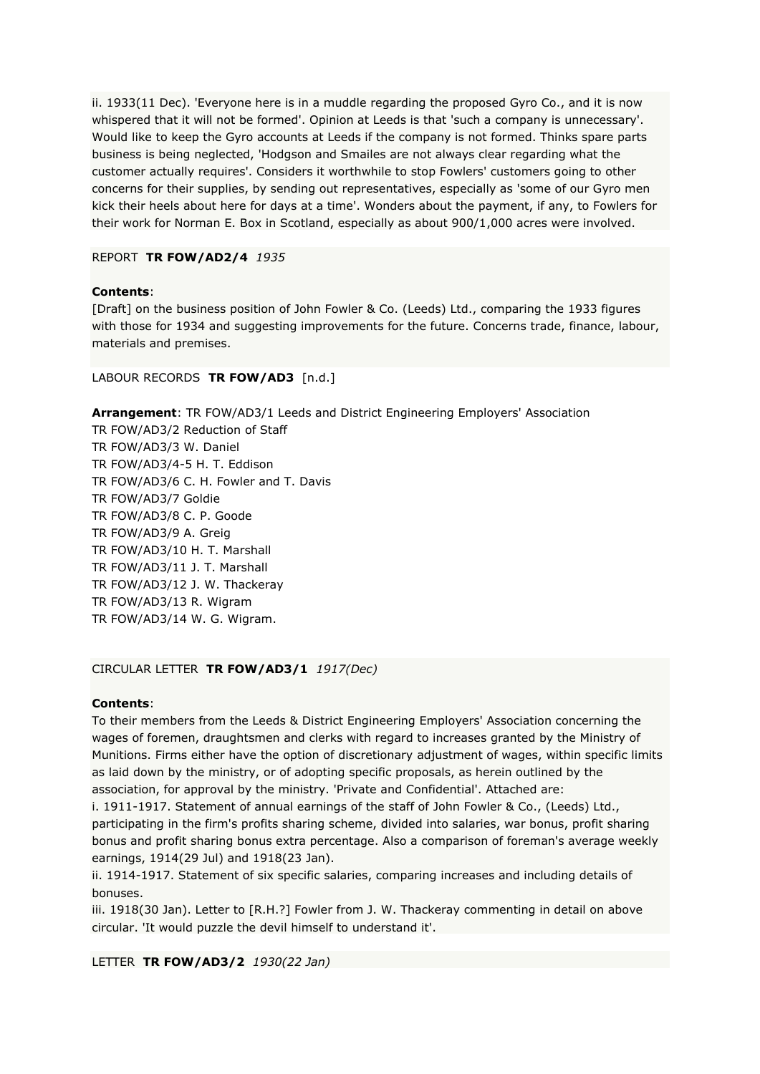ii. 1933(11 Dec). 'Everyone here is in a muddle regarding the proposed Gyro Co., and it is now whispered that it will not be formed'. Opinion at Leeds is that 'such a company is unnecessary'. Would like to keep the Gyro accounts at Leeds if the company is not formed. Thinks spare parts business is being neglected, 'Hodgson and Smailes are not always clear regarding what the customer actually requires'. Considers it worthwhile to stop Fowlers' customers going to other concerns for their supplies, by sending out representatives, especially as 'some of our Gyro men kick their heels about here for days at a time'. Wonders about the payment, if any, to Fowlers for their work for Norman E. Box in Scotland, especially as about 900/1,000 acres were involved.

# REPORT **TR FOW/AD2/4** *1935*

# **Contents**:

[Draft] on the business position of John Fowler & Co. (Leeds) Ltd., comparing the 1933 figures with those for 1934 and suggesting improvements for the future. Concerns trade, finance, labour, materials and premises.

LABOUR RECORDS **TR FOW/AD3** [n.d.]

**Arrangement**: TR FOW/AD3/1 Leeds and District Engineering Employers' Association TR FOW/AD3/2 Reduction of Staff TR FOW/AD3/3 W. Daniel TR FOW/AD3/4-5 H. T. Eddison TR FOW/AD3/6 C. H. Fowler and T. Davis TR FOW/AD3/7 Goldie TR FOW/AD3/8 C. P. Goode TR FOW/AD3/9 A. Greig TR FOW/AD3/10 H. T. Marshall TR FOW/AD3/11 J. T. Marshall TR FOW/AD3/12 J. W. Thackeray TR FOW/AD3/13 R. Wigram TR FOW/AD3/14 W. G. Wigram.

# CIRCULAR LETTER **TR FOW/AD3/1** *1917(Dec)*

# **Contents**:

To their members from the Leeds & District Engineering Employers' Association concerning the wages of foremen, draughtsmen and clerks with regard to increases granted by the Ministry of Munitions. Firms either have the option of discretionary adjustment of wages, within specific limits as laid down by the ministry, or of adopting specific proposals, as herein outlined by the association, for approval by the ministry. 'Private and Confidential'. Attached are:

i. 1911-1917. Statement of annual earnings of the staff of John Fowler & Co., (Leeds) Ltd., participating in the firm's profits sharing scheme, divided into salaries, war bonus, profit sharing bonus and profit sharing bonus extra percentage. Also a comparison of foreman's average weekly earnings, 1914(29 Jul) and 1918(23 Jan).

ii. 1914-1917. Statement of six specific salaries, comparing increases and including details of bonuses.

iii. 1918(30 Jan). Letter to [R.H.?] Fowler from J. W. Thackeray commenting in detail on above circular. 'It would puzzle the devil himself to understand it'.

LETTER **TR FOW/AD3/2** *1930(22 Jan)*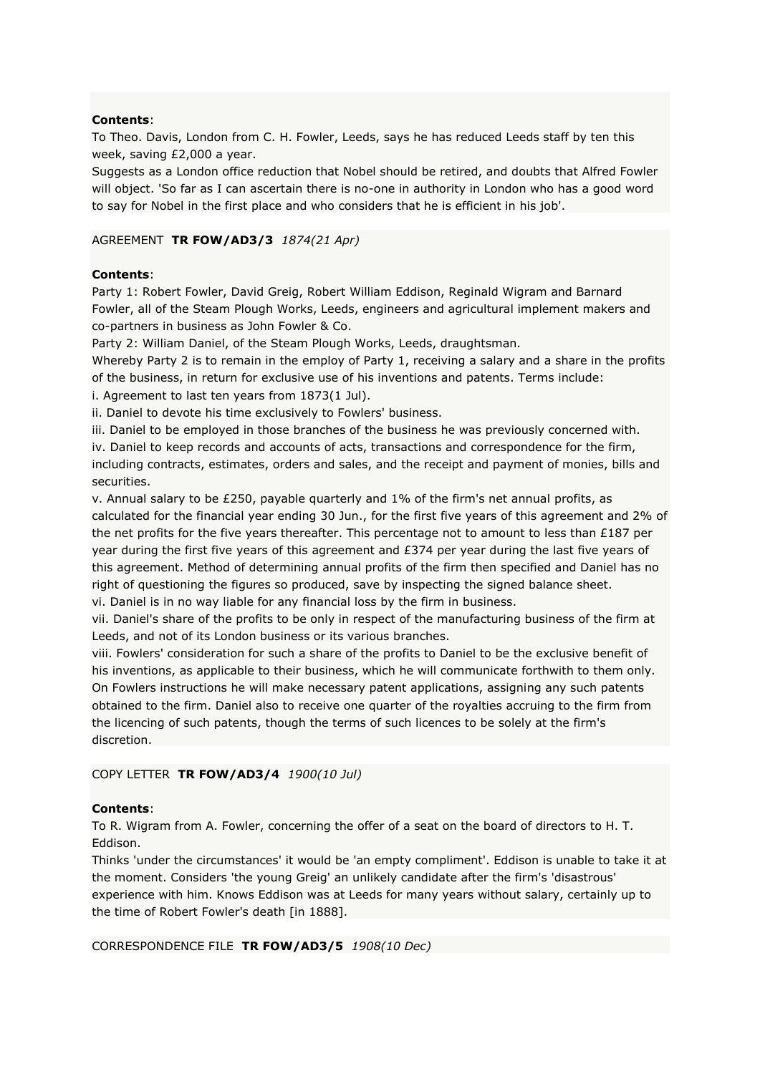To Theo. Davis, London from C. H. Fowler, Leeds, says he has reduced Leeds staff by ten this week, saving £2,000 a year.

Suggests as a London office reduction that Nobel should be retired, and doubts that Alfred Fowler will object. 'So far as I can ascertain there is no-one in authority in London who has a good word to say for Nobel in the first place and who considers that he is efficient in his job'.

### AGREEMENT **TR FOW/AD3/3** *1874(21 Apr)*

# **Contents**:

Party 1: Robert Fowler, David Greig, Robert William Eddison, Reginald Wigram and Barnard Fowler, all of the Steam Plough Works, Leeds, engineers and agricultural implement makers and co-partners in business as John Fowler & Co.

Party 2: William Daniel, of the Steam Plough Works, Leeds, draughtsman.

Whereby Party 2 is to remain in the employ of Party 1, receiving a salary and a share in the profits of the business, in return for exclusive use of his inventions and patents. Terms include:

i. Agreement to last ten years from 1873(1 Jul).

ii. Daniel to devote his time exclusively to Fowlers' business.

iii. Daniel to be employed in those branches of the business he was previously concerned with. iv. Daniel to keep records and accounts of acts, transactions and correspondence for the firm, including contracts, estimates, orders and sales, and the receipt and payment of monies, bills and securities.

v. Annual salary to be £250, payable quarterly and 1% of the firm's net annual profits, as calculated for the financial year ending 30 Jun., for the first five years of this agreement and 2% of the net profits for the five years thereafter. This percentage not to amount to less than £187 per year during the first five years of this agreement and £374 per year during the last five years of this agreement. Method of determining annual profits of the firm then specified and Daniel has no right of questioning the figures so produced, save by inspecting the signed balance sheet. vi. Daniel is in no way liable for any financial loss by the firm in business.

vii. Daniel's share of the profits to be only in respect of the manufacturing business of the firm at Leeds, and not of its London business or its various branches.

viii. Fowlers' consideration for such a share of the profits to Daniel to be the exclusive benefit of his inventions, as applicable to their business, which he will communicate forthwith to them only. On Fowlers instructions he will make necessary patent applications, assigning any such patents obtained to the firm. Daniel also to receive one quarter of the royalties accruing to the firm from the licencing of such patents, though the terms of such licences to be solely at the firm's discretion.

# COPY LETTER **TR FOW/AD3/4** *1900(10 Jul)*

# **Contents**:

To R. Wigram from A. Fowler, concerning the offer of a seat on the board of directors to H. T. Eddison.

Thinks 'under the circumstances' it would be 'an empty compliment'. Eddison is unable to take it at the moment. Considers 'the young Greig' an unlikely candidate after the firm's 'disastrous' experience with him. Knows Eddison was at Leeds for many years without salary, certainly up to the time of Robert Fowler's death [in 1888].

CORRESPONDENCE FILE **TR FOW/AD3/5** *1908(10 Dec)*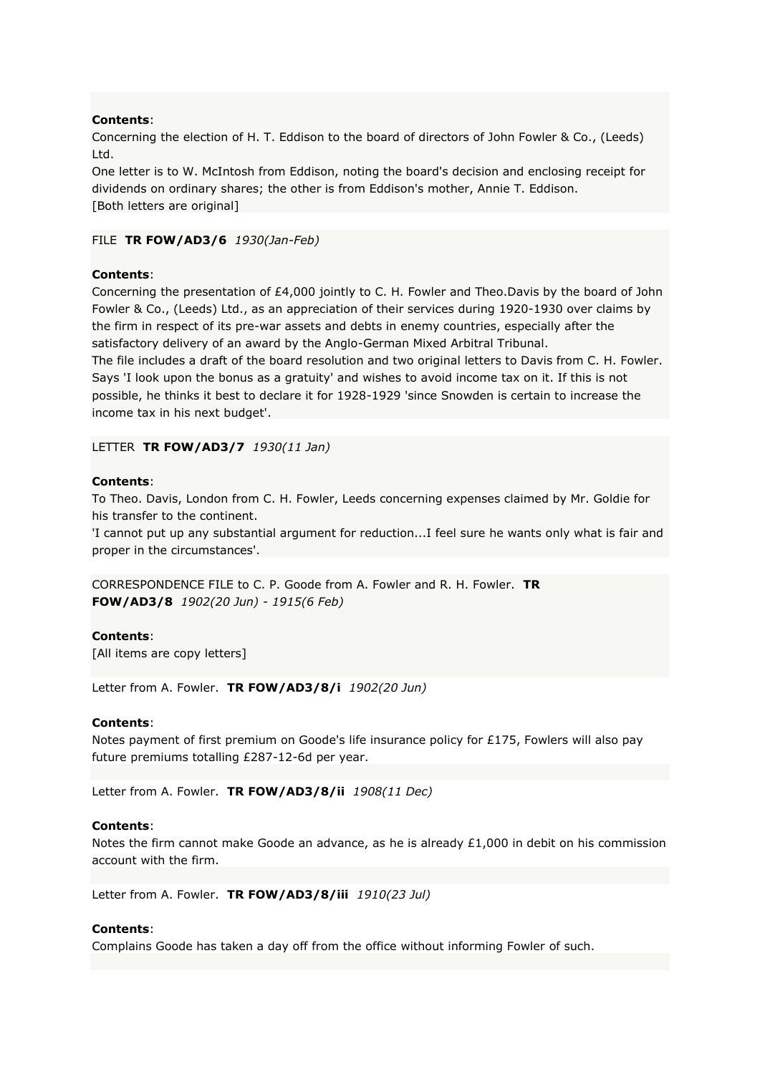Concerning the election of H. T. Eddison to the board of directors of John Fowler & Co., (Leeds) Ltd.

One letter is to W. McIntosh from Eddison, noting the board's decision and enclosing receipt for dividends on ordinary shares; the other is from Eddison's mother, Annie T. Eddison. [Both letters are original]

#### FILE **TR FOW/AD3/6** *1930(Jan-Feb)*

### **Contents**:

Concerning the presentation of £4,000 jointly to C. H. Fowler and Theo.Davis by the board of John Fowler & Co., (Leeds) Ltd., as an appreciation of their services during 1920-1930 over claims by the firm in respect of its pre-war assets and debts in enemy countries, especially after the satisfactory delivery of an award by the Anglo-German Mixed Arbitral Tribunal.

The file includes a draft of the board resolution and two original letters to Davis from C. H. Fowler. Says 'I look upon the bonus as a gratuity' and wishes to avoid income tax on it. If this is not possible, he thinks it best to declare it for 1928-1929 'since Snowden is certain to increase the income tax in his next budget'.

LETTER **TR FOW/AD3/7** *1930(11 Jan)*

### **Contents**:

To Theo. Davis, London from C. H. Fowler, Leeds concerning expenses claimed by Mr. Goldie for his transfer to the continent.

'I cannot put up any substantial argument for reduction...I feel sure he wants only what is fair and proper in the circumstances'.

CORRESPONDENCE FILE to C. P. Goode from A. Fowler and R. H. Fowler. **TR FOW/AD3/8** *1902(20 Jun) - 1915(6 Feb)*

### **Contents**:

[All items are copy letters]

Letter from A. Fowler. **TR FOW/AD3/8/i** *1902(20 Jun)*

### **Contents**:

Notes payment of first premium on Goode's life insurance policy for £175, Fowlers will also pay future premiums totalling £287-12-6d per year.

Letter from A. Fowler. **TR FOW/AD3/8/ii** *1908(11 Dec)*

### **Contents**:

Notes the firm cannot make Goode an advance, as he is already £1,000 in debit on his commission account with the firm.

Letter from A. Fowler. **TR FOW/AD3/8/iii** *1910(23 Jul)*

### **Contents**:

Complains Goode has taken a day off from the office without informing Fowler of such.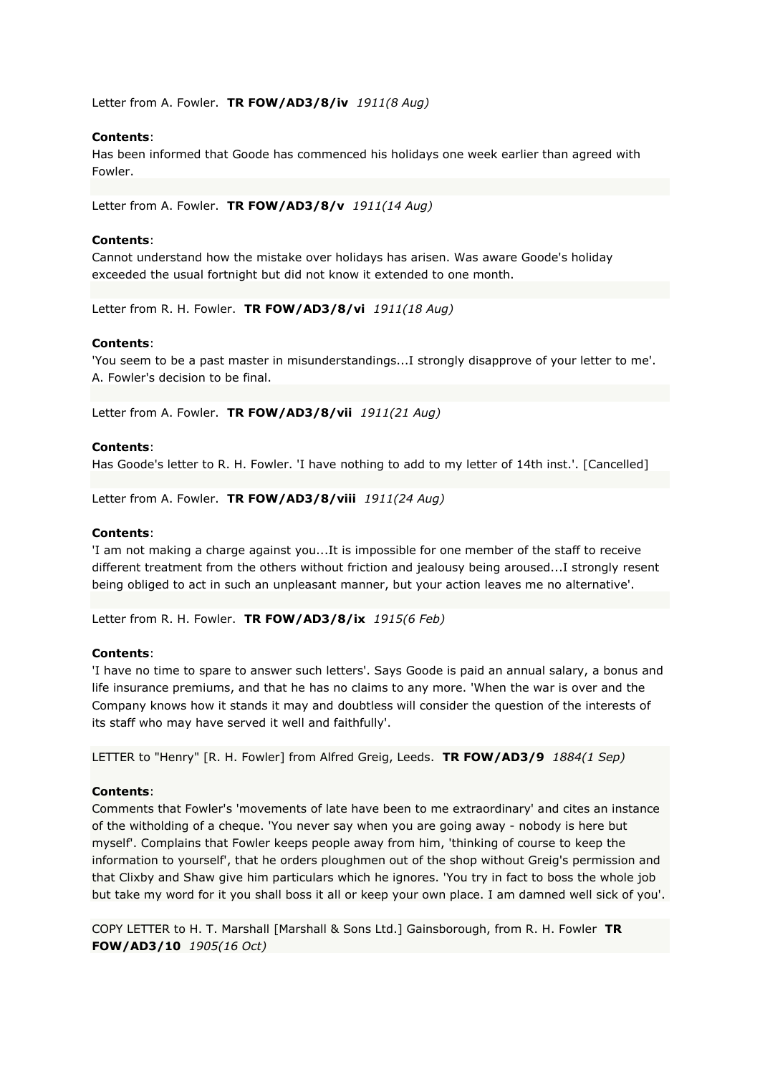Letter from A. Fowler. **TR FOW/AD3/8/iv** *1911(8 Aug)*

### **Contents**:

Has been informed that Goode has commenced his holidays one week earlier than agreed with Fowler.

Letter from A. Fowler. **TR FOW/AD3/8/v** *1911(14 Aug)*

### **Contents**:

Cannot understand how the mistake over holidays has arisen. Was aware Goode's holiday exceeded the usual fortnight but did not know it extended to one month.

Letter from R. H. Fowler. **TR FOW/AD3/8/vi** *1911(18 Aug)*

### **Contents**:

'You seem to be a past master in misunderstandings...I strongly disapprove of your letter to me'. A. Fowler's decision to be final.

Letter from A. Fowler. **TR FOW/AD3/8/vii** *1911(21 Aug)*

# **Contents**:

Has Goode's letter to R. H. Fowler. 'I have nothing to add to my letter of 14th inst.'. [Cancelled]

Letter from A. Fowler. **TR FOW/AD3/8/viii** *1911(24 Aug)*

### **Contents**:

'I am not making a charge against you...It is impossible for one member of the staff to receive different treatment from the others without friction and jealousy being aroused...I strongly resent being obliged to act in such an unpleasant manner, but your action leaves me no alternative'.

Letter from R. H. Fowler. **TR FOW/AD3/8/ix** *1915(6 Feb)*

### **Contents**:

'I have no time to spare to answer such letters'. Says Goode is paid an annual salary, a bonus and life insurance premiums, and that he has no claims to any more. 'When the war is over and the Company knows how it stands it may and doubtless will consider the question of the interests of its staff who may have served it well and faithfully'.

LETTER to "Henry" [R. H. Fowler] from Alfred Greig, Leeds. **TR FOW/AD3/9** *1884(1 Sep)*

### **Contents**:

Comments that Fowler's 'movements of late have been to me extraordinary' and cites an instance of the witholding of a cheque. 'You never say when you are going away - nobody is here but myself'. Complains that Fowler keeps people away from him, 'thinking of course to keep the information to yourself', that he orders ploughmen out of the shop without Greig's permission and that Clixby and Shaw give him particulars which he ignores. 'You try in fact to boss the whole job but take my word for it you shall boss it all or keep your own place. I am damned well sick of you'.

COPY LETTER to H. T. Marshall [Marshall & Sons Ltd.] Gainsborough, from R. H. Fowler **TR FOW/AD3/10** *1905(16 Oct)*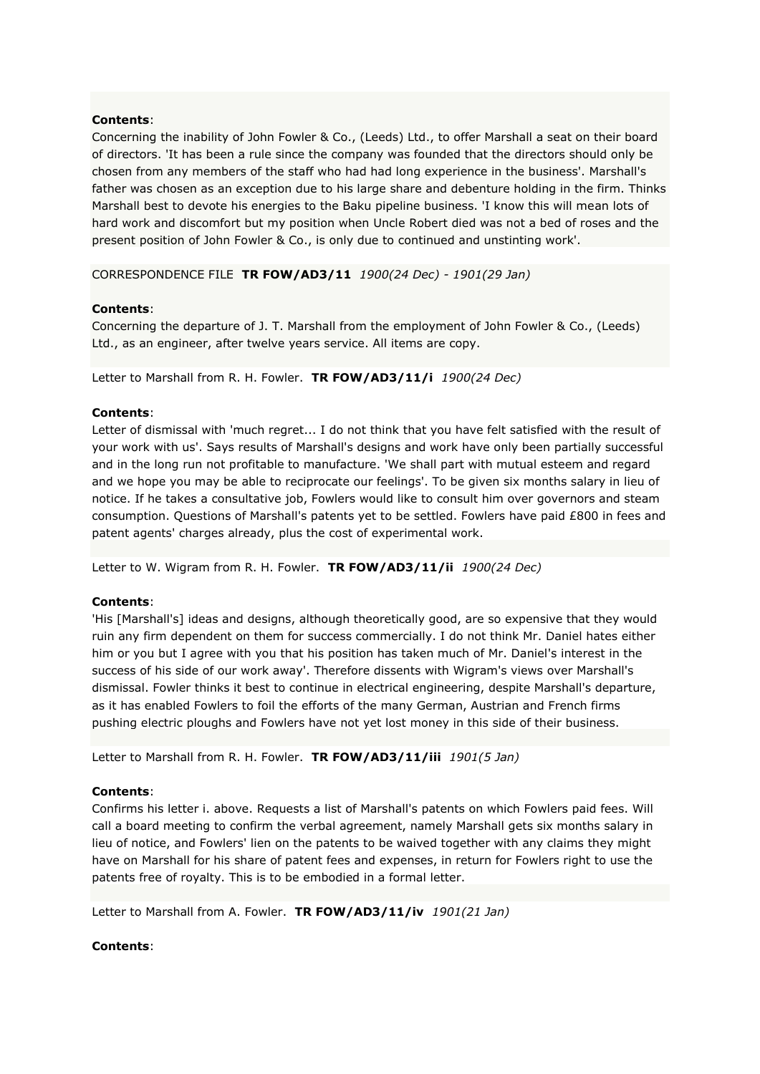Concerning the inability of John Fowler & Co., (Leeds) Ltd., to offer Marshall a seat on their board of directors. 'It has been a rule since the company was founded that the directors should only be chosen from any members of the staff who had had long experience in the business'. Marshall's father was chosen as an exception due to his large share and debenture holding in the firm. Thinks Marshall best to devote his energies to the Baku pipeline business. 'I know this will mean lots of hard work and discomfort but my position when Uncle Robert died was not a bed of roses and the present position of John Fowler & Co., is only due to continued and unstinting work'.

CORRESPONDENCE FILE **TR FOW/AD3/11** *1900(24 Dec) - 1901(29 Jan)*

# **Contents**:

Concerning the departure of J. T. Marshall from the employment of John Fowler & Co., (Leeds) Ltd., as an engineer, after twelve years service. All items are copy.

Letter to Marshall from R. H. Fowler. **TR FOW/AD3/11/i** *1900(24 Dec)*

# **Contents**:

Letter of dismissal with 'much regret... I do not think that you have felt satisfied with the result of your work with us'. Says results of Marshall's designs and work have only been partially successful and in the long run not profitable to manufacture. 'We shall part with mutual esteem and regard and we hope you may be able to reciprocate our feelings'. To be given six months salary in lieu of notice. If he takes a consultative job, Fowlers would like to consult him over governors and steam consumption. Questions of Marshall's patents yet to be settled. Fowlers have paid £800 in fees and patent agents' charges already, plus the cost of experimental work.

Letter to W. Wigram from R. H. Fowler. **TR FOW/AD3/11/ii** *1900(24 Dec)*

### **Contents**:

'His [Marshall's] ideas and designs, although theoretically good, are so expensive that they would ruin any firm dependent on them for success commercially. I do not think Mr. Daniel hates either him or you but I agree with you that his position has taken much of Mr. Daniel's interest in the success of his side of our work away'. Therefore dissents with Wigram's views over Marshall's dismissal. Fowler thinks it best to continue in electrical engineering, despite Marshall's departure, as it has enabled Fowlers to foil the efforts of the many German, Austrian and French firms pushing electric ploughs and Fowlers have not yet lost money in this side of their business.

Letter to Marshall from R. H. Fowler. **TR FOW/AD3/11/iii** *1901(5 Jan)*

### **Contents**:

Confirms his letter i. above. Requests a list of Marshall's patents on which Fowlers paid fees. Will call a board meeting to confirm the verbal agreement, namely Marshall gets six months salary in lieu of notice, and Fowlers' lien on the patents to be waived together with any claims they might have on Marshall for his share of patent fees and expenses, in return for Fowlers right to use the patents free of royalty. This is to be embodied in a formal letter.

Letter to Marshall from A. Fowler. **TR FOW/AD3/11/iv** *1901(21 Jan)*

### **Contents**: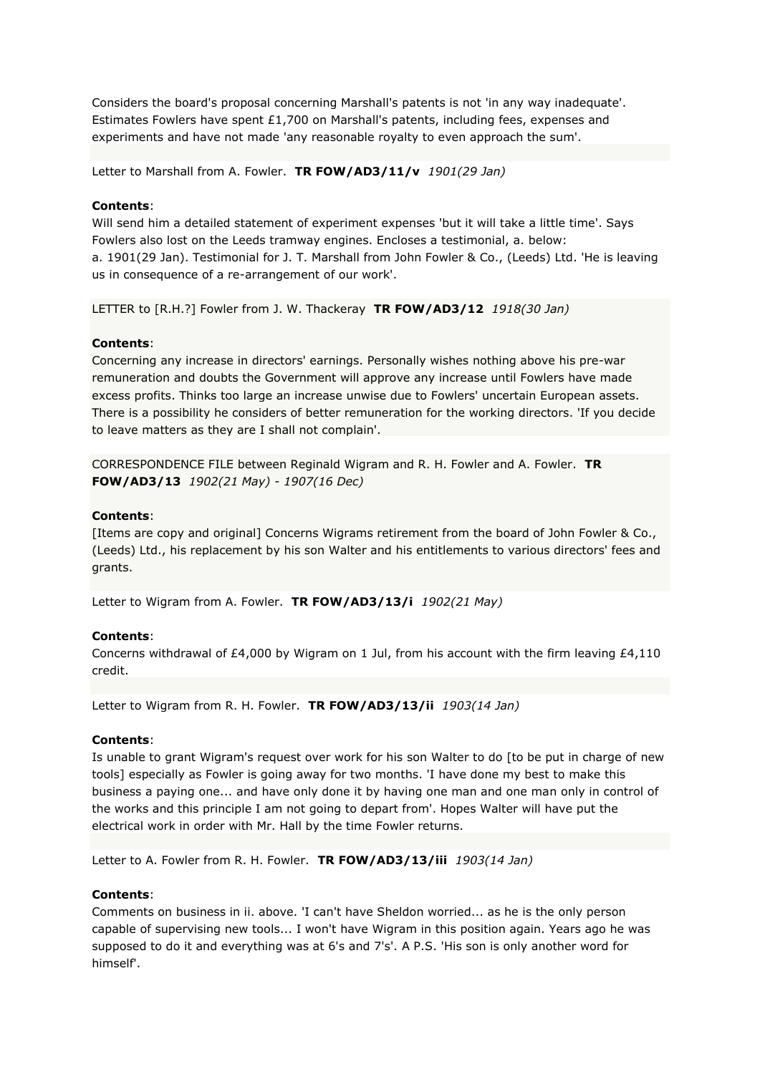Considers the board's proposal concerning Marshall's patents is not 'in any way inadequate'. Estimates Fowlers have spent  $£1,700$  on Marshall's patents, including fees, expenses and experiments and have not made 'any reasonable royalty to even approach the sum'.

Letter to Marshall from A. Fowler. **TR FOW/AD3/11/v** *1901(29 Jan)*

### **Contents**:

Will send him a detailed statement of experiment expenses 'but it will take a little time'. Says Fowlers also lost on the Leeds tramway engines. Encloses a testimonial, a. below: a. 1901(29 Jan). Testimonial for J. T. Marshall from John Fowler & Co., (Leeds) Ltd. 'He is leaving us in consequence of a re-arrangement of our work'.

LETTER to [R.H.?] Fowler from J. W. Thackeray **TR FOW/AD3/12** *1918(30 Jan)*

# **Contents**:

Concerning any increase in directors' earnings. Personally wishes nothing above his pre-war remuneration and doubts the Government will approve any increase until Fowlers have made excess profits. Thinks too large an increase unwise due to Fowlers' uncertain European assets. There is a possibility he considers of better remuneration for the working directors. 'If you decide to leave matters as they are I shall not complain'.

CORRESPONDENCE FILE between Reginald Wigram and R. H. Fowler and A. Fowler. **TR FOW/AD3/13** *1902(21 May) - 1907(16 Dec)*

# **Contents**:

[Items are copy and original] Concerns Wigrams retirement from the board of John Fowler & Co., (Leeds) Ltd., his replacement by his son Walter and his entitlements to various directors' fees and grants.

Letter to Wigram from A. Fowler. **TR FOW/AD3/13/i** *1902(21 May)*

# **Contents**:

Concerns withdrawal of £4,000 by Wigram on 1 Jul, from his account with the firm leaving £4,110 credit.

Letter to Wigram from R. H. Fowler. **TR FOW/AD3/13/ii** *1903(14 Jan)*

### **Contents**:

Is unable to grant Wigram's request over work for his son Walter to do [to be put in charge of new tools] especially as Fowler is going away for two months. 'I have done my best to make this business a paying one... and have only done it by having one man and one man only in control of the works and this principle I am not going to depart from'. Hopes Walter will have put the electrical work in order with Mr. Hall by the time Fowler returns.

Letter to A. Fowler from R. H. Fowler. **TR FOW/AD3/13/iii** *1903(14 Jan)*

### **Contents**:

Comments on business in ii. above. 'I can't have Sheldon worried... as he is the only person capable of supervising new tools... I won't have Wigram in this position again. Years ago he was supposed to do it and everything was at 6's and 7's'. A P.S. 'His son is only another word for himself'.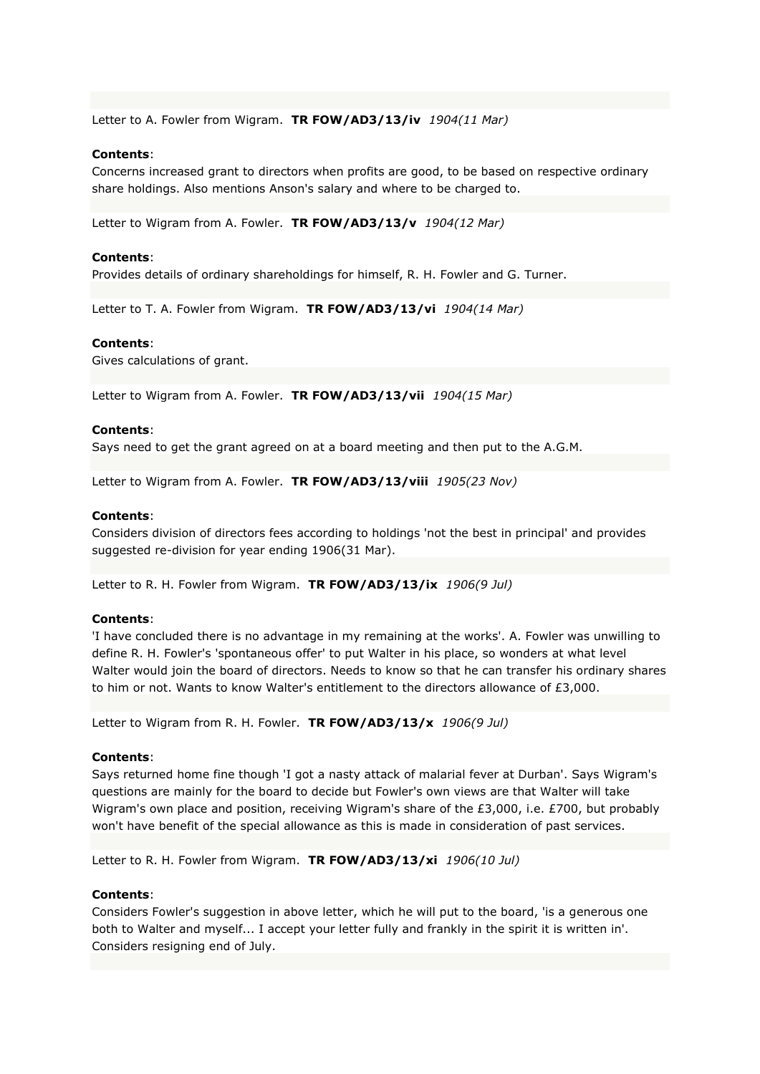Letter to A. Fowler from Wigram. **TR FOW/AD3/13/iv** *1904(11 Mar)*

#### **Contents**:

Concerns increased grant to directors when profits are good, to be based on respective ordinary share holdings. Also mentions Anson's salary and where to be charged to.

Letter to Wigram from A. Fowler. **TR FOW/AD3/13/v** *1904(12 Mar)*

#### **Contents**:

Provides details of ordinary shareholdings for himself, R. H. Fowler and G. Turner.

Letter to T. A. Fowler from Wigram. **TR FOW/AD3/13/vi** *1904(14 Mar)*

#### **Contents**:

Gives calculations of grant.

Letter to Wigram from A. Fowler. **TR FOW/AD3/13/vii** *1904(15 Mar)*

#### **Contents**:

Says need to get the grant agreed on at a board meeting and then put to the A.G.M.

Letter to Wigram from A. Fowler. **TR FOW/AD3/13/viii** *1905(23 Nov)*

#### **Contents**:

Considers division of directors fees according to holdings 'not the best in principal' and provides suggested re-division for year ending 1906(31 Mar).

Letter to R. H. Fowler from Wigram. **TR FOW/AD3/13/ix** *1906(9 Jul)*

#### **Contents**:

'I have concluded there is no advantage in my remaining at the works'. A. Fowler was unwilling to define R. H. Fowler's 'spontaneous offer' to put Walter in his place, so wonders at what level Walter would join the board of directors. Needs to know so that he can transfer his ordinary shares to him or not. Wants to know Walter's entitlement to the directors allowance of £3,000.

Letter to Wigram from R. H. Fowler. **TR FOW/AD3/13/x** *1906(9 Jul)*

#### **Contents**:

Says returned home fine though 'I got a nasty attack of malarial fever at Durban'. Says Wigram's questions are mainly for the board to decide but Fowler's own views are that Walter will take Wigram's own place and position, receiving Wigram's share of the £3,000, i.e. £700, but probably won't have benefit of the special allowance as this is made in consideration of past services.

Letter to R. H. Fowler from Wigram. **TR FOW/AD3/13/xi** *1906(10 Jul)*

#### **Contents**:

Considers Fowler's suggestion in above letter, which he will put to the board, 'is a generous one both to Walter and myself... I accept your letter fully and frankly in the spirit it is written in'. Considers resigning end of July.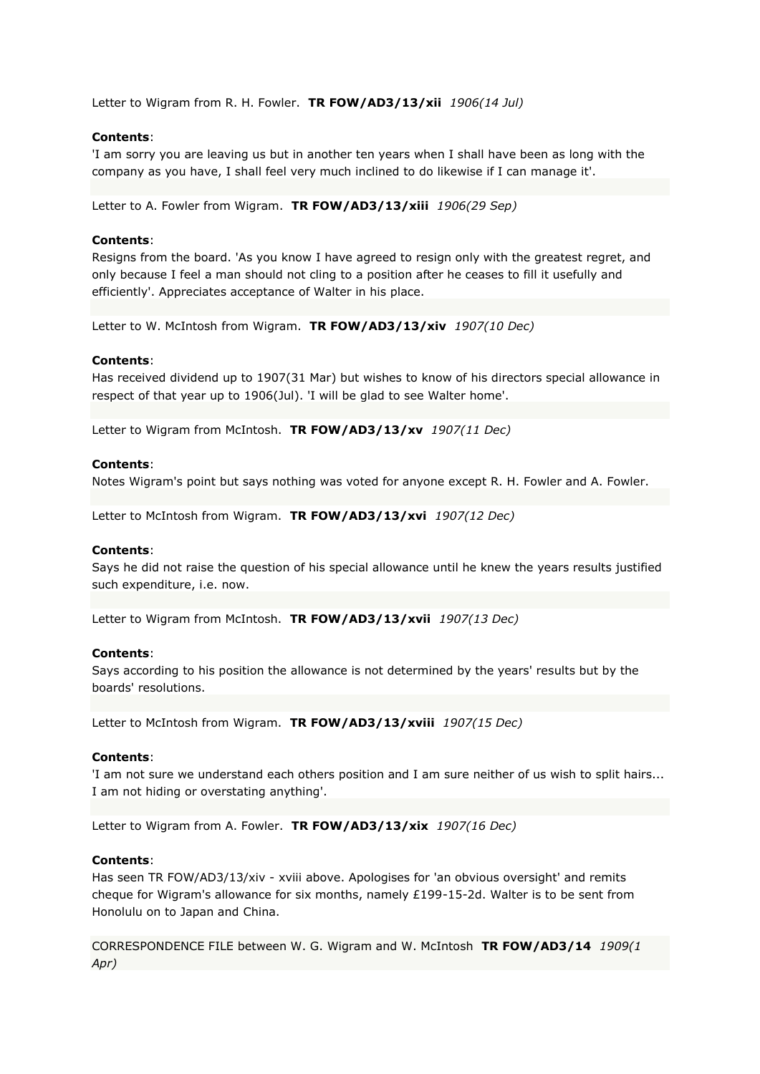Letter to Wigram from R. H. Fowler. **TR FOW/AD3/13/xii** *1906(14 Jul)*

# **Contents**:

'I am sorry you are leaving us but in another ten years when I shall have been as long with the company as you have, I shall feel very much inclined to do likewise if I can manage it'.

Letter to A. Fowler from Wigram. **TR FOW/AD3/13/xiii** *1906(29 Sep)*

#### **Contents**:

Resigns from the board. 'As you know I have agreed to resign only with the greatest regret, and only because I feel a man should not cling to a position after he ceases to fill it usefully and efficiently'. Appreciates acceptance of Walter in his place.

Letter to W. McIntosh from Wigram. **TR FOW/AD3/13/xiv** *1907(10 Dec)*

#### **Contents**:

Has received dividend up to 1907(31 Mar) but wishes to know of his directors special allowance in respect of that year up to 1906(Jul). 'I will be glad to see Walter home'.

Letter to Wigram from McIntosh. **TR FOW/AD3/13/xv** *1907(11 Dec)*

#### **Contents**:

Notes Wigram's point but says nothing was voted for anyone except R. H. Fowler and A. Fowler.

Letter to McIntosh from Wigram. **TR FOW/AD3/13/xvi** *1907(12 Dec)*

#### **Contents**:

Says he did not raise the question of his special allowance until he knew the years results justified such expenditure, i.e. now.

Letter to Wigram from McIntosh. **TR FOW/AD3/13/xvii** *1907(13 Dec)*

#### **Contents**:

Says according to his position the allowance is not determined by the years' results but by the boards' resolutions.

Letter to McIntosh from Wigram. **TR FOW/AD3/13/xviii** *1907(15 Dec)*

### **Contents**:

'I am not sure we understand each others position and I am sure neither of us wish to split hairs... I am not hiding or overstating anything'.

Letter to Wigram from A. Fowler. **TR FOW/AD3/13/xix** *1907(16 Dec)*

### **Contents**:

Has seen TR FOW/AD3/13/xiv - xviii above. Apologises for 'an obvious oversight' and remits cheque for Wigram's allowance for six months, namely £199-15-2d. Walter is to be sent from Honolulu on to Japan and China.

CORRESPONDENCE FILE between W. G. Wigram and W. McIntosh **TR FOW/AD3/14** *1909(1 Apr)*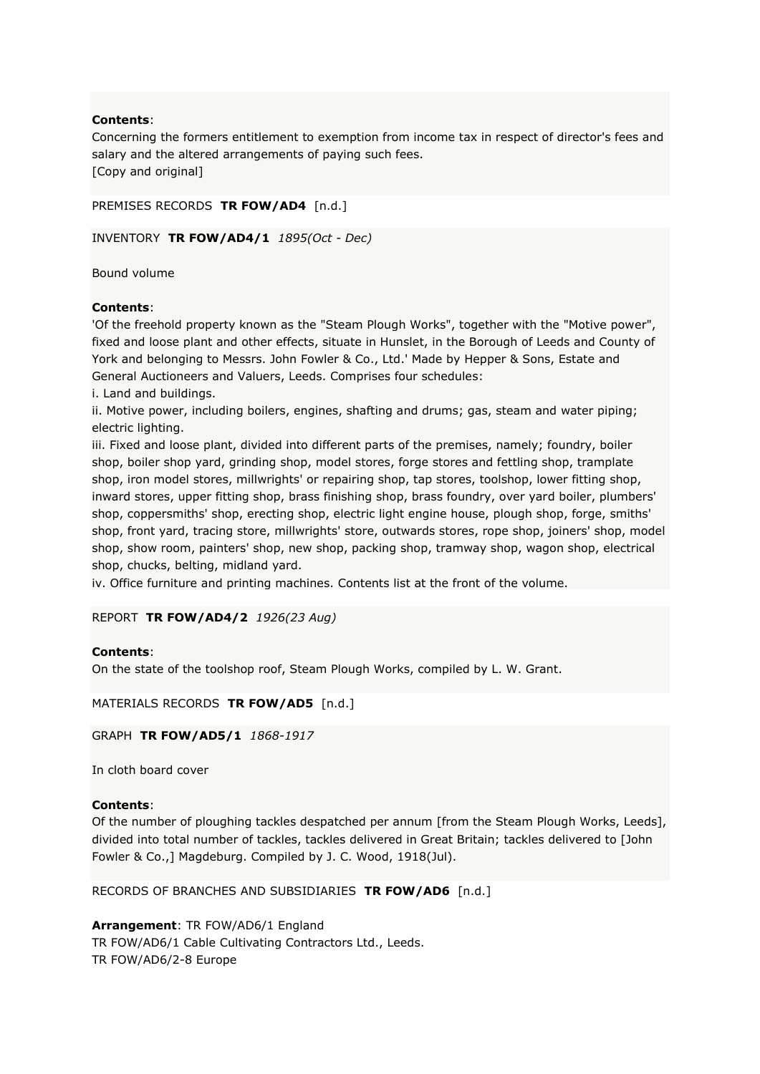Concerning the formers entitlement to exemption from income tax in respect of director's fees and salary and the altered arrangements of paying such fees. [Copy and original]

```
PREMISES RECORDS TR FOW/AD4 [n.d.]
```

```
INVENTORY TR FOW/AD4/1 1895(Oct - Dec)
```
Bound volume

### **Contents**:

'Of the freehold property known as the "Steam Plough Works", together with the "Motive power", fixed and loose plant and other effects, situate in Hunslet, in the Borough of Leeds and County of York and belonging to Messrs. John Fowler & Co., Ltd.' Made by Hepper & Sons, Estate and General Auctioneers and Valuers, Leeds. Comprises four schedules:

i. Land and buildings.

ii. Motive power, including boilers, engines, shafting and drums; gas, steam and water piping; electric lighting.

iii. Fixed and loose plant, divided into different parts of the premises, namely; foundry, boiler shop, boiler shop yard, grinding shop, model stores, forge stores and fettling shop, tramplate shop, iron model stores, millwrights' or repairing shop, tap stores, toolshop, lower fitting shop, inward stores, upper fitting shop, brass finishing shop, brass foundry, over yard boiler, plumbers' shop, coppersmiths' shop, erecting shop, electric light engine house, plough shop, forge, smiths' shop, front yard, tracing store, millwrights' store, outwards stores, rope shop, joiners' shop, model shop, show room, painters' shop, new shop, packing shop, tramway shop, wagon shop, electrical shop, chucks, belting, midland yard.

iv. Office furniture and printing machines. Contents list at the front of the volume.

### REPORT **TR FOW/AD4/2** *1926(23 Aug)*

### **Contents**:

On the state of the toolshop roof, Steam Plough Works, compiled by L. W. Grant.

MATERIALS RECORDS **TR FOW/AD5** [n.d.]

GRAPH **TR FOW/AD5/1** *1868-1917*

In cloth board cover

# **Contents**:

Of the number of ploughing tackles despatched per annum [from the Steam Plough Works, Leeds], divided into total number of tackles, tackles delivered in Great Britain; tackles delivered to [John Fowler & Co.,] Magdeburg. Compiled by J. C. Wood, 1918(Jul).

RECORDS OF BRANCHES AND SUBSIDIARIES **TR FOW/AD6** [n.d.]

**Arrangement**: TR FOW/AD6/1 England TR FOW/AD6/1 Cable Cultivating Contractors Ltd., Leeds. TR FOW/AD6/2-8 Europe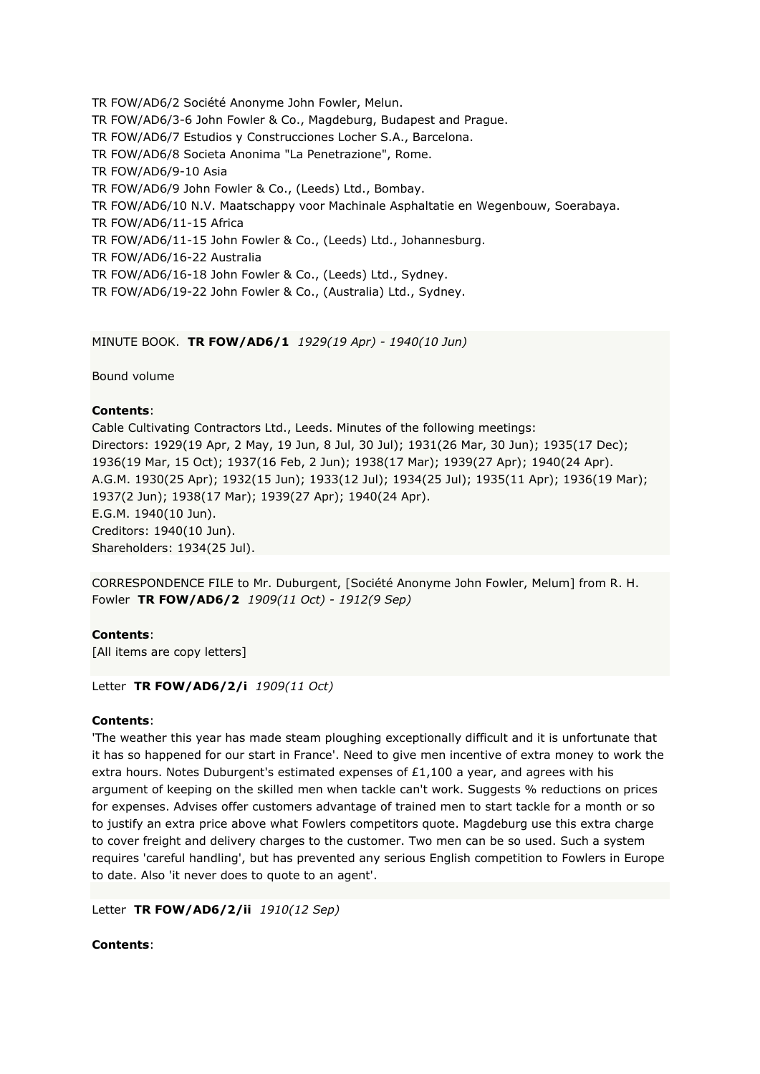TR FOW/AD6/2 Société Anonyme John Fowler, Melun. TR FOW/AD6/3-6 John Fowler & Co., Magdeburg, Budapest and Prague. TR FOW/AD6/7 Estudios y Construcciones Locher S.A., Barcelona. TR FOW/AD6/8 Societa Anonima "La Penetrazione", Rome. TR FOW/AD6/9-10 Asia TR FOW/AD6/9 John Fowler & Co., (Leeds) Ltd., Bombay. TR FOW/AD6/10 N.V. Maatschappy voor Machinale Asphaltatie en Wegenbouw, Soerabaya. TR FOW/AD6/11-15 Africa TR FOW/AD6/11-15 John Fowler & Co., (Leeds) Ltd., Johannesburg. TR FOW/AD6/16-22 Australia TR FOW/AD6/16-18 John Fowler & Co., (Leeds) Ltd., Sydney. TR FOW/AD6/19-22 John Fowler & Co., (Australia) Ltd., Sydney.

MINUTE BOOK. **TR FOW/AD6/1** *1929(19 Apr) - 1940(10 Jun)*

Bound volume

# **Contents**:

Cable Cultivating Contractors Ltd., Leeds. Minutes of the following meetings: Directors: 1929(19 Apr, 2 May, 19 Jun, 8 Jul, 30 Jul); 1931(26 Mar, 30 Jun); 1935(17 Dec); 1936(19 Mar, 15 Oct); 1937(16 Feb, 2 Jun); 1938(17 Mar); 1939(27 Apr); 1940(24 Apr). A.G.M. 1930(25 Apr); 1932(15 Jun); 1933(12 Jul); 1934(25 Jul); 1935(11 Apr); 1936(19 Mar); 1937(2 Jun); 1938(17 Mar); 1939(27 Apr); 1940(24 Apr). E.G.M. 1940(10 Jun). Creditors: 1940(10 Jun). Shareholders: 1934(25 Jul).

CORRESPONDENCE FILE to Mr. Duburgent, [Société Anonyme John Fowler, Melum] from R. H. Fowler **TR FOW/AD6/2** *1909(11 Oct) - 1912(9 Sep)*

# **Contents**:

[All items are copy letters]

### Letter **TR FOW/AD6/2/i** *1909(11 Oct)*

### **Contents**:

'The weather this year has made steam ploughing exceptionally difficult and it is unfortunate that it has so happened for our start in France'. Need to give men incentive of extra money to work the extra hours. Notes Duburgent's estimated expenses of  $£1,100$  a year, and agrees with his argument of keeping on the skilled men when tackle can't work. Suggests % reductions on prices for expenses. Advises offer customers advantage of trained men to start tackle for a month or so to justify an extra price above what Fowlers competitors quote. Magdeburg use this extra charge to cover freight and delivery charges to the customer. Two men can be so used. Such a system requires 'careful handling', but has prevented any serious English competition to Fowlers in Europe to date. Also 'it never does to quote to an agent'.

Letter **TR FOW/AD6/2/ii** *1910(12 Sep)*

**Contents**: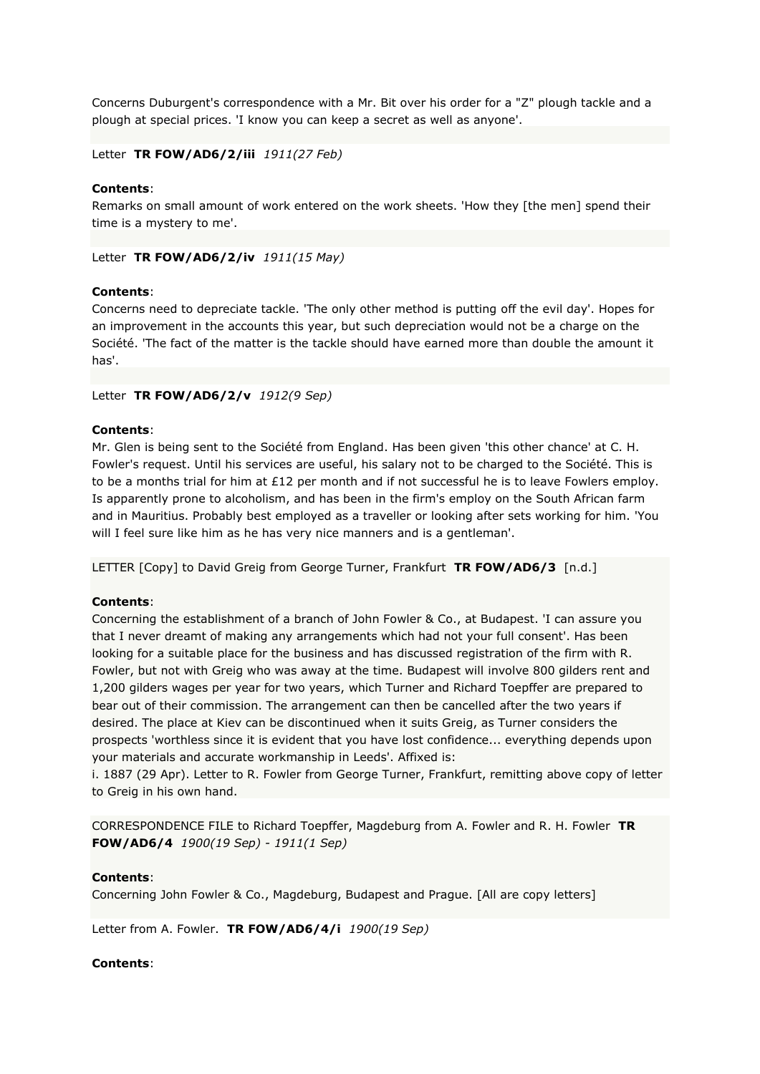Concerns Duburgent's correspondence with a Mr. Bit over his order for a "Z" plough tackle and a plough at special prices. 'I know you can keep a secret as well as anyone'.

Letter **TR FOW/AD6/2/iii** *1911(27 Feb)*

# **Contents**:

Remarks on small amount of work entered on the work sheets. 'How they [the men] spend their time is a mystery to me'.

Letter **TR FOW/AD6/2/iv** *1911(15 May)*

### **Contents**:

Concerns need to depreciate tackle. 'The only other method is putting off the evil day'. Hopes for an improvement in the accounts this year, but such depreciation would not be a charge on the Société. 'The fact of the matter is the tackle should have earned more than double the amount it has'.

Letter **TR FOW/AD6/2/v** *1912(9 Sep)*

### **Contents**:

Mr. Glen is being sent to the Société from England. Has been given 'this other chance' at C. H. Fowler's request. Until his services are useful, his salary not to be charged to the Société. This is to be a months trial for him at £12 per month and if not successful he is to leave Fowlers employ. Is apparently prone to alcoholism, and has been in the firm's employ on the South African farm and in Mauritius. Probably best employed as a traveller or looking after sets working for him. 'You will I feel sure like him as he has very nice manners and is a gentleman'.

LETTER [Copy] to David Greig from George Turner, Frankfurt **TR FOW/AD6/3** [n.d.]

### **Contents**:

Concerning the establishment of a branch of John Fowler & Co., at Budapest. 'I can assure you that I never dreamt of making any arrangements which had not your full consent'. Has been looking for a suitable place for the business and has discussed registration of the firm with R. Fowler, but not with Greig who was away at the time. Budapest will involve 800 gilders rent and 1,200 gilders wages per year for two years, which Turner and Richard Toepffer are prepared to bear out of their commission. The arrangement can then be cancelled after the two years if desired. The place at Kiev can be discontinued when it suits Greig, as Turner considers the prospects 'worthless since it is evident that you have lost confidence... everything depends upon your materials and accurate workmanship in Leeds'. Affixed is:

i. 1887 (29 Apr). Letter to R. Fowler from George Turner, Frankfurt, remitting above copy of letter to Greig in his own hand.

CORRESPONDENCE FILE to Richard Toepffer, Magdeburg from A. Fowler and R. H. Fowler **TR FOW/AD6/4** *1900(19 Sep) - 1911(1 Sep)*

### **Contents**:

Concerning John Fowler & Co., Magdeburg, Budapest and Prague. [All are copy letters]

Letter from A. Fowler. **TR FOW/AD6/4/i** *1900(19 Sep)*

### **Contents**: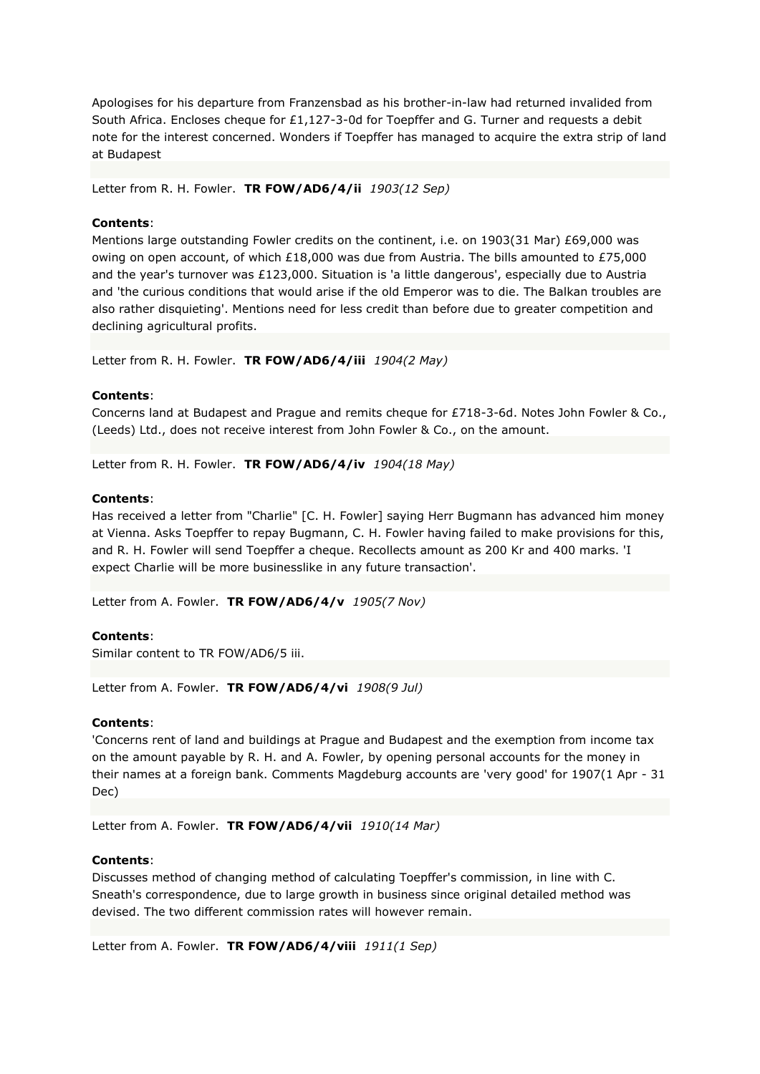Apologises for his departure from Franzensbad as his brother-in-law had returned invalided from South Africa. Encloses cheque for £1,127-3-0d for Toepffer and G. Turner and requests a debit note for the interest concerned. Wonders if Toepffer has managed to acquire the extra strip of land at Budapest

Letter from R. H. Fowler. **TR FOW/AD6/4/ii** *1903(12 Sep)*

### **Contents**:

Mentions large outstanding Fowler credits on the continent, i.e. on 1903(31 Mar) £69,000 was owing on open account, of which £18,000 was due from Austria. The bills amounted to £75,000 and the year's turnover was £123,000. Situation is 'a little dangerous', especially due to Austria and 'the curious conditions that would arise if the old Emperor was to die. The Balkan troubles are also rather disquieting'. Mentions need for less credit than before due to greater competition and declining agricultural profits.

Letter from R. H. Fowler. **TR FOW/AD6/4/iii** *1904(2 May)*

### **Contents**:

Concerns land at Budapest and Prague and remits cheque for £718-3-6d. Notes John Fowler & Co., (Leeds) Ltd., does not receive interest from John Fowler & Co., on the amount.

Letter from R. H. Fowler. **TR FOW/AD6/4/iv** *1904(18 May)*

#### **Contents**:

Has received a letter from "Charlie" [C. H. Fowler] saying Herr Bugmann has advanced him money at Vienna. Asks Toepffer to repay Bugmann, C. H. Fowler having failed to make provisions for this, and R. H. Fowler will send Toepffer a cheque. Recollects amount as 200 Kr and 400 marks. 'I expect Charlie will be more businesslike in any future transaction'.

Letter from A. Fowler. **TR FOW/AD6/4/v** *1905(7 Nov)*

### **Contents**:

Similar content to TR FOW/AD6/5 iii.

Letter from A. Fowler. **TR FOW/AD6/4/vi** *1908(9 Jul)*

#### **Contents**:

'Concerns rent of land and buildings at Prague and Budapest and the exemption from income tax on the amount payable by R. H. and A. Fowler, by opening personal accounts for the money in their names at a foreign bank. Comments Magdeburg accounts are 'very good' for 1907(1 Apr - 31 Dec)

Letter from A. Fowler. **TR FOW/AD6/4/vii** *1910(14 Mar)*

# **Contents**:

Discusses method of changing method of calculating Toepffer's commission, in line with C. Sneath's correspondence, due to large growth in business since original detailed method was devised. The two different commission rates will however remain.

Letter from A. Fowler. **TR FOW/AD6/4/viii** *1911(1 Sep)*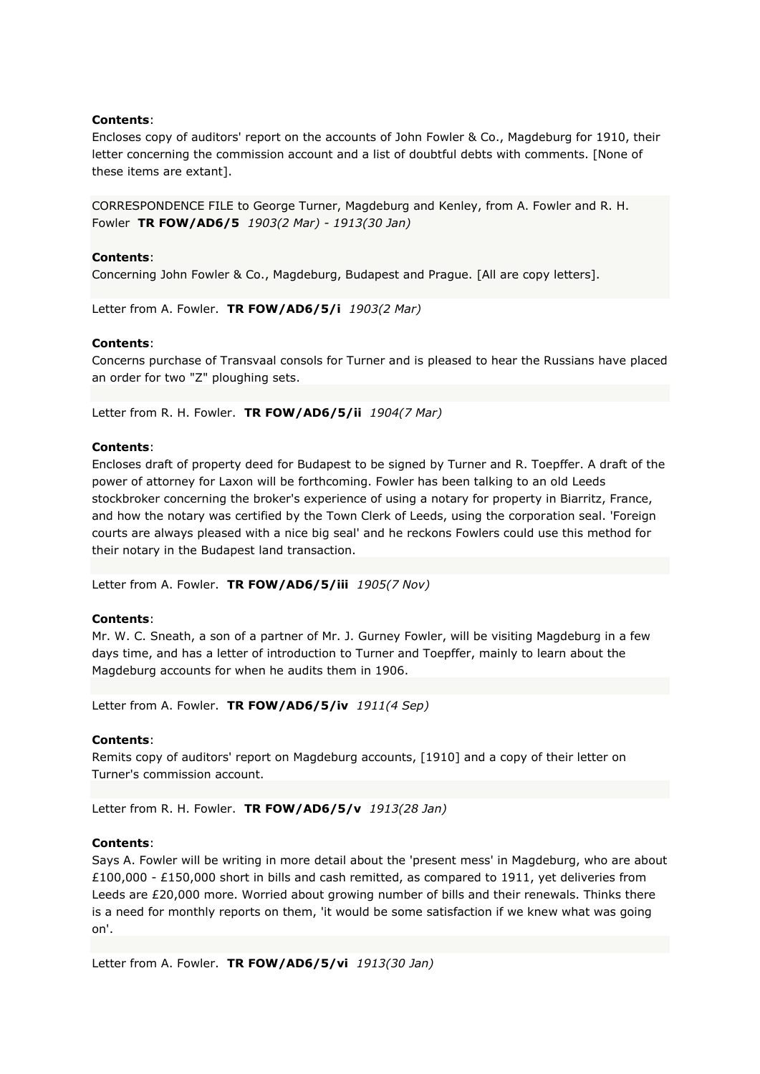Encloses copy of auditors' report on the accounts of John Fowler & Co., Magdeburg for 1910, their letter concerning the commission account and a list of doubtful debts with comments. [None of these items are extant].

CORRESPONDENCE FILE to George Turner, Magdeburg and Kenley, from A. Fowler and R. H. Fowler **TR FOW/AD6/5** *1903(2 Mar) - 1913(30 Jan)*

### **Contents**:

Concerning John Fowler & Co., Magdeburg, Budapest and Prague. [All are copy letters].

Letter from A. Fowler. **TR FOW/AD6/5/i** *1903(2 Mar)*

### **Contents**:

Concerns purchase of Transvaal consols for Turner and is pleased to hear the Russians have placed an order for two "Z" ploughing sets.

Letter from R. H. Fowler. **TR FOW/AD6/5/ii** *1904(7 Mar)*

### **Contents**:

Encloses draft of property deed for Budapest to be signed by Turner and R. Toepffer. A draft of the power of attorney for Laxon will be forthcoming. Fowler has been talking to an old Leeds stockbroker concerning the broker's experience of using a notary for property in Biarritz, France, and how the notary was certified by the Town Clerk of Leeds, using the corporation seal. 'Foreign courts are always pleased with a nice big seal' and he reckons Fowlers could use this method for their notary in the Budapest land transaction.

Letter from A. Fowler. **TR FOW/AD6/5/iii** *1905(7 Nov)*

### **Contents**:

Mr. W. C. Sneath, a son of a partner of Mr. J. Gurney Fowler, will be visiting Magdeburg in a few days time, and has a letter of introduction to Turner and Toepffer, mainly to learn about the Magdeburg accounts for when he audits them in 1906.

Letter from A. Fowler. **TR FOW/AD6/5/iv** *1911(4 Sep)*

#### **Contents**:

Remits copy of auditors' report on Magdeburg accounts, [1910] and a copy of their letter on Turner's commission account.

Letter from R. H. Fowler. **TR FOW/AD6/5/v** *1913(28 Jan)*

#### **Contents**:

Says A. Fowler will be writing in more detail about the 'present mess' in Magdeburg, who are about £100,000 - £150,000 short in bills and cash remitted, as compared to 1911, yet deliveries from Leeds are £20,000 more. Worried about growing number of bills and their renewals. Thinks there is a need for monthly reports on them, 'it would be some satisfaction if we knew what was going on'.

Letter from A. Fowler. **TR FOW/AD6/5/vi** *1913(30 Jan)*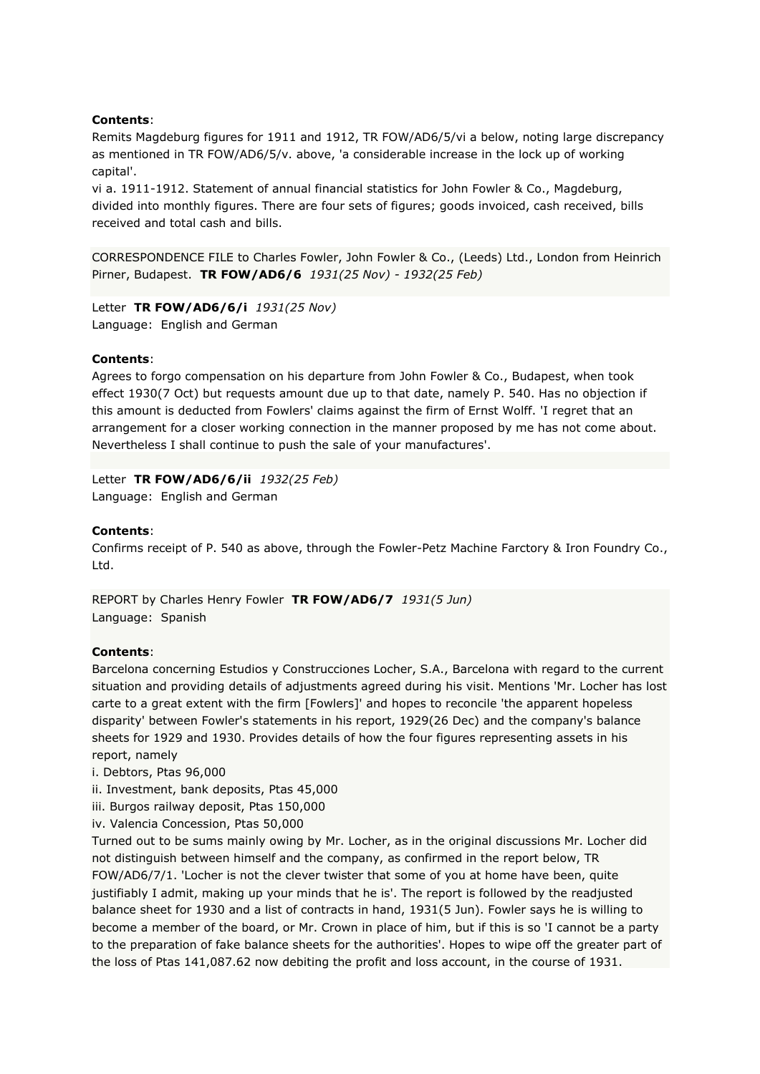Remits Magdeburg figures for 1911 and 1912, TR FOW/AD6/5/vi a below, noting large discrepancy as mentioned in TR FOW/AD6/5/v. above, 'a considerable increase in the lock up of working capital'.

vi a. 1911-1912. Statement of annual financial statistics for John Fowler & Co., Magdeburg, divided into monthly figures. There are four sets of figures; goods invoiced, cash received, bills received and total cash and bills.

CORRESPONDENCE FILE to Charles Fowler, John Fowler & Co., (Leeds) Ltd., London from Heinrich Pirner, Budapest. **TR FOW/AD6/6** *1931(25 Nov) - 1932(25 Feb)*

Letter **TR FOW/AD6/6/i** *1931(25 Nov)* Language: English and German

### **Contents**:

Agrees to forgo compensation on his departure from John Fowler & Co., Budapest, when took effect 1930(7 Oct) but requests amount due up to that date, namely P. 540. Has no objection if this amount is deducted from Fowlers' claims against the firm of Ernst Wolff. 'I regret that an arrangement for a closer working connection in the manner proposed by me has not come about. Nevertheless I shall continue to push the sale of your manufactures'.

Letter **TR FOW/AD6/6/ii** *1932(25 Feb)* Language: English and German

#### **Contents**:

Confirms receipt of P. 540 as above, through the Fowler-Petz Machine Farctory & Iron Foundry Co., Ltd.

REPORT by Charles Henry Fowler **TR FOW/AD6/7** *1931(5 Jun)* Language: Spanish

### **Contents**:

Barcelona concerning Estudios y Construcciones Locher, S.A., Barcelona with regard to the current situation and providing details of adjustments agreed during his visit. Mentions 'Mr. Locher has lost carte to a great extent with the firm [Fowlers]' and hopes to reconcile 'the apparent hopeless disparity' between Fowler's statements in his report, 1929(26 Dec) and the company's balance sheets for 1929 and 1930. Provides details of how the four figures representing assets in his report, namely

i. Debtors, Ptas 96,000

- ii. Investment, bank deposits, Ptas 45,000
- iii. Burgos railway deposit, Ptas 150,000
- iv. Valencia Concession, Ptas 50,000

Turned out to be sums mainly owing by Mr. Locher, as in the original discussions Mr. Locher did not distinguish between himself and the company, as confirmed in the report below, TR FOW/AD6/7/1. 'Locher is not the clever twister that some of you at home have been, quite justifiably I admit, making up your minds that he is'. The report is followed by the readjusted balance sheet for 1930 and a list of contracts in hand, 1931(5 Jun). Fowler says he is willing to become a member of the board, or Mr. Crown in place of him, but if this is so 'I cannot be a party to the preparation of fake balance sheets for the authorities'. Hopes to wipe off the greater part of the loss of Ptas 141,087.62 now debiting the profit and loss account, in the course of 1931.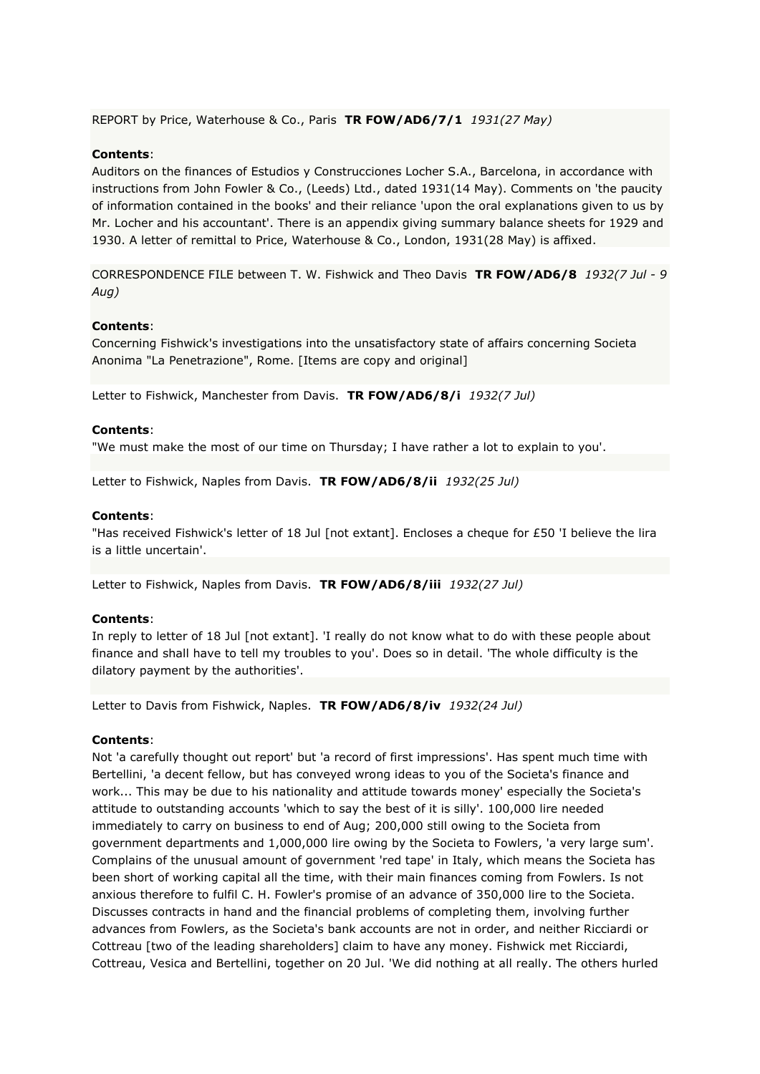REPORT by Price, Waterhouse & Co., Paris **TR FOW/AD6/7/1** *1931(27 May)*

## **Contents**:

Auditors on the finances of Estudios y Construcciones Locher S.A., Barcelona, in accordance with instructions from John Fowler & Co., (Leeds) Ltd., dated 1931(14 May). Comments on 'the paucity of information contained in the books' and their reliance 'upon the oral explanations given to us by Mr. Locher and his accountant'. There is an appendix giving summary balance sheets for 1929 and 1930. A letter of remittal to Price, Waterhouse & Co., London, 1931(28 May) is affixed.

CORRESPONDENCE FILE between T. W. Fishwick and Theo Davis **TR FOW/AD6/8** *1932(7 Jul - 9 Aug)*

### **Contents**:

Concerning Fishwick's investigations into the unsatisfactory state of affairs concerning Societa Anonima "La Penetrazione", Rome. [Items are copy and original]

Letter to Fishwick, Manchester from Davis. **TR FOW/AD6/8/i** *1932(7 Jul)*

#### **Contents**:

"We must make the most of our time on Thursday; I have rather a lot to explain to you'.

Letter to Fishwick, Naples from Davis. **TR FOW/AD6/8/ii** *1932(25 Jul)*

#### **Contents**:

"Has received Fishwick's letter of 18 Jul [not extant]. Encloses a cheque for £50 'I believe the lira is a little uncertain'.

Letter to Fishwick, Naples from Davis. **TR FOW/AD6/8/iii** *1932(27 Jul)*

#### **Contents**:

In reply to letter of 18 Jul [not extant]. 'I really do not know what to do with these people about finance and shall have to tell my troubles to you'. Does so in detail. 'The whole difficulty is the dilatory payment by the authorities'.

Letter to Davis from Fishwick, Naples. **TR FOW/AD6/8/iv** *1932(24 Jul)*

#### **Contents**:

Not 'a carefully thought out report' but 'a record of first impressions'. Has spent much time with Bertellini, 'a decent fellow, but has conveyed wrong ideas to you of the Societa's finance and work... This may be due to his nationality and attitude towards money' especially the Societa's attitude to outstanding accounts 'which to say the best of it is silly'. 100,000 lire needed immediately to carry on business to end of Aug; 200,000 still owing to the Societa from government departments and 1,000,000 lire owing by the Societa to Fowlers, 'a very large sum'. Complains of the unusual amount of government 'red tape' in Italy, which means the Societa has been short of working capital all the time, with their main finances coming from Fowlers. Is not anxious therefore to fulfil C. H. Fowler's promise of an advance of 350,000 lire to the Societa. Discusses contracts in hand and the financial problems of completing them, involving further advances from Fowlers, as the Societa's bank accounts are not in order, and neither Ricciardi or Cottreau [two of the leading shareholders] claim to have any money. Fishwick met Ricciardi, Cottreau, Vesica and Bertellini, together on 20 Jul. 'We did nothing at all really. The others hurled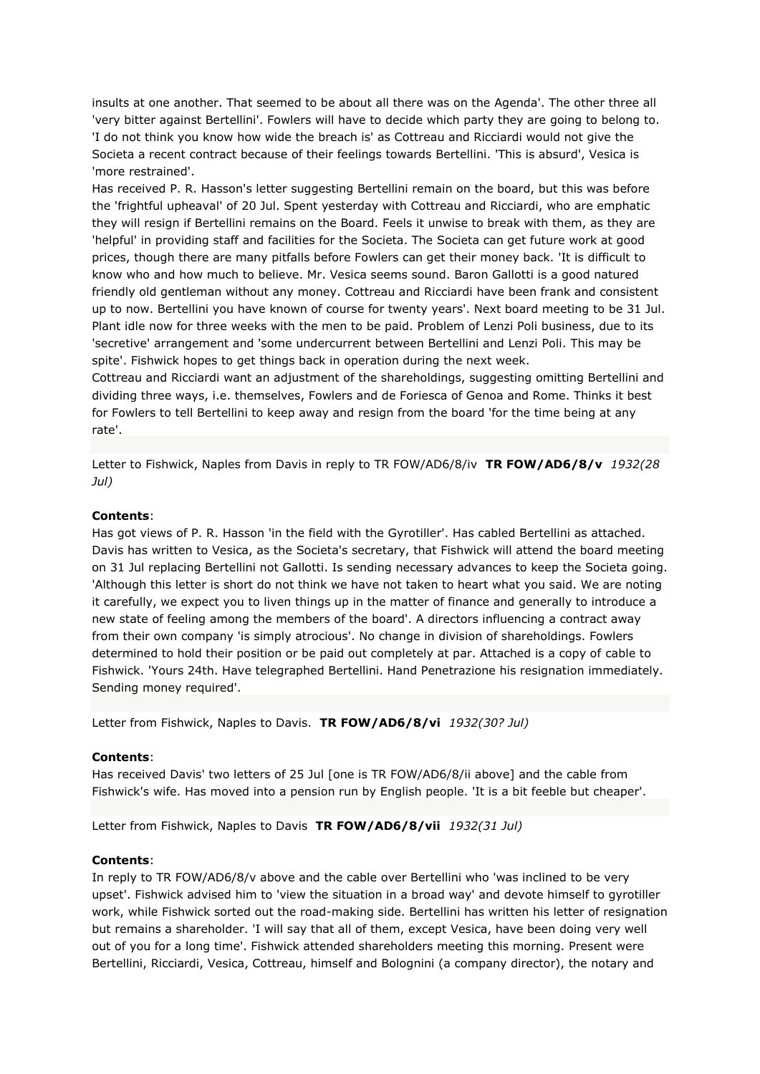insults at one another. That seemed to be about all there was on the Agenda'. The other three all 'very bitter against Bertellini'. Fowlers will have to decide which party they are going to belong to. 'I do not think you know how wide the breach is' as Cottreau and Ricciardi would not give the Societa a recent contract because of their feelings towards Bertellini. 'This is absurd', Vesica is 'more restrained'.

Has received P. R. Hasson's letter suggesting Bertellini remain on the board, but this was before the 'frightful upheaval' of 20 Jul. Spent yesterday with Cottreau and Ricciardi, who are emphatic they will resign if Bertellini remains on the Board. Feels it unwise to break with them, as they are 'helpful' in providing staff and facilities for the Societa. The Societa can get future work at good prices, though there are many pitfalls before Fowlers can get their money back. 'It is difficult to know who and how much to believe. Mr. Vesica seems sound. Baron Gallotti is a good natured friendly old gentleman without any money. Cottreau and Ricciardi have been frank and consistent up to now. Bertellini you have known of course for twenty years'. Next board meeting to be 31 Jul. Plant idle now for three weeks with the men to be paid. Problem of Lenzi Poli business, due to its 'secretive' arrangement and 'some undercurrent between Bertellini and Lenzi Poli. This may be spite'. Fishwick hopes to get things back in operation during the next week.

Cottreau and Ricciardi want an adjustment of the shareholdings, suggesting omitting Bertellini and dividing three ways, i.e. themselves, Fowlers and de Foriesca of Genoa and Rome. Thinks it best for Fowlers to tell Bertellini to keep away and resign from the board 'for the time being at any rate'.

Letter to Fishwick, Naples from Davis in reply to TR FOW/AD6/8/iv **TR FOW/AD6/8/v** *1932(28 Jul)*

#### **Contents**:

Has got views of P. R. Hasson 'in the field with the Gyrotiller'. Has cabled Bertellini as attached. Davis has written to Vesica, as the Societa's secretary, that Fishwick will attend the board meeting on 31 Jul replacing Bertellini not Gallotti. Is sending necessary advances to keep the Societa going. 'Although this letter is short do not think we have not taken to heart what you said. We are noting it carefully, we expect you to liven things up in the matter of finance and generally to introduce a new state of feeling among the members of the board'. A directors influencing a contract away from their own company 'is simply atrocious'. No change in division of shareholdings. Fowlers determined to hold their position or be paid out completely at par. Attached is a copy of cable to Fishwick. 'Yours 24th. Have telegraphed Bertellini. Hand Penetrazione his resignation immediately. Sending money required'.

Letter from Fishwick, Naples to Davis. **TR FOW/AD6/8/vi** *1932(30? Jul)*

#### **Contents**:

Has received Davis' two letters of 25 Jul [one is TR FOW/AD6/8/ii above] and the cable from Fishwick's wife. Has moved into a pension run by English people. 'It is a bit feeble but cheaper'.

Letter from Fishwick, Naples to Davis **TR FOW/AD6/8/vii** *1932(31 Jul)*

#### **Contents**:

In reply to TR FOW/AD6/8/v above and the cable over Bertellini who 'was inclined to be very upset'. Fishwick advised him to 'view the situation in a broad way' and devote himself to gyrotiller work, while Fishwick sorted out the road-making side. Bertellini has written his letter of resignation but remains a shareholder. 'I will say that all of them, except Vesica, have been doing very well out of you for a long time'. Fishwick attended shareholders meeting this morning. Present were Bertellini, Ricciardi, Vesica, Cottreau, himself and Bolognini (a company director), the notary and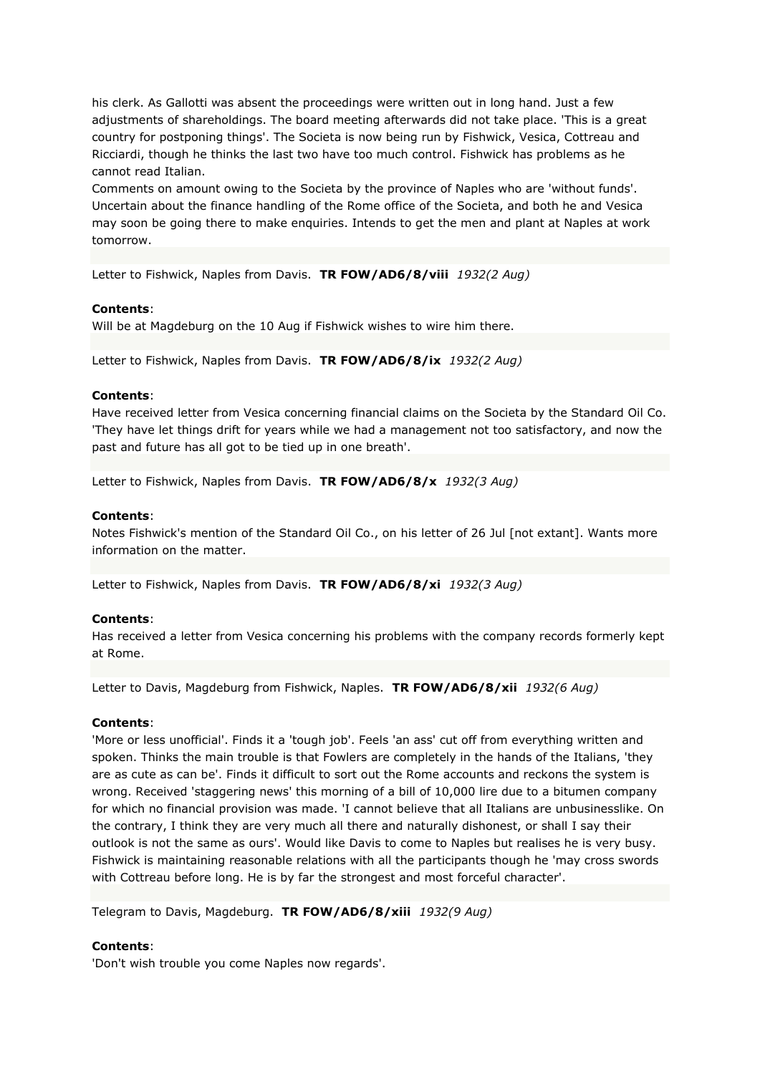his clerk. As Gallotti was absent the proceedings were written out in long hand. Just a few adjustments of shareholdings. The board meeting afterwards did not take place. 'This is a great country for postponing things'. The Societa is now being run by Fishwick, Vesica, Cottreau and Ricciardi, though he thinks the last two have too much control. Fishwick has problems as he cannot read Italian.

Comments on amount owing to the Societa by the province of Naples who are 'without funds'. Uncertain about the finance handling of the Rome office of the Societa, and both he and Vesica may soon be going there to make enquiries. Intends to get the men and plant at Naples at work tomorrow.

Letter to Fishwick, Naples from Davis. **TR FOW/AD6/8/viii** *1932(2 Aug)*

# **Contents**:

Will be at Magdeburg on the 10 Aug if Fishwick wishes to wire him there.

Letter to Fishwick, Naples from Davis. **TR FOW/AD6/8/ix** *1932(2 Aug)*

## **Contents**:

Have received letter from Vesica concerning financial claims on the Societa by the Standard Oil Co. 'They have let things drift for years while we had a management not too satisfactory, and now the past and future has all got to be tied up in one breath'.

Letter to Fishwick, Naples from Davis. **TR FOW/AD6/8/x** *1932(3 Aug)*

### **Contents**:

Notes Fishwick's mention of the Standard Oil Co., on his letter of 26 Jul [not extant]. Wants more information on the matter.

Letter to Fishwick, Naples from Davis. **TR FOW/AD6/8/xi** *1932(3 Aug)*

### **Contents**:

Has received a letter from Vesica concerning his problems with the company records formerly kept at Rome.

Letter to Davis, Magdeburg from Fishwick, Naples. **TR FOW/AD6/8/xii** *1932(6 Aug)*

### **Contents**:

'More or less unofficial'. Finds it a 'tough job'. Feels 'an ass' cut off from everything written and spoken. Thinks the main trouble is that Fowlers are completely in the hands of the Italians, 'they are as cute as can be'. Finds it difficult to sort out the Rome accounts and reckons the system is wrong. Received 'staggering news' this morning of a bill of 10,000 lire due to a bitumen company for which no financial provision was made. 'I cannot believe that all Italians are unbusinesslike. On the contrary, I think they are very much all there and naturally dishonest, or shall I say their outlook is not the same as ours'. Would like Davis to come to Naples but realises he is very busy. Fishwick is maintaining reasonable relations with all the participants though he 'may cross swords with Cottreau before long. He is by far the strongest and most forceful character'.

Telegram to Davis, Magdeburg. **TR FOW/AD6/8/xiii** *1932(9 Aug)*

### **Contents**:

'Don't wish trouble you come Naples now regards'.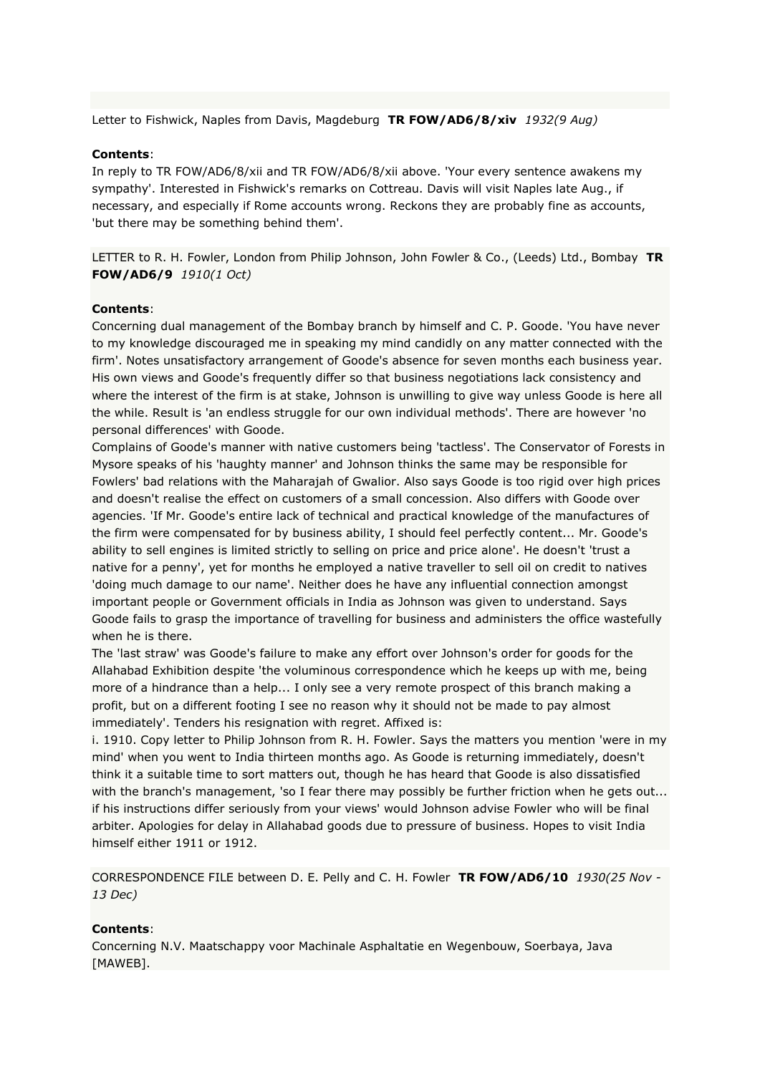Letter to Fishwick, Naples from Davis, Magdeburg **TR FOW/AD6/8/xiv** *1932(9 Aug)*

## **Contents**:

In reply to TR FOW/AD6/8/xii and TR FOW/AD6/8/xii above. 'Your every sentence awakens my sympathy'. Interested in Fishwick's remarks on Cottreau. Davis will visit Naples late Aug., if necessary, and especially if Rome accounts wrong. Reckons they are probably fine as accounts, 'but there may be something behind them'.

LETTER to R. H. Fowler, London from Philip Johnson, John Fowler & Co., (Leeds) Ltd., Bombay **TR FOW/AD6/9** *1910(1 Oct)*

### **Contents**:

Concerning dual management of the Bombay branch by himself and C. P. Goode. 'You have never to my knowledge discouraged me in speaking my mind candidly on any matter connected with the firm'. Notes unsatisfactory arrangement of Goode's absence for seven months each business year. His own views and Goode's frequently differ so that business negotiations lack consistency and where the interest of the firm is at stake, Johnson is unwilling to give way unless Goode is here all the while. Result is 'an endless struggle for our own individual methods'. There are however 'no personal differences' with Goode.

Complains of Goode's manner with native customers being 'tactless'. The Conservator of Forests in Mysore speaks of his 'haughty manner' and Johnson thinks the same may be responsible for Fowlers' bad relations with the Maharajah of Gwalior. Also says Goode is too rigid over high prices and doesn't realise the effect on customers of a small concession. Also differs with Goode over agencies. 'If Mr. Goode's entire lack of technical and practical knowledge of the manufactures of the firm were compensated for by business ability, I should feel perfectly content... Mr. Goode's ability to sell engines is limited strictly to selling on price and price alone'. He doesn't 'trust a native for a penny', yet for months he employed a native traveller to sell oil on credit to natives 'doing much damage to our name'. Neither does he have any influential connection amongst important people or Government officials in India as Johnson was given to understand. Says Goode fails to grasp the importance of travelling for business and administers the office wastefully when he is there.

The 'last straw' was Goode's failure to make any effort over Johnson's order for goods for the Allahabad Exhibition despite 'the voluminous correspondence which he keeps up with me, being more of a hindrance than a help... I only see a very remote prospect of this branch making a profit, but on a different footing I see no reason why it should not be made to pay almost immediately'. Tenders his resignation with regret. Affixed is:

i. 1910. Copy letter to Philip Johnson from R. H. Fowler. Says the matters you mention 'were in my mind' when you went to India thirteen months ago. As Goode is returning immediately, doesn't think it a suitable time to sort matters out, though he has heard that Goode is also dissatisfied with the branch's management, 'so I fear there may possibly be further friction when he gets out... if his instructions differ seriously from your views' would Johnson advise Fowler who will be final arbiter. Apologies for delay in Allahabad goods due to pressure of business. Hopes to visit India himself either 1911 or 1912.

CORRESPONDENCE FILE between D. E. Pelly and C. H. Fowler **TR FOW/AD6/10** *1930(25 Nov - 13 Dec)*

### **Contents**:

Concerning N.V. Maatschappy voor Machinale Asphaltatie en Wegenbouw, Soerbaya, Java [MAWEB].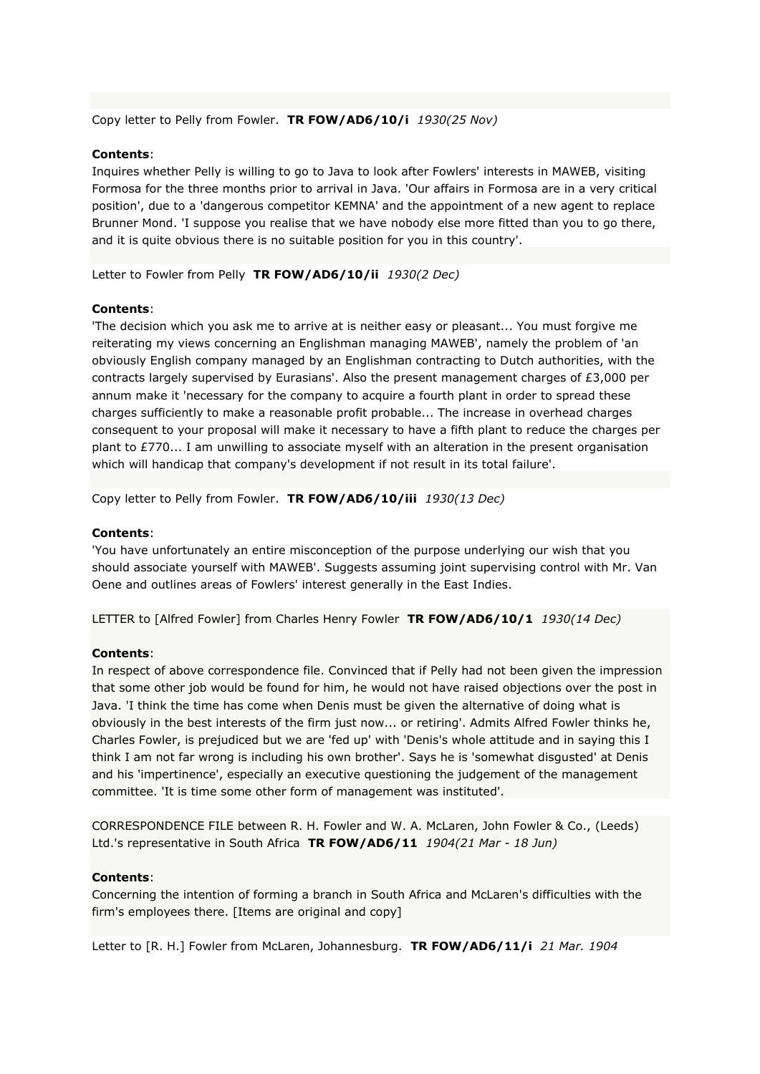Copy letter to Pelly from Fowler. **TR FOW/AD6/10/i** *1930(25 Nov)*

#### **Contents**:

Inquires whether Pelly is willing to go to Java to look after Fowlers' interests in MAWEB, visiting Formosa for the three months prior to arrival in Java. 'Our affairs in Formosa are in a very critical position', due to a 'dangerous competitor KEMNA' and the appointment of a new agent to replace Brunner Mond. 'I suppose you realise that we have nobody else more fitted than you to go there, and it is quite obvious there is no suitable position for you in this country'.

Letter to Fowler from Pelly **TR FOW/AD6/10/ii** *1930(2 Dec)*

#### **Contents**:

'The decision which you ask me to arrive at is neither easy or pleasant... You must forgive me reiterating my views concerning an Englishman managing MAWEB', namely the problem of 'an obviously English company managed by an Englishman contracting to Dutch authorities, with the contracts largely supervised by Eurasians'. Also the present management charges of £3,000 per annum make it 'necessary for the company to acquire a fourth plant in order to spread these charges sufficiently to make a reasonable profit probable... The increase in overhead charges consequent to your proposal will make it necessary to have a fifth plant to reduce the charges per plant to £770... I am unwilling to associate myself with an alteration in the present organisation which will handicap that company's development if not result in its total failure'.

Copy letter to Pelly from Fowler. **TR FOW/AD6/10/iii** *1930(13 Dec)*

#### **Contents**:

'You have unfortunately an entire misconception of the purpose underlying our wish that you should associate yourself with MAWEB'. Suggests assuming joint supervising control with Mr. Van Oene and outlines areas of Fowlers' interest generally in the East Indies.

LETTER to [Alfred Fowler] from Charles Henry Fowler **TR FOW/AD6/10/1** *1930(14 Dec)*

#### **Contents**:

In respect of above correspondence file. Convinced that if Pelly had not been given the impression that some other job would be found for him, he would not have raised objections over the post in Java. 'I think the time has come when Denis must be given the alternative of doing what is obviously in the best interests of the firm just now... or retiring'. Admits Alfred Fowler thinks he, Charles Fowler, is prejudiced but we are 'fed up' with 'Denis's whole attitude and in saying this I think I am not far wrong is including his own brother'. Says he is 'somewhat disgusted' at Denis and his 'impertinence', especially an executive questioning the judgement of the management committee. 'It is time some other form of management was instituted'.

CORRESPONDENCE FILE between R. H. Fowler and W. A. McLaren, John Fowler & Co., (Leeds) Ltd.'s representative in South Africa **TR FOW/AD6/11** *1904(21 Mar - 18 Jun)*

#### **Contents**:

Concerning the intention of forming a branch in South Africa and McLaren's difficulties with the firm's employees there. [Items are original and copy]

Letter to [R. H.] Fowler from McLaren, Johannesburg. **TR FOW/AD6/11/i** *21 Mar. 1904*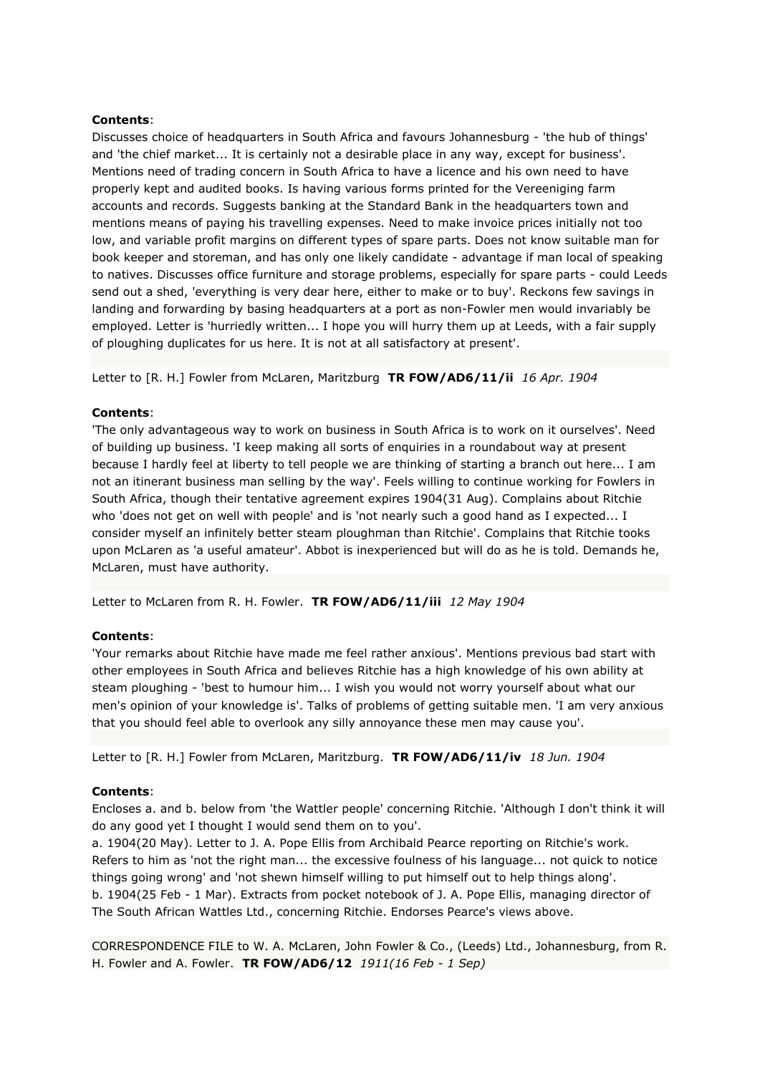Discusses choice of headquarters in South Africa and favours Johannesburg - 'the hub of things' and 'the chief market... It is certainly not a desirable place in any way, except for business'. Mentions need of trading concern in South Africa to have a licence and his own need to have properly kept and audited books. Is having various forms printed for the Vereeniging farm accounts and records. Suggests banking at the Standard Bank in the headquarters town and mentions means of paying his travelling expenses. Need to make invoice prices initially not too low, and variable profit margins on different types of spare parts. Does not know suitable man for book keeper and storeman, and has only one likely candidate - advantage if man local of speaking to natives. Discusses office furniture and storage problems, especially for spare parts - could Leeds send out a shed, 'everything is very dear here, either to make or to buy'. Reckons few savings in landing and forwarding by basing headquarters at a port as non-Fowler men would invariably be employed. Letter is 'hurriedly written... I hope you will hurry them up at Leeds, with a fair supply of ploughing duplicates for us here. It is not at all satisfactory at present'.

Letter to [R. H.] Fowler from McLaren, Maritzburg **TR FOW/AD6/11/ii** *16 Apr. 1904*

## **Contents**:

'The only advantageous way to work on business in South Africa is to work on it ourselves'. Need of building up business. 'I keep making all sorts of enquiries in a roundabout way at present because I hardly feel at liberty to tell people we are thinking of starting a branch out here... I am not an itinerant business man selling by the way'. Feels willing to continue working for Fowlers in South Africa, though their tentative agreement expires 1904(31 Aug). Complains about Ritchie who 'does not get on well with people' and is 'not nearly such a good hand as I expected... I consider myself an infinitely better steam ploughman than Ritchie'. Complains that Ritchie tooks upon McLaren as 'a useful amateur'. Abbot is inexperienced but will do as he is told. Demands he, McLaren, must have authority.

Letter to McLaren from R. H. Fowler. **TR FOW/AD6/11/iii** *12 May 1904*

# **Contents**:

'Your remarks about Ritchie have made me feel rather anxious'. Mentions previous bad start with other employees in South Africa and believes Ritchie has a high knowledge of his own ability at steam ploughing - 'best to humour him... I wish you would not worry yourself about what our men's opinion of your knowledge is'. Talks of problems of getting suitable men. 'I am very anxious that you should feel able to overlook any silly annoyance these men may cause you'.

Letter to [R. H.] Fowler from McLaren, Maritzburg. **TR FOW/AD6/11/iv** *18 Jun. 1904*

# **Contents**:

Encloses a. and b. below from 'the Wattler people' concerning Ritchie. 'Although I don't think it will do any good yet I thought I would send them on to you'.

a. 1904(20 May). Letter to J. A. Pope Ellis from Archibald Pearce reporting on Ritchie's work. Refers to him as 'not the right man... the excessive foulness of his language... not quick to notice things going wrong' and 'not shewn himself willing to put himself out to help things along'. b. 1904(25 Feb - 1 Mar). Extracts from pocket notebook of J. A. Pope Ellis, managing director of The South African Wattles Ltd., concerning Ritchie. Endorses Pearce's views above.

CORRESPONDENCE FILE to W. A. McLaren, John Fowler & Co., (Leeds) Ltd., Johannesburg, from R. H. Fowler and A. Fowler. **TR FOW/AD6/12** *1911(16 Feb - 1 Sep)*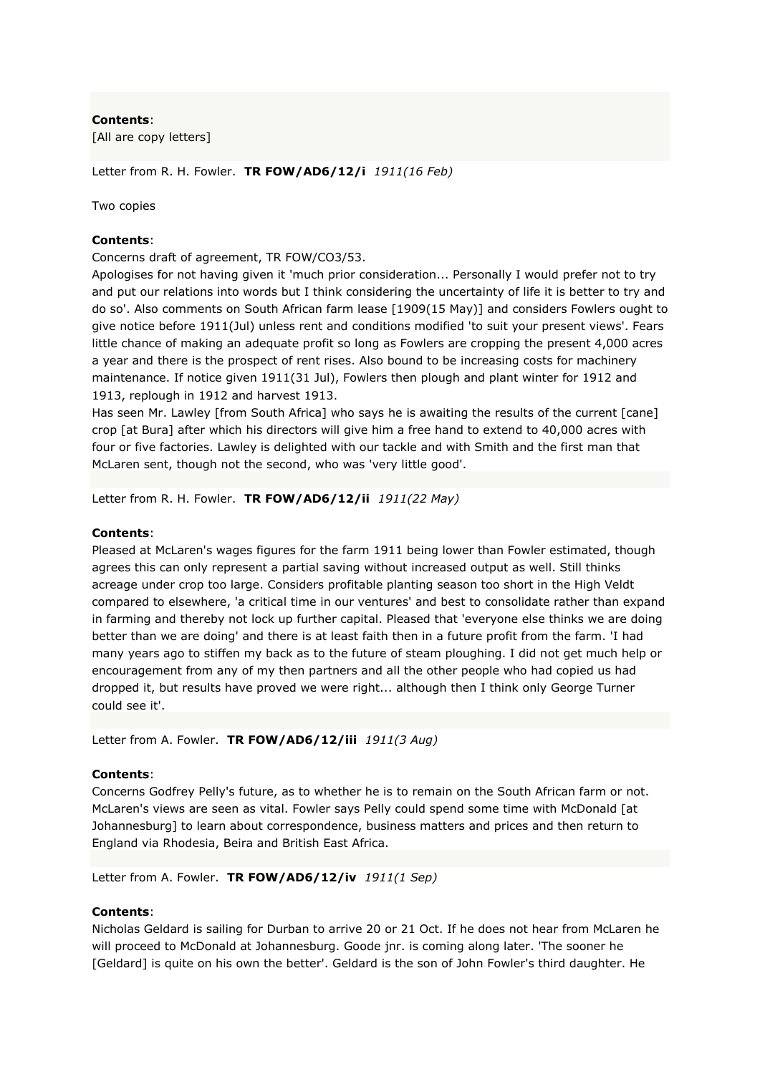[All are copy letters]

Letter from R. H. Fowler. **TR FOW/AD6/12/i** *1911(16 Feb)*

Two copies

## **Contents**:

Concerns draft of agreement, TR FOW/CO3/53.

Apologises for not having given it 'much prior consideration... Personally I would prefer not to try and put our relations into words but I think considering the uncertainty of life it is better to try and do so'. Also comments on South African farm lease [1909(15 May)] and considers Fowlers ought to give notice before 1911(Jul) unless rent and conditions modified 'to suit your present views'. Fears little chance of making an adequate profit so long as Fowlers are cropping the present 4,000 acres a year and there is the prospect of rent rises. Also bound to be increasing costs for machinery maintenance. If notice given 1911(31 Jul), Fowlers then plough and plant winter for 1912 and 1913, replough in 1912 and harvest 1913.

Has seen Mr. Lawley [from South Africa] who says he is awaiting the results of the current [cane] crop [at Bura] after which his directors will give him a free hand to extend to 40,000 acres with four or five factories. Lawley is delighted with our tackle and with Smith and the first man that McLaren sent, though not the second, who was 'very little good'.

Letter from R. H. Fowler. **TR FOW/AD6/12/ii** *1911(22 May)*

## **Contents**:

Pleased at McLaren's wages figures for the farm 1911 being lower than Fowler estimated, though agrees this can only represent a partial saving without increased output as well. Still thinks acreage under crop too large. Considers profitable planting season too short in the High Veldt compared to elsewhere, 'a critical time in our ventures' and best to consolidate rather than expand in farming and thereby not lock up further capital. Pleased that 'everyone else thinks we are doing better than we are doing' and there is at least faith then in a future profit from the farm. 'I had many years ago to stiffen my back as to the future of steam ploughing. I did not get much help or encouragement from any of my then partners and all the other people who had copied us had dropped it, but results have proved we were right... although then I think only George Turner could see it'.

Letter from A. Fowler. **TR FOW/AD6/12/iii** *1911(3 Aug)*

### **Contents**:

Concerns Godfrey Pelly's future, as to whether he is to remain on the South African farm or not. McLaren's views are seen as vital. Fowler says Pelly could spend some time with McDonald [at Johannesburg] to learn about correspondence, business matters and prices and then return to England via Rhodesia, Beira and British East Africa.

Letter from A. Fowler. **TR FOW/AD6/12/iv** *1911(1 Sep)*

### **Contents**:

Nicholas Geldard is sailing for Durban to arrive 20 or 21 Oct. If he does not hear from McLaren he will proceed to McDonald at Johannesburg. Goode jnr. is coming along later. 'The sooner he [Geldard] is quite on his own the better'. Geldard is the son of John Fowler's third daughter. He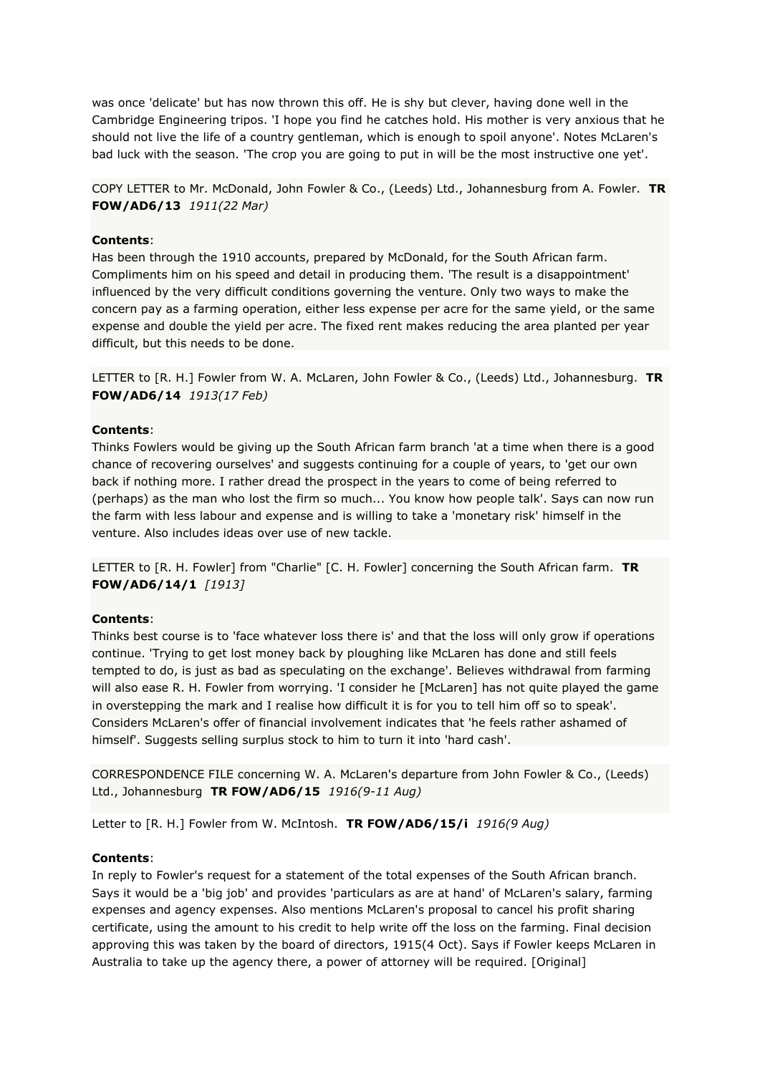was once 'delicate' but has now thrown this off. He is shy but clever, having done well in the Cambridge Engineering tripos. 'I hope you find he catches hold. His mother is very anxious that he should not live the life of a country gentleman, which is enough to spoil anyone'. Notes McLaren's bad luck with the season. 'The crop you are going to put in will be the most instructive one yet'.

COPY LETTER to Mr. McDonald, John Fowler & Co., (Leeds) Ltd., Johannesburg from A. Fowler. **TR FOW/AD6/13** *1911(22 Mar)*

## **Contents**:

Has been through the 1910 accounts, prepared by McDonald, for the South African farm. Compliments him on his speed and detail in producing them. 'The result is a disappointment' influenced by the very difficult conditions governing the venture. Only two ways to make the concern pay as a farming operation, either less expense per acre for the same yield, or the same expense and double the yield per acre. The fixed rent makes reducing the area planted per year difficult, but this needs to be done.

LETTER to [R. H.] Fowler from W. A. McLaren, John Fowler & Co., (Leeds) Ltd., Johannesburg. **TR FOW/AD6/14** *1913(17 Feb)*

### **Contents**:

Thinks Fowlers would be giving up the South African farm branch 'at a time when there is a good chance of recovering ourselves' and suggests continuing for a couple of years, to 'get our own back if nothing more. I rather dread the prospect in the years to come of being referred to (perhaps) as the man who lost the firm so much... You know how people talk'. Says can now run the farm with less labour and expense and is willing to take a 'monetary risk' himself in the venture. Also includes ideas over use of new tackle.

LETTER to [R. H. Fowler] from "Charlie" [C. H. Fowler] concerning the South African farm. **TR FOW/AD6/14/1** *[1913]*

#### **Contents**:

Thinks best course is to 'face whatever loss there is' and that the loss will only grow if operations continue. 'Trying to get lost money back by ploughing like McLaren has done and still feels tempted to do, is just as bad as speculating on the exchange'. Believes withdrawal from farming will also ease R. H. Fowler from worrying. 'I consider he [McLaren] has not quite played the game in overstepping the mark and I realise how difficult it is for you to tell him off so to speak'. Considers McLaren's offer of financial involvement indicates that 'he feels rather ashamed of himself'. Suggests selling surplus stock to him to turn it into 'hard cash'.

CORRESPONDENCE FILE concerning W. A. McLaren's departure from John Fowler & Co., (Leeds) Ltd., Johannesburg **TR FOW/AD6/15** *1916(9-11 Aug)*

Letter to [R. H.] Fowler from W. McIntosh. **TR FOW/AD6/15/i** *1916(9 Aug)*

#### **Contents**:

In reply to Fowler's request for a statement of the total expenses of the South African branch. Says it would be a 'big job' and provides 'particulars as are at hand' of McLaren's salary, farming expenses and agency expenses. Also mentions McLaren's proposal to cancel his profit sharing certificate, using the amount to his credit to help write off the loss on the farming. Final decision approving this was taken by the board of directors, 1915(4 Oct). Says if Fowler keeps McLaren in Australia to take up the agency there, a power of attorney will be required. [Original]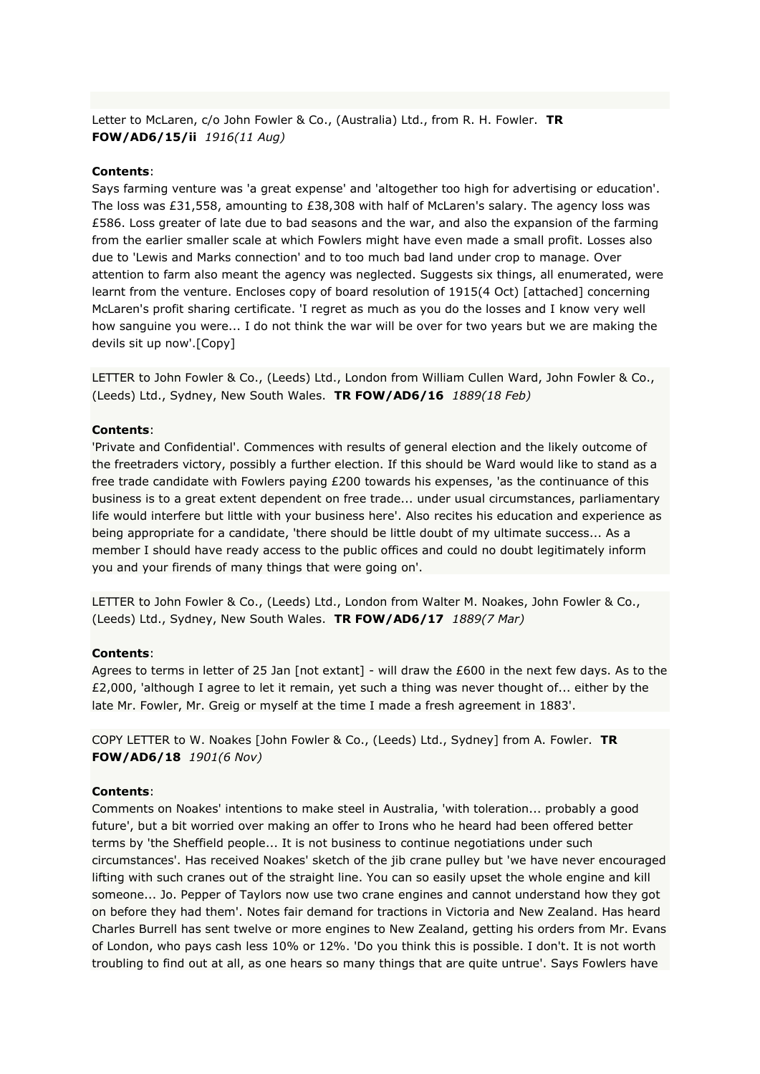Letter to McLaren, c/o John Fowler & Co., (Australia) Ltd., from R. H. Fowler. **TR FOW/AD6/15/ii** *1916(11 Aug)*

### **Contents**:

Says farming venture was 'a great expense' and 'altogether too high for advertising or education'. The loss was £31,558, amounting to £38,308 with half of McLaren's salary. The agency loss was £586. Loss greater of late due to bad seasons and the war, and also the expansion of the farming from the earlier smaller scale at which Fowlers might have even made a small profit. Losses also due to 'Lewis and Marks connection' and to too much bad land under crop to manage. Over attention to farm also meant the agency was neglected. Suggests six things, all enumerated, were learnt from the venture. Encloses copy of board resolution of 1915(4 Oct) [attached] concerning McLaren's profit sharing certificate. 'I regret as much as you do the losses and I know very well how sanguine you were... I do not think the war will be over for two years but we are making the devils sit up now'.[Copy]

LETTER to John Fowler & Co., (Leeds) Ltd., London from William Cullen Ward, John Fowler & Co., (Leeds) Ltd., Sydney, New South Wales. **TR FOW/AD6/16** *1889(18 Feb)*

#### **Contents**:

'Private and Confidential'. Commences with results of general election and the likely outcome of the freetraders victory, possibly a further election. If this should be Ward would like to stand as a free trade candidate with Fowlers paying £200 towards his expenses, 'as the continuance of this business is to a great extent dependent on free trade... under usual circumstances, parliamentary life would interfere but little with your business here'. Also recites his education and experience as being appropriate for a candidate, 'there should be little doubt of my ultimate success... As a member I should have ready access to the public offices and could no doubt legitimately inform you and your firends of many things that were going on'.

LETTER to John Fowler & Co., (Leeds) Ltd., London from Walter M. Noakes, John Fowler & Co., (Leeds) Ltd., Sydney, New South Wales. **TR FOW/AD6/17** *1889(7 Mar)*

#### **Contents**:

Agrees to terms in letter of 25 Jan [not extant] - will draw the £600 in the next few days. As to the £2,000, 'although I agree to let it remain, yet such a thing was never thought of... either by the late Mr. Fowler, Mr. Greig or myself at the time I made a fresh agreement in 1883'.

COPY LETTER to W. Noakes [John Fowler & Co., (Leeds) Ltd., Sydney] from A. Fowler. **TR FOW/AD6/18** *1901(6 Nov)*

#### **Contents**:

Comments on Noakes' intentions to make steel in Australia, 'with toleration... probably a good future', but a bit worried over making an offer to Irons who he heard had been offered better terms by 'the Sheffield people... It is not business to continue negotiations under such circumstances'. Has received Noakes' sketch of the jib crane pulley but 'we have never encouraged lifting with such cranes out of the straight line. You can so easily upset the whole engine and kill someone... Jo. Pepper of Taylors now use two crane engines and cannot understand how they got on before they had them'. Notes fair demand for tractions in Victoria and New Zealand. Has heard Charles Burrell has sent twelve or more engines to New Zealand, getting his orders from Mr. Evans of London, who pays cash less 10% or 12%. 'Do you think this is possible. I don't. It is not worth troubling to find out at all, as one hears so many things that are quite untrue'. Says Fowlers have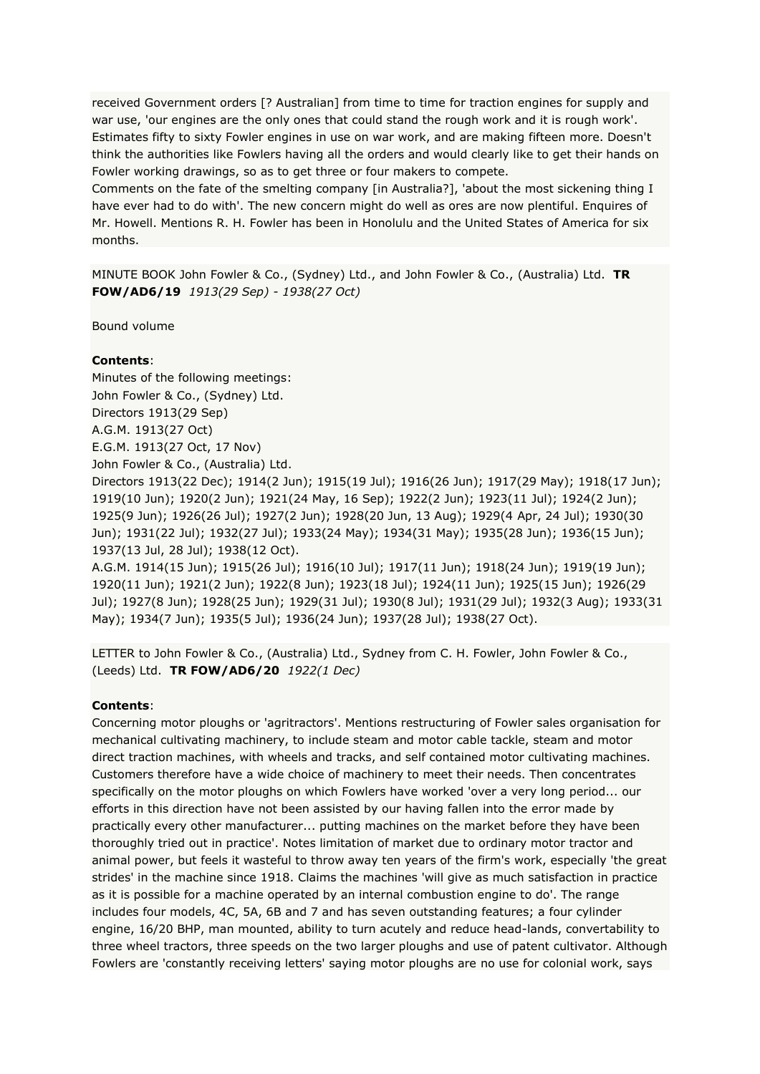received Government orders [? Australian] from time to time for traction engines for supply and war use, 'our engines are the only ones that could stand the rough work and it is rough work'. Estimates fifty to sixty Fowler engines in use on war work, and are making fifteen more. Doesn't think the authorities like Fowlers having all the orders and would clearly like to get their hands on Fowler working drawings, so as to get three or four makers to compete.

Comments on the fate of the smelting company [in Australia?], 'about the most sickening thing I have ever had to do with'. The new concern might do well as ores are now plentiful. Enquires of Mr. Howell. Mentions R. H. Fowler has been in Honolulu and the United States of America for six months.

MINUTE BOOK John Fowler & Co., (Sydney) Ltd., and John Fowler & Co., (Australia) Ltd. **TR FOW/AD6/19** *1913(29 Sep) - 1938(27 Oct)*

Bound volume

### **Contents**:

Minutes of the following meetings: John Fowler & Co., (Sydney) Ltd. Directors 1913(29 Sep) A.G.M. 1913(27 Oct) E.G.M. 1913(27 Oct, 17 Nov) John Fowler & Co., (Australia) Ltd.

Directors 1913(22 Dec); 1914(2 Jun); 1915(19 Jul); 1916(26 Jun); 1917(29 May); 1918(17 Jun); 1919(10 Jun); 1920(2 Jun); 1921(24 May, 16 Sep); 1922(2 Jun); 1923(11 Jul); 1924(2 Jun); 1925(9 Jun); 1926(26 Jul); 1927(2 Jun); 1928(20 Jun, 13 Aug); 1929(4 Apr, 24 Jul); 1930(30 Jun); 1931(22 Jul); 1932(27 Jul); 1933(24 May); 1934(31 May); 1935(28 Jun); 1936(15 Jun); 1937(13 Jul, 28 Jul); 1938(12 Oct).

A.G.M. 1914(15 Jun); 1915(26 Jul); 1916(10 Jul); 1917(11 Jun); 1918(24 Jun); 1919(19 Jun); 1920(11 Jun); 1921(2 Jun); 1922(8 Jun); 1923(18 Jul); 1924(11 Jun); 1925(15 Jun); 1926(29 Jul); 1927(8 Jun); 1928(25 Jun); 1929(31 Jul); 1930(8 Jul); 1931(29 Jul); 1932(3 Aug); 1933(31 May); 1934(7 Jun); 1935(5 Jul); 1936(24 Jun); 1937(28 Jul); 1938(27 Oct).

LETTER to John Fowler & Co., (Australia) Ltd., Sydney from C. H. Fowler, John Fowler & Co., (Leeds) Ltd. **TR FOW/AD6/20** *1922(1 Dec)*

#### **Contents**:

Concerning motor ploughs or 'agritractors'. Mentions restructuring of Fowler sales organisation for mechanical cultivating machinery, to include steam and motor cable tackle, steam and motor direct traction machines, with wheels and tracks, and self contained motor cultivating machines. Customers therefore have a wide choice of machinery to meet their needs. Then concentrates specifically on the motor ploughs on which Fowlers have worked 'over a very long period... our efforts in this direction have not been assisted by our having fallen into the error made by practically every other manufacturer... putting machines on the market before they have been thoroughly tried out in practice'. Notes limitation of market due to ordinary motor tractor and animal power, but feels it wasteful to throw away ten years of the firm's work, especially 'the great strides' in the machine since 1918. Claims the machines 'will give as much satisfaction in practice as it is possible for a machine operated by an internal combustion engine to do'. The range includes four models, 4C, 5A, 6B and 7 and has seven outstanding features; a four cylinder engine, 16/20 BHP, man mounted, ability to turn acutely and reduce head-lands, convertability to three wheel tractors, three speeds on the two larger ploughs and use of patent cultivator. Although Fowlers are 'constantly receiving letters' saying motor ploughs are no use for colonial work, says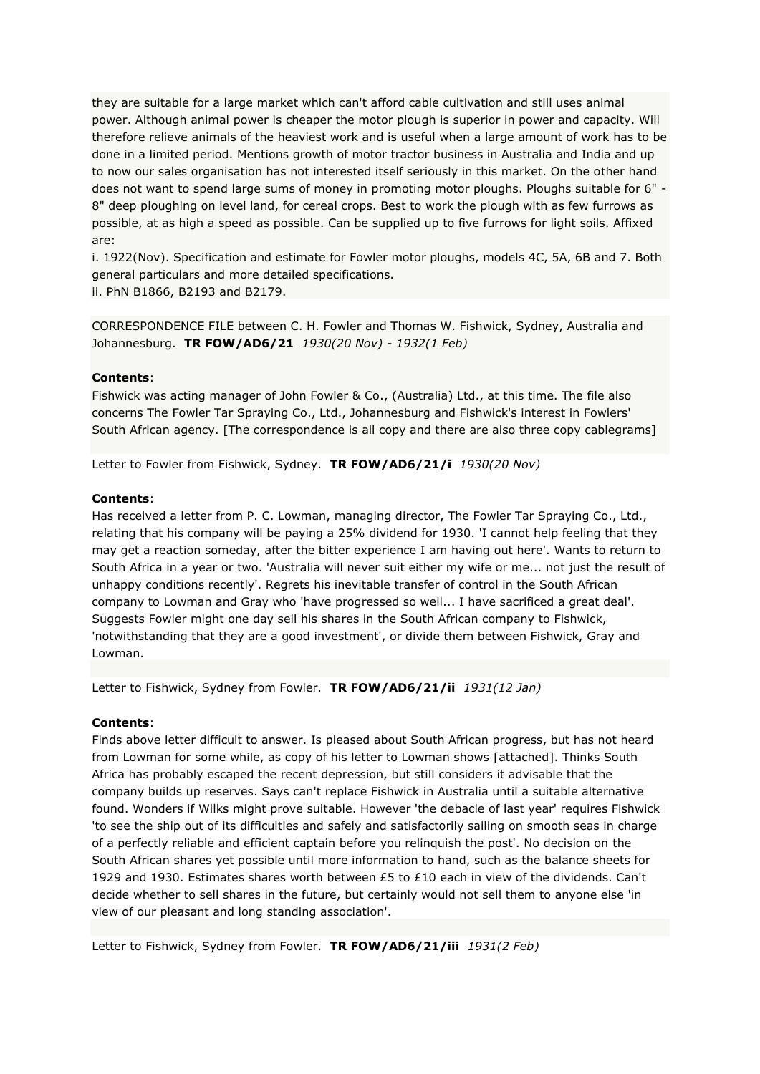they are suitable for a large market which can't afford cable cultivation and still uses animal power. Although animal power is cheaper the motor plough is superior in power and capacity. Will therefore relieve animals of the heaviest work and is useful when a large amount of work has to be done in a limited period. Mentions growth of motor tractor business in Australia and India and up to now our sales organisation has not interested itself seriously in this market. On the other hand does not want to spend large sums of money in promoting motor ploughs. Ploughs suitable for 6" - 8" deep ploughing on level land, for cereal crops. Best to work the plough with as few furrows as possible, at as high a speed as possible. Can be supplied up to five furrows for light soils. Affixed are:

i. 1922(Nov). Specification and estimate for Fowler motor ploughs, models 4C, 5A, 6B and 7. Both general particulars and more detailed specifications.

ii. PhN B1866, B2193 and B2179.

CORRESPONDENCE FILE between C. H. Fowler and Thomas W. Fishwick, Sydney, Australia and Johannesburg. **TR FOW/AD6/21** *1930(20 Nov) - 1932(1 Feb)*

# **Contents**:

Fishwick was acting manager of John Fowler & Co., (Australia) Ltd., at this time. The file also concerns The Fowler Tar Spraying Co., Ltd., Johannesburg and Fishwick's interest in Fowlers' South African agency. [The correspondence is all copy and there are also three copy cablegrams]

Letter to Fowler from Fishwick, Sydney. **TR FOW/AD6/21/i** *1930(20 Nov)*

### **Contents**:

Has received a letter from P. C. Lowman, managing director, The Fowler Tar Spraying Co., Ltd., relating that his company will be paying a 25% dividend for 1930. 'I cannot help feeling that they may get a reaction someday, after the bitter experience I am having out here'. Wants to return to South Africa in a year or two. 'Australia will never suit either my wife or me... not just the result of unhappy conditions recently'. Regrets his inevitable transfer of control in the South African company to Lowman and Gray who 'have progressed so well... I have sacrificed a great deal'. Suggests Fowler might one day sell his shares in the South African company to Fishwick, 'notwithstanding that they are a good investment', or divide them between Fishwick, Gray and Lowman.

Letter to Fishwick, Sydney from Fowler. **TR FOW/AD6/21/ii** *1931(12 Jan)*

# **Contents**:

Finds above letter difficult to answer. Is pleased about South African progress, but has not heard from Lowman for some while, as copy of his letter to Lowman shows [attached]. Thinks South Africa has probably escaped the recent depression, but still considers it advisable that the company builds up reserves. Says can't replace Fishwick in Australia until a suitable alternative found. Wonders if Wilks might prove suitable. However 'the debacle of last year' requires Fishwick 'to see the ship out of its difficulties and safely and satisfactorily sailing on smooth seas in charge of a perfectly reliable and efficient captain before you relinquish the post'. No decision on the South African shares yet possible until more information to hand, such as the balance sheets for 1929 and 1930. Estimates shares worth between £5 to £10 each in view of the dividends. Can't decide whether to sell shares in the future, but certainly would not sell them to anyone else 'in view of our pleasant and long standing association'.

Letter to Fishwick, Sydney from Fowler. **TR FOW/AD6/21/iii** *1931(2 Feb)*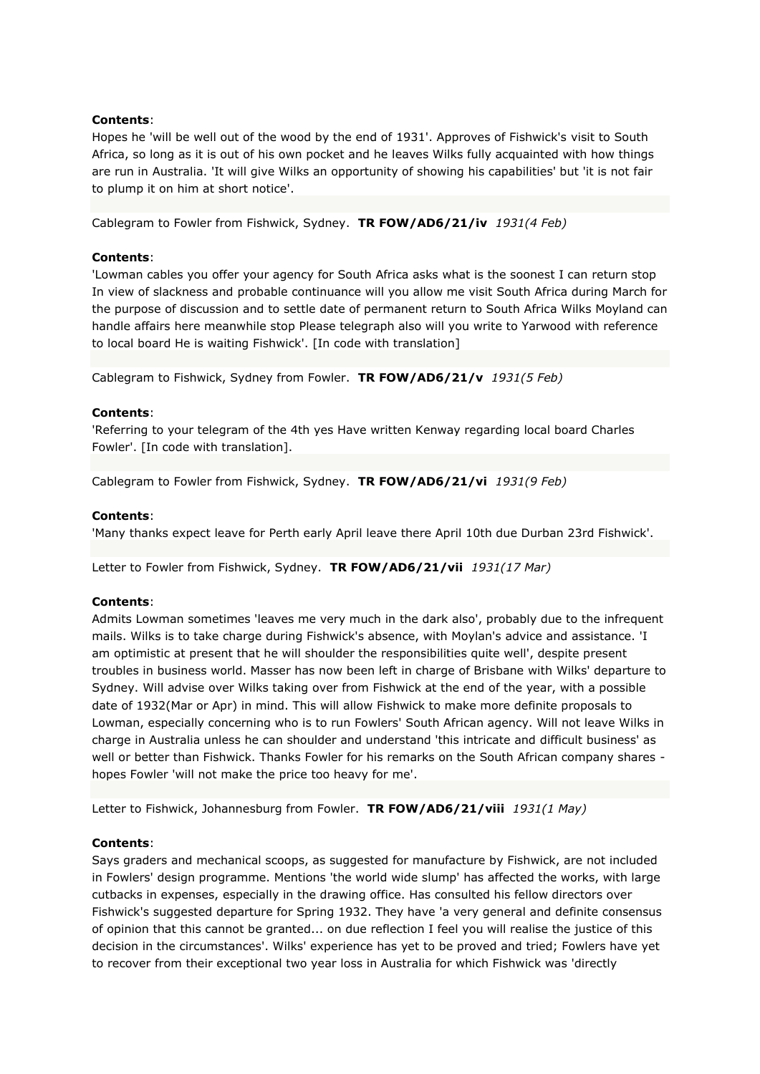Hopes he 'will be well out of the wood by the end of 1931'. Approves of Fishwick's visit to South Africa, so long as it is out of his own pocket and he leaves Wilks fully acquainted with how things are run in Australia. 'It will give Wilks an opportunity of showing his capabilities' but 'it is not fair to plump it on him at short notice'.

Cablegram to Fowler from Fishwick, Sydney. **TR FOW/AD6/21/iv** *1931(4 Feb)*

## **Contents**:

'Lowman cables you offer your agency for South Africa asks what is the soonest I can return stop In view of slackness and probable continuance will you allow me visit South Africa during March for the purpose of discussion and to settle date of permanent return to South Africa Wilks Moyland can handle affairs here meanwhile stop Please telegraph also will you write to Yarwood with reference to local board He is waiting Fishwick'. [In code with translation]

Cablegram to Fishwick, Sydney from Fowler. **TR FOW/AD6/21/v** *1931(5 Feb)*

### **Contents**:

'Referring to your telegram of the 4th yes Have written Kenway regarding local board Charles Fowler'. [In code with translation].

Cablegram to Fowler from Fishwick, Sydney. **TR FOW/AD6/21/vi** *1931(9 Feb)*

### **Contents**:

'Many thanks expect leave for Perth early April leave there April 10th due Durban 23rd Fishwick'.

Letter to Fowler from Fishwick, Sydney. **TR FOW/AD6/21/vii** *1931(17 Mar)*

# **Contents**:

Admits Lowman sometimes 'leaves me very much in the dark also', probably due to the infrequent mails. Wilks is to take charge during Fishwick's absence, with Moylan's advice and assistance. 'I am optimistic at present that he will shoulder the responsibilities quite well', despite present troubles in business world. Masser has now been left in charge of Brisbane with Wilks' departure to Sydney. Will advise over Wilks taking over from Fishwick at the end of the year, with a possible date of 1932(Mar or Apr) in mind. This will allow Fishwick to make more definite proposals to Lowman, especially concerning who is to run Fowlers' South African agency. Will not leave Wilks in charge in Australia unless he can shoulder and understand 'this intricate and difficult business' as well or better than Fishwick. Thanks Fowler for his remarks on the South African company shares hopes Fowler 'will not make the price too heavy for me'.

Letter to Fishwick, Johannesburg from Fowler. **TR FOW/AD6/21/viii** *1931(1 May)*

### **Contents**:

Says graders and mechanical scoops, as suggested for manufacture by Fishwick, are not included in Fowlers' design programme. Mentions 'the world wide slump' has affected the works, with large cutbacks in expenses, especially in the drawing office. Has consulted his fellow directors over Fishwick's suggested departure for Spring 1932. They have 'a very general and definite consensus of opinion that this cannot be granted... on due reflection I feel you will realise the justice of this decision in the circumstances'. Wilks' experience has yet to be proved and tried; Fowlers have yet to recover from their exceptional two year loss in Australia for which Fishwick was 'directly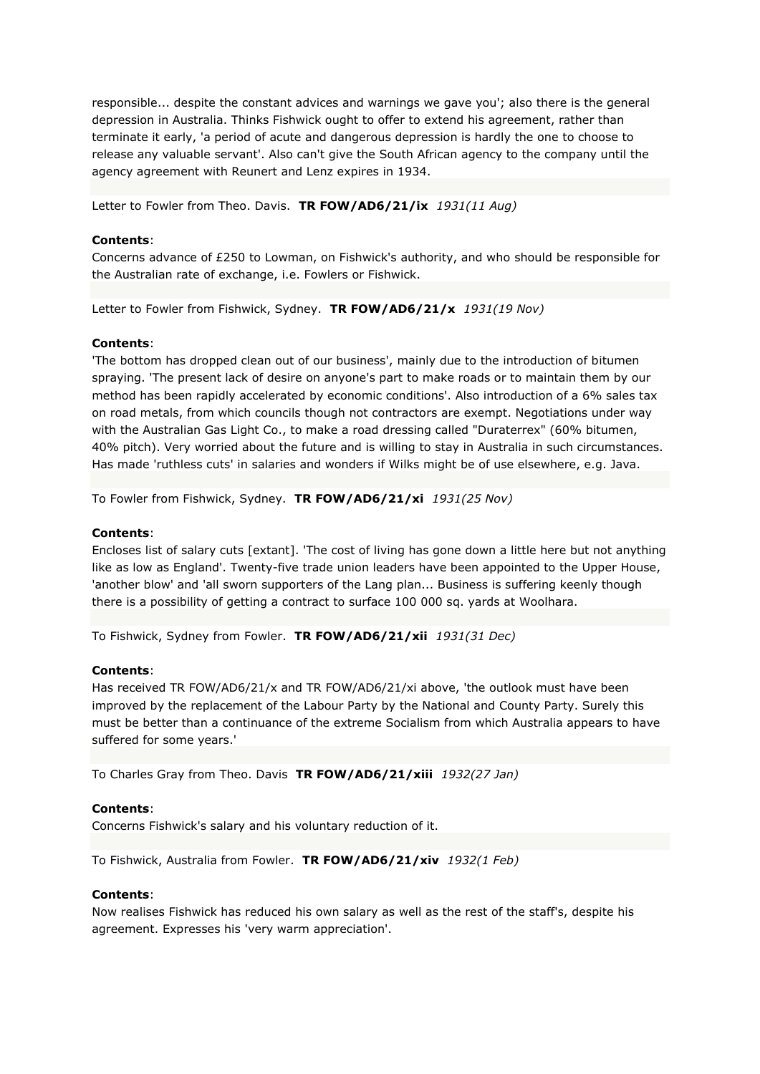responsible... despite the constant advices and warnings we gave you'; also there is the general depression in Australia. Thinks Fishwick ought to offer to extend his agreement, rather than terminate it early, 'a period of acute and dangerous depression is hardly the one to choose to release any valuable servant'. Also can't give the South African agency to the company until the agency agreement with Reunert and Lenz expires in 1934.

Letter to Fowler from Theo. Davis. **TR FOW/AD6/21/ix** *1931(11 Aug)*

## **Contents**:

Concerns advance of £250 to Lowman, on Fishwick's authority, and who should be responsible for the Australian rate of exchange, i.e. Fowlers or Fishwick.

Letter to Fowler from Fishwick, Sydney. **TR FOW/AD6/21/x** *1931(19 Nov)*

## **Contents**:

'The bottom has dropped clean out of our business', mainly due to the introduction of bitumen spraying. 'The present lack of desire on anyone's part to make roads or to maintain them by our method has been rapidly accelerated by economic conditions'. Also introduction of a 6% sales tax on road metals, from which councils though not contractors are exempt. Negotiations under way with the Australian Gas Light Co., to make a road dressing called "Duraterrex" (60% bitumen, 40% pitch). Very worried about the future and is willing to stay in Australia in such circumstances. Has made 'ruthless cuts' in salaries and wonders if Wilks might be of use elsewhere, e.g. Java.

To Fowler from Fishwick, Sydney. **TR FOW/AD6/21/xi** *1931(25 Nov)*

## **Contents**:

Encloses list of salary cuts [extant]. 'The cost of living has gone down a little here but not anything like as low as England'. Twenty-five trade union leaders have been appointed to the Upper House, 'another blow' and 'all sworn supporters of the Lang plan... Business is suffering keenly though there is a possibility of getting a contract to surface 100 000 sq. yards at Woolhara.

To Fishwick, Sydney from Fowler. **TR FOW/AD6/21/xii** *1931(31 Dec)*

## **Contents**:

Has received TR FOW/AD6/21/x and TR FOW/AD6/21/xi above, 'the outlook must have been improved by the replacement of the Labour Party by the National and County Party. Surely this must be better than a continuance of the extreme Socialism from which Australia appears to have suffered for some years.'

To Charles Gray from Theo. Davis **TR FOW/AD6/21/xiii** *1932(27 Jan)*

### **Contents**:

Concerns Fishwick's salary and his voluntary reduction of it.

To Fishwick, Australia from Fowler. **TR FOW/AD6/21/xiv** *1932(1 Feb)*

### **Contents**:

Now realises Fishwick has reduced his own salary as well as the rest of the staff's, despite his agreement. Expresses his 'very warm appreciation'.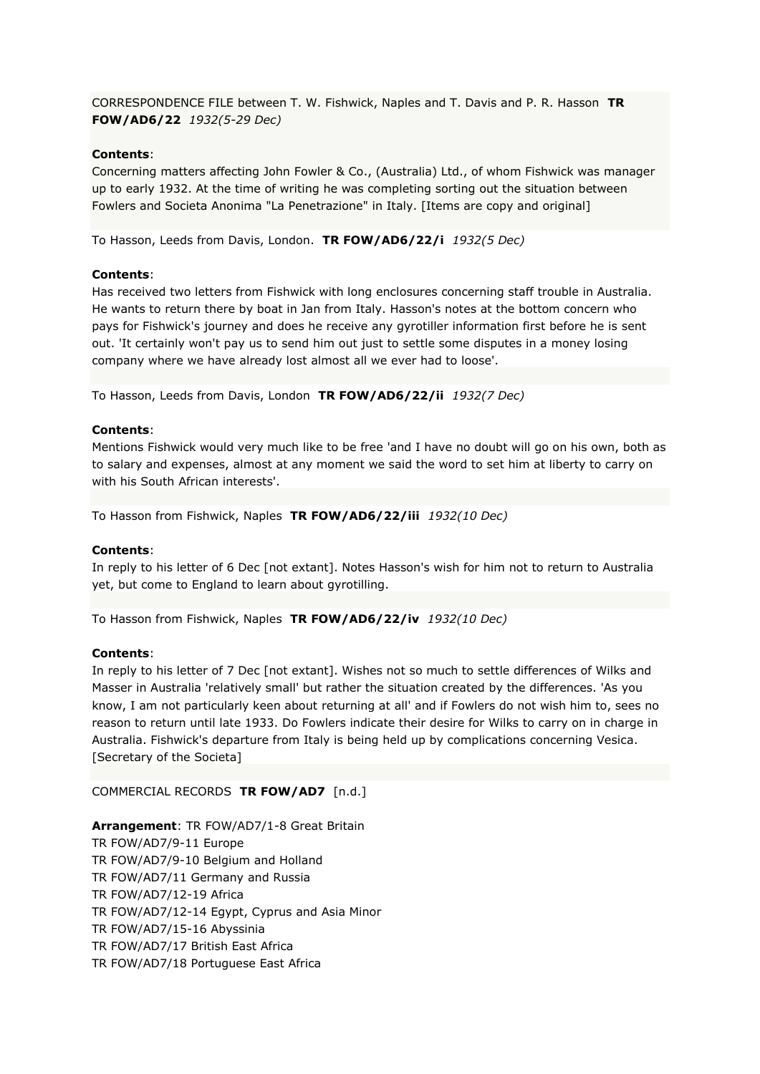CORRESPONDENCE FILE between T. W. Fishwick, Naples and T. Davis and P. R. Hasson **TR FOW/AD6/22** *1932(5-29 Dec)*

## **Contents**:

Concerning matters affecting John Fowler & Co., (Australia) Ltd., of whom Fishwick was manager up to early 1932. At the time of writing he was completing sorting out the situation between Fowlers and Societa Anonima "La Penetrazione" in Italy. [Items are copy and original]

To Hasson, Leeds from Davis, London. **TR FOW/AD6/22/i** *1932(5 Dec)*

### **Contents**:

Has received two letters from Fishwick with long enclosures concerning staff trouble in Australia. He wants to return there by boat in Jan from Italy. Hasson's notes at the bottom concern who pays for Fishwick's journey and does he receive any gyrotiller information first before he is sent out. 'It certainly won't pay us to send him out just to settle some disputes in a money losing company where we have already lost almost all we ever had to loose'.

To Hasson, Leeds from Davis, London **TR FOW/AD6/22/ii** *1932(7 Dec)*

#### **Contents**:

Mentions Fishwick would very much like to be free 'and I have no doubt will go on his own, both as to salary and expenses, almost at any moment we said the word to set him at liberty to carry on with his South African interests'.

To Hasson from Fishwick, Naples **TR FOW/AD6/22/iii** *1932(10 Dec)*

#### **Contents**:

In reply to his letter of 6 Dec [not extant]. Notes Hasson's wish for him not to return to Australia yet, but come to England to learn about gyrotilling.

To Hasson from Fishwick, Naples **TR FOW/AD6/22/iv** *1932(10 Dec)*

#### **Contents**:

In reply to his letter of 7 Dec [not extant]. Wishes not so much to settle differences of Wilks and Masser in Australia 'relatively small' but rather the situation created by the differences. 'As you know, I am not particularly keen about returning at all' and if Fowlers do not wish him to, sees no reason to return until late 1933. Do Fowlers indicate their desire for Wilks to carry on in charge in Australia. Fishwick's departure from Italy is being held up by complications concerning Vesica. [Secretary of the Societa]

#### COMMERCIAL RECORDS **TR FOW/AD7** [n.d.]

**Arrangement**: TR FOW/AD7/1-8 Great Britain TR FOW/AD7/9-11 Europe TR FOW/AD7/9-10 Belgium and Holland TR FOW/AD7/11 Germany and Russia TR FOW/AD7/12-19 Africa TR FOW/AD7/12-14 Egypt, Cyprus and Asia Minor TR FOW/AD7/15-16 Abyssinia TR FOW/AD7/17 British East Africa TR FOW/AD7/18 Portuguese East Africa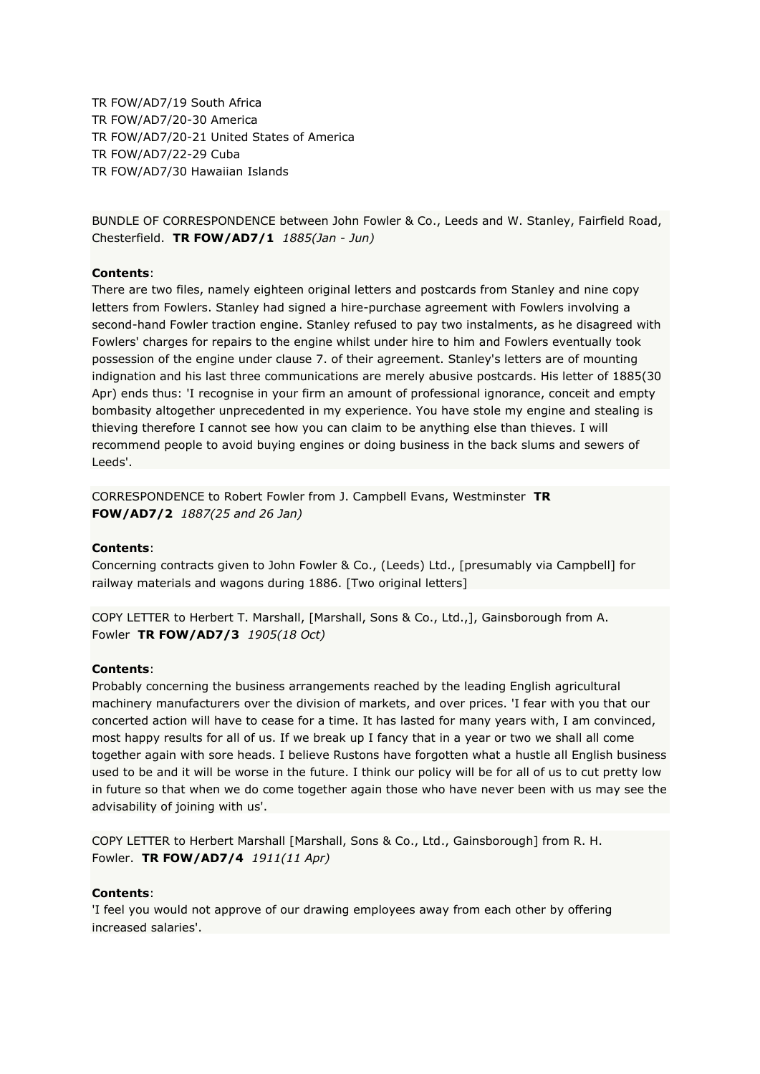TR FOW/AD7/19 South Africa TR FOW/AD7/20-30 America TR FOW/AD7/20-21 United States of America TR FOW/AD7/22-29 Cuba TR FOW/AD7/30 Hawaiian Islands

BUNDLE OF CORRESPONDENCE between John Fowler & Co., Leeds and W. Stanley, Fairfield Road, Chesterfield. **TR FOW/AD7/1** *1885(Jan - Jun)*

## **Contents**:

There are two files, namely eighteen original letters and postcards from Stanley and nine copy letters from Fowlers. Stanley had signed a hire-purchase agreement with Fowlers involving a second-hand Fowler traction engine. Stanley refused to pay two instalments, as he disagreed with Fowlers' charges for repairs to the engine whilst under hire to him and Fowlers eventually took possession of the engine under clause 7. of their agreement. Stanley's letters are of mounting indignation and his last three communications are merely abusive postcards. His letter of 1885(30 Apr) ends thus: 'I recognise in your firm an amount of professional ignorance, conceit and empty bombasity altogether unprecedented in my experience. You have stole my engine and stealing is thieving therefore I cannot see how you can claim to be anything else than thieves. I will recommend people to avoid buying engines or doing business in the back slums and sewers of Leeds'.

CORRESPONDENCE to Robert Fowler from J. Campbell Evans, Westminster **TR FOW/AD7/2** *1887(25 and 26 Jan)*

### **Contents**:

Concerning contracts given to John Fowler & Co., (Leeds) Ltd., [presumably via Campbell] for railway materials and wagons during 1886. [Two original letters]

COPY LETTER to Herbert T. Marshall, [Marshall, Sons & Co., Ltd.,], Gainsborough from A. Fowler **TR FOW/AD7/3** *1905(18 Oct)*

### **Contents**:

Probably concerning the business arrangements reached by the leading English agricultural machinery manufacturers over the division of markets, and over prices. 'I fear with you that our concerted action will have to cease for a time. It has lasted for many years with, I am convinced, most happy results for all of us. If we break up I fancy that in a year or two we shall all come together again with sore heads. I believe Rustons have forgotten what a hustle all English business used to be and it will be worse in the future. I think our policy will be for all of us to cut pretty low in future so that when we do come together again those who have never been with us may see the advisability of joining with us'.

COPY LETTER to Herbert Marshall [Marshall, Sons & Co., Ltd., Gainsborough] from R. H. Fowler. **TR FOW/AD7/4** *1911(11 Apr)*

### **Contents**:

'I feel you would not approve of our drawing employees away from each other by offering increased salaries'.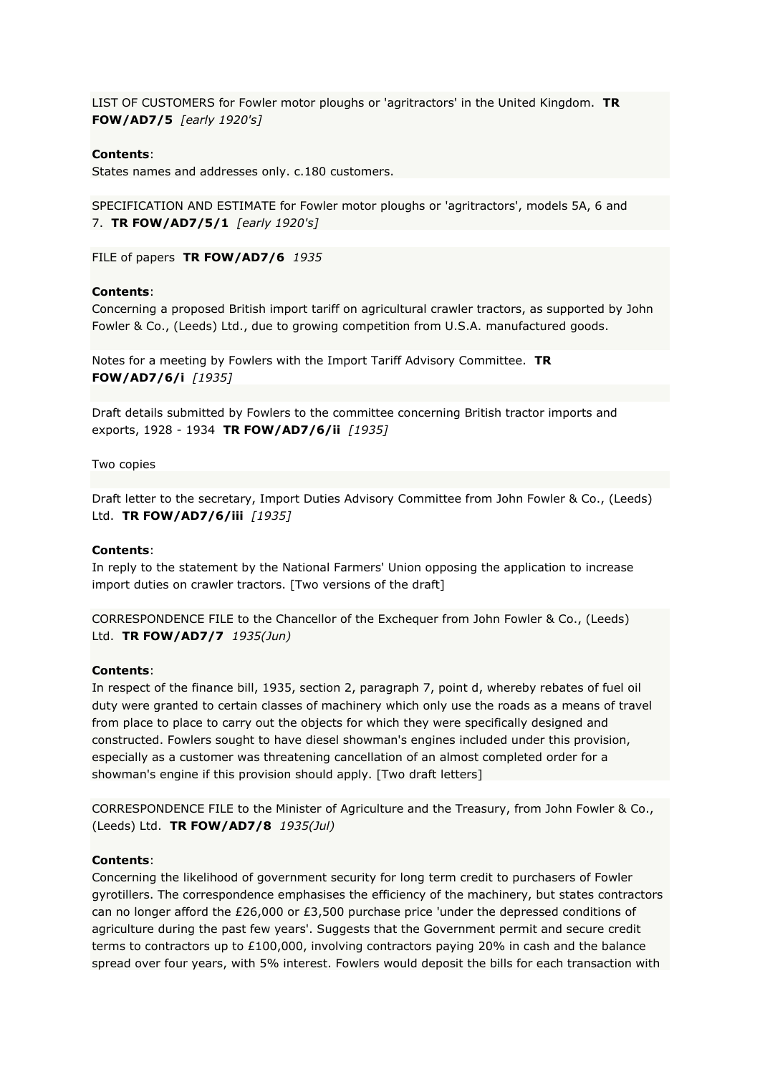LIST OF CUSTOMERS for Fowler motor ploughs or 'agritractors' in the United Kingdom. **TR FOW/AD7/5** *[early 1920's]*

## **Contents**:

States names and addresses only. c.180 customers.

SPECIFICATION AND ESTIMATE for Fowler motor ploughs or 'agritractors', models 5A, 6 and 7. **TR FOW/AD7/5/1** *[early 1920's]*

FILE of papers **TR FOW/AD7/6** *1935*

#### **Contents**:

Concerning a proposed British import tariff on agricultural crawler tractors, as supported by John Fowler & Co., (Leeds) Ltd., due to growing competition from U.S.A. manufactured goods.

Notes for a meeting by Fowlers with the Import Tariff Advisory Committee. **TR FOW/AD7/6/i** *[1935]*

Draft details submitted by Fowlers to the committee concerning British tractor imports and exports, 1928 - 1934 **TR FOW/AD7/6/ii** *[1935]*

Two copies

Draft letter to the secretary, Import Duties Advisory Committee from John Fowler & Co., (Leeds) Ltd. **TR FOW/AD7/6/iii** *[1935]*

#### **Contents**:

In reply to the statement by the National Farmers' Union opposing the application to increase import duties on crawler tractors. [Two versions of the draft]

CORRESPONDENCE FILE to the Chancellor of the Exchequer from John Fowler & Co., (Leeds) Ltd. **TR FOW/AD7/7** *1935(Jun)*

### **Contents**:

In respect of the finance bill, 1935, section 2, paragraph 7, point d, whereby rebates of fuel oil duty were granted to certain classes of machinery which only use the roads as a means of travel from place to place to carry out the objects for which they were specifically designed and constructed. Fowlers sought to have diesel showman's engines included under this provision, especially as a customer was threatening cancellation of an almost completed order for a showman's engine if this provision should apply. [Two draft letters]

CORRESPONDENCE FILE to the Minister of Agriculture and the Treasury, from John Fowler & Co., (Leeds) Ltd. **TR FOW/AD7/8** *1935(Jul)*

#### **Contents**:

Concerning the likelihood of government security for long term credit to purchasers of Fowler gyrotillers. The correspondence emphasises the efficiency of the machinery, but states contractors can no longer afford the £26,000 or £3,500 purchase price 'under the depressed conditions of agriculture during the past few years'. Suggests that the Government permit and secure credit terms to contractors up to £100,000, involving contractors paying 20% in cash and the balance spread over four years, with 5% interest. Fowlers would deposit the bills for each transaction with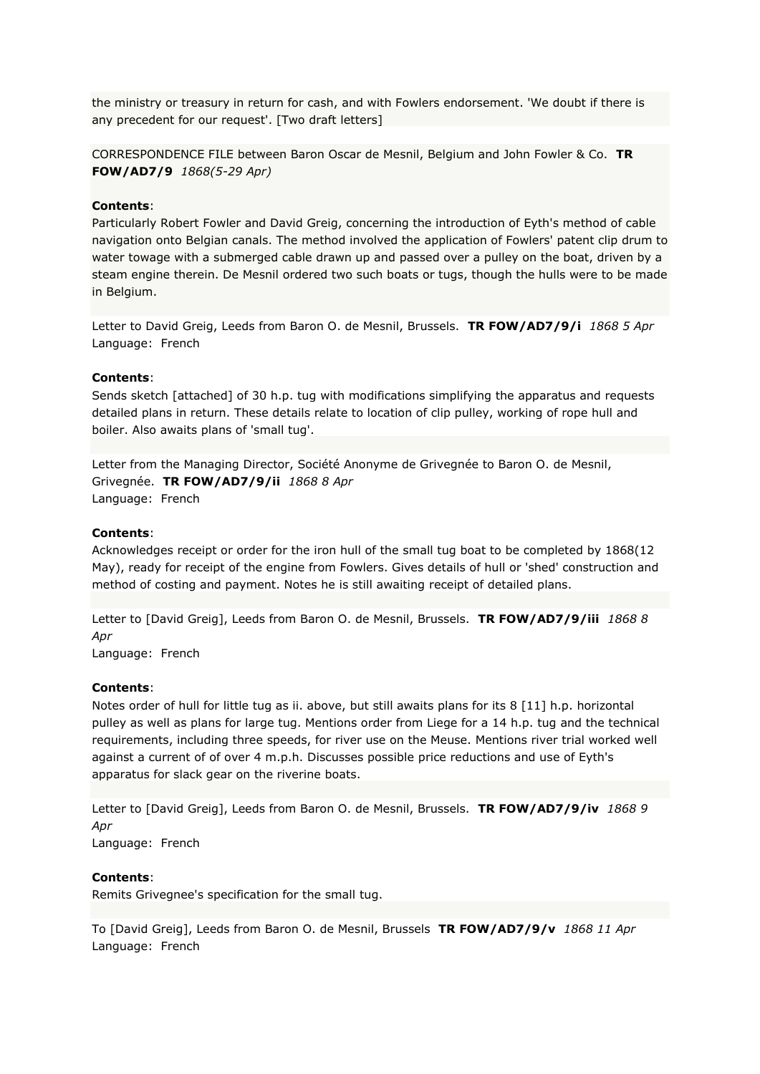the ministry or treasury in return for cash, and with Fowlers endorsement. 'We doubt if there is any precedent for our request'. [Two draft letters]

CORRESPONDENCE FILE between Baron Oscar de Mesnil, Belgium and John Fowler & Co. **TR FOW/AD7/9** *1868(5-29 Apr)*

### **Contents**:

Particularly Robert Fowler and David Greig, concerning the introduction of Eyth's method of cable navigation onto Belgian canals. The method involved the application of Fowlers' patent clip drum to water towage with a submerged cable drawn up and passed over a pulley on the boat, driven by a steam engine therein. De Mesnil ordered two such boats or tugs, though the hulls were to be made in Belgium.

Letter to David Greig, Leeds from Baron O. de Mesnil, Brussels. **TR FOW/AD7/9/i** *1868 5 Apr* Language: French

### **Contents**:

Sends sketch [attached] of 30 h.p. tug with modifications simplifying the apparatus and requests detailed plans in return. These details relate to location of clip pulley, working of rope hull and boiler. Also awaits plans of 'small tug'.

Letter from the Managing Director, Société Anonyme de Grivegnée to Baron O. de Mesnil, Grivegnée. **TR FOW/AD7/9/ii** *1868 8 Apr* Language: French

## **Contents**:

Acknowledges receipt or order for the iron hull of the small tug boat to be completed by 1868(12 May), ready for receipt of the engine from Fowlers. Gives details of hull or 'shed' construction and method of costing and payment. Notes he is still awaiting receipt of detailed plans.

Letter to [David Greig], Leeds from Baron O. de Mesnil, Brussels. **TR FOW/AD7/9/iii** *1868 8 Apr*

Language: French

### **Contents**:

Notes order of hull for little tug as ii. above, but still awaits plans for its 8 [11] h.p. horizontal pulley as well as plans for large tug. Mentions order from Liege for a 14 h.p. tug and the technical requirements, including three speeds, for river use on the Meuse. Mentions river trial worked well against a current of of over 4 m.p.h. Discusses possible price reductions and use of Eyth's apparatus for slack gear on the riverine boats.

Letter to [David Greig], Leeds from Baron O. de Mesnil, Brussels. **TR FOW/AD7/9/iv** *1868 9 Apr* Language: French

#### **Contents**:

Remits Grivegnee's specification for the small tug.

To [David Greig], Leeds from Baron O. de Mesnil, Brussels **TR FOW/AD7/9/v** *1868 11 Apr* Language: French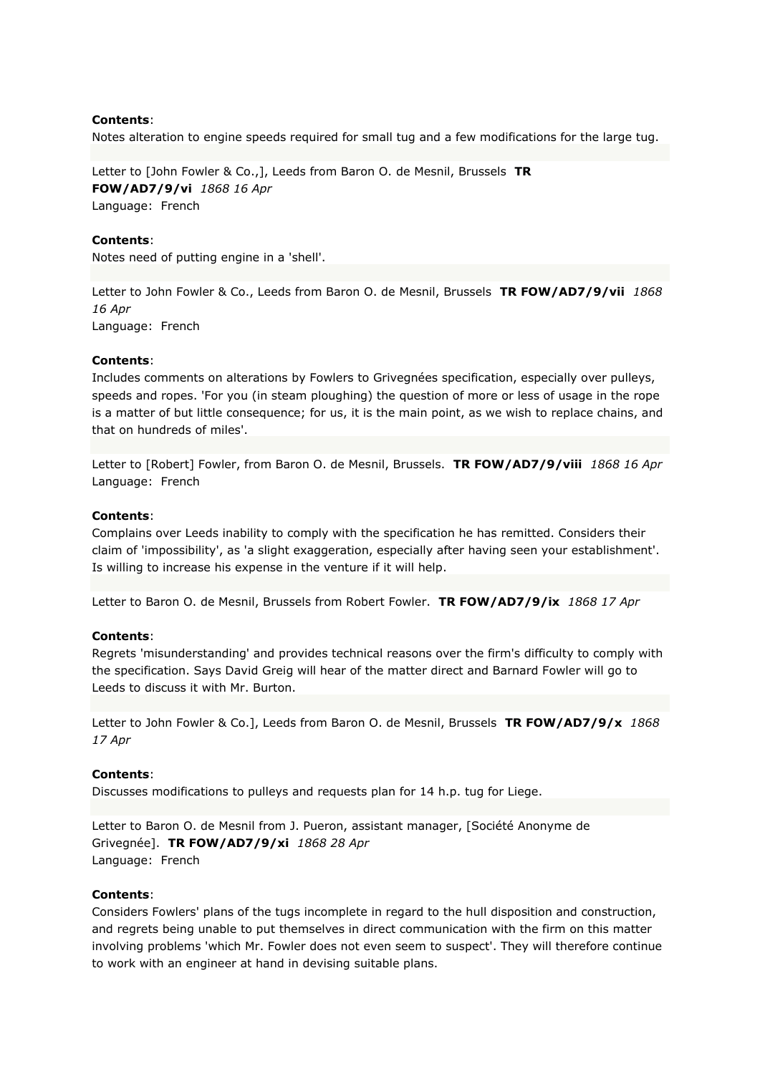Notes alteration to engine speeds required for small tug and a few modifications for the large tug.

Letter to [John Fowler & Co.,], Leeds from Baron O. de Mesnil, Brussels **TR FOW/AD7/9/vi** *1868 16 Apr* Language: French

## **Contents**:

Notes need of putting engine in a 'shell'.

Letter to John Fowler & Co., Leeds from Baron O. de Mesnil, Brussels **TR FOW/AD7/9/vii** *1868 16 Apr* Language: French

## **Contents**:

Includes comments on alterations by Fowlers to Grivegnées specification, especially over pulleys, speeds and ropes. 'For you (in steam ploughing) the question of more or less of usage in the rope is a matter of but little consequence; for us, it is the main point, as we wish to replace chains, and that on hundreds of miles'.

Letter to [Robert] Fowler, from Baron O. de Mesnil, Brussels. **TR FOW/AD7/9/viii** *1868 16 Apr* Language: French

### **Contents**:

Complains over Leeds inability to comply with the specification he has remitted. Considers their claim of 'impossibility', as 'a slight exaggeration, especially after having seen your establishment'. Is willing to increase his expense in the venture if it will help.

Letter to Baron O. de Mesnil, Brussels from Robert Fowler. **TR FOW/AD7/9/ix** *1868 17 Apr*

# **Contents**:

Regrets 'misunderstanding' and provides technical reasons over the firm's difficulty to comply with the specification. Says David Greig will hear of the matter direct and Barnard Fowler will go to Leeds to discuss it with Mr. Burton.

Letter to John Fowler & Co.], Leeds from Baron O. de Mesnil, Brussels **TR FOW/AD7/9/x** *1868 17 Apr*

### **Contents**:

Discusses modifications to pulleys and requests plan for 14 h.p. tug for Liege.

Letter to Baron O. de Mesnil from J. Pueron, assistant manager, [Société Anonyme de Grivegnée]. **TR FOW/AD7/9/xi** *1868 28 Apr* Language: French

### **Contents**:

Considers Fowlers' plans of the tugs incomplete in regard to the hull disposition and construction, and regrets being unable to put themselves in direct communication with the firm on this matter involving problems 'which Mr. Fowler does not even seem to suspect'. They will therefore continue to work with an engineer at hand in devising suitable plans.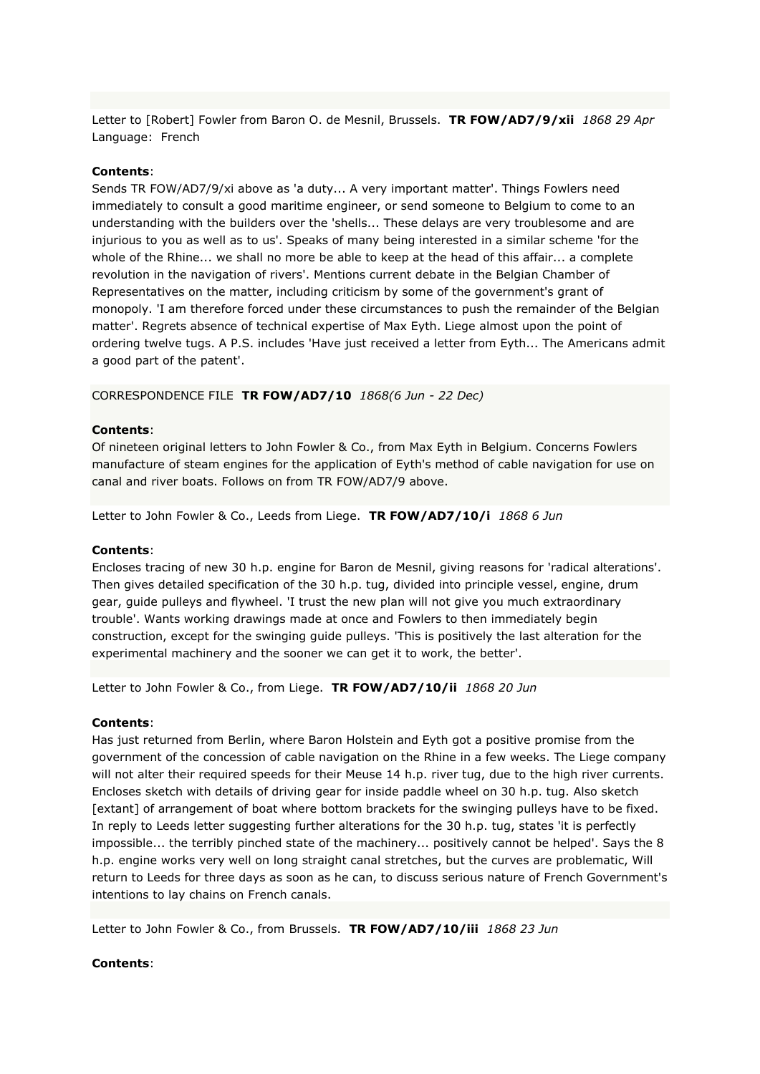Letter to [Robert] Fowler from Baron O. de Mesnil, Brussels. **TR FOW/AD7/9/xii** *1868 29 Apr* Language: French

## **Contents**:

Sends TR FOW/AD7/9/xi above as 'a duty... A very important matter'. Things Fowlers need immediately to consult a good maritime engineer, or send someone to Belgium to come to an understanding with the builders over the 'shells... These delays are very troublesome and are injurious to you as well as to us'. Speaks of many being interested in a similar scheme 'for the whole of the Rhine... we shall no more be able to keep at the head of this affair... a complete revolution in the navigation of rivers'. Mentions current debate in the Belgian Chamber of Representatives on the matter, including criticism by some of the government's grant of monopoly. 'I am therefore forced under these circumstances to push the remainder of the Belgian matter'. Regrets absence of technical expertise of Max Eyth. Liege almost upon the point of ordering twelve tugs. A P.S. includes 'Have just received a letter from Eyth... The Americans admit a good part of the patent'.

CORRESPONDENCE FILE **TR FOW/AD7/10** *1868(6 Jun - 22 Dec)*

### **Contents**:

Of nineteen original letters to John Fowler & Co., from Max Eyth in Belgium. Concerns Fowlers manufacture of steam engines for the application of Eyth's method of cable navigation for use on canal and river boats. Follows on from TR FOW/AD7/9 above.

Letter to John Fowler & Co., Leeds from Liege. **TR FOW/AD7/10/i** *1868 6 Jun*

### **Contents**:

Encloses tracing of new 30 h.p. engine for Baron de Mesnil, giving reasons for 'radical alterations'. Then gives detailed specification of the 30 h.p. tug, divided into principle vessel, engine, drum gear, guide pulleys and flywheel. 'I trust the new plan will not give you much extraordinary trouble'. Wants working drawings made at once and Fowlers to then immediately begin construction, except for the swinging guide pulleys. 'This is positively the last alteration for the experimental machinery and the sooner we can get it to work, the better'.

Letter to John Fowler & Co., from Liege. **TR FOW/AD7/10/ii** *1868 20 Jun*

### **Contents**:

Has just returned from Berlin, where Baron Holstein and Eyth got a positive promise from the government of the concession of cable navigation on the Rhine in a few weeks. The Liege company will not alter their required speeds for their Meuse 14 h.p. river tug, due to the high river currents. Encloses sketch with details of driving gear for inside paddle wheel on 30 h.p. tug. Also sketch [extant] of arrangement of boat where bottom brackets for the swinging pulleys have to be fixed. In reply to Leeds letter suggesting further alterations for the 30 h.p. tug, states 'it is perfectly impossible... the terribly pinched state of the machinery... positively cannot be helped'. Says the 8 h.p. engine works very well on long straight canal stretches, but the curves are problematic, Will return to Leeds for three days as soon as he can, to discuss serious nature of French Government's intentions to lay chains on French canals.

Letter to John Fowler & Co., from Brussels. **TR FOW/AD7/10/iii** *1868 23 Jun*

### **Contents**: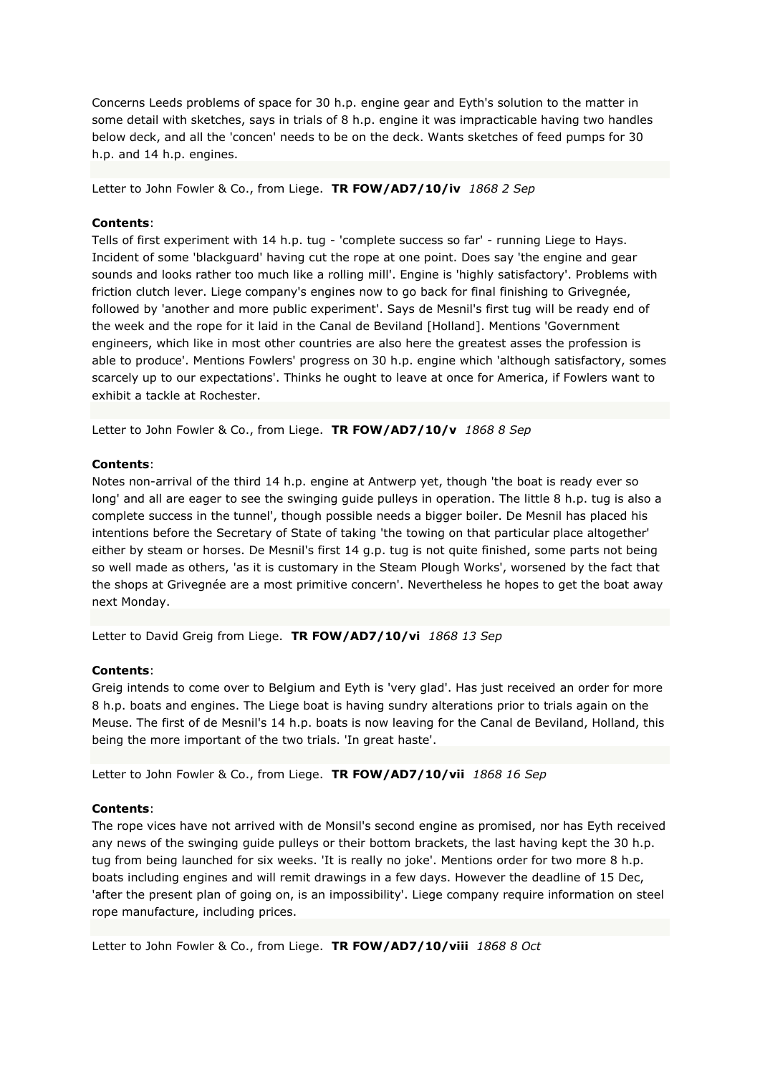Concerns Leeds problems of space for 30 h.p. engine gear and Eyth's solution to the matter in some detail with sketches, says in trials of 8 h.p. engine it was impracticable having two handles below deck, and all the 'concen' needs to be on the deck. Wants sketches of feed pumps for 30 h.p. and 14 h.p. engines.

Letter to John Fowler & Co., from Liege. **TR FOW/AD7/10/iv** *1868 2 Sep*

## **Contents**:

Tells of first experiment with 14 h.p. tug - 'complete success so far' - running Liege to Hays. Incident of some 'blackguard' having cut the rope at one point. Does say 'the engine and gear sounds and looks rather too much like a rolling mill'. Engine is 'highly satisfactory'. Problems with friction clutch lever. Liege company's engines now to go back for final finishing to Grivegnée, followed by 'another and more public experiment'. Says de Mesnil's first tug will be ready end of the week and the rope for it laid in the Canal de Beviland [Holland]. Mentions 'Government engineers, which like in most other countries are also here the greatest asses the profession is able to produce'. Mentions Fowlers' progress on 30 h.p. engine which 'although satisfactory, somes scarcely up to our expectations'. Thinks he ought to leave at once for America, if Fowlers want to exhibit a tackle at Rochester.

Letter to John Fowler & Co., from Liege. **TR FOW/AD7/10/v** *1868 8 Sep*

### **Contents**:

Notes non-arrival of the third 14 h.p. engine at Antwerp yet, though 'the boat is ready ever so long' and all are eager to see the swinging guide pulleys in operation. The little 8 h.p. tug is also a complete success in the tunnel', though possible needs a bigger boiler. De Mesnil has placed his intentions before the Secretary of State of taking 'the towing on that particular place altogether' either by steam or horses. De Mesnil's first 14 g.p. tug is not quite finished, some parts not being so well made as others, 'as it is customary in the Steam Plough Works', worsened by the fact that the shops at Grivegnée are a most primitive concern'. Nevertheless he hopes to get the boat away next Monday.

Letter to David Greig from Liege. **TR FOW/AD7/10/vi** *1868 13 Sep*

### **Contents**:

Greig intends to come over to Belgium and Eyth is 'very glad'. Has just received an order for more 8 h.p. boats and engines. The Liege boat is having sundry alterations prior to trials again on the Meuse. The first of de Mesnil's 14 h.p. boats is now leaving for the Canal de Beviland, Holland, this being the more important of the two trials. 'In great haste'.

Letter to John Fowler & Co., from Liege. **TR FOW/AD7/10/vii** *1868 16 Sep*

### **Contents**:

The rope vices have not arrived with de Monsil's second engine as promised, nor has Eyth received any news of the swinging guide pulleys or their bottom brackets, the last having kept the 30 h.p. tug from being launched for six weeks. 'It is really no joke'. Mentions order for two more 8 h.p. boats including engines and will remit drawings in a few days. However the deadline of 15 Dec, 'after the present plan of going on, is an impossibility'. Liege company require information on steel rope manufacture, including prices.

Letter to John Fowler & Co., from Liege. **TR FOW/AD7/10/viii** *1868 8 Oct*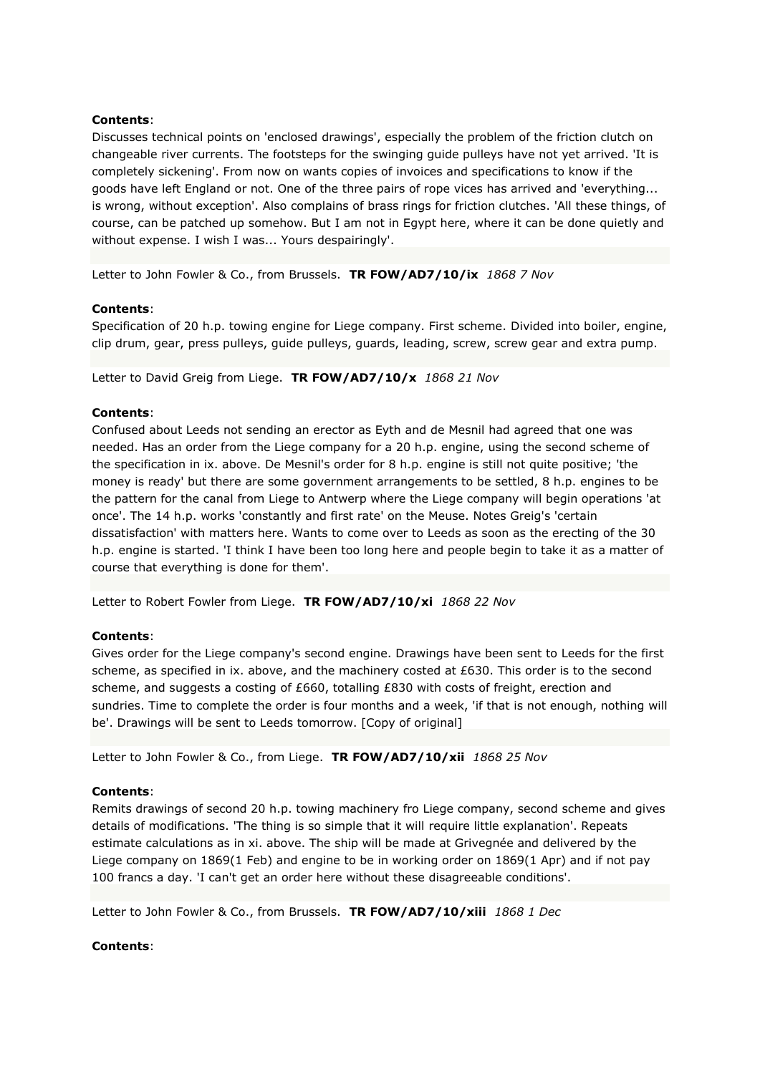Discusses technical points on 'enclosed drawings', especially the problem of the friction clutch on changeable river currents. The footsteps for the swinging guide pulleys have not yet arrived. 'It is completely sickening'. From now on wants copies of invoices and specifications to know if the goods have left England or not. One of the three pairs of rope vices has arrived and 'everything... is wrong, without exception'. Also complains of brass rings for friction clutches. 'All these things, of course, can be patched up somehow. But I am not in Egypt here, where it can be done quietly and without expense. I wish I was... Yours despairingly'.

Letter to John Fowler & Co., from Brussels. **TR FOW/AD7/10/ix** *1868 7 Nov*

## **Contents**:

Specification of 20 h.p. towing engine for Liege company. First scheme. Divided into boiler, engine, clip drum, gear, press pulleys, guide pulleys, guards, leading, screw, screw gear and extra pump.

Letter to David Greig from Liege. **TR FOW/AD7/10/x** *1868 21 Nov*

## **Contents**:

Confused about Leeds not sending an erector as Eyth and de Mesnil had agreed that one was needed. Has an order from the Liege company for a 20 h.p. engine, using the second scheme of the specification in ix. above. De Mesnil's order for 8 h.p. engine is still not quite positive; 'the money is ready' but there are some government arrangements to be settled, 8 h.p. engines to be the pattern for the canal from Liege to Antwerp where the Liege company will begin operations 'at once'. The 14 h.p. works 'constantly and first rate' on the Meuse. Notes Greig's 'certain dissatisfaction' with matters here. Wants to come over to Leeds as soon as the erecting of the 30 h.p. engine is started. 'I think I have been too long here and people begin to take it as a matter of course that everything is done for them'.

Letter to Robert Fowler from Liege. **TR FOW/AD7/10/xi** *1868 22 Nov*

### **Contents**:

Gives order for the Liege company's second engine. Drawings have been sent to Leeds for the first scheme, as specified in ix. above, and the machinery costed at £630. This order is to the second scheme, and suggests a costing of £660, totalling £830 with costs of freight, erection and sundries. Time to complete the order is four months and a week, 'if that is not enough, nothing will be'. Drawings will be sent to Leeds tomorrow. [Copy of original]

Letter to John Fowler & Co., from Liege. **TR FOW/AD7/10/xii** *1868 25 Nov*

### **Contents**:

Remits drawings of second 20 h.p. towing machinery fro Liege company, second scheme and gives details of modifications. 'The thing is so simple that it will require little explanation'. Repeats estimate calculations as in xi. above. The ship will be made at Grivegnée and delivered by the Liege company on 1869(1 Feb) and engine to be in working order on 1869(1 Apr) and if not pay 100 francs a day. 'I can't get an order here without these disagreeable conditions'.

Letter to John Fowler & Co., from Brussels. **TR FOW/AD7/10/xiii** *1868 1 Dec*

### **Contents**: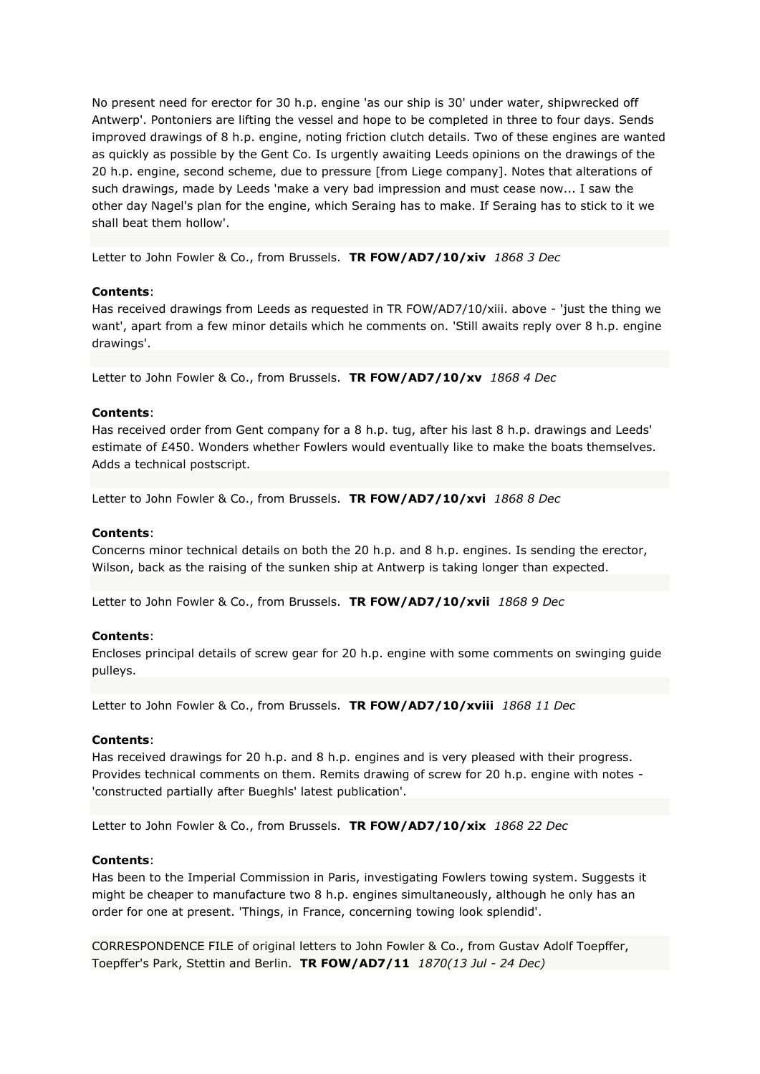No present need for erector for 30 h.p. engine 'as our ship is 30' under water, shipwrecked off Antwerp'. Pontoniers are lifting the vessel and hope to be completed in three to four days. Sends improved drawings of 8 h.p. engine, noting friction clutch details. Two of these engines are wanted as quickly as possible by the Gent Co. Is urgently awaiting Leeds opinions on the drawings of the 20 h.p. engine, second scheme, due to pressure [from Liege company]. Notes that alterations of such drawings, made by Leeds 'make a very bad impression and must cease now... I saw the other day Nagel's plan for the engine, which Seraing has to make. If Seraing has to stick to it we shall beat them hollow'.

Letter to John Fowler & Co., from Brussels. **TR FOW/AD7/10/xiv** *1868 3 Dec*

## **Contents**:

Has received drawings from Leeds as requested in TR FOW/AD7/10/xiii. above - 'just the thing we want', apart from a few minor details which he comments on. 'Still awaits reply over 8 h.p. engine drawings'.

Letter to John Fowler & Co., from Brussels. **TR FOW/AD7/10/xv** *1868 4 Dec*

## **Contents**:

Has received order from Gent company for a 8 h.p. tug, after his last 8 h.p. drawings and Leeds' estimate of £450. Wonders whether Fowlers would eventually like to make the boats themselves. Adds a technical postscript.

Letter to John Fowler & Co., from Brussels. **TR FOW/AD7/10/xvi** *1868 8 Dec*

## **Contents**:

Concerns minor technical details on both the 20 h.p. and 8 h.p. engines. Is sending the erector, Wilson, back as the raising of the sunken ship at Antwerp is taking longer than expected.

Letter to John Fowler & Co., from Brussels. **TR FOW/AD7/10/xvii** *1868 9 Dec*

### **Contents**:

Encloses principal details of screw gear for 20 h.p. engine with some comments on swinging guide pulleys.

Letter to John Fowler & Co., from Brussels. **TR FOW/AD7/10/xviii** *1868 11 Dec*

### **Contents**:

Has received drawings for 20 h.p. and 8 h.p. engines and is very pleased with their progress. Provides technical comments on them. Remits drawing of screw for 20 h.p. engine with notes - 'constructed partially after Bueghls' latest publication'.

Letter to John Fowler & Co., from Brussels. **TR FOW/AD7/10/xix** *1868 22 Dec*

### **Contents**:

Has been to the Imperial Commission in Paris, investigating Fowlers towing system. Suggests it might be cheaper to manufacture two 8 h.p. engines simultaneously, although he only has an order for one at present. 'Things, in France, concerning towing look splendid'.

CORRESPONDENCE FILE of original letters to John Fowler & Co., from Gustav Adolf Toepffer, Toepffer's Park, Stettin and Berlin. **TR FOW/AD7/11** *1870(13 Jul - 24 Dec)*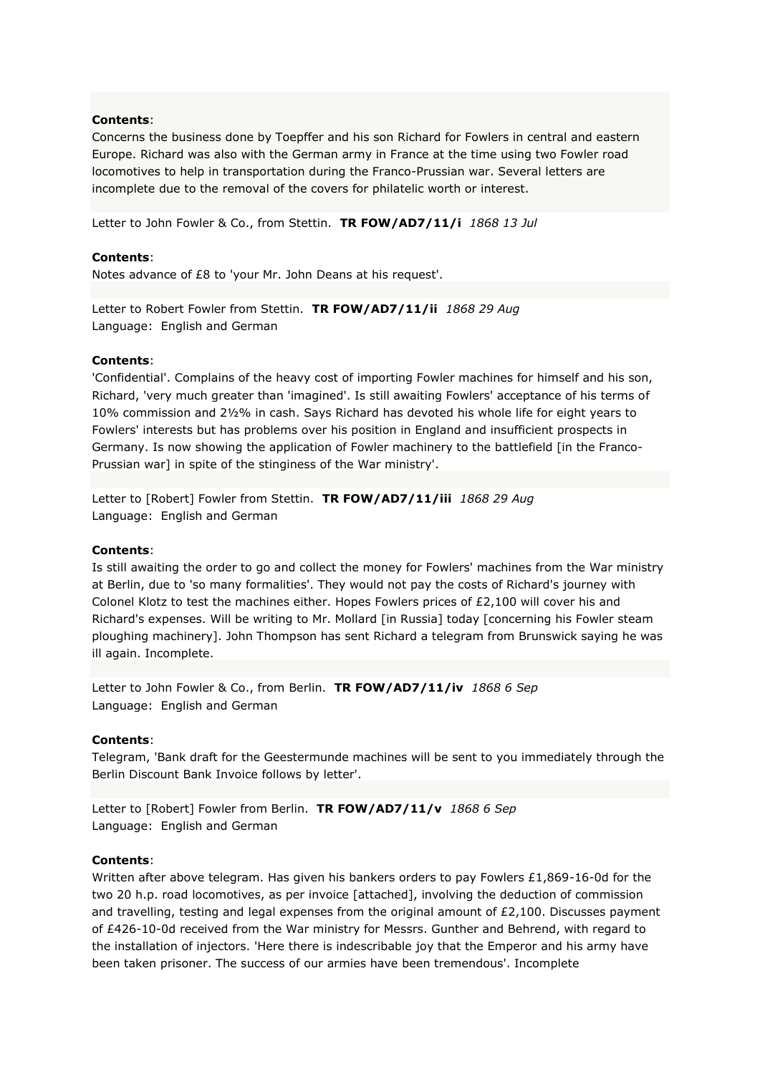Concerns the business done by Toepffer and his son Richard for Fowlers in central and eastern Europe. Richard was also with the German army in France at the time using two Fowler road locomotives to help in transportation during the Franco-Prussian war. Several letters are incomplete due to the removal of the covers for philatelic worth or interest.

Letter to John Fowler & Co., from Stettin. **TR FOW/AD7/11/i** *1868 13 Jul*

#### **Contents**:

Notes advance of £8 to 'your Mr. John Deans at his request'.

Letter to Robert Fowler from Stettin. **TR FOW/AD7/11/ii** *1868 29 Aug* Language: English and German

#### **Contents**:

'Confidential'. Complains of the heavy cost of importing Fowler machines for himself and his son, Richard, 'very much greater than 'imagined'. Is still awaiting Fowlers' acceptance of his terms of 10% commission and 2½% in cash. Says Richard has devoted his whole life for eight years to Fowlers' interests but has problems over his position in England and insufficient prospects in Germany. Is now showing the application of Fowler machinery to the battlefield [in the Franco-Prussian war] in spite of the stinginess of the War ministry'.

Letter to [Robert] Fowler from Stettin. **TR FOW/AD7/11/iii** *1868 29 Aug* Language: English and German

#### **Contents**:

Is still awaiting the order to go and collect the money for Fowlers' machines from the War ministry at Berlin, due to 'so many formalities'. They would not pay the costs of Richard's journey with Colonel Klotz to test the machines either. Hopes Fowlers prices of £2,100 will cover his and Richard's expenses. Will be writing to Mr. Mollard [in Russia] today [concerning his Fowler steam ploughing machinery]. John Thompson has sent Richard a telegram from Brunswick saying he was ill again. Incomplete.

Letter to John Fowler & Co., from Berlin. **TR FOW/AD7/11/iv** *1868 6 Sep* Language: English and German

#### **Contents**:

Telegram, 'Bank draft for the Geestermunde machines will be sent to you immediately through the Berlin Discount Bank Invoice follows by letter'.

Letter to [Robert] Fowler from Berlin. **TR FOW/AD7/11/v** *1868 6 Sep* Language: English and German

#### **Contents**:

Written after above telegram. Has given his bankers orders to pay Fowlers £1,869-16-0d for the two 20 h.p. road locomotives, as per invoice [attached], involving the deduction of commission and travelling, testing and legal expenses from the original amount of  $E2,100$ . Discusses payment of £426-10-0d received from the War ministry for Messrs. Gunther and Behrend, with regard to the installation of injectors. 'Here there is indescribable joy that the Emperor and his army have been taken prisoner. The success of our armies have been tremendous'. Incomplete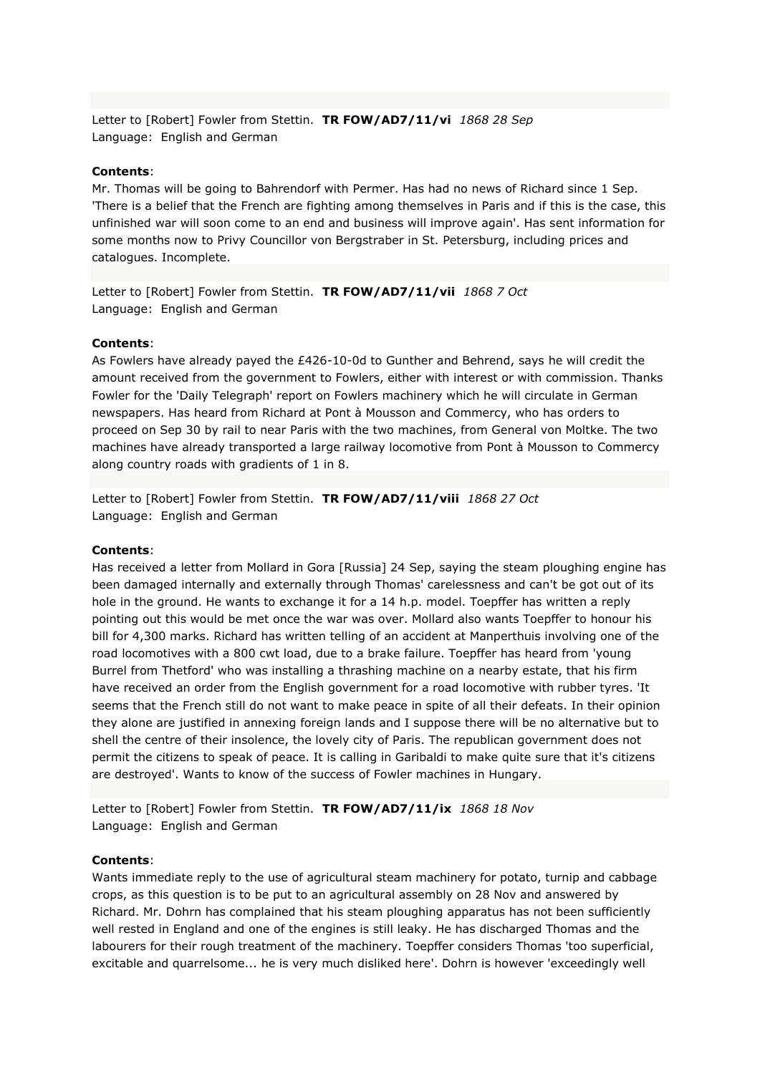Letter to [Robert] Fowler from Stettin. **TR FOW/AD7/11/vi** *1868 28 Sep* Language: English and German

#### **Contents**:

Mr. Thomas will be going to Bahrendorf with Permer. Has had no news of Richard since 1 Sep. 'There is a belief that the French are fighting among themselves in Paris and if this is the case, this unfinished war will soon come to an end and business will improve again'. Has sent information for some months now to Privy Councillor von Bergstraber in St. Petersburg, including prices and catalogues. Incomplete.

Letter to [Robert] Fowler from Stettin. **TR FOW/AD7/11/vii** *1868 7 Oct* Language: English and German

#### **Contents**:

As Fowlers have already payed the £426-10-0d to Gunther and Behrend, says he will credit the amount received from the government to Fowlers, either with interest or with commission. Thanks Fowler for the 'Daily Telegraph' report on Fowlers machinery which he will circulate in German newspapers. Has heard from Richard at Pont à Mousson and Commercy, who has orders to proceed on Sep 30 by rail to near Paris with the two machines, from General von Moltke. The two machines have already transported a large railway locomotive from Pont à Mousson to Commercy along country roads with gradients of 1 in 8.

Letter to [Robert] Fowler from Stettin. **TR FOW/AD7/11/viii** *1868 27 Oct* Language: English and German

#### **Contents**:

Has received a letter from Mollard in Gora [Russia] 24 Sep, saying the steam ploughing engine has been damaged internally and externally through Thomas' carelessness and can't be got out of its hole in the ground. He wants to exchange it for a 14 h.p. model. Toepffer has written a reply pointing out this would be met once the war was over. Mollard also wants Toepffer to honour his bill for 4,300 marks. Richard has written telling of an accident at Manperthuis involving one of the road locomotives with a 800 cwt load, due to a brake failure. Toepffer has heard from 'young Burrel from Thetford' who was installing a thrashing machine on a nearby estate, that his firm have received an order from the English government for a road locomotive with rubber tyres. 'It seems that the French still do not want to make peace in spite of all their defeats. In their opinion they alone are justified in annexing foreign lands and I suppose there will be no alternative but to shell the centre of their insolence, the lovely city of Paris. The republican government does not permit the citizens to speak of peace. It is calling in Garibaldi to make quite sure that it's citizens are destroyed'. Wants to know of the success of Fowler machines in Hungary.

Letter to [Robert] Fowler from Stettin. **TR FOW/AD7/11/ix** *1868 18 Nov* Language: English and German

### **Contents**:

Wants immediate reply to the use of agricultural steam machinery for potato, turnip and cabbage crops, as this question is to be put to an agricultural assembly on 28 Nov and answered by Richard. Mr. Dohrn has complained that his steam ploughing apparatus has not been sufficiently well rested in England and one of the engines is still leaky. He has discharged Thomas and the labourers for their rough treatment of the machinery. Toepffer considers Thomas 'too superficial, excitable and quarrelsome... he is very much disliked here'. Dohrn is however 'exceedingly well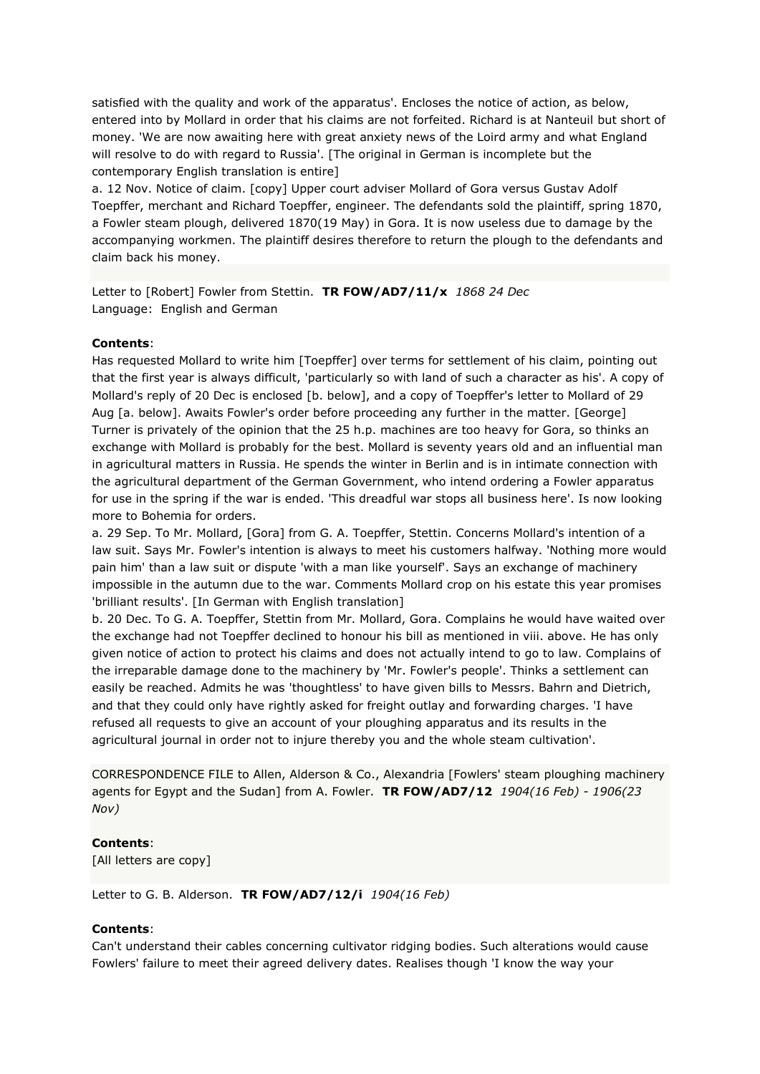satisfied with the quality and work of the apparatus'. Encloses the notice of action, as below, entered into by Mollard in order that his claims are not forfeited. Richard is at Nanteuil but short of money. 'We are now awaiting here with great anxiety news of the Loird army and what England will resolve to do with regard to Russia'. [The original in German is incomplete but the contemporary English translation is entire]

a. 12 Nov. Notice of claim. [copy] Upper court adviser Mollard of Gora versus Gustav Adolf Toepffer, merchant and Richard Toepffer, engineer. The defendants sold the plaintiff, spring 1870, a Fowler steam plough, delivered 1870(19 May) in Gora. It is now useless due to damage by the accompanying workmen. The plaintiff desires therefore to return the plough to the defendants and claim back his money.

Letter to [Robert] Fowler from Stettin. **TR FOW/AD7/11/x** *1868 24 Dec* Language: English and German

## **Contents**:

Has requested Mollard to write him [Toepffer] over terms for settlement of his claim, pointing out that the first year is always difficult, 'particularly so with land of such a character as his'. A copy of Mollard's reply of 20 Dec is enclosed [b. below], and a copy of Toepffer's letter to Mollard of 29 Aug [a. below]. Awaits Fowler's order before proceeding any further in the matter. [George] Turner is privately of the opinion that the 25 h.p. machines are too heavy for Gora, so thinks an exchange with Mollard is probably for the best. Mollard is seventy years old and an influential man in agricultural matters in Russia. He spends the winter in Berlin and is in intimate connection with the agricultural department of the German Government, who intend ordering a Fowler apparatus for use in the spring if the war is ended. 'This dreadful war stops all business here'. Is now looking more to Bohemia for orders.

a. 29 Sep. To Mr. Mollard, [Gora] from G. A. Toepffer, Stettin. Concerns Mollard's intention of a law suit. Says Mr. Fowler's intention is always to meet his customers halfway. 'Nothing more would pain him' than a law suit or dispute 'with a man like yourself'. Says an exchange of machinery impossible in the autumn due to the war. Comments Mollard crop on his estate this year promises 'brilliant results'. [In German with English translation]

b. 20 Dec. To G. A. Toepffer, Stettin from Mr. Mollard, Gora. Complains he would have waited over the exchange had not Toepffer declined to honour his bill as mentioned in viii. above. He has only given notice of action to protect his claims and does not actually intend to go to law. Complains of the irreparable damage done to the machinery by 'Mr. Fowler's people'. Thinks a settlement can easily be reached. Admits he was 'thoughtless' to have given bills to Messrs. Bahrn and Dietrich, and that they could only have rightly asked for freight outlay and forwarding charges. 'I have refused all requests to give an account of your ploughing apparatus and its results in the agricultural journal in order not to injure thereby you and the whole steam cultivation'.

CORRESPONDENCE FILE to Allen, Alderson & Co., Alexandria [Fowlers' steam ploughing machinery agents for Egypt and the Sudan] from A. Fowler. **TR FOW/AD7/12** *1904(16 Feb) - 1906(23 Nov)*

### **Contents**:

[All letters are copy]

Letter to G. B. Alderson. **TR FOW/AD7/12/i** *1904(16 Feb)*

### **Contents**:

Can't understand their cables concerning cultivator ridging bodies. Such alterations would cause Fowlers' failure to meet their agreed delivery dates. Realises though 'I know the way your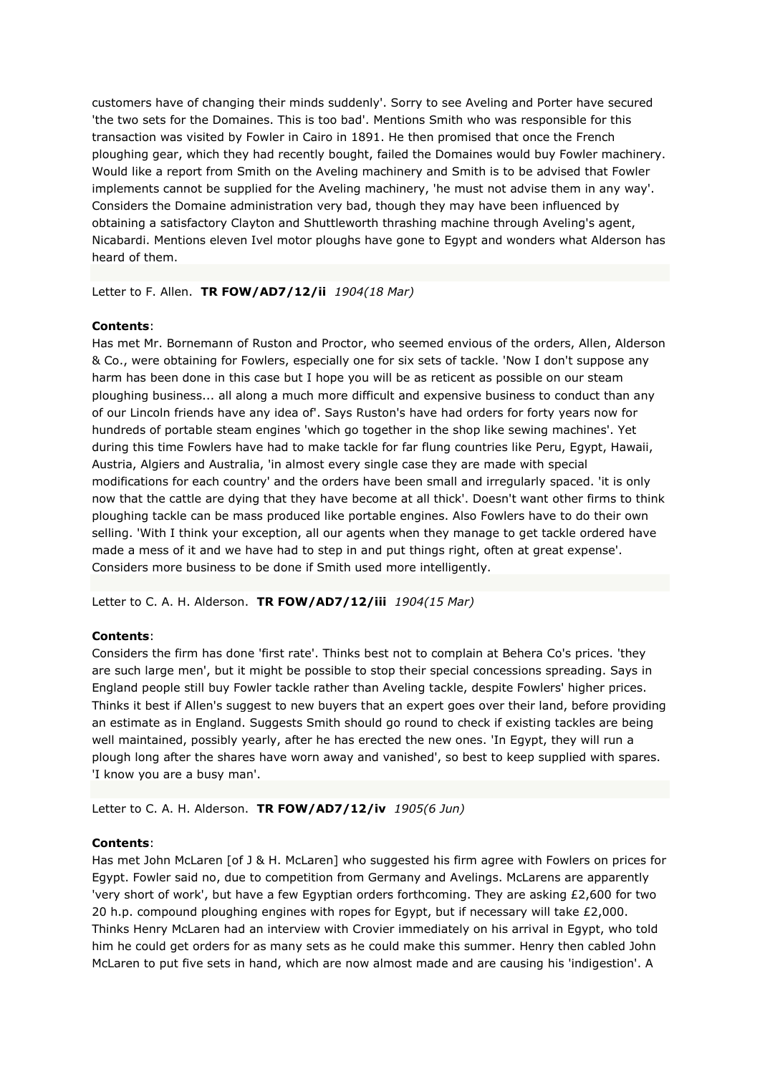customers have of changing their minds suddenly'. Sorry to see Aveling and Porter have secured 'the two sets for the Domaines. This is too bad'. Mentions Smith who was responsible for this transaction was visited by Fowler in Cairo in 1891. He then promised that once the French ploughing gear, which they had recently bought, failed the Domaines would buy Fowler machinery. Would like a report from Smith on the Aveling machinery and Smith is to be advised that Fowler implements cannot be supplied for the Aveling machinery, 'he must not advise them in any way'. Considers the Domaine administration very bad, though they may have been influenced by obtaining a satisfactory Clayton and Shuttleworth thrashing machine through Aveling's agent, Nicabardi. Mentions eleven Ivel motor ploughs have gone to Egypt and wonders what Alderson has heard of them.

Letter to F. Allen. **TR FOW/AD7/12/ii** *1904(18 Mar)*

## **Contents**:

Has met Mr. Bornemann of Ruston and Proctor, who seemed envious of the orders, Allen, Alderson & Co., were obtaining for Fowlers, especially one for six sets of tackle. 'Now I don't suppose any harm has been done in this case but I hope you will be as reticent as possible on our steam ploughing business... all along a much more difficult and expensive business to conduct than any of our Lincoln friends have any idea of'. Says Ruston's have had orders for forty years now for hundreds of portable steam engines 'which go together in the shop like sewing machines'. Yet during this time Fowlers have had to make tackle for far flung countries like Peru, Egypt, Hawaii, Austria, Algiers and Australia, 'in almost every single case they are made with special modifications for each country' and the orders have been small and irregularly spaced. 'it is only now that the cattle are dying that they have become at all thick'. Doesn't want other firms to think ploughing tackle can be mass produced like portable engines. Also Fowlers have to do their own selling. 'With I think your exception, all our agents when they manage to get tackle ordered have made a mess of it and we have had to step in and put things right, often at great expense'. Considers more business to be done if Smith used more intelligently.

Letter to C. A. H. Alderson. **TR FOW/AD7/12/iii** *1904(15 Mar)*

# **Contents**:

Considers the firm has done 'first rate'. Thinks best not to complain at Behera Co's prices. 'they are such large men', but it might be possible to stop their special concessions spreading. Says in England people still buy Fowler tackle rather than Aveling tackle, despite Fowlers' higher prices. Thinks it best if Allen's suggest to new buyers that an expert goes over their land, before providing an estimate as in England. Suggests Smith should go round to check if existing tackles are being well maintained, possibly yearly, after he has erected the new ones. 'In Egypt, they will run a plough long after the shares have worn away and vanished', so best to keep supplied with spares. 'I know you are a busy man'.

Letter to C. A. H. Alderson. **TR FOW/AD7/12/iv** *1905(6 Jun)*

### **Contents**:

Has met John McLaren [of J & H. McLaren] who suggested his firm agree with Fowlers on prices for Egypt. Fowler said no, due to competition from Germany and Avelings. McLarens are apparently 'very short of work', but have a few Egyptian orders forthcoming. They are asking £2,600 for two 20 h.p. compound ploughing engines with ropes for Egypt, but if necessary will take £2,000. Thinks Henry McLaren had an interview with Crovier immediately on his arrival in Egypt, who told him he could get orders for as many sets as he could make this summer. Henry then cabled John McLaren to put five sets in hand, which are now almost made and are causing his 'indigestion'. A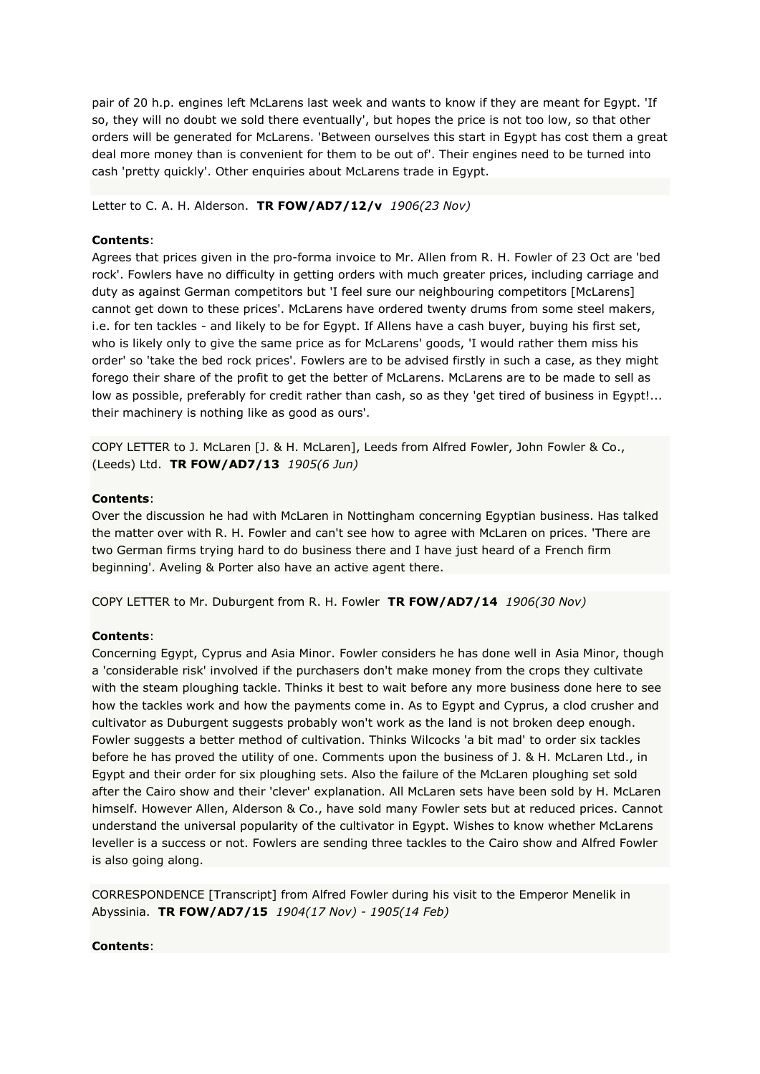pair of 20 h.p. engines left McLarens last week and wants to know if they are meant for Egypt. 'If so, they will no doubt we sold there eventually', but hopes the price is not too low, so that other orders will be generated for McLarens. 'Between ourselves this start in Egypt has cost them a great deal more money than is convenient for them to be out of'. Their engines need to be turned into cash 'pretty quickly'. Other enquiries about McLarens trade in Egypt.

Letter to C. A. H. Alderson. **TR FOW/AD7/12/v** *1906(23 Nov)*

## **Contents**:

Agrees that prices given in the pro-forma invoice to Mr. Allen from R. H. Fowler of 23 Oct are 'bed rock'. Fowlers have no difficulty in getting orders with much greater prices, including carriage and duty as against German competitors but 'I feel sure our neighbouring competitors [McLarens] cannot get down to these prices'. McLarens have ordered twenty drums from some steel makers, i.e. for ten tackles - and likely to be for Egypt. If Allens have a cash buyer, buying his first set, who is likely only to give the same price as for McLarens' goods, 'I would rather them miss his order' so 'take the bed rock prices'. Fowlers are to be advised firstly in such a case, as they might forego their share of the profit to get the better of McLarens. McLarens are to be made to sell as low as possible, preferably for credit rather than cash, so as they 'get tired of business in Egypt!... their machinery is nothing like as good as ours'.

COPY LETTER to J. McLaren [J. & H. McLaren], Leeds from Alfred Fowler, John Fowler & Co., (Leeds) Ltd. **TR FOW/AD7/13** *1905(6 Jun)*

## **Contents**:

Over the discussion he had with McLaren in Nottingham concerning Egyptian business. Has talked the matter over with R. H. Fowler and can't see how to agree with McLaren on prices. 'There are two German firms trying hard to do business there and I have just heard of a French firm beginning'. Aveling & Porter also have an active agent there.

COPY LETTER to Mr. Duburgent from R. H. Fowler **TR FOW/AD7/14** *1906(30 Nov)*

# **Contents**:

Concerning Egypt, Cyprus and Asia Minor. Fowler considers he has done well in Asia Minor, though a 'considerable risk' involved if the purchasers don't make money from the crops they cultivate with the steam ploughing tackle. Thinks it best to wait before any more business done here to see how the tackles work and how the payments come in. As to Egypt and Cyprus, a clod crusher and cultivator as Duburgent suggests probably won't work as the land is not broken deep enough. Fowler suggests a better method of cultivation. Thinks Wilcocks 'a bit mad' to order six tackles before he has proved the utility of one. Comments upon the business of J. & H. McLaren Ltd., in Egypt and their order for six ploughing sets. Also the failure of the McLaren ploughing set sold after the Cairo show and their 'clever' explanation. All McLaren sets have been sold by H. McLaren himself. However Allen, Alderson & Co., have sold many Fowler sets but at reduced prices. Cannot understand the universal popularity of the cultivator in Egypt. Wishes to know whether McLarens leveller is a success or not. Fowlers are sending three tackles to the Cairo show and Alfred Fowler is also going along.

CORRESPONDENCE [Transcript] from Alfred Fowler during his visit to the Emperor Menelik in Abyssinia. **TR FOW/AD7/15** *1904(17 Nov) - 1905(14 Feb)*

# **Contents**: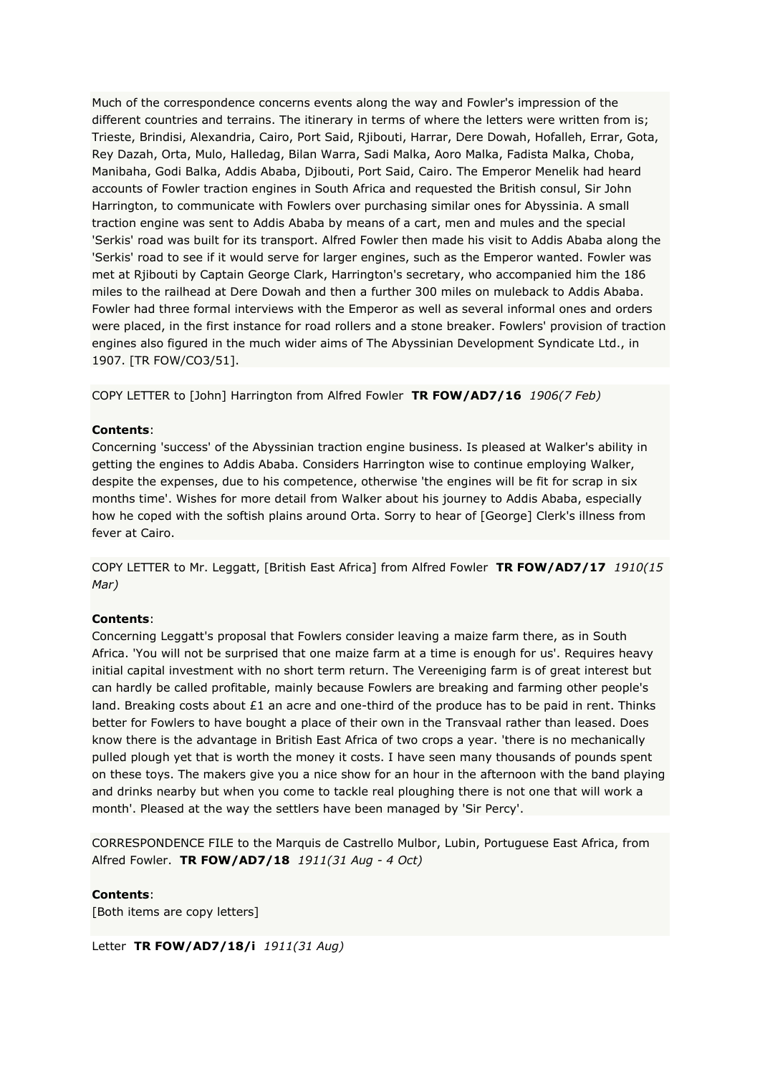Much of the correspondence concerns events along the way and Fowler's impression of the different countries and terrains. The itinerary in terms of where the letters were written from is; Trieste, Brindisi, Alexandria, Cairo, Port Said, Rjibouti, Harrar, Dere Dowah, Hofalleh, Errar, Gota, Rey Dazah, Orta, Mulo, Halledag, Bilan Warra, Sadi Malka, Aoro Malka, Fadista Malka, Choba, Manibaha, Godi Balka, Addis Ababa, Djibouti, Port Said, Cairo. The Emperor Menelik had heard accounts of Fowler traction engines in South Africa and requested the British consul, Sir John Harrington, to communicate with Fowlers over purchasing similar ones for Abyssinia. A small traction engine was sent to Addis Ababa by means of a cart, men and mules and the special 'Serkis' road was built for its transport. Alfred Fowler then made his visit to Addis Ababa along the 'Serkis' road to see if it would serve for larger engines, such as the Emperor wanted. Fowler was met at Rjibouti by Captain George Clark, Harrington's secretary, who accompanied him the 186 miles to the railhead at Dere Dowah and then a further 300 miles on muleback to Addis Ababa. Fowler had three formal interviews with the Emperor as well as several informal ones and orders were placed, in the first instance for road rollers and a stone breaker. Fowlers' provision of traction engines also figured in the much wider aims of The Abyssinian Development Syndicate Ltd., in 1907. [TR FOW/CO3/51].

COPY LETTER to [John] Harrington from Alfred Fowler **TR FOW/AD7/16** *1906(7 Feb)*

## **Contents**:

Concerning 'success' of the Abyssinian traction engine business. Is pleased at Walker's ability in getting the engines to Addis Ababa. Considers Harrington wise to continue employing Walker, despite the expenses, due to his competence, otherwise 'the engines will be fit for scrap in six months time'. Wishes for more detail from Walker about his journey to Addis Ababa, especially how he coped with the softish plains around Orta. Sorry to hear of [George] Clerk's illness from fever at Cairo.

COPY LETTER to Mr. Leggatt, [British East Africa] from Alfred Fowler **TR FOW/AD7/17** *1910(15 Mar)*

# **Contents**:

Concerning Leggatt's proposal that Fowlers consider leaving a maize farm there, as in South Africa. 'You will not be surprised that one maize farm at a time is enough for us'. Requires heavy initial capital investment with no short term return. The Vereeniging farm is of great interest but can hardly be called profitable, mainly because Fowlers are breaking and farming other people's land. Breaking costs about £1 an acre and one-third of the produce has to be paid in rent. Thinks better for Fowlers to have bought a place of their own in the Transvaal rather than leased. Does know there is the advantage in British East Africa of two crops a year. 'there is no mechanically pulled plough yet that is worth the money it costs. I have seen many thousands of pounds spent on these toys. The makers give you a nice show for an hour in the afternoon with the band playing and drinks nearby but when you come to tackle real ploughing there is not one that will work a month'. Pleased at the way the settlers have been managed by 'Sir Percy'.

CORRESPONDENCE FILE to the Marquis de Castrello Mulbor, Lubin, Portuguese East Africa, from Alfred Fowler. **TR FOW/AD7/18** *1911(31 Aug - 4 Oct)*

**Contents**:

[Both items are copy letters]

Letter **TR FOW/AD7/18/i** *1911(31 Aug)*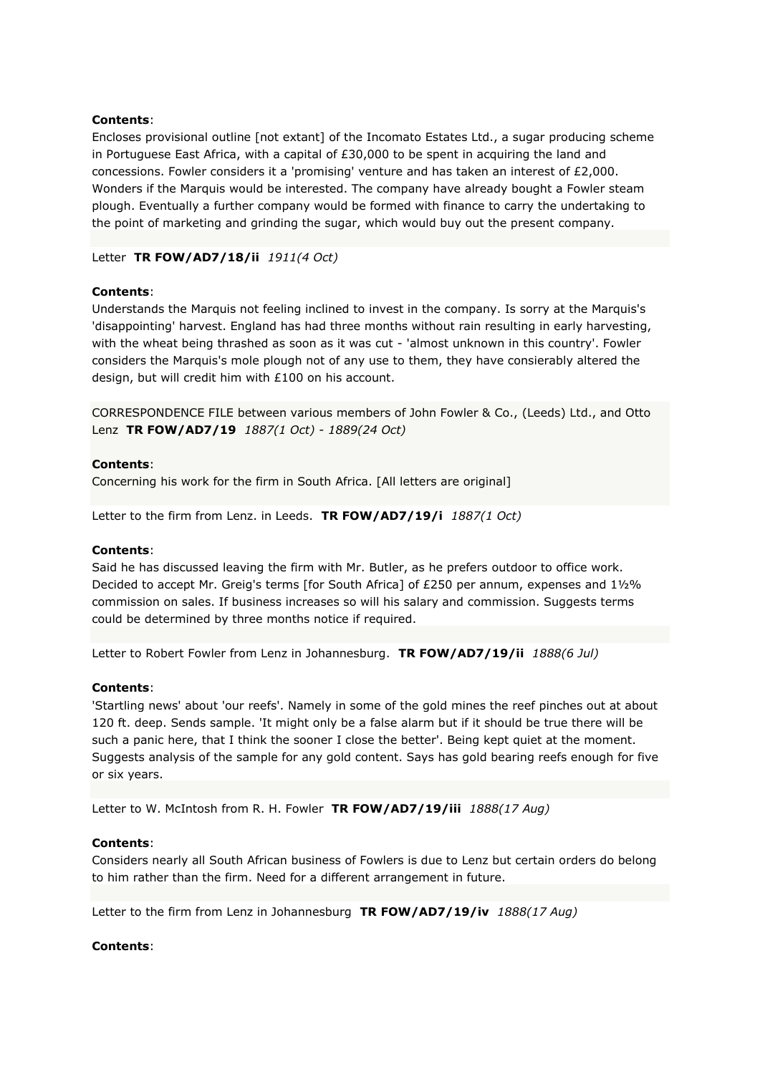Encloses provisional outline [not extant] of the Incomato Estates Ltd., a sugar producing scheme in Portuguese East Africa, with a capital of £30,000 to be spent in acquiring the land and concessions. Fowler considers it a 'promising' venture and has taken an interest of £2,000. Wonders if the Marquis would be interested. The company have already bought a Fowler steam plough. Eventually a further company would be formed with finance to carry the undertaking to the point of marketing and grinding the sugar, which would buy out the present company.

## Letter **TR FOW/AD7/18/ii** *1911(4 Oct)*

## **Contents**:

Understands the Marquis not feeling inclined to invest in the company. Is sorry at the Marquis's 'disappointing' harvest. England has had three months without rain resulting in early harvesting, with the wheat being thrashed as soon as it was cut - 'almost unknown in this country'. Fowler considers the Marquis's mole plough not of any use to them, they have consierably altered the design, but will credit him with £100 on his account.

CORRESPONDENCE FILE between various members of John Fowler & Co., (Leeds) Ltd., and Otto Lenz **TR FOW/AD7/19** *1887(1 Oct) - 1889(24 Oct)*

### **Contents**:

Concerning his work for the firm in South Africa. [All letters are original]

Letter to the firm from Lenz. in Leeds. **TR FOW/AD7/19/i** *1887(1 Oct)*

### **Contents**:

Said he has discussed leaving the firm with Mr. Butler, as he prefers outdoor to office work. Decided to accept Mr. Greig's terms [for South Africa] of £250 per annum, expenses and 1½% commission on sales. If business increases so will his salary and commission. Suggests terms could be determined by three months notice if required.

Letter to Robert Fowler from Lenz in Johannesburg. **TR FOW/AD7/19/ii** *1888(6 Jul)*

### **Contents**:

'Startling news' about 'our reefs'. Namely in some of the gold mines the reef pinches out at about 120 ft. deep. Sends sample. 'It might only be a false alarm but if it should be true there will be such a panic here, that I think the sooner I close the better'. Being kept quiet at the moment. Suggests analysis of the sample for any gold content. Says has gold bearing reefs enough for five or six years.

Letter to W. McIntosh from R. H. Fowler **TR FOW/AD7/19/iii** *1888(17 Aug)*

### **Contents**:

Considers nearly all South African business of Fowlers is due to Lenz but certain orders do belong to him rather than the firm. Need for a different arrangement in future.

Letter to the firm from Lenz in Johannesburg **TR FOW/AD7/19/iv** *1888(17 Aug)*

### **Contents**: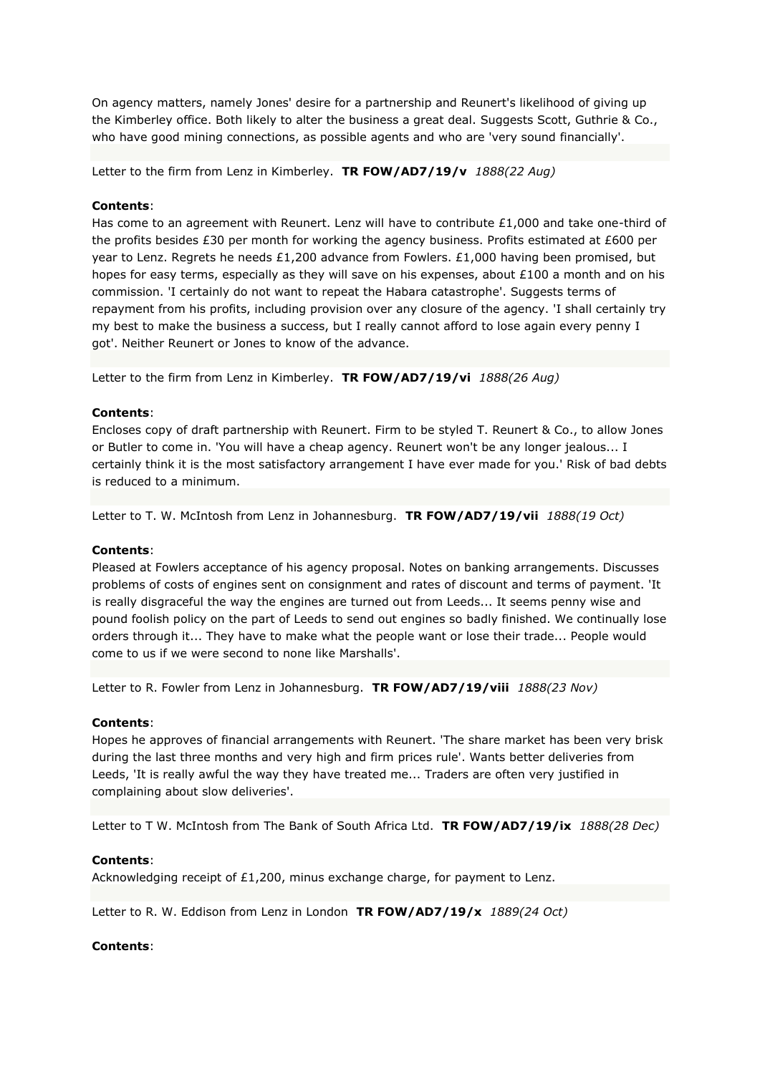On agency matters, namely Jones' desire for a partnership and Reunert's likelihood of giving up the Kimberley office. Both likely to alter the business a great deal. Suggests Scott, Guthrie & Co., who have good mining connections, as possible agents and who are 'very sound financially'.

Letter to the firm from Lenz in Kimberley. **TR FOW/AD7/19/v** *1888(22 Aug)*

## **Contents**:

Has come to an agreement with Reunert. Lenz will have to contribute £1,000 and take one-third of the profits besides £30 per month for working the agency business. Profits estimated at £600 per year to Lenz. Regrets he needs £1,200 advance from Fowlers. £1,000 having been promised, but hopes for easy terms, especially as they will save on his expenses, about £100 a month and on his commission. 'I certainly do not want to repeat the Habara catastrophe'. Suggests terms of repayment from his profits, including provision over any closure of the agency. 'I shall certainly try my best to make the business a success, but I really cannot afford to lose again every penny I got'. Neither Reunert or Jones to know of the advance.

Letter to the firm from Lenz in Kimberley. **TR FOW/AD7/19/vi** *1888(26 Aug)*

## **Contents**:

Encloses copy of draft partnership with Reunert. Firm to be styled T. Reunert & Co., to allow Jones or Butler to come in. 'You will have a cheap agency. Reunert won't be any longer jealous... I certainly think it is the most satisfactory arrangement I have ever made for you.' Risk of bad debts is reduced to a minimum.

Letter to T. W. McIntosh from Lenz in Johannesburg. **TR FOW/AD7/19/vii** *1888(19 Oct)*

### **Contents**:

Pleased at Fowlers acceptance of his agency proposal. Notes on banking arrangements. Discusses problems of costs of engines sent on consignment and rates of discount and terms of payment. 'It is really disgraceful the way the engines are turned out from Leeds... It seems penny wise and pound foolish policy on the part of Leeds to send out engines so badly finished. We continually lose orders through it... They have to make what the people want or lose their trade... People would come to us if we were second to none like Marshalls'.

Letter to R. Fowler from Lenz in Johannesburg. **TR FOW/AD7/19/viii** *1888(23 Nov)*

### **Contents**:

Hopes he approves of financial arrangements with Reunert. 'The share market has been very brisk during the last three months and very high and firm prices rule'. Wants better deliveries from Leeds, 'It is really awful the way they have treated me... Traders are often very justified in complaining about slow deliveries'.

Letter to T W. McIntosh from The Bank of South Africa Ltd. **TR FOW/AD7/19/ix** *1888(28 Dec)*

### **Contents**:

Acknowledging receipt of £1,200, minus exchange charge, for payment to Lenz.

Letter to R. W. Eddison from Lenz in London **TR FOW/AD7/19/x** *1889(24 Oct)*

### **Contents**: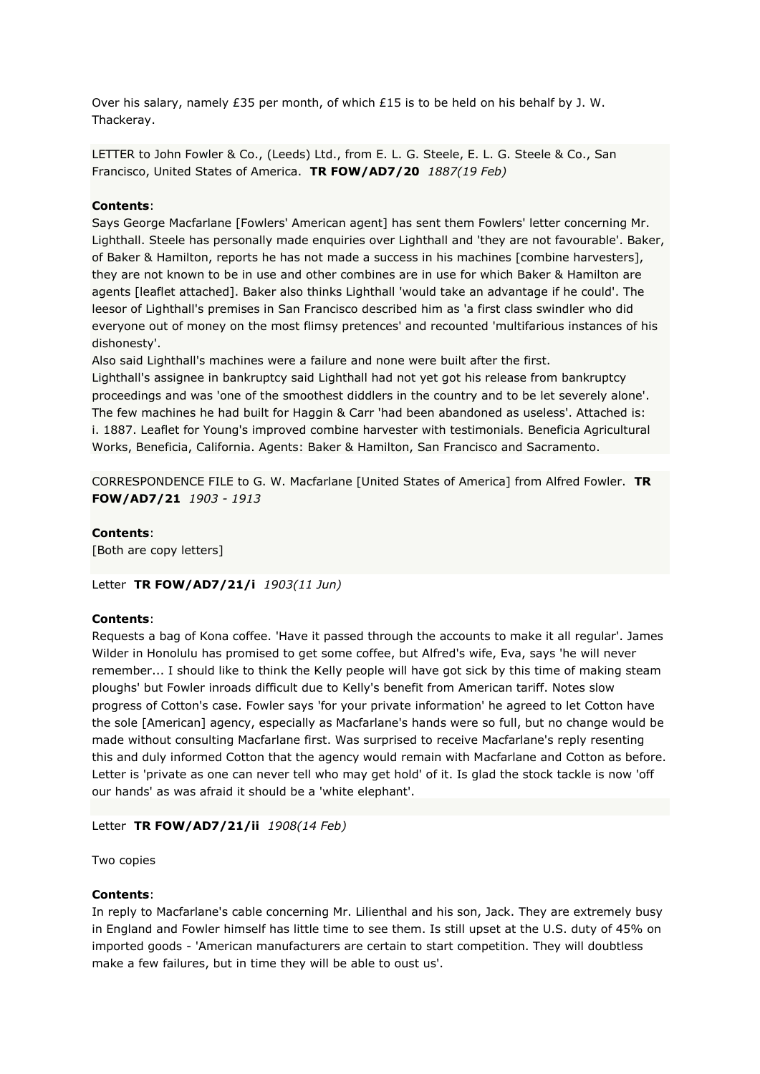Over his salary, namely £35 per month, of which £15 is to be held on his behalf by J. W. Thackeray.

LETTER to John Fowler & Co., (Leeds) Ltd., from E. L. G. Steele, E. L. G. Steele & Co., San Francisco, United States of America. **TR FOW/AD7/20** *1887(19 Feb)*

### **Contents**:

Says George Macfarlane [Fowlers' American agent] has sent them Fowlers' letter concerning Mr. Lighthall. Steele has personally made enquiries over Lighthall and 'they are not favourable'. Baker, of Baker & Hamilton, reports he has not made a success in his machines [combine harvesters], they are not known to be in use and other combines are in use for which Baker & Hamilton are agents [leaflet attached]. Baker also thinks Lighthall 'would take an advantage if he could'. The leesor of Lighthall's premises in San Francisco described him as 'a first class swindler who did everyone out of money on the most flimsy pretences' and recounted 'multifarious instances of his dishonesty'.

Also said Lighthall's machines were a failure and none were built after the first. Lighthall's assignee in bankruptcy said Lighthall had not yet got his release from bankruptcy proceedings and was 'one of the smoothest diddlers in the country and to be let severely alone'. The few machines he had built for Haggin & Carr 'had been abandoned as useless'. Attached is: i. 1887. Leaflet for Young's improved combine harvester with testimonials. Beneficia Agricultural Works, Beneficia, California. Agents: Baker & Hamilton, San Francisco and Sacramento.

CORRESPONDENCE FILE to G. W. Macfarlane [United States of America] from Alfred Fowler. **TR FOW/AD7/21** *1903 - 1913*

**Contents**: [Both are copy letters]

Letter **TR FOW/AD7/21/i** *1903(11 Jun)*

### **Contents**:

Requests a bag of Kona coffee. 'Have it passed through the accounts to make it all regular'. James Wilder in Honolulu has promised to get some coffee, but Alfred's wife, Eva, says 'he will never remember... I should like to think the Kelly people will have got sick by this time of making steam ploughs' but Fowler inroads difficult due to Kelly's benefit from American tariff. Notes slow progress of Cotton's case. Fowler says 'for your private information' he agreed to let Cotton have the sole [American] agency, especially as Macfarlane's hands were so full, but no change would be made without consulting Macfarlane first. Was surprised to receive Macfarlane's reply resenting this and duly informed Cotton that the agency would remain with Macfarlane and Cotton as before. Letter is 'private as one can never tell who may get hold' of it. Is glad the stock tackle is now 'off our hands' as was afraid it should be a 'white elephant'.

Letter **TR FOW/AD7/21/ii** *1908(14 Feb)*

Two copies

### **Contents**:

In reply to Macfarlane's cable concerning Mr. Lilienthal and his son, Jack. They are extremely busy in England and Fowler himself has little time to see them. Is still upset at the U.S. duty of 45% on imported goods - 'American manufacturers are certain to start competition. They will doubtless make a few failures, but in time they will be able to oust us'.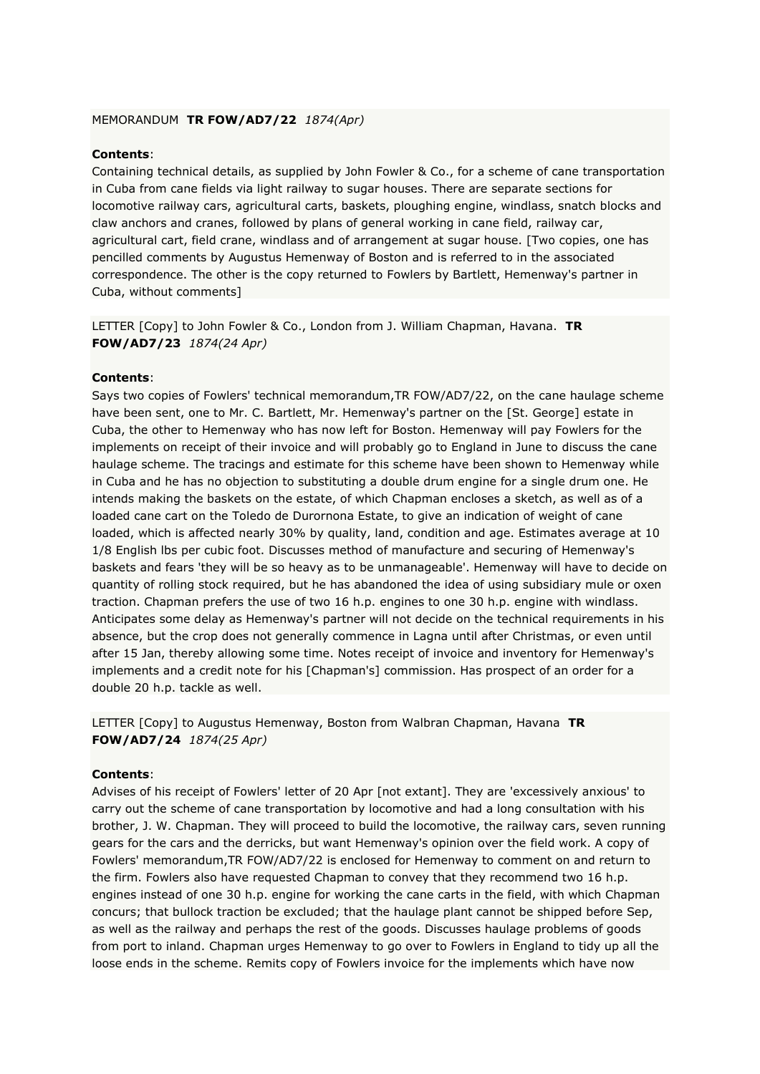#### MEMORANDUM **TR FOW/AD7/22** *1874(Apr)*

## **Contents**:

Containing technical details, as supplied by John Fowler & Co., for a scheme of cane transportation in Cuba from cane fields via light railway to sugar houses. There are separate sections for locomotive railway cars, agricultural carts, baskets, ploughing engine, windlass, snatch blocks and claw anchors and cranes, followed by plans of general working in cane field, railway car, agricultural cart, field crane, windlass and of arrangement at sugar house. [Two copies, one has pencilled comments by Augustus Hemenway of Boston and is referred to in the associated correspondence. The other is the copy returned to Fowlers by Bartlett, Hemenway's partner in Cuba, without comments]

LETTER [Copy] to John Fowler & Co., London from J. William Chapman, Havana. **TR FOW/AD7/23** *1874(24 Apr)*

## **Contents**:

Says two copies of Fowlers' technical memorandum,TR FOW/AD7/22, on the cane haulage scheme have been sent, one to Mr. C. Bartlett, Mr. Hemenway's partner on the [St. George] estate in Cuba, the other to Hemenway who has now left for Boston. Hemenway will pay Fowlers for the implements on receipt of their invoice and will probably go to England in June to discuss the cane haulage scheme. The tracings and estimate for this scheme have been shown to Hemenway while in Cuba and he has no objection to substituting a double drum engine for a single drum one. He intends making the baskets on the estate, of which Chapman encloses a sketch, as well as of a loaded cane cart on the Toledo de Durornona Estate, to give an indication of weight of cane loaded, which is affected nearly 30% by quality, land, condition and age. Estimates average at 10 1/8 English lbs per cubic foot. Discusses method of manufacture and securing of Hemenway's baskets and fears 'they will be so heavy as to be unmanageable'. Hemenway will have to decide on quantity of rolling stock required, but he has abandoned the idea of using subsidiary mule or oxen traction. Chapman prefers the use of two 16 h.p. engines to one 30 h.p. engine with windlass. Anticipates some delay as Hemenway's partner will not decide on the technical requirements in his absence, but the crop does not generally commence in Lagna until after Christmas, or even until after 15 Jan, thereby allowing some time. Notes receipt of invoice and inventory for Hemenway's implements and a credit note for his [Chapman's] commission. Has prospect of an order for a double 20 h.p. tackle as well.

LETTER [Copy] to Augustus Hemenway, Boston from Walbran Chapman, Havana **TR FOW/AD7/24** *1874(25 Apr)*

### **Contents**:

Advises of his receipt of Fowlers' letter of 20 Apr [not extant]. They are 'excessively anxious' to carry out the scheme of cane transportation by locomotive and had a long consultation with his brother, J. W. Chapman. They will proceed to build the locomotive, the railway cars, seven running gears for the cars and the derricks, but want Hemenway's opinion over the field work. A copy of Fowlers' memorandum,TR FOW/AD7/22 is enclosed for Hemenway to comment on and return to the firm. Fowlers also have requested Chapman to convey that they recommend two 16 h.p. engines instead of one 30 h.p. engine for working the cane carts in the field, with which Chapman concurs; that bullock traction be excluded; that the haulage plant cannot be shipped before Sep, as well as the railway and perhaps the rest of the goods. Discusses haulage problems of goods from port to inland. Chapman urges Hemenway to go over to Fowlers in England to tidy up all the loose ends in the scheme. Remits copy of Fowlers invoice for the implements which have now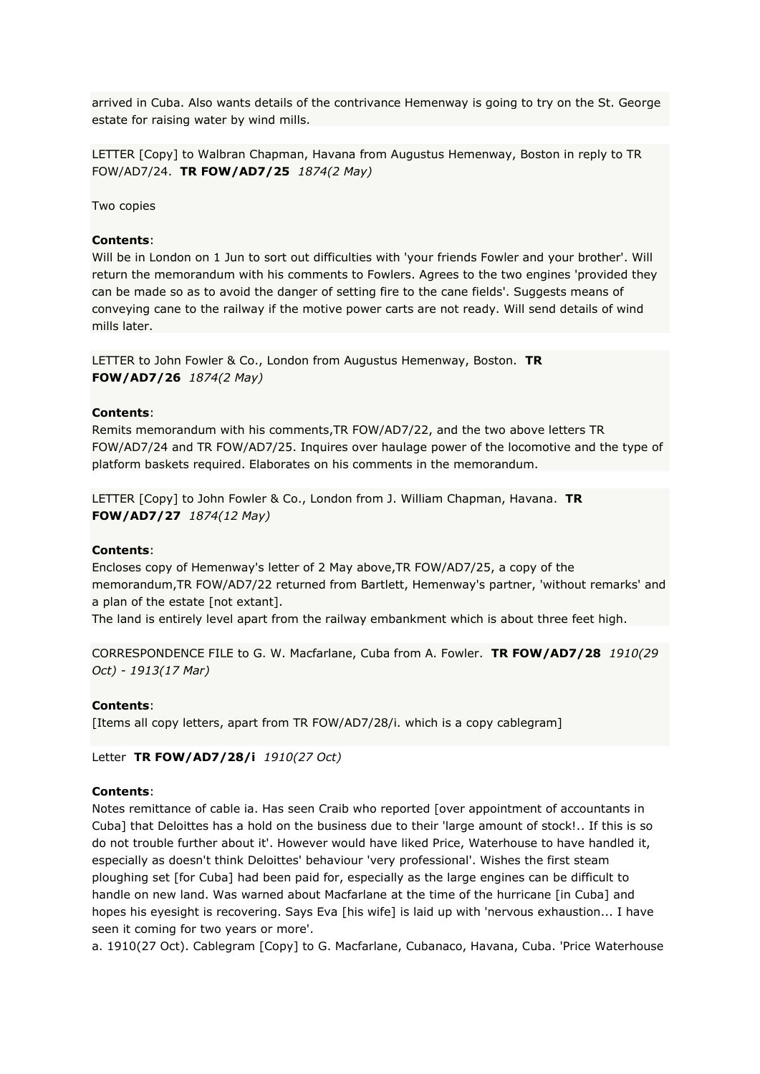arrived in Cuba. Also wants details of the contrivance Hemenway is going to try on the St. George estate for raising water by wind mills.

LETTER [Copy] to Walbran Chapman, Havana from Augustus Hemenway, Boston in reply to TR FOW/AD7/24. **TR FOW/AD7/25** *1874(2 May)*

Two copies

#### **Contents**:

Will be in London on 1 Jun to sort out difficulties with 'your friends Fowler and your brother'. Will return the memorandum with his comments to Fowlers. Agrees to the two engines 'provided they can be made so as to avoid the danger of setting fire to the cane fields'. Suggests means of conveying cane to the railway if the motive power carts are not ready. Will send details of wind mills later.

LETTER to John Fowler & Co., London from Augustus Hemenway, Boston. **TR FOW/AD7/26** *1874(2 May)*

### **Contents**:

Remits memorandum with his comments,TR FOW/AD7/22, and the two above letters TR FOW/AD7/24 and TR FOW/AD7/25. Inquires over haulage power of the locomotive and the type of platform baskets required. Elaborates on his comments in the memorandum.

LETTER [Copy] to John Fowler & Co., London from J. William Chapman, Havana. **TR FOW/AD7/27** *1874(12 May)*

#### **Contents**:

Encloses copy of Hemenway's letter of 2 May above,TR FOW/AD7/25, a copy of the memorandum,TR FOW/AD7/22 returned from Bartlett, Hemenway's partner, 'without remarks' and a plan of the estate [not extant].

The land is entirely level apart from the railway embankment which is about three feet high.

```
CORRESPONDENCE FILE to G. W. Macfarlane, Cuba from A. Fowler. TR FOW/AD7/28 1910(29 
Oct) - 1913(17 Mar)
```
#### **Contents**:

[Items all copy letters, apart from TR FOW/AD7/28/i. which is a copy cablegram]

Letter **TR FOW/AD7/28/i** *1910(27 Oct)*

#### **Contents**:

Notes remittance of cable ia. Has seen Craib who reported [over appointment of accountants in Cuba] that Deloittes has a hold on the business due to their 'large amount of stock!.. If this is so do not trouble further about it'. However would have liked Price, Waterhouse to have handled it, especially as doesn't think Deloittes' behaviour 'very professional'. Wishes the first steam ploughing set [for Cuba] had been paid for, especially as the large engines can be difficult to handle on new land. Was warned about Macfarlane at the time of the hurricane [in Cuba] and hopes his eyesight is recovering. Says Eva [his wife] is laid up with 'nervous exhaustion... I have seen it coming for two years or more'.

a. 1910(27 Oct). Cablegram [Copy] to G. Macfarlane, Cubanaco, Havana, Cuba. 'Price Waterhouse